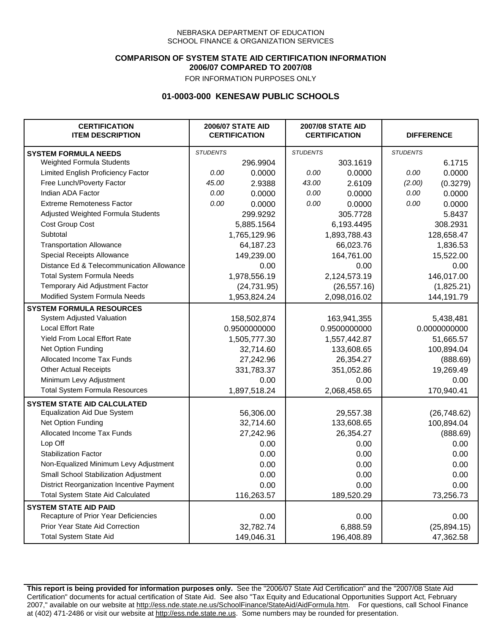### **COMPARISON OF SYSTEM STATE AID CERTIFICATION INFORMATION 2006/07 COMPARED TO 2007/08**

FOR INFORMATION PURPOSES ONLY

## **01-0003-000 KENESAW PUBLIC SCHOOLS**

| <b>CERTIFICATION</b><br><b>ITEM DESCRIPTION</b> |                 | <b>2006/07 STATE AID</b><br><b>CERTIFICATION</b> | <b>2007/08 STATE AID</b><br><b>CERTIFICATION</b> |              | <b>DIFFERENCE</b> |              |
|-------------------------------------------------|-----------------|--------------------------------------------------|--------------------------------------------------|--------------|-------------------|--------------|
| <b>SYSTEM FORMULA NEEDS</b>                     | <b>STUDENTS</b> |                                                  | <b>STUDENTS</b>                                  |              | <b>STUDENTS</b>   |              |
| Weighted Formula Students                       |                 | 296.9904                                         |                                                  | 303.1619     |                   | 6.1715       |
| Limited English Proficiency Factor              | 0.00            | 0.0000                                           | 0.00                                             | 0.0000       | 0.00              | 0.0000       |
| Free Lunch/Poverty Factor                       | 45.00           | 2.9388                                           | 43.00                                            | 2.6109       | (2.00)            | (0.3279)     |
| Indian ADA Factor                               | 0.00            | 0.0000                                           | 0.00                                             | 0.0000       | 0.00              | 0.0000       |
| <b>Extreme Remoteness Factor</b>                | 0.00            | 0.0000                                           | 0.00                                             | 0.0000       | 0.00              | 0.0000       |
| Adjusted Weighted Formula Students              |                 | 299.9292                                         |                                                  | 305.7728     |                   | 5.8437       |
| Cost Group Cost                                 |                 | 5,885.1564                                       |                                                  | 6,193.4495   |                   | 308.2931     |
| Subtotal                                        |                 | 1,765,129.96                                     |                                                  | 1,893,788.43 |                   | 128,658.47   |
| <b>Transportation Allowance</b>                 |                 | 64,187.23                                        |                                                  | 66,023.76    |                   | 1,836.53     |
| Special Receipts Allowance                      |                 | 149,239.00                                       |                                                  | 164,761.00   |                   | 15,522.00    |
| Distance Ed & Telecommunication Allowance       |                 | 0.00                                             |                                                  | 0.00         |                   | 0.00         |
| <b>Total System Formula Needs</b>               |                 | 1,978,556.19                                     |                                                  | 2,124,573.19 |                   | 146,017.00   |
| Temporary Aid Adjustment Factor                 |                 | (24, 731.95)                                     |                                                  | (26, 557.16) |                   | (1,825.21)   |
| Modified System Formula Needs                   |                 | 1,953,824.24                                     |                                                  | 2,098,016.02 |                   | 144,191.79   |
| <b>SYSTEM FORMULA RESOURCES</b>                 |                 |                                                  |                                                  |              |                   |              |
| System Adjusted Valuation                       |                 | 158,502,874                                      |                                                  | 163,941,355  |                   | 5,438,481    |
| <b>Local Effort Rate</b>                        |                 | 0.9500000000                                     |                                                  | 0.9500000000 |                   | 0.0000000000 |
| Yield From Local Effort Rate                    |                 | 1,505,777.30                                     |                                                  | 1,557,442.87 |                   | 51,665.57    |
| Net Option Funding                              |                 | 32,714.60                                        |                                                  | 133,608.65   |                   | 100,894.04   |
| Allocated Income Tax Funds                      |                 | 27,242.96                                        |                                                  | 26,354.27    |                   | (888.69)     |
| <b>Other Actual Receipts</b>                    |                 | 331,783.37                                       | 351,052.86                                       |              | 19,269.49         |              |
| Minimum Levy Adjustment                         |                 | 0.00                                             |                                                  | 0.00         |                   | 0.00         |
| <b>Total System Formula Resources</b>           |                 | 1,897,518.24                                     |                                                  | 2,068,458.65 |                   | 170,940.41   |
| <b>SYSTEM STATE AID CALCULATED</b>              |                 |                                                  |                                                  |              |                   |              |
| <b>Equalization Aid Due System</b>              |                 | 56,306.00                                        |                                                  | 29,557.38    |                   | (26,748.62)  |
| Net Option Funding                              |                 | 32,714.60                                        |                                                  | 133,608.65   |                   | 100,894.04   |
| Allocated Income Tax Funds                      |                 | 27,242.96                                        |                                                  | 26,354.27    |                   | (888.69)     |
| Lop Off                                         |                 | 0.00                                             |                                                  | 0.00         |                   | 0.00         |
| <b>Stabilization Factor</b>                     |                 | 0.00                                             |                                                  | 0.00         |                   | 0.00         |
| Non-Equalized Minimum Levy Adjustment           |                 | 0.00                                             |                                                  | 0.00         |                   | 0.00         |
| Small School Stabilization Adjustment           |                 | 0.00                                             |                                                  | 0.00         |                   | 0.00         |
| District Reorganization Incentive Payment       |                 | 0.00                                             |                                                  | 0.00         |                   | 0.00         |
| <b>Total System State Aid Calculated</b>        |                 | 116,263.57                                       |                                                  | 189,520.29   |                   | 73,256.73    |
| <b>SYSTEM STATE AID PAID</b>                    |                 |                                                  |                                                  |              |                   |              |
| Recapture of Prior Year Deficiencies            |                 | 0.00                                             |                                                  | 0.00         |                   | 0.00         |
| Prior Year State Aid Correction                 |                 | 32,782.74                                        |                                                  | 6,888.59     |                   | (25, 894.15) |
| <b>Total System State Aid</b>                   |                 | 149,046.31                                       |                                                  | 196,408.89   |                   | 47,362.58    |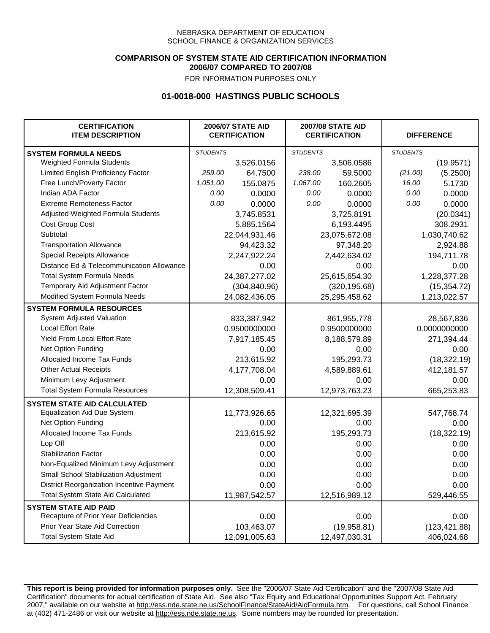### **COMPARISON OF SYSTEM STATE AID CERTIFICATION INFORMATION 2006/07 COMPARED TO 2007/08**

FOR INFORMATION PURPOSES ONLY

## **01-0018-000 HASTINGS PUBLIC SCHOOLS**

| <b>CERTIFICATION</b><br><b>ITEM DESCRIPTION</b> |                 | <b>2006/07 STATE AID</b><br><b>CERTIFICATION</b> |                 | <b>2007/08 STATE AID</b><br><b>CERTIFICATION</b> |                 | <b>DIFFERENCE</b> |
|-------------------------------------------------|-----------------|--------------------------------------------------|-----------------|--------------------------------------------------|-----------------|-------------------|
| <b>SYSTEM FORMULA NEEDS</b>                     | <b>STUDENTS</b> |                                                  | <b>STUDENTS</b> |                                                  | <b>STUDENTS</b> |                   |
| Weighted Formula Students                       |                 | 3,526.0156                                       |                 | 3,506.0586                                       |                 | (19.9571)         |
| Limited English Proficiency Factor              | 259.00          | 64.7500                                          | 238.00          | 59.5000                                          | (21.00)         | (5.2500)          |
| Free Lunch/Poverty Factor                       | 1,051.00        | 155.0875                                         | 1,067.00        | 160.2605                                         | 16.00           | 5.1730            |
| Indian ADA Factor                               | 0.00            | 0.0000                                           | 0.00            | 0.0000                                           | 0.00            | 0.0000            |
| <b>Extreme Remoteness Factor</b>                | 0.00            | 0.0000                                           | 0.00            | 0.0000                                           | 0.00            | 0.0000            |
| Adjusted Weighted Formula Students              |                 | 3,745.8531                                       |                 | 3,725.8191                                       |                 | (20.0341)         |
| Cost Group Cost                                 |                 | 5,885.1564                                       |                 | 6,193.4495                                       |                 | 308.2931          |
| Subtotal                                        |                 | 22,044,931.46                                    |                 | 23,075,672.08                                    |                 | 1,030,740.62      |
| <b>Transportation Allowance</b>                 |                 | 94,423.32                                        |                 | 97,348.20                                        |                 | 2,924.88          |
| Special Receipts Allowance                      |                 | 2,247,922.24                                     |                 | 2,442,634.02                                     |                 | 194,711.78        |
| Distance Ed & Telecommunication Allowance       |                 | 0.00                                             |                 | 0.00                                             |                 | 0.00              |
| <b>Total System Formula Needs</b>               |                 | 24, 387, 277.02                                  | 25,615,654.30   |                                                  | 1,228,377.28    |                   |
| Temporary Aid Adjustment Factor                 |                 | (304, 840.96)                                    | (320, 195.68)   |                                                  | (15, 354.72)    |                   |
| Modified System Formula Needs                   | 24,082,436.05   |                                                  | 25,295,458.62   |                                                  | 1,213,022.57    |                   |
| <b>SYSTEM FORMULA RESOURCES</b>                 |                 |                                                  |                 |                                                  |                 |                   |
| System Adjusted Valuation                       |                 | 833,387,942                                      |                 | 861,955,778                                      |                 | 28,567,836        |
| <b>Local Effort Rate</b>                        |                 | 0.9500000000                                     |                 | 0.9500000000                                     |                 | 0.0000000000      |
| Yield From Local Effort Rate                    |                 | 7,917,185.45                                     |                 | 8,188,579.89                                     |                 | 271,394.44        |
| Net Option Funding                              |                 | 0.00                                             | 0.00            |                                                  | 0.00            |                   |
| Allocated Income Tax Funds                      |                 | 213,615.92                                       | 195,293.73      |                                                  | (18, 322.19)    |                   |
| <b>Other Actual Receipts</b>                    |                 | 4,177,708.04                                     | 4,589,889.61    |                                                  | 412,181.57      |                   |
| Minimum Levy Adjustment                         |                 | 0.00                                             | 0.00            |                                                  | 0.00            |                   |
| <b>Total System Formula Resources</b>           |                 | 12,308,509.41                                    |                 | 12,973,763.23                                    |                 | 665,253.83        |
| <b>SYSTEM STATE AID CALCULATED</b>              |                 |                                                  |                 |                                                  |                 |                   |
| <b>Equalization Aid Due System</b>              |                 | 11,773,926.65                                    |                 | 12,321,695.39                                    |                 | 547,768.74        |
| Net Option Funding                              |                 | 0.00                                             |                 | 0.00                                             |                 | 0.00              |
| Allocated Income Tax Funds                      |                 | 213,615.92                                       |                 | 195,293.73                                       |                 | (18, 322.19)      |
| Lop Off                                         |                 | 0.00                                             |                 | 0.00                                             |                 | 0.00              |
| <b>Stabilization Factor</b>                     |                 | 0.00                                             |                 | 0.00                                             |                 | 0.00              |
| Non-Equalized Minimum Levy Adjustment           |                 | 0.00                                             |                 | 0.00                                             |                 | 0.00              |
| Small School Stabilization Adjustment           |                 | 0.00                                             |                 | 0.00                                             |                 | 0.00              |
| District Reorganization Incentive Payment       |                 | 0.00                                             |                 | 0.00                                             |                 | 0.00              |
| Total System State Aid Calculated               |                 | 11,987,542.57                                    |                 | 12,516,989.12                                    |                 | 529,446.55        |
| <b>SYSTEM STATE AID PAID</b>                    |                 |                                                  |                 |                                                  |                 |                   |
| Recapture of Prior Year Deficiencies            |                 | 0.00                                             |                 | 0.00                                             |                 | 0.00              |
| Prior Year State Aid Correction                 |                 | 103,463.07                                       |                 | (19,958.81)                                      |                 | (123, 421.88)     |
| <b>Total System State Aid</b>                   |                 | 12,091,005.63                                    |                 | 12,497,030.31                                    | 406,024.68      |                   |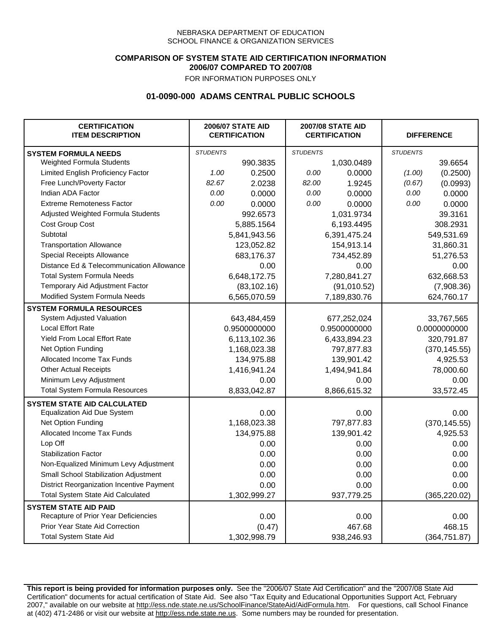### **COMPARISON OF SYSTEM STATE AID CERTIFICATION INFORMATION 2006/07 COMPARED TO 2007/08**

FOR INFORMATION PURPOSES ONLY

## **01-0090-000 ADAMS CENTRAL PUBLIC SCHOOLS**

| <b>CERTIFICATION</b><br><b>ITEM DESCRIPTION</b> |                 | <b>2006/07 STATE AID</b><br><b>CERTIFICATION</b> | <b>2007/08 STATE AID</b><br><b>CERTIFICATION</b> |              | <b>DIFFERENCE</b> |               |
|-------------------------------------------------|-----------------|--------------------------------------------------|--------------------------------------------------|--------------|-------------------|---------------|
| <b>SYSTEM FORMULA NEEDS</b>                     | <b>STUDENTS</b> |                                                  | <b>STUDENTS</b>                                  |              | <b>STUDENTS</b>   |               |
| Weighted Formula Students                       |                 | 990.3835                                         |                                                  | 1,030.0489   |                   | 39.6654       |
| Limited English Proficiency Factor              | 1.00            | 0.2500                                           | 0.00                                             | 0.0000       | (1.00)            | (0.2500)      |
| Free Lunch/Poverty Factor                       | 82.67           | 2.0238                                           | 82.00                                            | 1.9245       | (0.67)            | (0.0993)      |
| Indian ADA Factor                               | 0.00            | 0.0000                                           | 0.00                                             | 0.0000       | 0.00              | 0.0000        |
| <b>Extreme Remoteness Factor</b>                | 0.00            | 0.0000                                           | 0.00                                             | 0.0000       | 0.00              | 0.0000        |
| Adjusted Weighted Formula Students              |                 | 992.6573                                         |                                                  | 1,031.9734   |                   | 39.3161       |
| Cost Group Cost                                 |                 | 5,885.1564                                       |                                                  | 6,193.4495   |                   | 308.2931      |
| Subtotal                                        |                 | 5,841,943.56                                     |                                                  | 6,391,475.24 |                   | 549,531.69    |
| <b>Transportation Allowance</b>                 |                 | 123,052.82                                       |                                                  | 154,913.14   |                   | 31,860.31     |
| Special Receipts Allowance                      |                 | 683,176.37                                       |                                                  | 734,452.89   |                   | 51,276.53     |
| Distance Ed & Telecommunication Allowance       |                 | 0.00                                             |                                                  | 0.00         |                   | 0.00          |
| <b>Total System Formula Needs</b>               |                 | 6,648,172.75                                     |                                                  | 7,280,841.27 |                   | 632,668.53    |
| Temporary Aid Adjustment Factor                 |                 | (83, 102.16)                                     |                                                  | (91,010.52)  |                   | (7,908.36)    |
| Modified System Formula Needs                   |                 | 6,565,070.59                                     |                                                  | 7,189,830.76 |                   | 624,760.17    |
| <b>SYSTEM FORMULA RESOURCES</b>                 |                 |                                                  |                                                  |              |                   |               |
| System Adjusted Valuation                       |                 | 643,484,459                                      |                                                  | 677,252,024  |                   | 33,767,565    |
| <b>Local Effort Rate</b>                        |                 | 0.9500000000                                     |                                                  | 0.9500000000 |                   | 0.0000000000  |
| Yield From Local Effort Rate                    |                 | 6,113,102.36                                     |                                                  | 6,433,894.23 |                   | 320,791.87    |
| Net Option Funding                              |                 | 1,168,023.38                                     |                                                  | 797,877.83   |                   | (370, 145.55) |
| Allocated Income Tax Funds                      |                 | 134,975.88                                       |                                                  | 139,901.42   |                   | 4,925.53      |
| <b>Other Actual Receipts</b>                    |                 | 1,416,941.24                                     | 1,494,941.84                                     |              | 78,000.60         |               |
| Minimum Levy Adjustment                         |                 | 0.00                                             |                                                  | 0.00         |                   | 0.00          |
| <b>Total System Formula Resources</b>           |                 | 8,833,042.87                                     |                                                  | 8,866,615.32 |                   | 33,572.45     |
| <b>SYSTEM STATE AID CALCULATED</b>              |                 |                                                  |                                                  |              |                   |               |
| <b>Equalization Aid Due System</b>              |                 | 0.00                                             |                                                  | 0.00         |                   | 0.00          |
| Net Option Funding                              |                 | 1,168,023.38                                     |                                                  | 797,877.83   |                   | (370, 145.55) |
| Allocated Income Tax Funds                      |                 | 134,975.88                                       |                                                  | 139,901.42   |                   | 4,925.53      |
| Lop Off                                         |                 | 0.00                                             |                                                  | 0.00         |                   | 0.00          |
| <b>Stabilization Factor</b>                     |                 | 0.00                                             |                                                  | 0.00         |                   | 0.00          |
| Non-Equalized Minimum Levy Adjustment           |                 | 0.00                                             |                                                  | 0.00         |                   | 0.00          |
| Small School Stabilization Adjustment           |                 | 0.00                                             |                                                  | 0.00         |                   | 0.00          |
| District Reorganization Incentive Payment       |                 | 0.00                                             |                                                  | 0.00         |                   | 0.00          |
| <b>Total System State Aid Calculated</b>        |                 | 1,302,999.27                                     |                                                  | 937,779.25   |                   | (365, 220.02) |
| <b>SYSTEM STATE AID PAID</b>                    |                 |                                                  |                                                  |              |                   |               |
| Recapture of Prior Year Deficiencies            |                 | 0.00                                             |                                                  | 0.00         |                   | 0.00          |
| Prior Year State Aid Correction                 |                 | (0.47)                                           |                                                  | 467.68       |                   | 468.15        |
| <b>Total System State Aid</b>                   |                 | 1,302,998.79                                     |                                                  | 938,246.93   |                   | (364, 751.87) |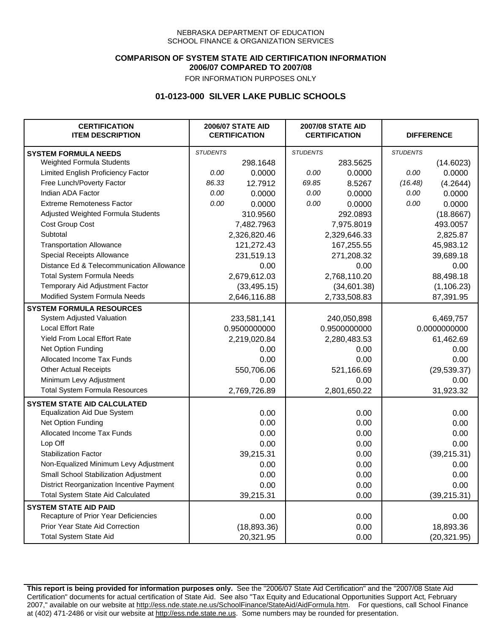### **COMPARISON OF SYSTEM STATE AID CERTIFICATION INFORMATION 2006/07 COMPARED TO 2007/08**

FOR INFORMATION PURPOSES ONLY

## **01-0123-000 SILVER LAKE PUBLIC SCHOOLS**

| <b>CERTIFICATION</b><br><b>ITEM DESCRIPTION</b> |                 | <b>2006/07 STATE AID</b><br><b>CERTIFICATION</b> |                 | <b>2007/08 STATE AID</b><br><b>CERTIFICATION</b> |                 | <b>DIFFERENCE</b> |
|-------------------------------------------------|-----------------|--------------------------------------------------|-----------------|--------------------------------------------------|-----------------|-------------------|
| <b>SYSTEM FORMULA NEEDS</b>                     | <b>STUDENTS</b> |                                                  | <b>STUDENTS</b> |                                                  | <b>STUDENTS</b> |                   |
| Weighted Formula Students                       |                 | 298.1648                                         |                 | 283.5625                                         |                 | (14.6023)         |
| Limited English Proficiency Factor              | 0.00            | 0.0000                                           | 0.00            | 0.0000                                           | 0.00            | 0.0000            |
| Free Lunch/Poverty Factor                       | 86.33           | 12.7912                                          | 69.85           | 8.5267                                           | (16.48)         | (4.2644)          |
| Indian ADA Factor                               | 0.00            | 0.0000                                           | 0.00            | 0.0000                                           | 0.00            | 0.0000            |
| <b>Extreme Remoteness Factor</b>                | 0.00            | 0.0000                                           | 0.00            | 0.0000                                           | 0.00            | 0.0000            |
| Adjusted Weighted Formula Students              |                 | 310.9560                                         |                 | 292.0893                                         |                 | (18.8667)         |
| Cost Group Cost                                 |                 | 7,482.7963                                       |                 | 7,975.8019                                       |                 | 493.0057          |
| Subtotal                                        |                 | 2,326,820.46                                     |                 | 2,329,646.33                                     |                 | 2,825.87          |
| <b>Transportation Allowance</b>                 |                 | 121,272.43                                       |                 | 167,255.55                                       |                 | 45,983.12         |
| Special Receipts Allowance                      |                 | 231,519.13                                       |                 | 271,208.32                                       |                 | 39,689.18         |
| Distance Ed & Telecommunication Allowance       |                 | 0.00                                             |                 | 0.00                                             |                 | 0.00              |
| <b>Total System Formula Needs</b>               |                 | 2,679,612.03                                     |                 | 2,768,110.20                                     |                 | 88,498.18         |
| Temporary Aid Adjustment Factor                 |                 | (33, 495.15)                                     |                 | (34,601.38)                                      |                 | (1, 106.23)       |
| Modified System Formula Needs                   |                 | 2,646,116.88                                     |                 | 2,733,508.83                                     |                 | 87,391.95         |
| <b>SYSTEM FORMULA RESOURCES</b>                 |                 |                                                  |                 |                                                  |                 |                   |
| System Adjusted Valuation                       |                 | 233,581,141                                      |                 | 240,050,898                                      |                 | 6,469,757         |
| <b>Local Effort Rate</b>                        |                 | 0.9500000000                                     |                 | 0.9500000000                                     |                 | 0.0000000000      |
| Yield From Local Effort Rate                    |                 | 2,219,020.84                                     |                 | 2,280,483.53                                     |                 | 61,462.69         |
| Net Option Funding                              |                 | 0.00                                             |                 | 0.00                                             |                 | 0.00              |
| Allocated Income Tax Funds                      |                 | 0.00                                             |                 | 0.00                                             |                 | 0.00              |
| <b>Other Actual Receipts</b>                    |                 | 550,706.06                                       | 521,166.69      |                                                  | (29, 539.37)    |                   |
| Minimum Levy Adjustment                         |                 | 0.00                                             | 0.00            |                                                  |                 | 0.00              |
| <b>Total System Formula Resources</b>           |                 | 2,769,726.89                                     |                 | 2,801,650.22                                     |                 | 31,923.32         |
| <b>SYSTEM STATE AID CALCULATED</b>              |                 |                                                  |                 |                                                  |                 |                   |
| <b>Equalization Aid Due System</b>              |                 | 0.00                                             |                 | 0.00                                             |                 | 0.00              |
| Net Option Funding                              |                 | 0.00                                             |                 | 0.00                                             |                 | 0.00              |
| Allocated Income Tax Funds                      |                 | 0.00                                             |                 | 0.00                                             |                 | 0.00              |
| Lop Off                                         |                 | 0.00                                             |                 | 0.00                                             |                 | 0.00              |
| <b>Stabilization Factor</b>                     |                 | 39,215.31                                        |                 | 0.00                                             |                 | (39, 215.31)      |
| Non-Equalized Minimum Levy Adjustment           |                 | 0.00                                             |                 | 0.00                                             |                 | 0.00              |
| Small School Stabilization Adjustment           |                 | 0.00                                             |                 | 0.00                                             |                 | 0.00              |
| District Reorganization Incentive Payment       |                 | 0.00                                             |                 | 0.00                                             |                 | 0.00              |
| <b>Total System State Aid Calculated</b>        |                 | 39,215.31                                        |                 | 0.00                                             |                 | (39, 215.31)      |
| <b>SYSTEM STATE AID PAID</b>                    |                 |                                                  |                 |                                                  |                 |                   |
| Recapture of Prior Year Deficiencies            |                 | 0.00                                             |                 | 0.00                                             |                 | 0.00              |
| Prior Year State Aid Correction                 |                 | (18,893.36)                                      |                 | 0.00                                             |                 | 18,893.36         |
| <b>Total System State Aid</b>                   |                 | 20,321.95                                        |                 | 0.00                                             |                 | (20, 321.95)      |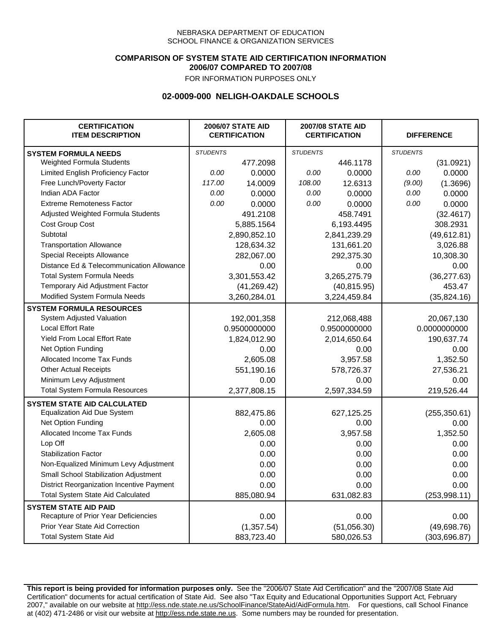### **COMPARISON OF SYSTEM STATE AID CERTIFICATION INFORMATION 2006/07 COMPARED TO 2007/08**

FOR INFORMATION PURPOSES ONLY

## **02-0009-000 NELIGH-OAKDALE SCHOOLS**

| <b>CERTIFICATION</b><br><b>ITEM DESCRIPTION</b> |                 | <b>2006/07 STATE AID</b><br><b>CERTIFICATION</b> | <b>2007/08 STATE AID</b><br><b>CERTIFICATION</b> |              | <b>DIFFERENCE</b> |               |
|-------------------------------------------------|-----------------|--------------------------------------------------|--------------------------------------------------|--------------|-------------------|---------------|
| <b>SYSTEM FORMULA NEEDS</b>                     | <b>STUDENTS</b> |                                                  | <b>STUDENTS</b>                                  |              | <b>STUDENTS</b>   |               |
| Weighted Formula Students                       |                 | 477.2098                                         |                                                  | 446.1178     |                   | (31.0921)     |
| Limited English Proficiency Factor              | 0.00            | 0.0000                                           | 0.00                                             | 0.0000       | 0.00              | 0.0000        |
| Free Lunch/Poverty Factor                       | 117.00          | 14.0009                                          | 108.00                                           | 12.6313      | (9.00)            | (1.3696)      |
| Indian ADA Factor                               | 0.00            | 0.0000                                           | 0.00                                             | 0.0000       | 0.00              | 0.0000        |
| <b>Extreme Remoteness Factor</b>                | 0.00            | 0.0000                                           | 0.00                                             | 0.0000       | 0.00              | 0.0000        |
| Adjusted Weighted Formula Students              |                 | 491.2108                                         |                                                  | 458.7491     |                   | (32.4617)     |
| Cost Group Cost                                 |                 | 5,885.1564                                       |                                                  | 6,193.4495   |                   | 308.2931      |
| Subtotal                                        |                 | 2,890,852.10                                     |                                                  | 2,841,239.29 |                   | (49, 612.81)  |
| <b>Transportation Allowance</b>                 |                 | 128,634.32                                       |                                                  | 131,661.20   |                   | 3,026.88      |
| Special Receipts Allowance                      |                 | 282,067.00                                       |                                                  | 292,375.30   |                   | 10,308.30     |
| Distance Ed & Telecommunication Allowance       |                 | 0.00                                             |                                                  | 0.00         |                   | 0.00          |
| <b>Total System Formula Needs</b>               |                 | 3,301,553.42                                     |                                                  | 3,265,275.79 |                   | (36, 277.63)  |
| Temporary Aid Adjustment Factor                 |                 | (41, 269.42)                                     | (40, 815.95)                                     |              | 453.47            |               |
| Modified System Formula Needs                   |                 | 3,260,284.01                                     |                                                  | 3,224,459.84 |                   | (35, 824.16)  |
| <b>SYSTEM FORMULA RESOURCES</b>                 |                 |                                                  |                                                  |              |                   |               |
| System Adjusted Valuation                       |                 | 192,001,358                                      |                                                  | 212,068,488  |                   | 20,067,130    |
| <b>Local Effort Rate</b>                        |                 | 0.9500000000                                     |                                                  | 0.9500000000 | 0.0000000000      |               |
| Yield From Local Effort Rate                    |                 | 1,824,012.90                                     | 2,014,650.64                                     |              | 190,637.74        |               |
| Net Option Funding                              |                 | 0.00                                             | 0.00                                             |              | 0.00              |               |
| Allocated Income Tax Funds                      |                 | 2,605.08                                         | 3,957.58                                         |              | 1,352.50          |               |
| <b>Other Actual Receipts</b>                    |                 | 551,190.16                                       | 578,726.37                                       |              | 27,536.21         |               |
| Minimum Levy Adjustment                         |                 | 0.00                                             | 0.00                                             |              |                   | 0.00          |
| <b>Total System Formula Resources</b>           |                 | 2,377,808.15                                     |                                                  | 2,597,334.59 |                   | 219,526.44    |
| <b>SYSTEM STATE AID CALCULATED</b>              |                 |                                                  |                                                  |              |                   |               |
| <b>Equalization Aid Due System</b>              |                 | 882,475.86                                       |                                                  | 627,125.25   |                   | (255, 350.61) |
| Net Option Funding                              |                 | 0.00                                             |                                                  | 0.00         |                   | 0.00          |
| Allocated Income Tax Funds                      |                 | 2,605.08                                         |                                                  | 3,957.58     |                   | 1,352.50      |
| Lop Off                                         |                 | 0.00                                             |                                                  | 0.00         |                   | 0.00          |
| <b>Stabilization Factor</b>                     |                 | 0.00                                             |                                                  | 0.00         |                   | 0.00          |
| Non-Equalized Minimum Levy Adjustment           |                 | 0.00                                             |                                                  | 0.00         |                   | 0.00          |
| Small School Stabilization Adjustment           |                 | 0.00                                             |                                                  | 0.00         |                   | 0.00          |
| District Reorganization Incentive Payment       |                 | 0.00                                             |                                                  | 0.00         |                   | 0.00          |
| Total System State Aid Calculated               |                 | 885,080.94                                       |                                                  | 631,082.83   |                   | (253, 998.11) |
| <b>SYSTEM STATE AID PAID</b>                    |                 |                                                  |                                                  |              |                   |               |
| Recapture of Prior Year Deficiencies            |                 | 0.00                                             |                                                  | 0.00         |                   | 0.00          |
| Prior Year State Aid Correction                 |                 | (1, 357.54)                                      |                                                  | (51,056.30)  |                   | (49,698.76)   |
| <b>Total System State Aid</b>                   |                 | 883,723.40                                       |                                                  | 580,026.53   |                   | (303, 696.87) |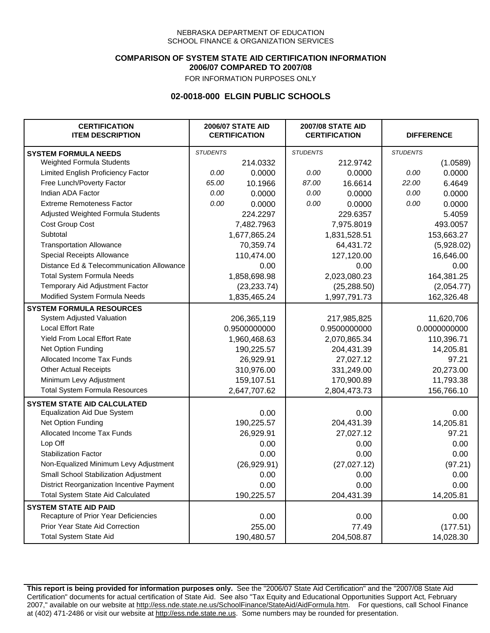### **COMPARISON OF SYSTEM STATE AID CERTIFICATION INFORMATION 2006/07 COMPARED TO 2007/08**

FOR INFORMATION PURPOSES ONLY

## **02-0018-000 ELGIN PUBLIC SCHOOLS**

| <b>CERTIFICATION</b><br><b>ITEM DESCRIPTION</b> |                 | <b>2006/07 STATE AID</b><br><b>CERTIFICATION</b> | <b>2007/08 STATE AID</b><br><b>CERTIFICATION</b> |              | <b>DIFFERENCE</b> |              |
|-------------------------------------------------|-----------------|--------------------------------------------------|--------------------------------------------------|--------------|-------------------|--------------|
| <b>SYSTEM FORMULA NEEDS</b>                     | <b>STUDENTS</b> |                                                  | <b>STUDENTS</b>                                  |              | <b>STUDENTS</b>   |              |
| Weighted Formula Students                       |                 | 214.0332                                         |                                                  | 212.9742     |                   | (1.0589)     |
| Limited English Proficiency Factor              | 0.00            | 0.0000                                           | 0.00                                             | 0.0000       | 0.00              | 0.0000       |
| Free Lunch/Poverty Factor                       | 65.00           | 10.1966                                          | 87.00                                            | 16.6614      | 22.00             | 6.4649       |
| Indian ADA Factor                               | 0.00            | 0.0000                                           | 0.00                                             | 0.0000       | 0.00              | 0.0000       |
| <b>Extreme Remoteness Factor</b>                | 0.00            | 0.0000                                           | 0.00                                             | 0.0000       | 0.00              | 0.0000       |
| Adjusted Weighted Formula Students              |                 | 224.2297                                         |                                                  | 229.6357     |                   | 5.4059       |
| Cost Group Cost                                 |                 | 7,482.7963                                       |                                                  | 7,975.8019   |                   | 493.0057     |
| Subtotal                                        |                 | 1,677,865.24                                     |                                                  | 1,831,528.51 |                   | 153,663.27   |
| <b>Transportation Allowance</b>                 |                 | 70,359.74                                        |                                                  | 64,431.72    |                   | (5,928.02)   |
| Special Receipts Allowance                      |                 | 110,474.00                                       |                                                  | 127,120.00   |                   | 16,646.00    |
| Distance Ed & Telecommunication Allowance       |                 | 0.00                                             |                                                  | 0.00         |                   | 0.00         |
| <b>Total System Formula Needs</b>               |                 | 1,858,698.98                                     | 2,023,080.23                                     |              | 164,381.25        |              |
| Temporary Aid Adjustment Factor                 |                 | (23, 233.74)                                     | (25, 288.50)                                     |              | (2,054.77)        |              |
| Modified System Formula Needs                   |                 | 1,835,465.24                                     |                                                  | 1,997,791.73 |                   | 162,326.48   |
| <b>SYSTEM FORMULA RESOURCES</b>                 |                 |                                                  |                                                  |              |                   |              |
| System Adjusted Valuation                       |                 | 206,365,119                                      |                                                  | 217,985,825  |                   | 11,620,706   |
| <b>Local Effort Rate</b>                        |                 | 0.9500000000                                     |                                                  | 0.9500000000 |                   | 0.0000000000 |
| <b>Yield From Local Effort Rate</b>             |                 | 1,960,468.63                                     | 2,070,865.34                                     |              | 110,396.71        |              |
| Net Option Funding                              |                 | 190,225.57                                       | 204,431.39                                       |              | 14,205.81         |              |
| Allocated Income Tax Funds                      |                 | 26,929.91                                        | 27,027.12                                        |              | 97.21             |              |
| <b>Other Actual Receipts</b>                    |                 | 310,976.00                                       |                                                  | 331,249.00   | 20,273.00         |              |
| Minimum Levy Adjustment                         |                 | 159,107.51                                       |                                                  | 170,900.89   |                   | 11,793.38    |
| <b>Total System Formula Resources</b>           |                 | 2,647,707.62                                     |                                                  | 2,804,473.73 |                   | 156,766.10   |
| <b>SYSTEM STATE AID CALCULATED</b>              |                 |                                                  |                                                  |              |                   |              |
| <b>Equalization Aid Due System</b>              |                 | 0.00                                             |                                                  | 0.00         |                   | 0.00         |
| Net Option Funding                              |                 | 190,225.57                                       |                                                  | 204,431.39   |                   | 14,205.81    |
| Allocated Income Tax Funds                      |                 | 26,929.91                                        |                                                  | 27,027.12    |                   | 97.21        |
| Lop Off                                         |                 | 0.00                                             |                                                  | 0.00         |                   | 0.00         |
| <b>Stabilization Factor</b>                     |                 | 0.00                                             |                                                  | 0.00         |                   | 0.00         |
| Non-Equalized Minimum Levy Adjustment           |                 | (26, 929.91)                                     |                                                  | (27, 027.12) |                   | (97.21)      |
| Small School Stabilization Adjustment           |                 | 0.00                                             |                                                  | 0.00         |                   | 0.00         |
| District Reorganization Incentive Payment       |                 | 0.00                                             |                                                  | 0.00         |                   | 0.00         |
| <b>Total System State Aid Calculated</b>        |                 | 190,225.57                                       |                                                  | 204,431.39   |                   | 14,205.81    |
| <b>SYSTEM STATE AID PAID</b>                    |                 |                                                  |                                                  |              |                   |              |
| Recapture of Prior Year Deficiencies            |                 | 0.00                                             |                                                  | 0.00         |                   | 0.00         |
| Prior Year State Aid Correction                 |                 | 255.00                                           |                                                  | 77.49        |                   | (177.51)     |
| <b>Total System State Aid</b>                   |                 | 190,480.57                                       |                                                  | 204,508.87   |                   | 14,028.30    |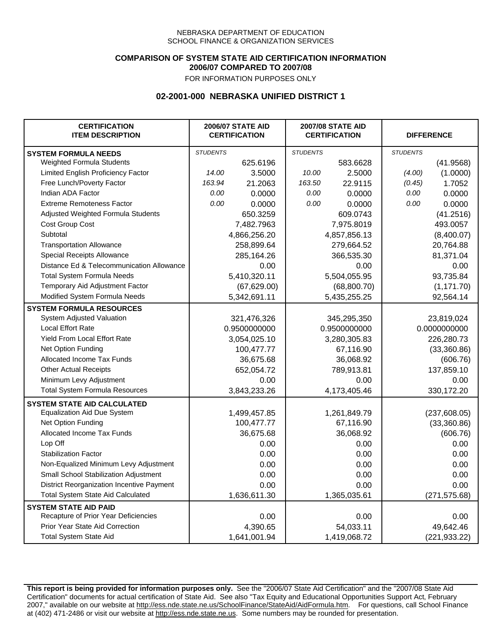### **COMPARISON OF SYSTEM STATE AID CERTIFICATION INFORMATION 2006/07 COMPARED TO 2007/08**

FOR INFORMATION PURPOSES ONLY

## **02-2001-000 NEBRASKA UNIFIED DISTRICT 1**

| <b>CERTIFICATION</b><br><b>ITEM DESCRIPTION</b> |                 | <b>2006/07 STATE AID</b><br><b>CERTIFICATION</b> |                 | <b>2007/08 STATE AID</b><br><b>CERTIFICATION</b> |                 | <b>DIFFERENCE</b> |
|-------------------------------------------------|-----------------|--------------------------------------------------|-----------------|--------------------------------------------------|-----------------|-------------------|
| <b>SYSTEM FORMULA NEEDS</b>                     | <b>STUDENTS</b> |                                                  | <b>STUDENTS</b> |                                                  | <b>STUDENTS</b> |                   |
| Weighted Formula Students                       |                 | 625.6196                                         |                 | 583.6628                                         |                 | (41.9568)         |
| Limited English Proficiency Factor              | 14.00           | 3.5000                                           | 10.00           | 2.5000                                           | (4.00)          | (1.0000)          |
| Free Lunch/Poverty Factor                       | 163.94          | 21.2063                                          | 163.50          | 22.9115                                          | (0.45)          | 1.7052            |
| Indian ADA Factor                               | 0.00            | 0.0000                                           | 0.00            | 0.0000                                           | 0.00            | 0.0000            |
| <b>Extreme Remoteness Factor</b>                | 0.00            | 0.0000                                           | 0.00            | 0.0000                                           | 0.00            | 0.0000            |
| Adjusted Weighted Formula Students              |                 | 650.3259                                         |                 | 609.0743                                         |                 | (41.2516)         |
| Cost Group Cost                                 |                 | 7,482.7963                                       |                 | 7,975.8019                                       |                 | 493.0057          |
| Subtotal                                        |                 | 4,866,256.20                                     |                 | 4,857,856.13                                     |                 | (8,400.07)        |
| <b>Transportation Allowance</b>                 |                 | 258,899.64                                       |                 | 279,664.52                                       |                 | 20,764.88         |
| Special Receipts Allowance                      |                 | 285,164.26                                       |                 | 366,535.30                                       |                 | 81,371.04         |
| Distance Ed & Telecommunication Allowance       |                 | 0.00                                             |                 | 0.00                                             |                 | 0.00              |
| <b>Total System Formula Needs</b>               |                 | 5,410,320.11                                     |                 | 5,504,055.95                                     |                 | 93,735.84         |
| Temporary Aid Adjustment Factor                 |                 | (67, 629.00)                                     | (68,800.70)     |                                                  | (1, 171.70)     |                   |
| Modified System Formula Needs                   |                 | 5,342,691.11                                     |                 | 5,435,255.25                                     |                 | 92,564.14         |
| <b>SYSTEM FORMULA RESOURCES</b>                 |                 |                                                  |                 |                                                  |                 |                   |
| System Adjusted Valuation                       |                 | 321,476,326                                      |                 | 345,295,350                                      |                 | 23,819,024        |
| <b>Local Effort Rate</b>                        |                 | 0.9500000000                                     |                 | 0.9500000000                                     |                 | 0.0000000000      |
| Yield From Local Effort Rate                    |                 | 3,054,025.10                                     | 3,280,305.83    |                                                  | 226,280.73      |                   |
| Net Option Funding                              |                 | 100,477.77                                       | 67,116.90       |                                                  | (33,360.86)     |                   |
| Allocated Income Tax Funds                      |                 | 36,675.68                                        | 36,068.92       |                                                  | (606.76)        |                   |
| <b>Other Actual Receipts</b>                    |                 | 652,054.72                                       | 789,913.81      |                                                  | 137,859.10      |                   |
| Minimum Levy Adjustment                         |                 | 0.00                                             | 0.00            |                                                  | 0.00            |                   |
| <b>Total System Formula Resources</b>           |                 | 3,843,233.26                                     |                 | 4,173,405.46                                     |                 | 330,172.20        |
| <b>SYSTEM STATE AID CALCULATED</b>              |                 |                                                  |                 |                                                  |                 |                   |
| <b>Equalization Aid Due System</b>              |                 | 1,499,457.85                                     |                 | 1,261,849.79                                     |                 | (237, 608.05)     |
| Net Option Funding                              |                 | 100,477.77                                       |                 | 67,116.90                                        |                 | (33,360.86)       |
| Allocated Income Tax Funds                      |                 | 36,675.68                                        |                 | 36,068.92                                        |                 | (606.76)          |
| Lop Off                                         |                 | 0.00                                             |                 | 0.00                                             |                 | 0.00              |
| <b>Stabilization Factor</b>                     |                 | 0.00                                             |                 | 0.00                                             |                 | 0.00              |
| Non-Equalized Minimum Levy Adjustment           |                 | 0.00                                             |                 | 0.00                                             |                 | 0.00              |
| Small School Stabilization Adjustment           |                 | 0.00                                             |                 | 0.00                                             |                 | 0.00              |
| District Reorganization Incentive Payment       |                 | 0.00                                             |                 | 0.00                                             |                 | 0.00              |
| <b>Total System State Aid Calculated</b>        |                 | 1,636,611.30                                     |                 | 1,365,035.61                                     |                 | (271, 575.68)     |
| <b>SYSTEM STATE AID PAID</b>                    |                 |                                                  |                 |                                                  |                 |                   |
| Recapture of Prior Year Deficiencies            |                 | 0.00                                             |                 | 0.00                                             |                 | 0.00              |
| Prior Year State Aid Correction                 |                 | 4,390.65                                         |                 | 54,033.11                                        |                 | 49,642.46         |
| <b>Total System State Aid</b>                   |                 | 1,641,001.94                                     |                 | 1,419,068.72                                     |                 | (221, 933.22)     |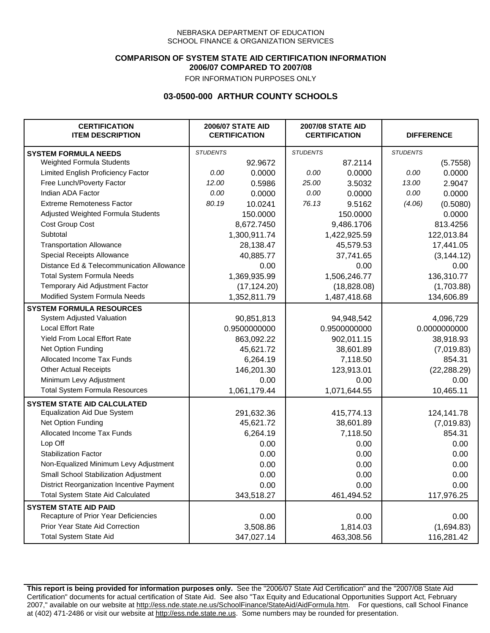### **COMPARISON OF SYSTEM STATE AID CERTIFICATION INFORMATION 2006/07 COMPARED TO 2007/08**

FOR INFORMATION PURPOSES ONLY

## **03-0500-000 ARTHUR COUNTY SCHOOLS**

| <b>CERTIFICATION</b><br><b>ITEM DESCRIPTION</b> |                 | <b>2006/07 STATE AID</b><br><b>CERTIFICATION</b> | <b>2007/08 STATE AID</b><br><b>CERTIFICATION</b> |              | <b>DIFFERENCE</b> |              |
|-------------------------------------------------|-----------------|--------------------------------------------------|--------------------------------------------------|--------------|-------------------|--------------|
| <b>SYSTEM FORMULA NEEDS</b>                     | <b>STUDENTS</b> |                                                  | <b>STUDENTS</b>                                  |              | <b>STUDENTS</b>   |              |
| Weighted Formula Students                       |                 | 92.9672                                          |                                                  | 87.2114      |                   | (5.7558)     |
| Limited English Proficiency Factor              | 0.00            | 0.0000                                           | 0.00                                             | 0.0000       | 0.00              | 0.0000       |
| Free Lunch/Poverty Factor                       | 12.00           | 0.5986                                           | 25.00                                            | 3.5032       | 13.00             | 2.9047       |
| Indian ADA Factor                               | 0.00            | 0.0000                                           | 0.00                                             | 0.0000       | 0.00              | 0.0000       |
| <b>Extreme Remoteness Factor</b>                | 80.19           | 10.0241                                          | 76.13                                            | 9.5162       | (4.06)            | (0.5080)     |
| Adjusted Weighted Formula Students              |                 | 150.0000                                         |                                                  | 150.0000     |                   | 0.0000       |
| Cost Group Cost                                 |                 | 8,672.7450                                       |                                                  | 9,486.1706   |                   | 813.4256     |
| Subtotal                                        |                 | 1,300,911.74                                     |                                                  | 1,422,925.59 |                   | 122,013.84   |
| <b>Transportation Allowance</b>                 |                 | 28,138.47                                        |                                                  | 45,579.53    |                   | 17,441.05    |
| Special Receipts Allowance                      |                 | 40,885.77                                        |                                                  | 37,741.65    |                   | (3, 144.12)  |
| Distance Ed & Telecommunication Allowance       |                 | 0.00                                             |                                                  | 0.00         |                   | 0.00         |
| <b>Total System Formula Needs</b>               |                 | 1,369,935.99                                     |                                                  | 1,506,246.77 | 136,310.77        |              |
| Temporary Aid Adjustment Factor                 |                 | (17, 124.20)                                     | (18, 828.08)                                     |              | (1,703.88)        |              |
| Modified System Formula Needs                   |                 | 1,352,811.79                                     |                                                  | 1,487,418.68 |                   | 134,606.89   |
| <b>SYSTEM FORMULA RESOURCES</b>                 |                 |                                                  |                                                  |              |                   |              |
| System Adjusted Valuation                       |                 | 90,851,813                                       |                                                  | 94,948,542   |                   | 4,096,729    |
| <b>Local Effort Rate</b>                        |                 | 0.9500000000                                     |                                                  | 0.9500000000 |                   | 0.0000000000 |
| Yield From Local Effort Rate                    |                 | 863,092.22                                       |                                                  | 902,011.15   |                   | 38,918.93    |
| Net Option Funding                              |                 | 45,621.72                                        |                                                  | 38,601.89    |                   | (7,019.83)   |
| Allocated Income Tax Funds                      |                 | 6,264.19                                         | 7,118.50                                         |              | 854.31            |              |
| <b>Other Actual Receipts</b>                    |                 | 146,201.30                                       | 123,913.01                                       |              | (22, 288.29)      |              |
| Minimum Levy Adjustment                         |                 | 0.00                                             |                                                  | 0.00         |                   | 0.00         |
| <b>Total System Formula Resources</b>           |                 | 1,061,179.44                                     |                                                  | 1,071,644.55 |                   | 10,465.11    |
| <b>SYSTEM STATE AID CALCULATED</b>              |                 |                                                  |                                                  |              |                   |              |
| <b>Equalization Aid Due System</b>              |                 | 291,632.36                                       |                                                  | 415,774.13   |                   | 124,141.78   |
| Net Option Funding                              |                 | 45,621.72                                        |                                                  | 38,601.89    |                   | (7,019.83)   |
| Allocated Income Tax Funds                      |                 | 6,264.19                                         |                                                  | 7,118.50     |                   | 854.31       |
| Lop Off                                         |                 | 0.00                                             |                                                  | 0.00         |                   | 0.00         |
| <b>Stabilization Factor</b>                     |                 | 0.00                                             |                                                  | 0.00         |                   | 0.00         |
| Non-Equalized Minimum Levy Adjustment           |                 | 0.00                                             |                                                  | 0.00         |                   | 0.00         |
| Small School Stabilization Adjustment           |                 | 0.00                                             |                                                  | 0.00         |                   | 0.00         |
| District Reorganization Incentive Payment       |                 | 0.00                                             |                                                  | 0.00         |                   | 0.00         |
| <b>Total System State Aid Calculated</b>        |                 | 343,518.27                                       |                                                  | 461,494.52   |                   | 117,976.25   |
| <b>SYSTEM STATE AID PAID</b>                    |                 |                                                  |                                                  |              |                   |              |
| Recapture of Prior Year Deficiencies            |                 | 0.00                                             |                                                  | 0.00         |                   | 0.00         |
| Prior Year State Aid Correction                 |                 | 3,508.86                                         |                                                  | 1,814.03     |                   | (1,694.83)   |
| <b>Total System State Aid</b>                   |                 | 347,027.14                                       |                                                  | 463,308.56   |                   | 116,281.42   |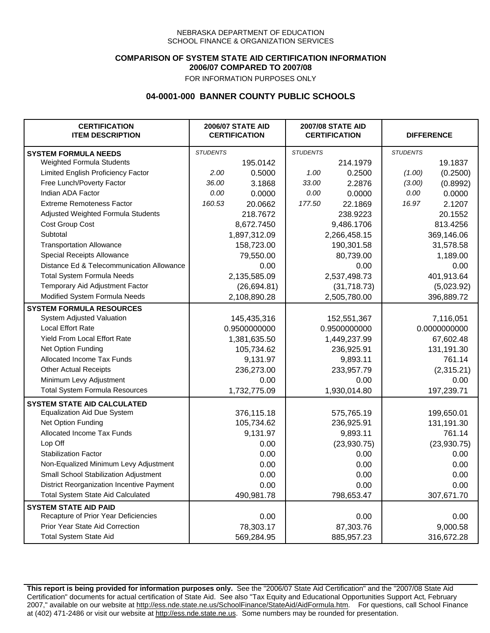### **COMPARISON OF SYSTEM STATE AID CERTIFICATION INFORMATION 2006/07 COMPARED TO 2007/08**

FOR INFORMATION PURPOSES ONLY

## **04-0001-000 BANNER COUNTY PUBLIC SCHOOLS**

| <b>CERTIFICATION</b><br><b>ITEM DESCRIPTION</b> |                 | <b>2006/07 STATE AID</b><br><b>CERTIFICATION</b> | <b>2007/08 STATE AID</b><br><b>CERTIFICATION</b> |              | <b>DIFFERENCE</b> |              |
|-------------------------------------------------|-----------------|--------------------------------------------------|--------------------------------------------------|--------------|-------------------|--------------|
| <b>SYSTEM FORMULA NEEDS</b>                     | <b>STUDENTS</b> |                                                  | <b>STUDENTS</b>                                  |              | <b>STUDENTS</b>   |              |
| Weighted Formula Students                       |                 | 195.0142                                         |                                                  | 214.1979     |                   | 19.1837      |
| Limited English Proficiency Factor              | 2.00            | 0.5000                                           | 1.00                                             | 0.2500       | (1.00)            | (0.2500)     |
| Free Lunch/Poverty Factor                       | 36.00           | 3.1868                                           | 33.00                                            | 2.2876       | (3.00)            | (0.8992)     |
| Indian ADA Factor                               | 0.00            | 0.0000                                           | 0.00                                             | 0.0000       | 0.00              | 0.0000       |
| <b>Extreme Remoteness Factor</b>                | 160.53          | 20.0662                                          | 177.50                                           | 22.1869      | 16.97             | 2.1207       |
| Adjusted Weighted Formula Students              |                 | 218.7672                                         |                                                  | 238.9223     |                   | 20.1552      |
| Cost Group Cost                                 |                 | 8,672.7450                                       |                                                  | 9,486.1706   |                   | 813.4256     |
| Subtotal                                        |                 | 1,897,312.09                                     |                                                  | 2,266,458.15 |                   | 369,146.06   |
| <b>Transportation Allowance</b>                 |                 | 158,723.00                                       |                                                  | 190,301.58   |                   | 31,578.58    |
| Special Receipts Allowance                      |                 | 79,550.00                                        |                                                  | 80,739.00    |                   | 1,189.00     |
| Distance Ed & Telecommunication Allowance       |                 | 0.00                                             |                                                  | 0.00         |                   | 0.00         |
| <b>Total System Formula Needs</b>               |                 | 2,135,585.09                                     |                                                  | 2,537,498.73 | 401,913.64        |              |
| Temporary Aid Adjustment Factor                 |                 | (26, 694.81)                                     | (31,718.73)                                      |              | (5,023.92)        |              |
| Modified System Formula Needs                   |                 | 2,108,890.28                                     |                                                  | 2,505,780.00 |                   | 396,889.72   |
| <b>SYSTEM FORMULA RESOURCES</b>                 |                 |                                                  |                                                  |              |                   |              |
| System Adjusted Valuation                       |                 | 145,435,316                                      |                                                  | 152,551,367  |                   | 7,116,051    |
| <b>Local Effort Rate</b>                        |                 | 0.9500000000                                     |                                                  | 0.9500000000 |                   | 0.0000000000 |
| <b>Yield From Local Effort Rate</b>             |                 | 1,381,635.50                                     |                                                  | 1,449,237.99 |                   | 67,602.48    |
| Net Option Funding                              |                 | 105,734.62                                       |                                                  | 236,925.91   |                   | 131,191.30   |
| Allocated Income Tax Funds                      |                 | 9,131.97                                         |                                                  | 9,893.11     |                   | 761.14       |
| <b>Other Actual Receipts</b>                    |                 | 236,273.00                                       | 233,957.79                                       |              | (2,315.21)        |              |
| Minimum Levy Adjustment                         |                 | 0.00                                             |                                                  | 0.00         |                   | 0.00         |
| <b>Total System Formula Resources</b>           |                 | 1,732,775.09                                     |                                                  | 1,930,014.80 |                   | 197,239.71   |
| <b>SYSTEM STATE AID CALCULATED</b>              |                 |                                                  |                                                  |              |                   |              |
| <b>Equalization Aid Due System</b>              |                 | 376,115.18                                       |                                                  | 575,765.19   |                   | 199,650.01   |
| Net Option Funding                              |                 | 105,734.62                                       |                                                  | 236,925.91   |                   | 131,191.30   |
| Allocated Income Tax Funds                      |                 | 9,131.97                                         |                                                  | 9,893.11     |                   | 761.14       |
| Lop Off                                         |                 | 0.00                                             |                                                  | (23,930.75)  |                   | (23,930.75)  |
| <b>Stabilization Factor</b>                     |                 | 0.00                                             |                                                  | 0.00         |                   | 0.00         |
| Non-Equalized Minimum Levy Adjustment           |                 | 0.00                                             |                                                  | 0.00         |                   | 0.00         |
| Small School Stabilization Adjustment           |                 | 0.00                                             |                                                  | 0.00         |                   | 0.00         |
| District Reorganization Incentive Payment       |                 | 0.00                                             |                                                  | 0.00         |                   | 0.00         |
| Total System State Aid Calculated               |                 | 490,981.78                                       |                                                  | 798,653.47   |                   | 307,671.70   |
| <b>SYSTEM STATE AID PAID</b>                    |                 |                                                  |                                                  |              |                   |              |
| Recapture of Prior Year Deficiencies            |                 | 0.00                                             |                                                  | 0.00         |                   | 0.00         |
| Prior Year State Aid Correction                 |                 | 78,303.17                                        |                                                  | 87,303.76    |                   | 9,000.58     |
| <b>Total System State Aid</b>                   |                 | 569,284.95                                       |                                                  | 885,957.23   |                   | 316,672.28   |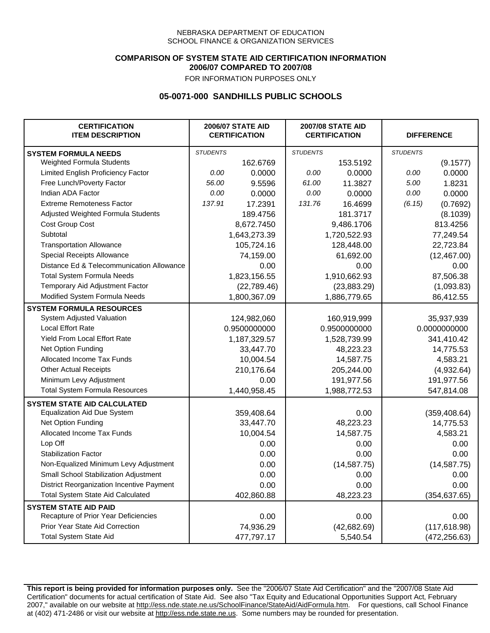### **COMPARISON OF SYSTEM STATE AID CERTIFICATION INFORMATION 2006/07 COMPARED TO 2007/08**

FOR INFORMATION PURPOSES ONLY

## **05-0071-000 SANDHILLS PUBLIC SCHOOLS**

| <b>CERTIFICATION</b><br><b>ITEM DESCRIPTION</b> |                 | <b>2006/07 STATE AID</b><br><b>CERTIFICATION</b> | <b>2007/08 STATE AID</b><br><b>CERTIFICATION</b> |              | <b>DIFFERENCE</b> |               |
|-------------------------------------------------|-----------------|--------------------------------------------------|--------------------------------------------------|--------------|-------------------|---------------|
| <b>SYSTEM FORMULA NEEDS</b>                     | <b>STUDENTS</b> |                                                  | <b>STUDENTS</b>                                  |              | <b>STUDENTS</b>   |               |
| Weighted Formula Students                       |                 | 162.6769                                         |                                                  | 153.5192     |                   | (9.1577)      |
| Limited English Proficiency Factor              | 0.00            | 0.0000                                           | 0.00                                             | 0.0000       | 0.00              | 0.0000        |
| Free Lunch/Poverty Factor                       | 56.00           | 9.5596                                           | 61.00                                            | 11.3827      | 5.00              | 1.8231        |
| Indian ADA Factor                               | 0.00            | 0.0000                                           | 0.00                                             | 0.0000       | 0.00              | 0.0000        |
| <b>Extreme Remoteness Factor</b>                | 137.91          | 17.2391                                          | 131.76                                           | 16.4699      | (6.15)            | (0.7692)      |
| Adjusted Weighted Formula Students              |                 | 189.4756                                         |                                                  | 181.3717     |                   | (8.1039)      |
| Cost Group Cost                                 |                 | 8,672.7450                                       |                                                  | 9,486.1706   |                   | 813.4256      |
| Subtotal                                        |                 | 1,643,273.39                                     |                                                  | 1,720,522.93 |                   | 77,249.54     |
| <b>Transportation Allowance</b>                 |                 | 105,724.16                                       |                                                  | 128,448.00   |                   | 22,723.84     |
| Special Receipts Allowance                      |                 | 74,159.00                                        |                                                  | 61,692.00    |                   | (12, 467.00)  |
| Distance Ed & Telecommunication Allowance       |                 | 0.00                                             |                                                  | 0.00         |                   | 0.00          |
| <b>Total System Formula Needs</b>               |                 | 1,823,156.55                                     |                                                  | 1,910,662.93 |                   | 87,506.38     |
| Temporary Aid Adjustment Factor                 |                 | (22,789.46)                                      | (23,883.29)                                      |              | (1,093.83)        |               |
| Modified System Formula Needs                   |                 | 1,800,367.09                                     |                                                  | 1,886,779.65 |                   | 86,412.55     |
| <b>SYSTEM FORMULA RESOURCES</b>                 |                 |                                                  |                                                  |              |                   |               |
| System Adjusted Valuation                       |                 | 124,982,060                                      |                                                  | 160,919,999  |                   | 35,937,939    |
| <b>Local Effort Rate</b>                        |                 | 0.9500000000                                     |                                                  | 0.9500000000 |                   | 0.0000000000  |
| <b>Yield From Local Effort Rate</b>             |                 | 1,187,329.57                                     |                                                  | 1,528,739.99 |                   | 341,410.42    |
| Net Option Funding                              |                 | 33,447.70                                        | 48,223.23                                        |              | 14,775.53         |               |
| Allocated Income Tax Funds                      |                 | 10,004.54                                        | 14,587.75                                        |              | 4,583.21          |               |
| <b>Other Actual Receipts</b>                    |                 | 210,176.64                                       | 205,244.00                                       |              | (4,932.64)        |               |
| Minimum Levy Adjustment                         |                 | 0.00                                             |                                                  | 191,977.56   |                   | 191,977.56    |
| <b>Total System Formula Resources</b>           |                 | 1,440,958.45                                     |                                                  | 1,988,772.53 |                   | 547,814.08    |
| <b>SYSTEM STATE AID CALCULATED</b>              |                 |                                                  |                                                  |              |                   |               |
| <b>Equalization Aid Due System</b>              |                 | 359,408.64                                       |                                                  | 0.00         |                   | (359, 408.64) |
| Net Option Funding                              |                 | 33,447.70                                        |                                                  | 48,223.23    |                   | 14,775.53     |
| Allocated Income Tax Funds                      |                 | 10,004.54                                        |                                                  | 14,587.75    |                   | 4,583.21      |
| Lop Off                                         |                 | 0.00                                             |                                                  | 0.00         |                   | 0.00          |
| <b>Stabilization Factor</b>                     |                 | 0.00                                             |                                                  | 0.00         |                   | 0.00          |
| Non-Equalized Minimum Levy Adjustment           |                 | 0.00                                             |                                                  | (14, 587.75) |                   | (14, 587.75)  |
| Small School Stabilization Adjustment           |                 | 0.00                                             |                                                  | 0.00         |                   | 0.00          |
| District Reorganization Incentive Payment       |                 | 0.00                                             |                                                  | 0.00         |                   | 0.00          |
| <b>Total System State Aid Calculated</b>        |                 | 402,860.88                                       |                                                  | 48,223.23    |                   | (354, 637.65) |
| <b>SYSTEM STATE AID PAID</b>                    |                 |                                                  |                                                  |              |                   |               |
| Recapture of Prior Year Deficiencies            |                 | 0.00                                             |                                                  | 0.00         |                   | 0.00          |
| Prior Year State Aid Correction                 |                 | 74,936.29                                        |                                                  | (42, 682.69) |                   | (117, 618.98) |
| <b>Total System State Aid</b>                   |                 | 477,797.17                                       |                                                  | 5,540.54     |                   | (472, 256.63) |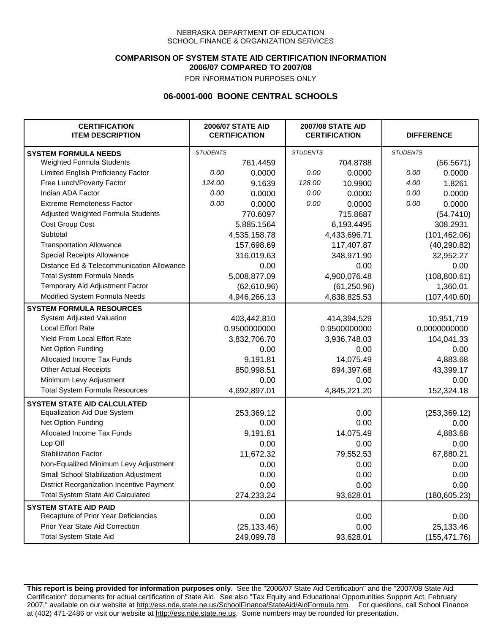### **COMPARISON OF SYSTEM STATE AID CERTIFICATION INFORMATION 2006/07 COMPARED TO 2007/08**

FOR INFORMATION PURPOSES ONLY

## **06-0001-000 BOONE CENTRAL SCHOOLS**

| <b>CERTIFICATION</b><br><b>ITEM DESCRIPTION</b> |                 | <b>2006/07 STATE AID</b><br><b>CERTIFICATION</b> | <b>2007/08 STATE AID</b><br><b>CERTIFICATION</b> |              | <b>DIFFERENCE</b> |               |
|-------------------------------------------------|-----------------|--------------------------------------------------|--------------------------------------------------|--------------|-------------------|---------------|
| <b>SYSTEM FORMULA NEEDS</b>                     | <b>STUDENTS</b> |                                                  | <b>STUDENTS</b>                                  |              | <b>STUDENTS</b>   |               |
| Weighted Formula Students                       |                 | 761.4459                                         |                                                  | 704.8788     |                   | (56.5671)     |
| Limited English Proficiency Factor              | 0.00            | 0.0000                                           | 0.00                                             | 0.0000       | 0.00              | 0.0000        |
| Free Lunch/Poverty Factor                       | 124.00          | 9.1639                                           | 128.00                                           | 10.9900      | 4.00              | 1.8261        |
| Indian ADA Factor                               | 0.00            | 0.0000                                           | 0.00                                             | 0.0000       | 0.00              | 0.0000        |
| <b>Extreme Remoteness Factor</b>                | 0.00            | 0.0000                                           | 0.00                                             | 0.0000       | 0.00              | 0.0000        |
| Adjusted Weighted Formula Students              |                 | 770.6097                                         |                                                  | 715.8687     |                   | (54.7410)     |
| Cost Group Cost                                 |                 | 5,885.1564                                       |                                                  | 6,193.4495   |                   | 308.2931      |
| Subtotal                                        |                 | 4,535,158.78                                     |                                                  | 4,433,696.71 |                   | (101, 462.06) |
| <b>Transportation Allowance</b>                 |                 | 157,698.69                                       |                                                  | 117,407.87   |                   | (40, 290.82)  |
| Special Receipts Allowance                      |                 | 316,019.63                                       |                                                  | 348,971.90   |                   | 32,952.27     |
| Distance Ed & Telecommunication Allowance       |                 | 0.00                                             |                                                  | 0.00         |                   | 0.00          |
| <b>Total System Formula Needs</b>               |                 | 5,008,877.09                                     |                                                  | 4,900,076.48 | (108, 800.61)     |               |
| Temporary Aid Adjustment Factor                 |                 | (62,610.96)                                      | (61, 250.96)                                     |              | 1,360.01          |               |
| Modified System Formula Needs                   |                 | 4,946,266.13                                     |                                                  | 4,838,825.53 |                   | (107, 440.60) |
| <b>SYSTEM FORMULA RESOURCES</b>                 |                 |                                                  |                                                  |              |                   |               |
| System Adjusted Valuation                       |                 | 403,442,810                                      |                                                  | 414,394,529  |                   | 10,951,719    |
| <b>Local Effort Rate</b>                        |                 | 0.9500000000                                     |                                                  | 0.9500000000 |                   | 0.0000000000  |
| <b>Yield From Local Effort Rate</b>             |                 | 3,832,706.70                                     |                                                  | 3,936,748.03 |                   | 104,041.33    |
| Net Option Funding                              |                 | 0.00                                             | 0.00                                             |              | 0.00              |               |
| Allocated Income Tax Funds                      |                 | 9,191.81                                         |                                                  | 14,075.49    | 4,883.68          |               |
| <b>Other Actual Receipts</b>                    |                 | 850,998.51                                       | 894,397.68                                       |              | 43,399.17         |               |
| Minimum Levy Adjustment                         |                 | 0.00                                             | 0.00                                             |              |                   | 0.00          |
| <b>Total System Formula Resources</b>           |                 | 4,692,897.01                                     |                                                  | 4,845,221.20 |                   | 152,324.18    |
| <b>SYSTEM STATE AID CALCULATED</b>              |                 |                                                  |                                                  |              |                   |               |
| <b>Equalization Aid Due System</b>              |                 | 253,369.12                                       |                                                  | 0.00         |                   | (253, 369.12) |
| Net Option Funding                              |                 | 0.00                                             |                                                  | 0.00         |                   | 0.00          |
| Allocated Income Tax Funds                      |                 | 9,191.81                                         |                                                  | 14,075.49    |                   | 4,883.68      |
| Lop Off                                         |                 | 0.00                                             |                                                  | 0.00         |                   | 0.00          |
| <b>Stabilization Factor</b>                     |                 | 11,672.32                                        |                                                  | 79,552.53    |                   | 67,880.21     |
| Non-Equalized Minimum Levy Adjustment           |                 | 0.00                                             |                                                  | 0.00         |                   | 0.00          |
| <b>Small School Stabilization Adjustment</b>    |                 | 0.00                                             |                                                  | 0.00         |                   | 0.00          |
| District Reorganization Incentive Payment       |                 | 0.00                                             |                                                  | 0.00         |                   | 0.00          |
| <b>Total System State Aid Calculated</b>        |                 | 274,233.24                                       |                                                  | 93,628.01    |                   | (180, 605.23) |
| <b>SYSTEM STATE AID PAID</b>                    |                 |                                                  |                                                  |              |                   |               |
| Recapture of Prior Year Deficiencies            |                 | 0.00                                             |                                                  | 0.00         |                   | 0.00          |
| Prior Year State Aid Correction                 |                 | (25, 133.46)                                     |                                                  | 0.00         |                   | 25,133.46     |
| <b>Total System State Aid</b>                   |                 | 249,099.78                                       |                                                  | 93,628.01    |                   | (155, 471.76) |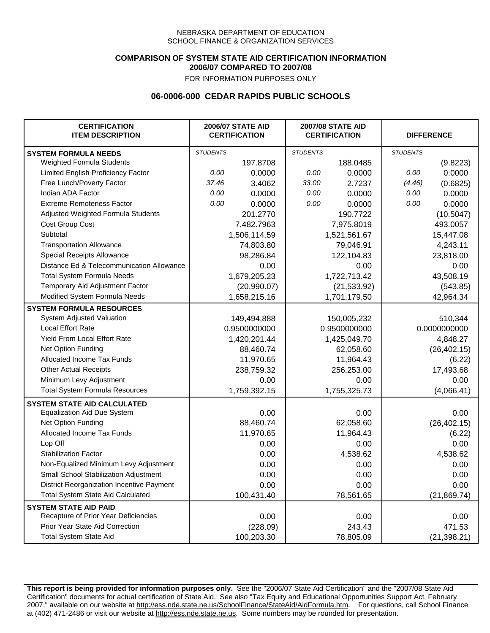### **COMPARISON OF SYSTEM STATE AID CERTIFICATION INFORMATION 2006/07 COMPARED TO 2007/08**

FOR INFORMATION PURPOSES ONLY

## **06-0006-000 CEDAR RAPIDS PUBLIC SCHOOLS**

| <b>CERTIFICATION</b><br><b>ITEM DESCRIPTION</b> |                 | <b>2006/07 STATE AID</b><br><b>CERTIFICATION</b> | <b>2007/08 STATE AID</b><br><b>CERTIFICATION</b> |              | <b>DIFFERENCE</b> |              |
|-------------------------------------------------|-----------------|--------------------------------------------------|--------------------------------------------------|--------------|-------------------|--------------|
| <b>SYSTEM FORMULA NEEDS</b>                     | <b>STUDENTS</b> |                                                  | <b>STUDENTS</b>                                  |              | <b>STUDENTS</b>   |              |
| Weighted Formula Students                       |                 | 197.8708                                         |                                                  | 188.0485     |                   | (9.8223)     |
| Limited English Proficiency Factor              | 0.00            | 0.0000                                           | 0.00                                             | 0.0000       | 0.00              | 0.0000       |
| Free Lunch/Poverty Factor                       | 37.46           | 3.4062                                           | 33.00                                            | 2.7237       | (4.46)            | (0.6825)     |
| Indian ADA Factor                               | 0.00            | 0.0000                                           | 0.00                                             | 0.0000       | 0.00              | 0.0000       |
| <b>Extreme Remoteness Factor</b>                | 0.00            | 0.0000                                           | 0.00                                             | 0.0000       | 0.00              | 0.0000       |
| Adjusted Weighted Formula Students              |                 | 201.2770                                         |                                                  | 190.7722     |                   | (10.5047)    |
| Cost Group Cost                                 |                 | 7,482.7963                                       |                                                  | 7,975.8019   |                   | 493.0057     |
| Subtotal                                        |                 | 1,506,114.59                                     |                                                  | 1,521,561.67 |                   | 15,447.08    |
| <b>Transportation Allowance</b>                 |                 | 74,803.80                                        |                                                  | 79,046.91    |                   | 4,243.11     |
| Special Receipts Allowance                      |                 | 98,286.84                                        |                                                  | 122,104.83   |                   | 23,818.00    |
| Distance Ed & Telecommunication Allowance       |                 | 0.00                                             |                                                  | 0.00         |                   | 0.00         |
| <b>Total System Formula Needs</b>               |                 | 1,679,205.23                                     |                                                  | 1,722,713.42 |                   | 43,508.19    |
| Temporary Aid Adjustment Factor                 |                 | (20,990.07)                                      | (21, 533.92)                                     |              | (543.85)          |              |
| Modified System Formula Needs                   |                 | 1,658,215.16                                     |                                                  | 1,701,179.50 |                   | 42,964.34    |
| <b>SYSTEM FORMULA RESOURCES</b>                 |                 |                                                  |                                                  |              |                   |              |
| System Adjusted Valuation                       |                 | 149,494,888                                      |                                                  | 150,005,232  |                   | 510,344      |
| <b>Local Effort Rate</b>                        |                 | 0.9500000000                                     |                                                  | 0.9500000000 |                   | 0.0000000000 |
| <b>Yield From Local Effort Rate</b>             |                 | 1,420,201.44                                     |                                                  | 1,425,049.70 |                   | 4,848.27     |
| Net Option Funding                              |                 | 88,460.74                                        |                                                  | 62,058.60    |                   | (26, 402.15) |
| Allocated Income Tax Funds                      |                 | 11,970.65                                        | 11,964.43                                        |              | (6.22)            |              |
| <b>Other Actual Receipts</b>                    |                 | 238,759.32                                       | 256,253.00                                       |              | 17,493.68         |              |
| Minimum Levy Adjustment                         |                 | 0.00                                             | 0.00                                             |              | 0.00              |              |
| <b>Total System Formula Resources</b>           |                 | 1,759,392.15                                     | 1,755,325.73                                     |              |                   | (4,066.41)   |
| <b>SYSTEM STATE AID CALCULATED</b>              |                 |                                                  |                                                  |              |                   |              |
| <b>Equalization Aid Due System</b>              |                 | 0.00                                             |                                                  | 0.00         |                   | 0.00         |
| Net Option Funding                              |                 | 88,460.74                                        |                                                  | 62,058.60    |                   | (26, 402.15) |
| Allocated Income Tax Funds                      |                 | 11,970.65                                        |                                                  | 11,964.43    |                   | (6.22)       |
| Lop Off                                         |                 | 0.00                                             |                                                  | 0.00         |                   | 0.00         |
| <b>Stabilization Factor</b>                     |                 | 0.00                                             |                                                  | 4,538.62     |                   | 4,538.62     |
| Non-Equalized Minimum Levy Adjustment           |                 | 0.00                                             |                                                  | 0.00         |                   | 0.00         |
| Small School Stabilization Adjustment           |                 | 0.00                                             |                                                  | 0.00         |                   | 0.00         |
| District Reorganization Incentive Payment       |                 | 0.00                                             |                                                  | 0.00         |                   | 0.00         |
| <b>Total System State Aid Calculated</b>        |                 | 100,431.40                                       |                                                  | 78,561.65    |                   | (21, 869.74) |
| <b>SYSTEM STATE AID PAID</b>                    |                 |                                                  |                                                  |              |                   |              |
| Recapture of Prior Year Deficiencies            |                 | 0.00                                             |                                                  | 0.00         |                   | 0.00         |
| Prior Year State Aid Correction                 |                 | (228.09)                                         |                                                  | 243.43       |                   | 471.53       |
| <b>Total System State Aid</b>                   |                 | 100,203.30                                       |                                                  | 78,805.09    |                   | (21, 398.21) |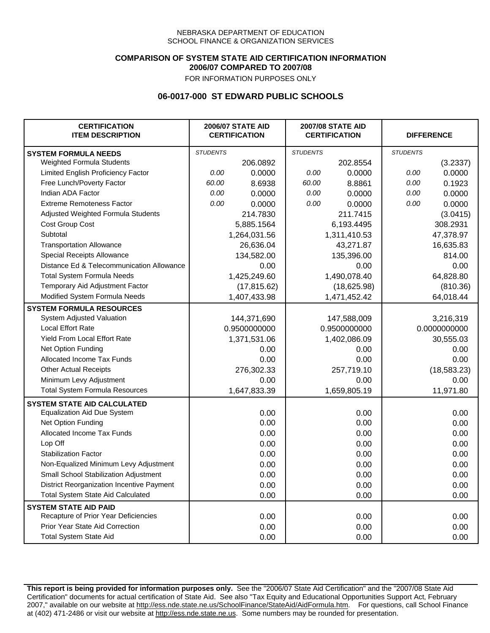### **COMPARISON OF SYSTEM STATE AID CERTIFICATION INFORMATION 2006/07 COMPARED TO 2007/08**

FOR INFORMATION PURPOSES ONLY

## **06-0017-000 ST EDWARD PUBLIC SCHOOLS**

| <b>CERTIFICATION</b><br><b>ITEM DESCRIPTION</b> |                 | <b>2006/07 STATE AID</b><br><b>CERTIFICATION</b> | <b>2007/08 STATE AID</b><br><b>CERTIFICATION</b> |              | <b>DIFFERENCE</b> |              |
|-------------------------------------------------|-----------------|--------------------------------------------------|--------------------------------------------------|--------------|-------------------|--------------|
| <b>SYSTEM FORMULA NEEDS</b>                     | <b>STUDENTS</b> |                                                  | <b>STUDENTS</b>                                  |              | <b>STUDENTS</b>   |              |
| Weighted Formula Students                       |                 | 206.0892                                         |                                                  | 202.8554     |                   | (3.2337)     |
| Limited English Proficiency Factor              | 0.00            | 0.0000                                           | 0.00                                             | 0.0000       | 0.00              | 0.0000       |
| Free Lunch/Poverty Factor                       | 60.00           | 8.6938                                           | 60.00                                            | 8.8861       | 0.00              | 0.1923       |
| Indian ADA Factor                               | 0.00            | 0.0000                                           | 0.00                                             | 0.0000       | 0.00              | 0.0000       |
| <b>Extreme Remoteness Factor</b>                | 0.00            | 0.0000                                           | 0.00                                             | 0.0000       | 0.00              | 0.0000       |
| Adjusted Weighted Formula Students              |                 | 214.7830                                         |                                                  | 211.7415     |                   | (3.0415)     |
| Cost Group Cost                                 |                 | 5,885.1564                                       |                                                  | 6,193.4495   |                   | 308.2931     |
| Subtotal                                        |                 | 1,264,031.56                                     |                                                  | 1,311,410.53 |                   | 47,378.97    |
| <b>Transportation Allowance</b>                 |                 | 26,636.04                                        |                                                  | 43,271.87    |                   | 16,635.83    |
| Special Receipts Allowance                      |                 | 134,582.00                                       |                                                  | 135,396.00   |                   | 814.00       |
| Distance Ed & Telecommunication Allowance       |                 | 0.00                                             |                                                  | 0.00         |                   | 0.00         |
| <b>Total System Formula Needs</b>               |                 | 1,425,249.60                                     |                                                  | 1,490,078.40 | 64,828.80         |              |
| Temporary Aid Adjustment Factor                 |                 | (17, 815.62)                                     | (18,625.98)                                      |              | (810.36)          |              |
| Modified System Formula Needs                   |                 | 1,407,433.98                                     |                                                  | 1,471,452.42 |                   | 64,018.44    |
| <b>SYSTEM FORMULA RESOURCES</b>                 |                 |                                                  |                                                  |              |                   |              |
| System Adjusted Valuation                       |                 | 144,371,690                                      |                                                  | 147,588,009  |                   | 3,216,319    |
| <b>Local Effort Rate</b>                        |                 | 0.9500000000                                     |                                                  | 0.9500000000 |                   | 0.0000000000 |
| Yield From Local Effort Rate                    |                 | 1,371,531.06                                     |                                                  | 1,402,086.09 |                   | 30,555.03    |
| Net Option Funding                              |                 | 0.00                                             |                                                  | 0.00         |                   | 0.00         |
| Allocated Income Tax Funds                      |                 | 0.00                                             |                                                  | 0.00         |                   | 0.00         |
| <b>Other Actual Receipts</b>                    |                 | 276,302.33                                       |                                                  | 257,719.10   | (18, 583.23)      |              |
| Minimum Levy Adjustment                         |                 | 0.00                                             |                                                  | 0.00         |                   | 0.00         |
| <b>Total System Formula Resources</b>           |                 | 1,647,833.39                                     |                                                  | 1,659,805.19 |                   | 11,971.80    |
| <b>SYSTEM STATE AID CALCULATED</b>              |                 |                                                  |                                                  |              |                   |              |
| <b>Equalization Aid Due System</b>              |                 | 0.00                                             |                                                  | 0.00         |                   | 0.00         |
| Net Option Funding                              |                 | 0.00                                             |                                                  | 0.00         |                   | 0.00         |
| Allocated Income Tax Funds                      |                 | 0.00                                             |                                                  | 0.00         |                   | 0.00         |
| Lop Off                                         |                 | 0.00                                             |                                                  | 0.00         |                   | 0.00         |
| <b>Stabilization Factor</b>                     |                 | 0.00                                             |                                                  | 0.00         |                   | 0.00         |
| Non-Equalized Minimum Levy Adjustment           |                 | 0.00                                             |                                                  | 0.00         |                   | 0.00         |
| Small School Stabilization Adjustment           |                 | 0.00                                             |                                                  | 0.00         |                   | 0.00         |
| District Reorganization Incentive Payment       |                 | 0.00                                             |                                                  | 0.00         |                   | 0.00         |
| <b>Total System State Aid Calculated</b>        |                 | 0.00                                             |                                                  | 0.00         |                   | 0.00         |
| <b>SYSTEM STATE AID PAID</b>                    |                 |                                                  |                                                  |              |                   |              |
| Recapture of Prior Year Deficiencies            |                 | 0.00                                             |                                                  | 0.00         |                   | 0.00         |
| Prior Year State Aid Correction                 |                 | 0.00                                             |                                                  | 0.00         |                   | 0.00         |
| <b>Total System State Aid</b>                   |                 | 0.00                                             |                                                  | 0.00         |                   | 0.00         |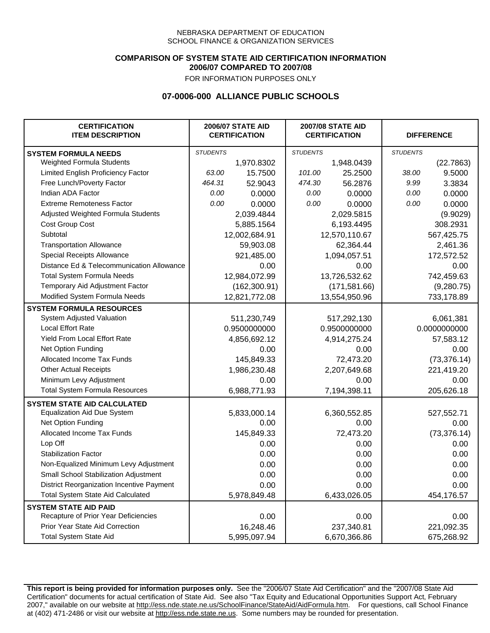### **COMPARISON OF SYSTEM STATE AID CERTIFICATION INFORMATION 2006/07 COMPARED TO 2007/08**

FOR INFORMATION PURPOSES ONLY

## **07-0006-000 ALLIANCE PUBLIC SCHOOLS**

| <b>CERTIFICATION</b><br><b>ITEM DESCRIPTION</b> |                 | <b>2006/07 STATE AID</b><br><b>CERTIFICATION</b> | <b>2007/08 STATE AID</b><br><b>CERTIFICATION</b> |               | <b>DIFFERENCE</b> |              |
|-------------------------------------------------|-----------------|--------------------------------------------------|--------------------------------------------------|---------------|-------------------|--------------|
| <b>SYSTEM FORMULA NEEDS</b>                     | <b>STUDENTS</b> |                                                  | <b>STUDENTS</b>                                  |               | <b>STUDENTS</b>   |              |
| Weighted Formula Students                       |                 | 1,970.8302                                       |                                                  | 1,948.0439    |                   | (22.7863)    |
| Limited English Proficiency Factor              | 63.00           | 15.7500                                          | 101.00                                           | 25.2500       | 38.00             | 9.5000       |
| Free Lunch/Poverty Factor                       | 464.31          | 52.9043                                          | 474.30                                           | 56.2876       | 9.99              | 3.3834       |
| Indian ADA Factor                               | 0.00            | 0.0000                                           | 0.00                                             | 0.0000        | 0.00              | 0.0000       |
| <b>Extreme Remoteness Factor</b>                | 0.00            | 0.0000                                           | 0.00                                             | 0.0000        | 0.00              | 0.0000       |
| Adjusted Weighted Formula Students              |                 | 2,039.4844                                       |                                                  | 2,029.5815    |                   | (9.9029)     |
| Cost Group Cost                                 |                 | 5,885.1564                                       |                                                  | 6,193.4495    |                   | 308.2931     |
| Subtotal                                        |                 | 12,002,684.91                                    |                                                  | 12,570,110.67 |                   | 567,425.75   |
| <b>Transportation Allowance</b>                 |                 | 59,903.08                                        |                                                  | 62,364.44     |                   | 2,461.36     |
| Special Receipts Allowance                      |                 | 921,485.00                                       |                                                  | 1,094,057.51  |                   | 172,572.52   |
| Distance Ed & Telecommunication Allowance       |                 | 0.00                                             |                                                  | 0.00          |                   | 0.00         |
| <b>Total System Formula Needs</b>               |                 | 12,984,072.99                                    |                                                  | 13,726,532.62 |                   | 742,459.63   |
| Temporary Aid Adjustment Factor                 |                 | (162, 300.91)                                    | (171, 581.66)                                    |               | (9,280.75)        |              |
| Modified System Formula Needs                   | 12,821,772.08   |                                                  | 13,554,950.96                                    |               | 733,178.89        |              |
| <b>SYSTEM FORMULA RESOURCES</b>                 |                 |                                                  |                                                  |               |                   |              |
| System Adjusted Valuation                       |                 | 511,230,749                                      |                                                  | 517,292,130   |                   | 6,061,381    |
| <b>Local Effort Rate</b>                        |                 | 0.9500000000                                     |                                                  | 0.9500000000  | 0.0000000000      |              |
| Yield From Local Effort Rate                    |                 | 4,856,692.12                                     |                                                  | 4,914,275.24  | 57,583.12         |              |
| Net Option Funding                              |                 | 0.00                                             | 0.00                                             |               | 0.00              |              |
| Allocated Income Tax Funds                      |                 | 145,849.33                                       | 72,473.20                                        |               | (73, 376.14)      |              |
| <b>Other Actual Receipts</b>                    |                 | 1,986,230.48                                     | 2,207,649.68                                     |               | 221,419.20        |              |
| Minimum Levy Adjustment                         |                 | 0.00                                             |                                                  | 0.00          |                   | 0.00         |
| <b>Total System Formula Resources</b>           |                 | 6,988,771.93                                     |                                                  | 7,194,398.11  |                   | 205,626.18   |
| <b>SYSTEM STATE AID CALCULATED</b>              |                 |                                                  |                                                  |               |                   |              |
| <b>Equalization Aid Due System</b>              |                 | 5,833,000.14                                     |                                                  | 6,360,552.85  |                   | 527,552.71   |
| Net Option Funding                              |                 | 0.00                                             |                                                  | 0.00          |                   | 0.00         |
| Allocated Income Tax Funds                      |                 | 145,849.33                                       |                                                  | 72,473.20     |                   | (73, 376.14) |
| Lop Off                                         |                 | 0.00                                             |                                                  | 0.00          |                   | 0.00         |
| <b>Stabilization Factor</b>                     |                 | 0.00                                             |                                                  | 0.00          |                   | 0.00         |
| Non-Equalized Minimum Levy Adjustment           |                 | 0.00                                             |                                                  | 0.00          |                   | 0.00         |
| Small School Stabilization Adjustment           |                 | 0.00                                             |                                                  | 0.00          |                   | 0.00         |
| District Reorganization Incentive Payment       |                 | 0.00                                             |                                                  | 0.00          |                   | 0.00         |
| Total System State Aid Calculated               |                 | 5,978,849.48                                     |                                                  | 6,433,026.05  |                   | 454,176.57   |
| <b>SYSTEM STATE AID PAID</b>                    |                 |                                                  |                                                  |               |                   |              |
| Recapture of Prior Year Deficiencies            |                 | 0.00                                             |                                                  | 0.00          |                   | 0.00         |
| Prior Year State Aid Correction                 |                 | 16,248.46                                        |                                                  | 237,340.81    |                   | 221,092.35   |
| <b>Total System State Aid</b>                   |                 | 5,995,097.94                                     |                                                  | 6,670,366.86  | 675,268.92        |              |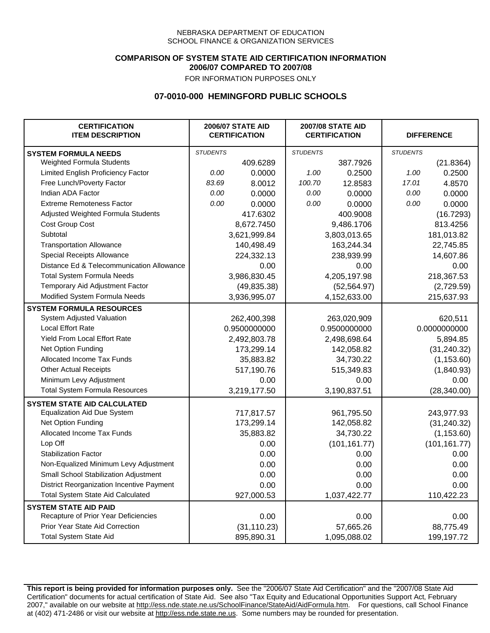### **COMPARISON OF SYSTEM STATE AID CERTIFICATION INFORMATION 2006/07 COMPARED TO 2007/08**

FOR INFORMATION PURPOSES ONLY

## **07-0010-000 HEMINGFORD PUBLIC SCHOOLS**

| <b>CERTIFICATION</b><br><b>ITEM DESCRIPTION</b> |                 | <b>2006/07 STATE AID</b><br><b>CERTIFICATION</b> | <b>2007/08 STATE AID</b><br><b>CERTIFICATION</b> |               | <b>DIFFERENCE</b> |               |
|-------------------------------------------------|-----------------|--------------------------------------------------|--------------------------------------------------|---------------|-------------------|---------------|
| <b>SYSTEM FORMULA NEEDS</b>                     | <b>STUDENTS</b> |                                                  | <b>STUDENTS</b>                                  |               | <b>STUDENTS</b>   |               |
| Weighted Formula Students                       |                 | 409.6289                                         |                                                  | 387.7926      |                   | (21.8364)     |
| Limited English Proficiency Factor              | 0.00            | 0.0000                                           | 1.00                                             | 0.2500        | 1.00              | 0.2500        |
| Free Lunch/Poverty Factor                       | 83.69           | 8.0012                                           | 100.70                                           | 12.8583       | 17.01             | 4.8570        |
| Indian ADA Factor                               | 0.00            | 0.0000                                           | 0.00                                             | 0.0000        | 0.00              | 0.0000        |
| <b>Extreme Remoteness Factor</b>                | 0.00            | 0.0000                                           | 0.00                                             | 0.0000        | 0.00              | 0.0000        |
| Adjusted Weighted Formula Students              |                 | 417.6302                                         |                                                  | 400.9008      |                   | (16.7293)     |
| Cost Group Cost                                 |                 | 8,672.7450                                       |                                                  | 9,486.1706    |                   | 813.4256      |
| Subtotal                                        |                 | 3,621,999.84                                     |                                                  | 3,803,013.65  |                   | 181,013.82    |
| <b>Transportation Allowance</b>                 |                 | 140,498.49                                       |                                                  | 163,244.34    |                   | 22,745.85     |
| Special Receipts Allowance                      |                 | 224,332.13                                       |                                                  | 238,939.99    |                   | 14,607.86     |
| Distance Ed & Telecommunication Allowance       |                 | 0.00                                             |                                                  | 0.00          |                   | 0.00          |
| <b>Total System Formula Needs</b>               |                 | 3,986,830.45                                     | 4,205,197.98                                     |               | 218,367.53        |               |
| Temporary Aid Adjustment Factor                 |                 | (49, 835.38)                                     | (52, 564.97)                                     |               | (2,729.59)        |               |
| Modified System Formula Needs                   |                 | 3,936,995.07                                     |                                                  | 4,152,633.00  |                   | 215,637.93    |
| <b>SYSTEM FORMULA RESOURCES</b>                 |                 |                                                  |                                                  |               |                   |               |
| System Adjusted Valuation                       |                 | 262,400,398                                      |                                                  | 263,020,909   |                   | 620,511       |
| <b>Local Effort Rate</b>                        |                 | 0.9500000000                                     |                                                  | 0.9500000000  | 0.0000000000      |               |
| <b>Yield From Local Effort Rate</b>             |                 | 2,492,803.78                                     | 2,498,698.64                                     |               | 5,894.85          |               |
| Net Option Funding                              |                 | 173,299.14                                       | 142,058.82                                       |               | (31, 240.32)      |               |
| Allocated Income Tax Funds                      |                 | 35,883.82                                        | 34,730.22                                        |               | (1, 153.60)       |               |
| <b>Other Actual Receipts</b>                    |                 | 517,190.76                                       | 515,349.83                                       |               | (1,840.93)        |               |
| Minimum Levy Adjustment                         |                 | 0.00                                             |                                                  | 0.00          |                   | 0.00          |
| <b>Total System Formula Resources</b>           |                 | 3,219,177.50                                     |                                                  | 3,190,837.51  |                   | (28, 340.00)  |
| <b>SYSTEM STATE AID CALCULATED</b>              |                 |                                                  |                                                  |               |                   |               |
| <b>Equalization Aid Due System</b>              |                 | 717,817.57                                       |                                                  | 961,795.50    |                   | 243,977.93    |
| Net Option Funding                              |                 | 173,299.14                                       |                                                  | 142,058.82    |                   | (31, 240.32)  |
| Allocated Income Tax Funds                      |                 | 35,883.82                                        |                                                  | 34,730.22     |                   | (1, 153.60)   |
| Lop Off                                         |                 | 0.00                                             |                                                  | (101, 161.77) |                   | (101, 161.77) |
| <b>Stabilization Factor</b>                     |                 | 0.00                                             |                                                  | 0.00          |                   | 0.00          |
| Non-Equalized Minimum Levy Adjustment           |                 | 0.00                                             |                                                  | 0.00          |                   | 0.00          |
| Small School Stabilization Adjustment           |                 | 0.00                                             |                                                  | 0.00          |                   | 0.00          |
| District Reorganization Incentive Payment       |                 | 0.00                                             |                                                  | 0.00          |                   | 0.00          |
| <b>Total System State Aid Calculated</b>        |                 | 927,000.53                                       |                                                  | 1,037,422.77  |                   | 110,422.23    |
| <b>SYSTEM STATE AID PAID</b>                    |                 |                                                  |                                                  |               |                   |               |
| Recapture of Prior Year Deficiencies            |                 | 0.00                                             |                                                  | 0.00          |                   | 0.00          |
| Prior Year State Aid Correction                 |                 | (31, 110.23)                                     |                                                  | 57,665.26     |                   | 88,775.49     |
| <b>Total System State Aid</b>                   |                 | 895,890.31                                       |                                                  | 1,095,088.02  |                   | 199,197.72    |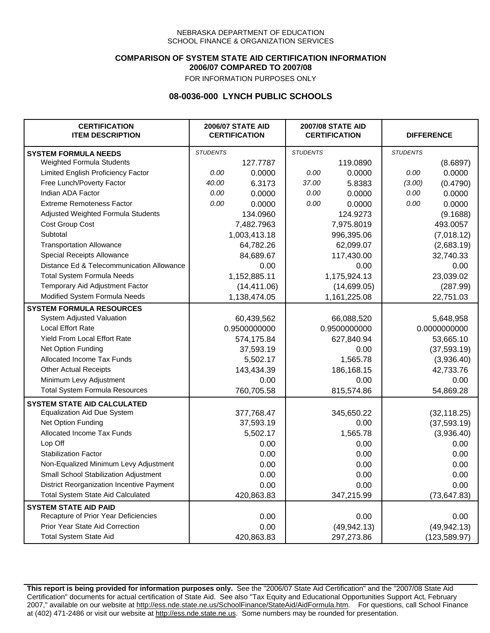### **COMPARISON OF SYSTEM STATE AID CERTIFICATION INFORMATION 2006/07 COMPARED TO 2007/08**

FOR INFORMATION PURPOSES ONLY

# **08-0036-000 LYNCH PUBLIC SCHOOLS**

| <b>CERTIFICATION</b><br><b>ITEM DESCRIPTION</b> | <b>2006/07 STATE AID</b><br><b>CERTIFICATION</b> |              | <b>2007/08 STATE AID</b><br><b>CERTIFICATION</b> |              | <b>DIFFERENCE</b> |               |
|-------------------------------------------------|--------------------------------------------------|--------------|--------------------------------------------------|--------------|-------------------|---------------|
| <b>SYSTEM FORMULA NEEDS</b>                     | <b>STUDENTS</b>                                  |              | <b>STUDENTS</b>                                  |              | <b>STUDENTS</b>   |               |
| Weighted Formula Students                       |                                                  | 127.7787     |                                                  | 119.0890     |                   | (8.6897)      |
| Limited English Proficiency Factor              | 0.00                                             | 0.0000       | 0.00                                             | 0.0000       | 0.00              | 0.0000        |
| Free Lunch/Poverty Factor                       | 40.00                                            | 6.3173       | 37.00                                            | 5.8383       | (3.00)            | (0.4790)      |
| Indian ADA Factor                               | 0.00                                             | 0.0000       | 0.00                                             | 0.0000       | 0.00              | 0.0000        |
| <b>Extreme Remoteness Factor</b>                | 0.00                                             | 0.0000       | 0.00                                             | 0.0000       | 0.00              | 0.0000        |
| Adjusted Weighted Formula Students              |                                                  | 134.0960     |                                                  | 124.9273     |                   | (9.1688)      |
| Cost Group Cost                                 |                                                  | 7,482.7963   |                                                  | 7,975.8019   |                   | 493.0057      |
| Subtotal                                        |                                                  | 1,003,413.18 |                                                  | 996,395.06   |                   | (7,018.12)    |
| <b>Transportation Allowance</b>                 |                                                  | 64,782.26    |                                                  | 62,099.07    |                   | (2,683.19)    |
| Special Receipts Allowance                      |                                                  | 84,689.67    |                                                  | 117,430.00   |                   | 32,740.33     |
| Distance Ed & Telecommunication Allowance       |                                                  | 0.00         |                                                  | 0.00         |                   | 0.00          |
| <b>Total System Formula Needs</b>               |                                                  | 1,152,885.11 |                                                  | 1,175,924.13 |                   | 23,039.02     |
| Temporary Aid Adjustment Factor                 |                                                  | (14, 411.06) |                                                  | (14,699.05)  |                   | (287.99)      |
| Modified System Formula Needs                   |                                                  | 1,138,474.05 |                                                  | 1,161,225.08 |                   | 22,751.03     |
| <b>SYSTEM FORMULA RESOURCES</b>                 |                                                  |              |                                                  |              |                   |               |
| System Adjusted Valuation                       |                                                  | 60,439,562   |                                                  | 66,088,520   |                   | 5,648,958     |
| <b>Local Effort Rate</b>                        |                                                  | 0.9500000000 |                                                  | 0.9500000000 |                   | 0.0000000000  |
| Yield From Local Effort Rate                    |                                                  | 574,175.84   |                                                  | 627,840.94   |                   | 53,665.10     |
| Net Option Funding                              |                                                  | 37,593.19    |                                                  | 0.00         |                   | (37, 593.19)  |
| Allocated Income Tax Funds                      |                                                  | 5,502.17     |                                                  | 1,565.78     |                   | (3,936.40)    |
| <b>Other Actual Receipts</b>                    |                                                  | 143,434.39   |                                                  | 186,168.15   |                   | 42,733.76     |
| Minimum Levy Adjustment                         |                                                  | 0.00         |                                                  | 0.00         |                   | 0.00          |
| <b>Total System Formula Resources</b>           |                                                  | 760,705.58   |                                                  | 815,574.86   |                   | 54,869.28     |
| <b>SYSTEM STATE AID CALCULATED</b>              |                                                  |              |                                                  |              |                   |               |
| <b>Equalization Aid Due System</b>              |                                                  | 377,768.47   |                                                  | 345,650.22   |                   | (32, 118.25)  |
| Net Option Funding                              |                                                  | 37,593.19    |                                                  | 0.00         |                   | (37,593.19)   |
| Allocated Income Tax Funds                      |                                                  | 5,502.17     |                                                  | 1,565.78     |                   | (3,936.40)    |
| Lop Off                                         |                                                  | 0.00         |                                                  | 0.00         |                   | 0.00          |
| <b>Stabilization Factor</b>                     |                                                  | 0.00         |                                                  | 0.00         |                   | 0.00          |
| Non-Equalized Minimum Levy Adjustment           |                                                  | 0.00         |                                                  | 0.00         |                   | 0.00          |
| Small School Stabilization Adjustment           |                                                  | 0.00         |                                                  | 0.00         |                   | 0.00          |
| District Reorganization Incentive Payment       |                                                  | 0.00         |                                                  | 0.00         |                   | 0.00          |
| <b>Total System State Aid Calculated</b>        |                                                  | 420,863.83   |                                                  | 347,215.99   |                   | (73, 647.83)  |
| <b>SYSTEM STATE AID PAID</b>                    |                                                  |              |                                                  |              |                   |               |
| Recapture of Prior Year Deficiencies            |                                                  | 0.00         |                                                  | 0.00         |                   | 0.00          |
| Prior Year State Aid Correction                 |                                                  | 0.00         |                                                  | (49, 942.13) |                   | (49, 942.13)  |
| <b>Total System State Aid</b>                   |                                                  | 420,863.83   |                                                  | 297,273.86   |                   | (123, 589.97) |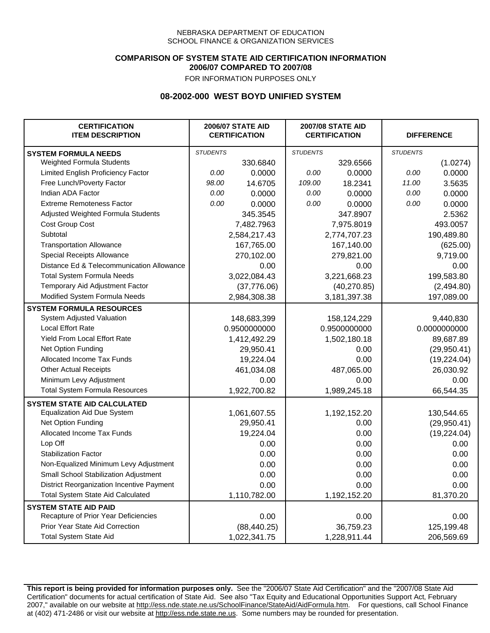### **COMPARISON OF SYSTEM STATE AID CERTIFICATION INFORMATION 2006/07 COMPARED TO 2007/08**

FOR INFORMATION PURPOSES ONLY

# **08-2002-000 WEST BOYD UNIFIED SYSTEM**

| <b>CERTIFICATION</b><br><b>ITEM DESCRIPTION</b> | <b>2006/07 STATE AID</b><br><b>CERTIFICATION</b> |              | <b>2007/08 STATE AID</b><br><b>CERTIFICATION</b> |              | <b>DIFFERENCE</b> |              |  |
|-------------------------------------------------|--------------------------------------------------|--------------|--------------------------------------------------|--------------|-------------------|--------------|--|
| <b>SYSTEM FORMULA NEEDS</b>                     | <b>STUDENTS</b>                                  |              | <b>STUDENTS</b>                                  |              | <b>STUDENTS</b>   |              |  |
| Weighted Formula Students                       |                                                  | 330.6840     |                                                  | 329.6566     |                   | (1.0274)     |  |
| Limited English Proficiency Factor              | 0.00                                             | 0.0000       | 0.00                                             | 0.0000       | 0.00              | 0.0000       |  |
| Free Lunch/Poverty Factor                       | 98.00                                            | 14.6705      | 109.00                                           | 18.2341      | 11.00             | 3.5635       |  |
| Indian ADA Factor                               | 0.00                                             | 0.0000       | 0.00                                             | 0.0000       | 0.00              | 0.0000       |  |
| <b>Extreme Remoteness Factor</b>                | 0.00                                             | 0.0000       | 0.00                                             | 0.0000       | 0.00              | 0.0000       |  |
| Adjusted Weighted Formula Students              |                                                  | 345.3545     |                                                  | 347.8907     |                   | 2.5362       |  |
| Cost Group Cost                                 |                                                  | 7,482.7963   |                                                  | 7,975.8019   |                   | 493.0057     |  |
| Subtotal                                        |                                                  | 2,584,217.43 |                                                  | 2,774,707.23 |                   | 190,489.80   |  |
| <b>Transportation Allowance</b>                 |                                                  | 167,765.00   |                                                  | 167,140.00   |                   | (625.00)     |  |
| Special Receipts Allowance                      |                                                  | 270,102.00   |                                                  | 279,821.00   |                   | 9,719.00     |  |
| Distance Ed & Telecommunication Allowance       |                                                  | 0.00         |                                                  | 0.00         |                   | 0.00         |  |
| <b>Total System Formula Needs</b>               |                                                  | 3,022,084.43 |                                                  | 3,221,668.23 | 199,583.80        |              |  |
| Temporary Aid Adjustment Factor                 |                                                  | (37,776.06)  |                                                  | (40, 270.85) |                   | (2,494.80)   |  |
| Modified System Formula Needs                   |                                                  | 2,984,308.38 |                                                  | 3,181,397.38 |                   | 197,089.00   |  |
| <b>SYSTEM FORMULA RESOURCES</b>                 |                                                  |              |                                                  |              |                   |              |  |
| System Adjusted Valuation                       |                                                  | 148,683,399  |                                                  | 158,124,229  |                   | 9,440,830    |  |
| <b>Local Effort Rate</b>                        |                                                  | 0.9500000000 |                                                  | 0.9500000000 |                   | 0.0000000000 |  |
| Yield From Local Effort Rate                    |                                                  | 1,412,492.29 |                                                  | 1,502,180.18 |                   | 89,687.89    |  |
| Net Option Funding                              |                                                  | 29,950.41    |                                                  | 0.00         |                   | (29,950.41)  |  |
| Allocated Income Tax Funds                      |                                                  | 19,224.04    |                                                  | 0.00         |                   | (19, 224.04) |  |
| <b>Other Actual Receipts</b>                    |                                                  | 461,034.08   | 487,065.00                                       |              | 26,030.92         |              |  |
| Minimum Levy Adjustment                         |                                                  | 0.00         |                                                  | 0.00         |                   | 0.00         |  |
| <b>Total System Formula Resources</b>           |                                                  | 1,922,700.82 |                                                  | 1,989,245.18 |                   | 66,544.35    |  |
| <b>SYSTEM STATE AID CALCULATED</b>              |                                                  |              |                                                  |              |                   |              |  |
| <b>Equalization Aid Due System</b>              |                                                  | 1,061,607.55 |                                                  | 1,192,152.20 |                   | 130,544.65   |  |
| Net Option Funding                              |                                                  | 29,950.41    |                                                  | 0.00         |                   | (29,950.41)  |  |
| <b>Allocated Income Tax Funds</b>               |                                                  | 19,224.04    |                                                  | 0.00         |                   | (19, 224.04) |  |
| Lop Off                                         |                                                  | 0.00         |                                                  | 0.00         |                   | 0.00         |  |
| <b>Stabilization Factor</b>                     |                                                  | 0.00         |                                                  | 0.00         |                   | 0.00         |  |
| Non-Equalized Minimum Levy Adjustment           |                                                  | 0.00         |                                                  | 0.00         |                   | 0.00         |  |
| Small School Stabilization Adjustment           |                                                  | 0.00         |                                                  | 0.00         |                   | 0.00         |  |
| District Reorganization Incentive Payment       |                                                  | 0.00         |                                                  | 0.00         |                   | 0.00         |  |
| <b>Total System State Aid Calculated</b>        |                                                  | 1,110,782.00 |                                                  | 1,192,152.20 |                   | 81,370.20    |  |
| <b>SYSTEM STATE AID PAID</b>                    |                                                  |              |                                                  |              |                   |              |  |
| Recapture of Prior Year Deficiencies            |                                                  | 0.00         |                                                  | 0.00         |                   | 0.00         |  |
| Prior Year State Aid Correction                 |                                                  | (88, 440.25) |                                                  | 36,759.23    |                   | 125,199.48   |  |
| <b>Total System State Aid</b>                   |                                                  | 1,022,341.75 |                                                  | 1,228,911.44 |                   | 206,569.69   |  |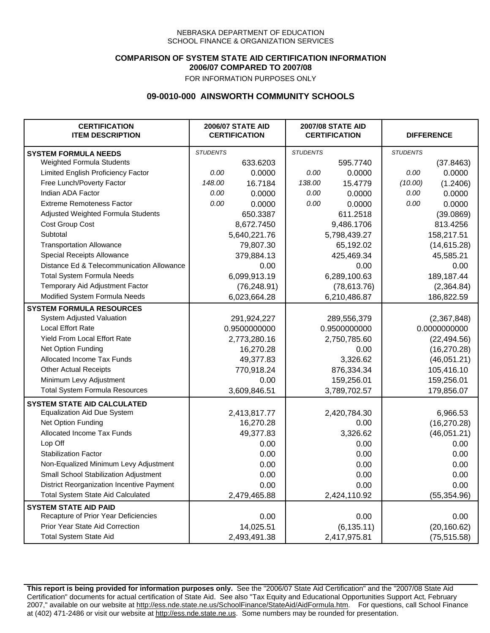### **COMPARISON OF SYSTEM STATE AID CERTIFICATION INFORMATION 2006/07 COMPARED TO 2007/08**

FOR INFORMATION PURPOSES ONLY

## **09-0010-000 AINSWORTH COMMUNITY SCHOOLS**

| <b>CERTIFICATION</b><br><b>ITEM DESCRIPTION</b> |                 | <b>2006/07 STATE AID</b><br><b>CERTIFICATION</b> | <b>2007/08 STATE AID</b><br><b>CERTIFICATION</b> |              | <b>DIFFERENCE</b> |              |
|-------------------------------------------------|-----------------|--------------------------------------------------|--------------------------------------------------|--------------|-------------------|--------------|
| <b>SYSTEM FORMULA NEEDS</b>                     | <b>STUDENTS</b> |                                                  | <b>STUDENTS</b>                                  |              | <b>STUDENTS</b>   |              |
| Weighted Formula Students                       |                 | 633.6203                                         |                                                  | 595.7740     |                   | (37.8463)    |
| Limited English Proficiency Factor              | 0.00            | 0.0000                                           | 0.00                                             | 0.0000       | 0.00              | 0.0000       |
| Free Lunch/Poverty Factor                       | 148.00          | 16.7184                                          | 138.00                                           | 15.4779      | (10.00)           | (1.2406)     |
| Indian ADA Factor                               | 0.00            | 0.0000                                           | 0.00                                             | 0.0000       | 0.00              | 0.0000       |
| <b>Extreme Remoteness Factor</b>                | 0.00            | 0.0000                                           | 0.00                                             | 0.0000       | 0.00              | 0.0000       |
| Adjusted Weighted Formula Students              |                 | 650.3387                                         |                                                  | 611.2518     |                   | (39.0869)    |
| Cost Group Cost                                 |                 | 8,672.7450                                       |                                                  | 9,486.1706   |                   | 813.4256     |
| Subtotal                                        |                 | 5,640,221.76                                     |                                                  | 5,798,439.27 |                   | 158,217.51   |
| <b>Transportation Allowance</b>                 |                 | 79,807.30                                        |                                                  | 65,192.02    |                   | (14,615.28)  |
| Special Receipts Allowance                      |                 | 379,884.13                                       |                                                  | 425,469.34   |                   | 45,585.21    |
| Distance Ed & Telecommunication Allowance       |                 | 0.00                                             |                                                  | 0.00         |                   | 0.00         |
| <b>Total System Formula Needs</b>               |                 | 6,099,913.19                                     |                                                  | 6,289,100.63 | 189,187.44        |              |
| Temporary Aid Adjustment Factor                 |                 | (76, 248.91)                                     | (78, 613.76)                                     |              | (2,364.84)        |              |
| Modified System Formula Needs                   |                 | 6,023,664.28                                     |                                                  | 6,210,486.87 |                   | 186,822.59   |
| <b>SYSTEM FORMULA RESOURCES</b>                 |                 |                                                  |                                                  |              |                   |              |
| System Adjusted Valuation                       |                 | 291,924,227                                      |                                                  | 289,556,379  |                   | (2,367,848)  |
| <b>Local Effort Rate</b>                        |                 | 0.9500000000                                     |                                                  | 0.9500000000 |                   | 0.0000000000 |
| Yield From Local Effort Rate                    |                 | 2,773,280.16                                     | 2,750,785.60                                     |              | (22, 494.56)      |              |
| Net Option Funding                              |                 | 16,270.28                                        | 0.00                                             |              | (16, 270.28)      |              |
| Allocated Income Tax Funds                      |                 | 49,377.83                                        | 3,326.62                                         |              | (46,051.21)       |              |
| <b>Other Actual Receipts</b>                    |                 | 770,918.24                                       | 876,334.34                                       |              | 105,416.10        |              |
| Minimum Levy Adjustment                         |                 | 0.00                                             |                                                  | 159,256.01   |                   | 159,256.01   |
| <b>Total System Formula Resources</b>           |                 | 3,609,846.51                                     |                                                  | 3,789,702.57 |                   | 179,856.07   |
| <b>SYSTEM STATE AID CALCULATED</b>              |                 |                                                  |                                                  |              |                   |              |
| <b>Equalization Aid Due System</b>              |                 | 2,413,817.77                                     |                                                  | 2,420,784.30 |                   | 6,966.53     |
| Net Option Funding                              |                 | 16,270.28                                        |                                                  | 0.00         |                   | (16, 270.28) |
| Allocated Income Tax Funds                      |                 | 49,377.83                                        |                                                  | 3,326.62     |                   | (46,051.21)  |
| Lop Off                                         |                 | 0.00                                             |                                                  | 0.00         |                   | 0.00         |
| <b>Stabilization Factor</b>                     |                 | 0.00                                             |                                                  | 0.00         |                   | 0.00         |
| Non-Equalized Minimum Levy Adjustment           |                 | 0.00                                             |                                                  | 0.00         |                   | 0.00         |
| Small School Stabilization Adjustment           |                 | 0.00                                             |                                                  | 0.00         |                   | 0.00         |
| District Reorganization Incentive Payment       |                 | 0.00                                             |                                                  | 0.00         |                   | 0.00         |
| <b>Total System State Aid Calculated</b>        |                 | 2,479,465.88                                     |                                                  | 2,424,110.92 |                   | (55, 354.96) |
| <b>SYSTEM STATE AID PAID</b>                    |                 |                                                  |                                                  |              |                   |              |
| Recapture of Prior Year Deficiencies            |                 | 0.00                                             |                                                  | 0.00         |                   | 0.00         |
| Prior Year State Aid Correction                 |                 | 14,025.51                                        |                                                  | (6, 135.11)  |                   | (20, 160.62) |
| <b>Total System State Aid</b>                   |                 | 2,493,491.38                                     |                                                  | 2,417,975.81 |                   | (75, 515.58) |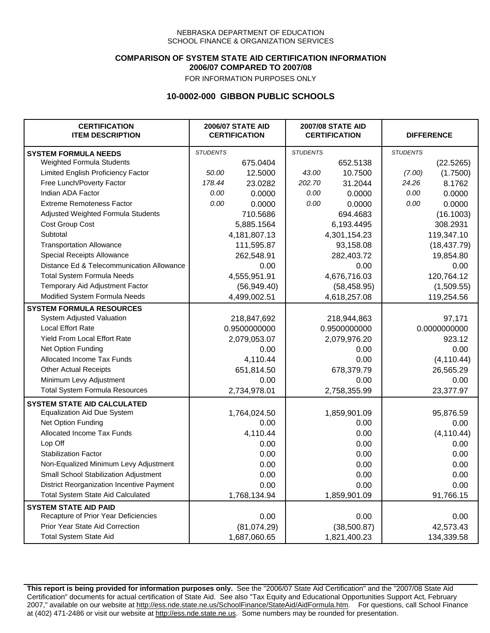### **COMPARISON OF SYSTEM STATE AID CERTIFICATION INFORMATION 2006/07 COMPARED TO 2007/08**

FOR INFORMATION PURPOSES ONLY

## **10-0002-000 GIBBON PUBLIC SCHOOLS**

| <b>CERTIFICATION</b><br><b>ITEM DESCRIPTION</b> |                 | <b>2006/07 STATE AID</b><br><b>CERTIFICATION</b> |                 | <b>2007/08 STATE AID</b><br><b>CERTIFICATION</b> |                 | <b>DIFFERENCE</b> |  |
|-------------------------------------------------|-----------------|--------------------------------------------------|-----------------|--------------------------------------------------|-----------------|-------------------|--|
| <b>SYSTEM FORMULA NEEDS</b>                     | <b>STUDENTS</b> |                                                  | <b>STUDENTS</b> |                                                  | <b>STUDENTS</b> |                   |  |
| Weighted Formula Students                       |                 | 675.0404                                         |                 | 652.5138                                         |                 | (22.5265)         |  |
| Limited English Proficiency Factor              | 50.00           | 12.5000                                          | 43.00           | 10.7500                                          | (7.00)          | (1.7500)          |  |
| Free Lunch/Poverty Factor                       | 178.44          | 23.0282                                          | 202.70          | 31.2044                                          | 24.26           | 8.1762            |  |
| Indian ADA Factor                               | 0.00            | 0.0000                                           | 0.00            | 0.0000                                           | 0.00            | 0.0000            |  |
| <b>Extreme Remoteness Factor</b>                | 0.00            | 0.0000                                           | 0.00            | 0.0000                                           | 0.00            | 0.0000            |  |
| Adjusted Weighted Formula Students              |                 | 710.5686                                         |                 | 694.4683                                         |                 | (16.1003)         |  |
| Cost Group Cost                                 |                 | 5,885.1564                                       |                 | 6,193.4495                                       |                 | 308.2931          |  |
| Subtotal                                        |                 | 4,181,807.13                                     |                 | 4,301,154.23                                     |                 | 119,347.10        |  |
| <b>Transportation Allowance</b>                 |                 | 111,595.87                                       |                 | 93,158.08                                        |                 | (18, 437.79)      |  |
| Special Receipts Allowance                      |                 | 262,548.91                                       |                 | 282,403.72                                       |                 | 19,854.80         |  |
| Distance Ed & Telecommunication Allowance       |                 | 0.00                                             |                 | 0.00                                             |                 | 0.00              |  |
| <b>Total System Formula Needs</b>               |                 | 4,555,951.91                                     | 4,676,716.03    |                                                  | 120,764.12      |                   |  |
| Temporary Aid Adjustment Factor                 |                 | (56, 949.40)                                     | (58, 458.95)    |                                                  | (1,509.55)      |                   |  |
| Modified System Formula Needs                   |                 | 4,499,002.51                                     |                 | 4,618,257.08                                     |                 | 119,254.56        |  |
| <b>SYSTEM FORMULA RESOURCES</b>                 |                 |                                                  |                 |                                                  |                 |                   |  |
| System Adjusted Valuation                       |                 | 218,847,692                                      |                 | 218,944,863                                      |                 | 97,171            |  |
| <b>Local Effort Rate</b>                        |                 | 0.9500000000                                     |                 | 0.9500000000                                     |                 | 0.0000000000      |  |
| <b>Yield From Local Effort Rate</b>             |                 | 2,079,053.07                                     | 2,079,976.20    |                                                  | 923.12          |                   |  |
| Net Option Funding                              |                 | 0.00                                             | 0.00            |                                                  | 0.00            |                   |  |
| Allocated Income Tax Funds                      |                 | 4,110.44                                         | 0.00            |                                                  | (4, 110.44)     |                   |  |
| <b>Other Actual Receipts</b>                    |                 | 651,814.50                                       |                 | 678,379.79                                       | 26,565.29       |                   |  |
| Minimum Levy Adjustment                         |                 | 0.00                                             |                 | 0.00                                             |                 | 0.00              |  |
| <b>Total System Formula Resources</b>           |                 | 2,734,978.01                                     |                 | 2,758,355.99                                     |                 | 23,377.97         |  |
| <b>SYSTEM STATE AID CALCULATED</b>              |                 |                                                  |                 |                                                  |                 |                   |  |
| <b>Equalization Aid Due System</b>              |                 | 1,764,024.50                                     |                 | 1,859,901.09                                     |                 | 95,876.59         |  |
| Net Option Funding                              |                 | 0.00                                             |                 | 0.00                                             |                 | 0.00              |  |
| Allocated Income Tax Funds                      |                 | 4,110.44                                         |                 | 0.00                                             |                 | (4, 110.44)       |  |
| Lop Off                                         |                 | 0.00                                             |                 | 0.00                                             |                 | 0.00              |  |
| <b>Stabilization Factor</b>                     |                 | 0.00                                             |                 | 0.00                                             |                 | 0.00              |  |
| Non-Equalized Minimum Levy Adjustment           |                 | 0.00                                             |                 | 0.00                                             |                 | 0.00              |  |
| <b>Small School Stabilization Adjustment</b>    |                 | 0.00                                             |                 | 0.00                                             |                 | 0.00              |  |
| District Reorganization Incentive Payment       |                 | 0.00                                             |                 | 0.00                                             |                 | 0.00              |  |
| <b>Total System State Aid Calculated</b>        |                 | 1,768,134.94                                     |                 | 1,859,901.09                                     |                 | 91,766.15         |  |
| <b>SYSTEM STATE AID PAID</b>                    |                 |                                                  |                 |                                                  |                 |                   |  |
| Recapture of Prior Year Deficiencies            |                 | 0.00                                             |                 | 0.00                                             |                 | 0.00              |  |
| Prior Year State Aid Correction                 |                 | (81,074.29)                                      |                 | (38,500.87)                                      | 42,573.43       |                   |  |
| <b>Total System State Aid</b>                   |                 | 1,687,060.65                                     |                 | 1,821,400.23                                     |                 | 134,339.58        |  |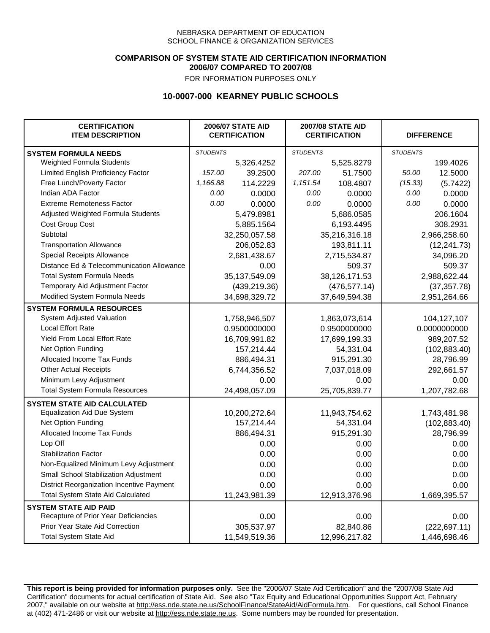### **COMPARISON OF SYSTEM STATE AID CERTIFICATION INFORMATION 2006/07 COMPARED TO 2007/08**

FOR INFORMATION PURPOSES ONLY

## **10-0007-000 KEARNEY PUBLIC SCHOOLS**

| <b>CERTIFICATION</b><br><b>ITEM DESCRIPTION</b> |                 | <b>2006/07 STATE AID</b><br><b>CERTIFICATION</b> | <b>2007/08 STATE AID</b><br><b>CERTIFICATION</b> |               | <b>DIFFERENCE</b> |               |  |
|-------------------------------------------------|-----------------|--------------------------------------------------|--------------------------------------------------|---------------|-------------------|---------------|--|
| <b>SYSTEM FORMULA NEEDS</b>                     | <b>STUDENTS</b> |                                                  | <b>STUDENTS</b>                                  |               | <b>STUDENTS</b>   |               |  |
| Weighted Formula Students                       |                 | 5,326.4252                                       |                                                  | 5,525.8279    |                   | 199.4026      |  |
| Limited English Proficiency Factor              | 157.00          | 39.2500                                          | 207.00                                           | 51.7500       | 50.00             | 12.5000       |  |
| Free Lunch/Poverty Factor                       | 1,166.88        | 114.2229                                         | 1,151.54                                         | 108.4807      | (15.33)           | (5.7422)      |  |
| Indian ADA Factor                               | 0.00            | 0.0000                                           | 0.00                                             | 0.0000        | 0.00              | 0.0000        |  |
| <b>Extreme Remoteness Factor</b>                | 0.00            | 0.0000                                           | 0.00                                             | 0.0000        | 0.00              | 0.0000        |  |
| Adjusted Weighted Formula Students              |                 | 5,479.8981                                       |                                                  | 5,686.0585    |                   | 206.1604      |  |
| Cost Group Cost                                 |                 | 5,885.1564                                       |                                                  | 6,193.4495    |                   | 308.2931      |  |
| Subtotal                                        |                 | 32,250,057.58                                    |                                                  | 35,216,316.18 |                   | 2,966,258.60  |  |
| <b>Transportation Allowance</b>                 |                 | 206,052.83                                       |                                                  | 193,811.11    |                   | (12, 241.73)  |  |
| Special Receipts Allowance                      |                 | 2,681,438.67                                     |                                                  | 2,715,534.87  |                   | 34,096.20     |  |
| Distance Ed & Telecommunication Allowance       |                 | 0.00                                             |                                                  | 509.37        |                   | 509.37        |  |
| <b>Total System Formula Needs</b>               |                 | 35,137,549.09                                    |                                                  | 38,126,171.53 | 2,988,622.44      |               |  |
| Temporary Aid Adjustment Factor                 |                 | (439, 219.36)                                    | (476, 577.14)                                    |               | (37, 357.78)      |               |  |
| Modified System Formula Needs                   | 34,698,329.72   |                                                  |                                                  | 37,649,594.38 | 2,951,264.66      |               |  |
| <b>SYSTEM FORMULA RESOURCES</b>                 |                 |                                                  |                                                  |               |                   |               |  |
| System Adjusted Valuation                       |                 | 1,758,946,507                                    |                                                  | 1,863,073,614 |                   | 104,127,107   |  |
| <b>Local Effort Rate</b>                        |                 | 0.9500000000                                     |                                                  | 0.9500000000  |                   | 0.0000000000  |  |
| Yield From Local Effort Rate                    |                 | 16,709,991.82                                    |                                                  | 17,699,199.33 | 989,207.52        |               |  |
| Net Option Funding                              |                 | 157,214.44                                       | 54,331.04                                        |               | (102, 883.40)     |               |  |
| Allocated Income Tax Funds                      |                 | 886,494.31                                       | 915,291.30                                       |               | 28,796.99         |               |  |
| <b>Other Actual Receipts</b>                    |                 | 6,744,356.52                                     | 7,037,018.09                                     |               | 292,661.57        |               |  |
| Minimum Levy Adjustment                         |                 | 0.00                                             |                                                  | 0.00          |                   | 0.00          |  |
| <b>Total System Formula Resources</b>           |                 | 24,498,057.09                                    |                                                  | 25,705,839.77 |                   | 1,207,782.68  |  |
| <b>SYSTEM STATE AID CALCULATED</b>              |                 |                                                  |                                                  |               |                   |               |  |
| <b>Equalization Aid Due System</b>              |                 | 10,200,272.64                                    |                                                  | 11,943,754.62 |                   | 1,743,481.98  |  |
| Net Option Funding                              |                 | 157,214.44                                       |                                                  | 54,331.04     |                   | (102, 883.40) |  |
| Allocated Income Tax Funds                      |                 | 886,494.31                                       |                                                  | 915,291.30    |                   | 28,796.99     |  |
| Lop Off                                         |                 | 0.00                                             |                                                  | 0.00          |                   | 0.00          |  |
| <b>Stabilization Factor</b>                     |                 | 0.00                                             |                                                  | 0.00          |                   | 0.00          |  |
| Non-Equalized Minimum Levy Adjustment           |                 | 0.00                                             |                                                  | 0.00          |                   | 0.00          |  |
| Small School Stabilization Adjustment           |                 | 0.00                                             |                                                  | 0.00          |                   | 0.00          |  |
| District Reorganization Incentive Payment       |                 | 0.00                                             |                                                  | 0.00          |                   | 0.00          |  |
| <b>Total System State Aid Calculated</b>        |                 | 11,243,981.39                                    |                                                  | 12,913,376.96 |                   | 1,669,395.57  |  |
| <b>SYSTEM STATE AID PAID</b>                    |                 |                                                  |                                                  |               |                   |               |  |
| Recapture of Prior Year Deficiencies            |                 | 0.00                                             |                                                  | 0.00          |                   | 0.00          |  |
| Prior Year State Aid Correction                 |                 | 305,537.97                                       |                                                  | 82,840.86     | (222, 697.11)     |               |  |
| <b>Total System State Aid</b>                   |                 | 11,549,519.36                                    |                                                  | 12,996,217.82 |                   | 1,446,698.46  |  |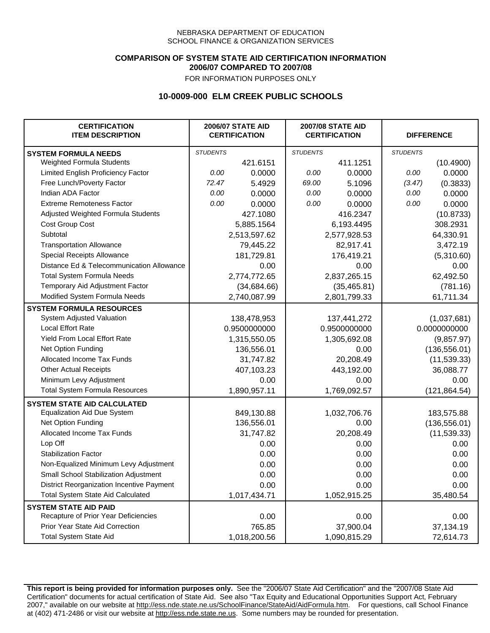### **COMPARISON OF SYSTEM STATE AID CERTIFICATION INFORMATION 2006/07 COMPARED TO 2007/08**

FOR INFORMATION PURPOSES ONLY

## **10-0009-000 ELM CREEK PUBLIC SCHOOLS**

| <b>CERTIFICATION</b><br><b>ITEM DESCRIPTION</b> |                 | <b>2006/07 STATE AID</b><br><b>CERTIFICATION</b> | <b>2007/08 STATE AID</b><br><b>CERTIFICATION</b> |              | <b>DIFFERENCE</b> |               |
|-------------------------------------------------|-----------------|--------------------------------------------------|--------------------------------------------------|--------------|-------------------|---------------|
| <b>SYSTEM FORMULA NEEDS</b>                     | <b>STUDENTS</b> |                                                  | <b>STUDENTS</b>                                  |              | <b>STUDENTS</b>   |               |
| Weighted Formula Students                       |                 | 421.6151                                         |                                                  | 411.1251     |                   | (10.4900)     |
| Limited English Proficiency Factor              | 0.00            | 0.0000                                           | 0.00                                             | 0.0000       | 0.00              | 0.0000        |
| Free Lunch/Poverty Factor                       | 72.47           | 5.4929                                           | 69.00                                            | 5.1096       | (3.47)            | (0.3833)      |
| Indian ADA Factor                               | 0.00            | 0.0000                                           | 0.00                                             | 0.0000       | 0.00              | 0.0000        |
| <b>Extreme Remoteness Factor</b>                | 0.00            | 0.0000                                           | 0.00                                             | 0.0000       | 0.00              | 0.0000        |
| Adjusted Weighted Formula Students              |                 | 427.1080                                         |                                                  | 416.2347     |                   | (10.8733)     |
| Cost Group Cost                                 |                 | 5,885.1564                                       |                                                  | 6,193.4495   |                   | 308.2931      |
| Subtotal                                        |                 | 2,513,597.62                                     |                                                  | 2,577,928.53 |                   | 64,330.91     |
| <b>Transportation Allowance</b>                 |                 | 79,445.22                                        |                                                  | 82,917.41    |                   | 3,472.19      |
| Special Receipts Allowance                      |                 | 181,729.81                                       |                                                  | 176,419.21   |                   | (5,310.60)    |
| Distance Ed & Telecommunication Allowance       |                 | 0.00                                             |                                                  | 0.00         |                   | 0.00          |
| <b>Total System Formula Needs</b>               |                 | 2,774,772.65                                     |                                                  | 2,837,265.15 |                   | 62,492.50     |
| Temporary Aid Adjustment Factor                 |                 | (34, 684.66)                                     | (35, 465.81)                                     |              | (781.16)          |               |
| Modified System Formula Needs                   |                 | 2,740,087.99                                     |                                                  | 2,801,799.33 |                   | 61,711.34     |
| <b>SYSTEM FORMULA RESOURCES</b>                 |                 |                                                  |                                                  |              |                   |               |
| System Adjusted Valuation                       |                 | 138,478,953                                      |                                                  | 137,441,272  |                   | (1,037,681)   |
| <b>Local Effort Rate</b>                        |                 | 0.9500000000                                     |                                                  | 0.9500000000 |                   | 0.0000000000  |
| Yield From Local Effort Rate                    |                 | 1,315,550.05                                     |                                                  | 1,305,692.08 |                   | (9,857.97)    |
| Net Option Funding                              |                 | 136,556.01                                       |                                                  | 0.00         |                   | (136, 556.01) |
| Allocated Income Tax Funds                      |                 | 31,747.82                                        |                                                  | 20,208.49    |                   | (11, 539.33)  |
| <b>Other Actual Receipts</b>                    |                 | 407,103.23                                       | 443,192.00                                       |              | 36,088.77         |               |
| Minimum Levy Adjustment                         |                 | 0.00                                             |                                                  | 0.00         |                   | 0.00          |
| <b>Total System Formula Resources</b>           |                 | 1,890,957.11                                     |                                                  | 1,769,092.57 |                   | (121, 864.54) |
| <b>SYSTEM STATE AID CALCULATED</b>              |                 |                                                  |                                                  |              |                   |               |
| <b>Equalization Aid Due System</b>              |                 | 849,130.88                                       |                                                  | 1,032,706.76 |                   | 183,575.88    |
| Net Option Funding                              |                 | 136,556.01                                       |                                                  | 0.00         |                   | (136, 556.01) |
| Allocated Income Tax Funds                      |                 | 31,747.82                                        |                                                  | 20,208.49    |                   | (11, 539.33)  |
| Lop Off                                         |                 | 0.00                                             |                                                  | 0.00         |                   | 0.00          |
| <b>Stabilization Factor</b>                     |                 | 0.00                                             |                                                  | 0.00         |                   | 0.00          |
| Non-Equalized Minimum Levy Adjustment           |                 | 0.00                                             |                                                  | 0.00         |                   | 0.00          |
| Small School Stabilization Adjustment           |                 | 0.00                                             |                                                  | 0.00         |                   | 0.00          |
| District Reorganization Incentive Payment       |                 | 0.00                                             |                                                  | 0.00         |                   | 0.00          |
| Total System State Aid Calculated               |                 | 1,017,434.71                                     |                                                  | 1,052,915.25 |                   | 35,480.54     |
| <b>SYSTEM STATE AID PAID</b>                    |                 |                                                  |                                                  |              |                   |               |
| Recapture of Prior Year Deficiencies            |                 | 0.00                                             |                                                  | 0.00         |                   | 0.00          |
| Prior Year State Aid Correction                 |                 | 765.85                                           |                                                  | 37,900.04    |                   | 37,134.19     |
| <b>Total System State Aid</b>                   |                 | 1,018,200.56                                     |                                                  | 1,090,815.29 |                   | 72,614.73     |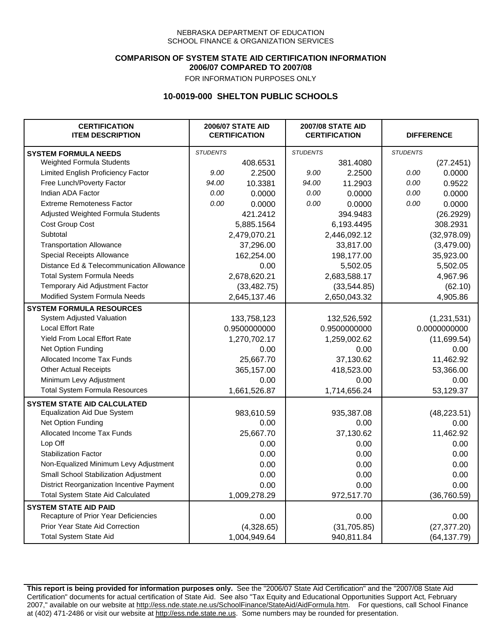### **COMPARISON OF SYSTEM STATE AID CERTIFICATION INFORMATION 2006/07 COMPARED TO 2007/08**

FOR INFORMATION PURPOSES ONLY

## **10-0019-000 SHELTON PUBLIC SCHOOLS**

| <b>CERTIFICATION</b><br><b>ITEM DESCRIPTION</b> |                 | <b>2006/07 STATE AID</b><br><b>CERTIFICATION</b> | <b>2007/08 STATE AID</b><br><b>CERTIFICATION</b> |              | <b>DIFFERENCE</b> |              |
|-------------------------------------------------|-----------------|--------------------------------------------------|--------------------------------------------------|--------------|-------------------|--------------|
| <b>SYSTEM FORMULA NEEDS</b>                     | <b>STUDENTS</b> |                                                  | <b>STUDENTS</b>                                  |              | <b>STUDENTS</b>   |              |
| Weighted Formula Students                       |                 | 408.6531                                         |                                                  | 381.4080     |                   | (27.2451)    |
| Limited English Proficiency Factor              | 9.00            | 2.2500                                           | 9.00                                             | 2.2500       | 0.00              | 0.0000       |
| Free Lunch/Poverty Factor                       | 94.00           | 10.3381                                          | 94.00                                            | 11.2903      | 0.00              | 0.9522       |
| Indian ADA Factor                               | 0.00            | 0.0000                                           | 0.00                                             | 0.0000       | 0.00              | 0.0000       |
| <b>Extreme Remoteness Factor</b>                | 0.00            | 0.0000                                           | 0.00                                             | 0.0000       | 0.00              | 0.0000       |
| Adjusted Weighted Formula Students              |                 | 421.2412                                         |                                                  | 394.9483     |                   | (26.2929)    |
| Cost Group Cost                                 |                 | 5,885.1564                                       |                                                  | 6,193.4495   |                   | 308.2931     |
| Subtotal                                        |                 | 2,479,070.21                                     |                                                  | 2,446,092.12 |                   | (32,978.09)  |
| <b>Transportation Allowance</b>                 |                 | 37,296.00                                        |                                                  | 33,817.00    |                   | (3,479.00)   |
| Special Receipts Allowance                      |                 | 162,254.00                                       |                                                  | 198,177.00   |                   | 35,923.00    |
| Distance Ed & Telecommunication Allowance       |                 | 0.00                                             |                                                  | 5,502.05     |                   | 5,502.05     |
| <b>Total System Formula Needs</b>               |                 | 2,678,620.21                                     |                                                  | 2,683,588.17 | 4,967.96          |              |
| Temporary Aid Adjustment Factor                 |                 | (33, 482.75)                                     | (33,544.85)                                      |              | (62.10)           |              |
| Modified System Formula Needs                   |                 | 2,645,137.46                                     |                                                  | 2,650,043.32 |                   | 4,905.86     |
| <b>SYSTEM FORMULA RESOURCES</b>                 |                 |                                                  |                                                  |              |                   |              |
| System Adjusted Valuation                       |                 | 133,758,123                                      |                                                  | 132,526,592  |                   | (1,231,531)  |
| <b>Local Effort Rate</b>                        |                 | 0.9500000000                                     |                                                  | 0.9500000000 |                   | 0.0000000000 |
| Yield From Local Effort Rate                    |                 | 1,270,702.17                                     | 1,259,002.62                                     |              | (11,699.54)       |              |
| Net Option Funding                              |                 | 0.00                                             | 0.00                                             |              | 0.00              |              |
| Allocated Income Tax Funds                      |                 | 25,667.70                                        | 37,130.62                                        |              | 11,462.92         |              |
| <b>Other Actual Receipts</b>                    |                 | 365,157.00                                       | 418,523.00                                       |              | 53,366.00         |              |
| Minimum Levy Adjustment                         |                 | 0.00                                             | 0.00                                             |              |                   | 0.00         |
| <b>Total System Formula Resources</b>           |                 | 1,661,526.87                                     |                                                  | 1,714,656.24 |                   | 53,129.37    |
| <b>SYSTEM STATE AID CALCULATED</b>              |                 |                                                  |                                                  |              |                   |              |
| <b>Equalization Aid Due System</b>              |                 | 983,610.59                                       |                                                  | 935,387.08   |                   | (48, 223.51) |
| Net Option Funding                              |                 | 0.00                                             |                                                  | 0.00         |                   | 0.00         |
| Allocated Income Tax Funds                      |                 | 25,667.70                                        |                                                  | 37,130.62    |                   | 11,462.92    |
| Lop Off                                         |                 | 0.00                                             |                                                  | 0.00         |                   | 0.00         |
| <b>Stabilization Factor</b>                     |                 | 0.00                                             |                                                  | 0.00         |                   | 0.00         |
| Non-Equalized Minimum Levy Adjustment           |                 | 0.00                                             |                                                  | 0.00         |                   | 0.00         |
| Small School Stabilization Adjustment           |                 | 0.00                                             |                                                  | 0.00         |                   | 0.00         |
| District Reorganization Incentive Payment       |                 | 0.00                                             |                                                  | 0.00         |                   | 0.00         |
| <b>Total System State Aid Calculated</b>        |                 | 1,009,278.29                                     |                                                  | 972,517.70   |                   | (36, 760.59) |
| <b>SYSTEM STATE AID PAID</b>                    |                 |                                                  |                                                  |              |                   |              |
| Recapture of Prior Year Deficiencies            |                 | 0.00                                             |                                                  | 0.00         |                   | 0.00         |
| Prior Year State Aid Correction                 |                 | (4,328.65)                                       |                                                  | (31, 705.85) |                   | (27, 377.20) |
| <b>Total System State Aid</b>                   |                 | 1,004,949.64                                     |                                                  | 940,811.84   |                   | (64, 137.79) |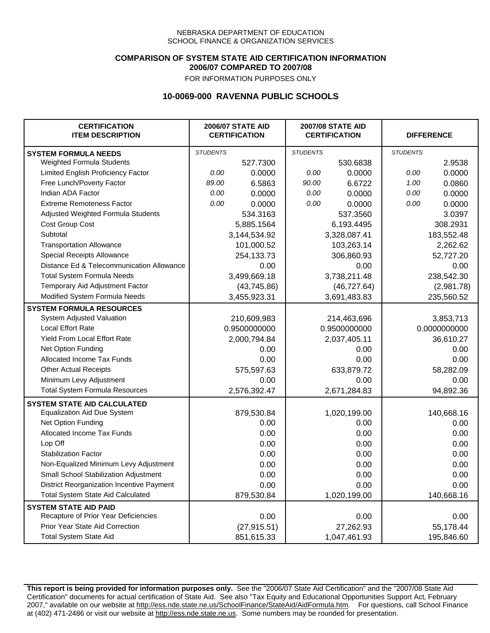### **COMPARISON OF SYSTEM STATE AID CERTIFICATION INFORMATION 2006/07 COMPARED TO 2007/08**

FOR INFORMATION PURPOSES ONLY

## **10-0069-000 RAVENNA PUBLIC SCHOOLS**

| <b>CERTIFICATION</b><br><b>ITEM DESCRIPTION</b> |                 | <b>2006/07 STATE AID</b><br><b>CERTIFICATION</b> | <b>2007/08 STATE AID</b><br><b>CERTIFICATION</b> |              | <b>DIFFERENCE</b> |              |
|-------------------------------------------------|-----------------|--------------------------------------------------|--------------------------------------------------|--------------|-------------------|--------------|
| <b>SYSTEM FORMULA NEEDS</b>                     | <b>STUDENTS</b> |                                                  | <b>STUDENTS</b>                                  |              | <b>STUDENTS</b>   |              |
| <b>Weighted Formula Students</b>                |                 | 527.7300                                         |                                                  | 530.6838     |                   | 2.9538       |
| Limited English Proficiency Factor              | 0.00            | 0.0000                                           | 0.00                                             | 0.0000       | 0.00              | 0.0000       |
| Free Lunch/Poverty Factor                       | 89.00           | 6.5863                                           | 90.00                                            | 6.6722       | 1.00              | 0.0860       |
| Indian ADA Factor                               | 0.00            | 0.0000                                           | 0.00                                             | 0.0000       | 0.00              | 0.0000       |
| <b>Extreme Remoteness Factor</b>                | 0.00            | 0.0000                                           | 0.00                                             | 0.0000       | 0.00              | 0.0000       |
| Adjusted Weighted Formula Students              |                 | 534.3163                                         |                                                  | 537.3560     |                   | 3.0397       |
| Cost Group Cost                                 |                 | 5,885.1564                                       |                                                  | 6,193.4495   |                   | 308.2931     |
| Subtotal                                        |                 | 3,144,534.92                                     |                                                  | 3,328,087.41 |                   | 183,552.48   |
| <b>Transportation Allowance</b>                 |                 | 101,000.52                                       |                                                  | 103,263.14   |                   | 2,262.62     |
| Special Receipts Allowance                      |                 | 254,133.73                                       |                                                  | 306,860.93   |                   | 52,727.20    |
| Distance Ed & Telecommunication Allowance       |                 | 0.00                                             |                                                  | 0.00         |                   | 0.00         |
| <b>Total System Formula Needs</b>               |                 | 3,499,669.18                                     |                                                  | 3,738,211.48 |                   | 238,542.30   |
| Temporary Aid Adjustment Factor                 |                 | (43,745.86)                                      | (46, 727.64)                                     |              | (2,981.78)        |              |
| Modified System Formula Needs                   |                 | 3,455,923.31                                     |                                                  | 3,691,483.83 |                   | 235,560.52   |
| <b>SYSTEM FORMULA RESOURCES</b>                 |                 |                                                  |                                                  |              |                   |              |
| System Adjusted Valuation                       |                 | 210,609,983                                      |                                                  | 214,463,696  |                   | 3,853,713    |
| <b>Local Effort Rate</b>                        |                 | 0.9500000000                                     |                                                  | 0.9500000000 |                   | 0.0000000000 |
| Yield From Local Effort Rate                    |                 | 2,000,794.84                                     | 2,037,405.11                                     |              | 36,610.27         |              |
| Net Option Funding                              |                 | 0.00                                             | 0.00                                             |              | 0.00              |              |
| Allocated Income Tax Funds                      |                 | 0.00                                             |                                                  | 0.00         | 0.00              |              |
| <b>Other Actual Receipts</b>                    |                 | 575,597.63                                       |                                                  | 633,879.72   | 58,282.09         |              |
| Minimum Levy Adjustment                         |                 | 0.00                                             |                                                  | 0.00         |                   | 0.00         |
| <b>Total System Formula Resources</b>           |                 | 2,576,392.47                                     |                                                  | 2,671,284.83 |                   | 94,892.36    |
| <b>SYSTEM STATE AID CALCULATED</b>              |                 |                                                  |                                                  |              |                   |              |
| <b>Equalization Aid Due System</b>              |                 | 879,530.84                                       |                                                  | 1,020,199.00 |                   | 140,668.16   |
| Net Option Funding                              |                 | 0.00                                             |                                                  | 0.00         |                   | 0.00         |
| Allocated Income Tax Funds                      |                 | 0.00                                             |                                                  | 0.00         |                   | 0.00         |
| Lop Off                                         |                 | 0.00                                             |                                                  | 0.00         |                   | 0.00         |
| <b>Stabilization Factor</b>                     |                 | 0.00                                             |                                                  | 0.00         |                   | 0.00         |
| Non-Equalized Minimum Levy Adjustment           |                 | 0.00                                             |                                                  | 0.00         |                   | 0.00         |
| Small School Stabilization Adjustment           |                 | 0.00                                             |                                                  | 0.00         |                   | 0.00         |
| District Reorganization Incentive Payment       |                 | 0.00                                             |                                                  | 0.00         |                   | 0.00         |
| <b>Total System State Aid Calculated</b>        |                 | 879,530.84                                       |                                                  | 1,020,199.00 |                   | 140,668.16   |
| <b>SYSTEM STATE AID PAID</b>                    |                 |                                                  |                                                  |              |                   |              |
| Recapture of Prior Year Deficiencies            |                 | 0.00                                             |                                                  | 0.00         |                   | 0.00         |
| Prior Year State Aid Correction                 |                 | (27, 915.51)                                     |                                                  | 27,262.93    |                   | 55,178.44    |
| <b>Total System State Aid</b>                   |                 | 851,615.33                                       |                                                  | 1,047,461.93 |                   | 195,846.60   |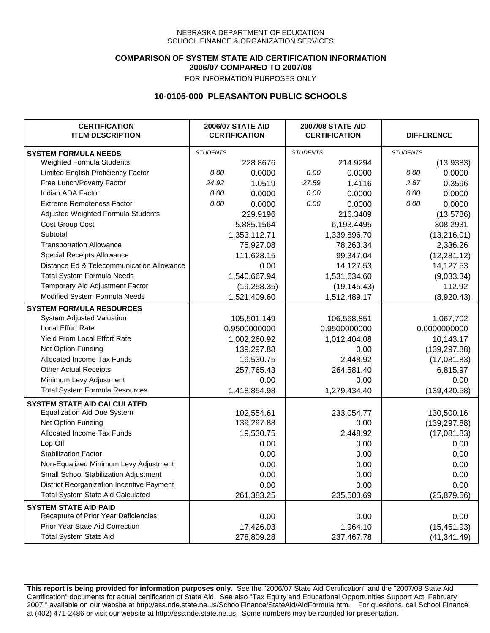### **COMPARISON OF SYSTEM STATE AID CERTIFICATION INFORMATION 2006/07 COMPARED TO 2007/08**

FOR INFORMATION PURPOSES ONLY

## **10-0105-000 PLEASANTON PUBLIC SCHOOLS**

| <b>CERTIFICATION</b><br><b>ITEM DESCRIPTION</b> |                 | <b>2006/07 STATE AID</b><br><b>CERTIFICATION</b> | <b>2007/08 STATE AID</b><br><b>CERTIFICATION</b> |              | <b>DIFFERENCE</b> |               |  |
|-------------------------------------------------|-----------------|--------------------------------------------------|--------------------------------------------------|--------------|-------------------|---------------|--|
| <b>SYSTEM FORMULA NEEDS</b>                     | <b>STUDENTS</b> |                                                  | <b>STUDENTS</b>                                  |              | <b>STUDENTS</b>   |               |  |
| Weighted Formula Students                       |                 | 228.8676                                         |                                                  | 214.9294     |                   | (13.9383)     |  |
| Limited English Proficiency Factor              | 0.00            | 0.0000                                           | 0.00                                             | 0.0000       | 0.00              | 0.0000        |  |
| Free Lunch/Poverty Factor                       | 24.92           | 1.0519                                           | 27.59                                            | 1.4116       | 2.67              | 0.3596        |  |
| Indian ADA Factor                               | 0.00            | 0.0000                                           | 0.00                                             | 0.0000       | 0.00              | 0.0000        |  |
| <b>Extreme Remoteness Factor</b>                | 0.00            | 0.0000                                           | 0.00                                             | 0.0000       | 0.00              | 0.0000        |  |
| Adjusted Weighted Formula Students              |                 | 229.9196                                         |                                                  | 216.3409     |                   | (13.5786)     |  |
| Cost Group Cost                                 |                 | 5,885.1564                                       |                                                  | 6,193.4495   |                   | 308.2931      |  |
| Subtotal                                        |                 | 1,353,112.71                                     |                                                  | 1,339,896.70 |                   | (13, 216.01)  |  |
| <b>Transportation Allowance</b>                 |                 | 75,927.08                                        |                                                  | 78,263.34    |                   | 2,336.26      |  |
| Special Receipts Allowance                      |                 | 111,628.15                                       |                                                  | 99,347.04    |                   | (12, 281.12)  |  |
| Distance Ed & Telecommunication Allowance       |                 | 0.00                                             |                                                  | 14,127.53    |                   | 14,127.53     |  |
| <b>Total System Formula Needs</b>               |                 | 1,540,667.94                                     |                                                  | 1,531,634.60 |                   | (9,033.34)    |  |
| Temporary Aid Adjustment Factor                 |                 | (19, 258.35)                                     |                                                  | (19, 145.43) |                   | 112.92        |  |
| Modified System Formula Needs                   |                 | 1,521,409.60                                     |                                                  | 1,512,489.17 |                   | (8,920.43)    |  |
| <b>SYSTEM FORMULA RESOURCES</b>                 |                 |                                                  |                                                  |              |                   |               |  |
| System Adjusted Valuation                       |                 | 105,501,149                                      |                                                  | 106,568,851  |                   | 1,067,702     |  |
| <b>Local Effort Rate</b>                        |                 | 0.9500000000                                     |                                                  | 0.9500000000 |                   | 0.0000000000  |  |
| Yield From Local Effort Rate                    |                 | 1,002,260.92                                     |                                                  | 1,012,404.08 |                   | 10,143.17     |  |
| Net Option Funding                              |                 | 139,297.88                                       | 0.00                                             |              | (139, 297.88)     |               |  |
| Allocated Income Tax Funds                      |                 | 19,530.75                                        |                                                  | 2,448.92     | (17,081.83)       |               |  |
| <b>Other Actual Receipts</b>                    |                 | 257,765.43                                       | 264,581.40                                       |              | 6,815.97          |               |  |
| Minimum Levy Adjustment                         |                 | 0.00                                             |                                                  | 0.00         |                   | 0.00          |  |
| <b>Total System Formula Resources</b>           |                 | 1,418,854.98                                     |                                                  | 1,279,434.40 |                   | (139, 420.58) |  |
| <b>SYSTEM STATE AID CALCULATED</b>              |                 |                                                  |                                                  |              |                   |               |  |
| <b>Equalization Aid Due System</b>              |                 | 102,554.61                                       |                                                  | 233,054.77   |                   | 130,500.16    |  |
| Net Option Funding                              |                 | 139,297.88                                       |                                                  | 0.00         |                   | (139, 297.88) |  |
| Allocated Income Tax Funds                      |                 | 19,530.75                                        |                                                  | 2,448.92     |                   | (17,081.83)   |  |
| Lop Off                                         |                 | 0.00                                             |                                                  | 0.00         |                   | 0.00          |  |
| <b>Stabilization Factor</b>                     |                 | 0.00                                             |                                                  | 0.00         |                   | 0.00          |  |
| Non-Equalized Minimum Levy Adjustment           |                 | 0.00                                             |                                                  | 0.00         |                   | 0.00          |  |
| Small School Stabilization Adjustment           |                 | 0.00                                             |                                                  | 0.00         |                   | 0.00          |  |
| District Reorganization Incentive Payment       |                 | 0.00                                             |                                                  | 0.00         |                   | 0.00          |  |
| Total System State Aid Calculated               |                 | 261,383.25                                       |                                                  | 235,503.69   |                   | (25, 879.56)  |  |
| <b>SYSTEM STATE AID PAID</b>                    |                 |                                                  |                                                  |              |                   |               |  |
| Recapture of Prior Year Deficiencies            |                 | 0.00                                             |                                                  | 0.00         |                   | 0.00          |  |
| Prior Year State Aid Correction                 |                 | 17,426.03                                        |                                                  | 1,964.10     |                   | (15, 461.93)  |  |
| <b>Total System State Aid</b>                   |                 | 278,809.28                                       |                                                  | 237,467.78   |                   | (41, 341.49)  |  |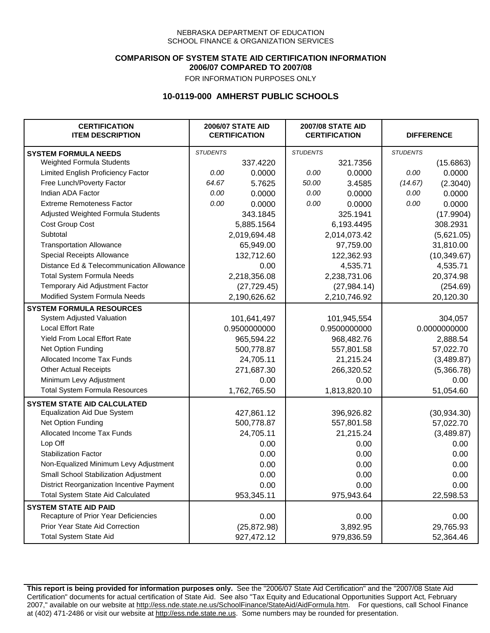### **COMPARISON OF SYSTEM STATE AID CERTIFICATION INFORMATION 2006/07 COMPARED TO 2007/08**

FOR INFORMATION PURPOSES ONLY

## **10-0119-000 AMHERST PUBLIC SCHOOLS**

| <b>CERTIFICATION</b><br><b>ITEM DESCRIPTION</b> |                 | <b>2006/07 STATE AID</b><br><b>CERTIFICATION</b> | <b>2007/08 STATE AID</b><br><b>CERTIFICATION</b> |              | <b>DIFFERENCE</b> |              |
|-------------------------------------------------|-----------------|--------------------------------------------------|--------------------------------------------------|--------------|-------------------|--------------|
| <b>SYSTEM FORMULA NEEDS</b>                     | <b>STUDENTS</b> |                                                  | <b>STUDENTS</b>                                  |              | <b>STUDENTS</b>   |              |
| Weighted Formula Students                       |                 | 337.4220                                         |                                                  | 321.7356     |                   | (15.6863)    |
| Limited English Proficiency Factor              | 0.00            | 0.0000                                           | 0.00                                             | 0.0000       | 0.00              | 0.0000       |
| Free Lunch/Poverty Factor                       | 64.67           | 5.7625                                           | 50.00                                            | 3.4585       | (14.67)           | (2.3040)     |
| Indian ADA Factor                               | 0.00            | 0.0000                                           | 0.00                                             | 0.0000       | 0.00              | 0.0000       |
| <b>Extreme Remoteness Factor</b>                | 0.00            | 0.0000                                           | 0.00                                             | 0.0000       | 0.00              | 0.0000       |
| Adjusted Weighted Formula Students              |                 | 343.1845                                         |                                                  | 325.1941     |                   | (17.9904)    |
| Cost Group Cost                                 |                 | 5,885.1564                                       |                                                  | 6,193.4495   |                   | 308.2931     |
| Subtotal                                        |                 | 2,019,694.48                                     |                                                  | 2,014,073.42 |                   | (5,621.05)   |
| <b>Transportation Allowance</b>                 |                 | 65,949.00                                        |                                                  | 97,759.00    |                   | 31,810.00    |
| Special Receipts Allowance                      |                 | 132,712.60                                       |                                                  | 122,362.93   |                   | (10, 349.67) |
| Distance Ed & Telecommunication Allowance       |                 | 0.00                                             |                                                  | 4,535.71     |                   | 4,535.71     |
| <b>Total System Formula Needs</b>               |                 | 2,218,356.08                                     |                                                  | 2,238,731.06 |                   | 20,374.98    |
| Temporary Aid Adjustment Factor                 |                 | (27, 729.45)                                     | (27, 984.14)                                     |              | (254.69)          |              |
| Modified System Formula Needs                   |                 | 2,190,626.62                                     |                                                  | 2,210,746.92 |                   | 20,120.30    |
| <b>SYSTEM FORMULA RESOURCES</b>                 |                 |                                                  |                                                  |              |                   |              |
| System Adjusted Valuation                       |                 | 101,641,497                                      |                                                  | 101,945,554  |                   | 304,057      |
| <b>Local Effort Rate</b>                        |                 | 0.9500000000                                     |                                                  | 0.9500000000 |                   | 0.0000000000 |
| Yield From Local Effort Rate                    |                 | 965,594.22                                       | 968,482.76                                       |              | 2,888.54          |              |
| Net Option Funding                              |                 | 500,778.87                                       | 557,801.58                                       |              | 57,022.70         |              |
| Allocated Income Tax Funds                      |                 | 24,705.11                                        | 21,215.24                                        |              | (3,489.87)        |              |
| <b>Other Actual Receipts</b>                    |                 | 271,687.30                                       | 266,320.52                                       |              | (5,366.78)        |              |
| Minimum Levy Adjustment                         |                 | 0.00                                             |                                                  | 0.00         | 0.00              |              |
| <b>Total System Formula Resources</b>           |                 | 1,762,765.50                                     |                                                  | 1,813,820.10 |                   | 51,054.60    |
| <b>SYSTEM STATE AID CALCULATED</b>              |                 |                                                  |                                                  |              |                   |              |
| <b>Equalization Aid Due System</b>              |                 | 427,861.12                                       |                                                  | 396,926.82   |                   | (30, 934.30) |
| Net Option Funding                              |                 | 500,778.87                                       |                                                  | 557,801.58   |                   | 57,022.70    |
| Allocated Income Tax Funds                      |                 | 24,705.11                                        |                                                  | 21,215.24    |                   | (3,489.87)   |
| Lop Off                                         |                 | 0.00                                             |                                                  | 0.00         |                   | 0.00         |
| <b>Stabilization Factor</b>                     |                 | 0.00                                             |                                                  | 0.00         |                   | 0.00         |
| Non-Equalized Minimum Levy Adjustment           |                 | 0.00                                             |                                                  | 0.00         |                   | 0.00         |
| Small School Stabilization Adjustment           |                 | 0.00                                             |                                                  | 0.00         |                   | 0.00         |
| District Reorganization Incentive Payment       |                 | 0.00                                             |                                                  | 0.00         |                   | 0.00         |
| <b>Total System State Aid Calculated</b>        |                 | 953,345.11                                       |                                                  | 975,943.64   |                   | 22,598.53    |
| <b>SYSTEM STATE AID PAID</b>                    |                 |                                                  |                                                  |              |                   |              |
| Recapture of Prior Year Deficiencies            |                 | 0.00                                             |                                                  | 0.00         |                   | 0.00         |
| Prior Year State Aid Correction                 |                 | (25, 872.98)                                     |                                                  | 3,892.95     |                   | 29,765.93    |
| <b>Total System State Aid</b>                   |                 | 927,472.12                                       |                                                  | 979,836.59   |                   | 52,364.46    |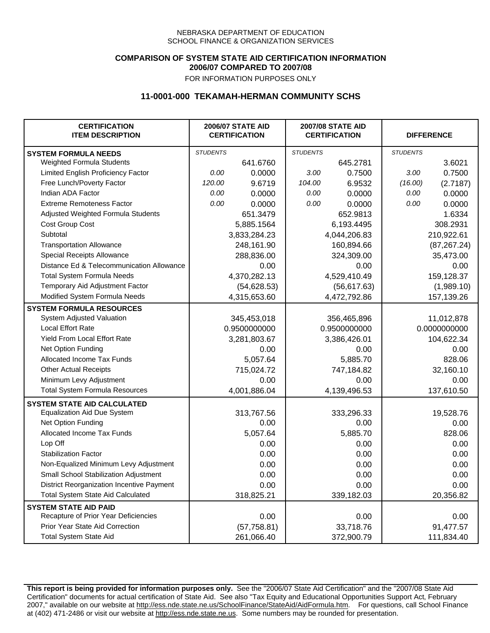### **COMPARISON OF SYSTEM STATE AID CERTIFICATION INFORMATION 2006/07 COMPARED TO 2007/08**

FOR INFORMATION PURPOSES ONLY

## **11-0001-000 TEKAMAH-HERMAN COMMUNITY SCHS**

| <b>CERTIFICATION</b><br><b>ITEM DESCRIPTION</b> |                 | <b>2006/07 STATE AID</b><br><b>CERTIFICATION</b> | <b>2007/08 STATE AID</b><br><b>CERTIFICATION</b> |              |                 | <b>DIFFERENCE</b> |
|-------------------------------------------------|-----------------|--------------------------------------------------|--------------------------------------------------|--------------|-----------------|-------------------|
| <b>SYSTEM FORMULA NEEDS</b>                     | <b>STUDENTS</b> |                                                  | <b>STUDENTS</b>                                  |              | <b>STUDENTS</b> |                   |
| Weighted Formula Students                       |                 | 641.6760                                         |                                                  | 645.2781     |                 | 3.6021            |
| Limited English Proficiency Factor              | 0.00            | 0.0000                                           | 3.00                                             | 0.7500       | 3.00            | 0.7500            |
| Free Lunch/Poverty Factor                       | 120.00          | 9.6719                                           | 104.00                                           | 6.9532       | (16.00)         | (2.7187)          |
| Indian ADA Factor                               | 0.00            | 0.0000                                           | 0.00                                             | 0.0000       | 0.00            | 0.0000            |
| <b>Extreme Remoteness Factor</b>                | 0.00            | 0.0000                                           | 0.00                                             | 0.0000       | 0.00            | 0.0000            |
| Adjusted Weighted Formula Students              |                 | 651.3479                                         |                                                  | 652.9813     |                 | 1.6334            |
| <b>Cost Group Cost</b>                          |                 | 5,885.1564                                       |                                                  | 6,193.4495   |                 | 308.2931          |
| Subtotal                                        |                 | 3,833,284.23                                     |                                                  | 4,044,206.83 |                 | 210,922.61        |
| <b>Transportation Allowance</b>                 |                 | 248,161.90                                       |                                                  | 160,894.66   |                 | (87, 267.24)      |
| Special Receipts Allowance                      |                 | 288,836.00                                       |                                                  | 324,309.00   |                 | 35,473.00         |
| Distance Ed & Telecommunication Allowance       |                 | 0.00                                             |                                                  | 0.00         |                 | 0.00              |
| <b>Total System Formula Needs</b>               |                 | 4,370,282.13                                     | 4,529,410.49                                     |              | 159,128.37      |                   |
| Temporary Aid Adjustment Factor                 |                 | (54, 628.53)                                     | (56, 617.63)                                     |              | (1,989.10)      |                   |
| Modified System Formula Needs                   |                 | 4,315,653.60                                     |                                                  | 4,472,792.86 |                 | 157,139.26        |
| <b>SYSTEM FORMULA RESOURCES</b>                 |                 |                                                  |                                                  |              |                 |                   |
| System Adjusted Valuation                       |                 | 345,453,018                                      |                                                  | 356,465,896  |                 | 11,012,878        |
| <b>Local Effort Rate</b>                        |                 | 0.9500000000                                     |                                                  | 0.9500000000 |                 | 0.0000000000      |
| Yield From Local Effort Rate                    |                 | 3,281,803.67                                     | 3,386,426.01                                     |              | 104,622.34      |                   |
| Net Option Funding                              |                 | 0.00                                             | 0.00                                             |              | 0.00            |                   |
| Allocated Income Tax Funds                      |                 | 5,057.64                                         | 5,885.70                                         |              | 828.06          |                   |
| <b>Other Actual Receipts</b>                    |                 | 715,024.72                                       | 747,184.82                                       |              | 32,160.10       |                   |
| Minimum Levy Adjustment                         |                 | 0.00                                             |                                                  | 0.00         |                 | 0.00              |
| <b>Total System Formula Resources</b>           |                 | 4,001,886.04                                     |                                                  | 4,139,496.53 |                 | 137,610.50        |
| <b>SYSTEM STATE AID CALCULATED</b>              |                 |                                                  |                                                  |              |                 |                   |
| <b>Equalization Aid Due System</b>              |                 | 313,767.56                                       |                                                  | 333,296.33   |                 | 19,528.76         |
| Net Option Funding                              |                 | 0.00                                             |                                                  | 0.00         |                 | 0.00              |
| Allocated Income Tax Funds                      |                 | 5,057.64                                         |                                                  | 5,885.70     |                 | 828.06            |
| Lop Off                                         |                 | 0.00                                             |                                                  | 0.00         |                 | 0.00              |
| <b>Stabilization Factor</b>                     |                 | 0.00                                             |                                                  | 0.00         |                 | 0.00              |
| Non-Equalized Minimum Levy Adjustment           |                 | 0.00                                             |                                                  | 0.00         |                 | 0.00              |
| Small School Stabilization Adjustment           |                 | 0.00                                             |                                                  | 0.00         |                 | 0.00              |
| District Reorganization Incentive Payment       |                 | 0.00                                             |                                                  | 0.00         |                 | 0.00              |
| <b>Total System State Aid Calculated</b>        |                 | 318,825.21                                       |                                                  | 339,182.03   |                 | 20,356.82         |
| <b>SYSTEM STATE AID PAID</b>                    |                 |                                                  |                                                  |              |                 |                   |
| Recapture of Prior Year Deficiencies            |                 | 0.00                                             |                                                  | 0.00         |                 | 0.00              |
| Prior Year State Aid Correction                 |                 | (57, 758.81)                                     |                                                  | 33,718.76    |                 | 91,477.57         |
| <b>Total System State Aid</b>                   |                 | 261,066.40                                       |                                                  | 372,900.79   |                 | 111,834.40        |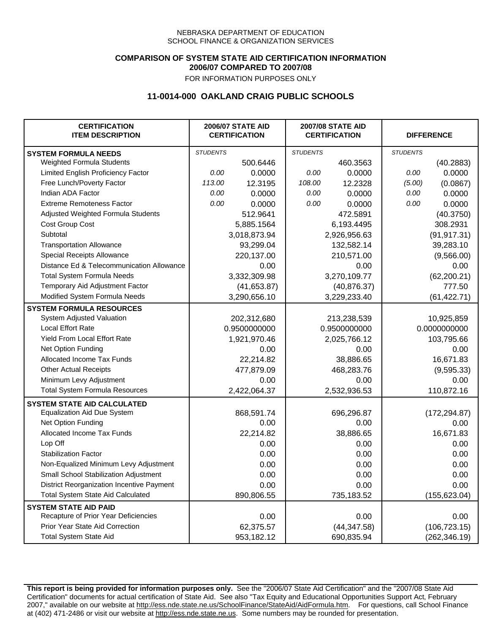### **COMPARISON OF SYSTEM STATE AID CERTIFICATION INFORMATION 2006/07 COMPARED TO 2007/08**

FOR INFORMATION PURPOSES ONLY

## **11-0014-000 OAKLAND CRAIG PUBLIC SCHOOLS**

| <b>CERTIFICATION</b><br><b>ITEM DESCRIPTION</b> |                 | <b>2006/07 STATE AID</b><br><b>CERTIFICATION</b> | <b>2007/08 STATE AID</b><br><b>CERTIFICATION</b> |              | <b>DIFFERENCE</b> |               |
|-------------------------------------------------|-----------------|--------------------------------------------------|--------------------------------------------------|--------------|-------------------|---------------|
| <b>SYSTEM FORMULA NEEDS</b>                     | <b>STUDENTS</b> |                                                  | <b>STUDENTS</b>                                  |              | <b>STUDENTS</b>   |               |
| Weighted Formula Students                       |                 | 500.6446                                         |                                                  | 460.3563     |                   | (40.2883)     |
| Limited English Proficiency Factor              | 0.00            | 0.0000                                           | 0.00                                             | 0.0000       | 0.00              | 0.0000        |
| Free Lunch/Poverty Factor                       | 113.00          | 12.3195                                          | 108.00                                           | 12.2328      | (5.00)            | (0.0867)      |
| Indian ADA Factor                               | 0.00            | 0.0000                                           | 0.00                                             | 0.0000       | 0.00              | 0.0000        |
| <b>Extreme Remoteness Factor</b>                | 0.00            | 0.0000                                           | 0.00                                             | 0.0000       | 0.00              | 0.0000        |
| Adjusted Weighted Formula Students              |                 | 512.9641                                         |                                                  | 472.5891     |                   | (40.3750)     |
| Cost Group Cost                                 |                 | 5,885.1564                                       |                                                  | 6,193.4495   |                   | 308.2931      |
| Subtotal                                        |                 | 3,018,873.94                                     |                                                  | 2,926,956.63 |                   | (91, 917.31)  |
| <b>Transportation Allowance</b>                 |                 | 93,299.04                                        |                                                  | 132,582.14   |                   | 39,283.10     |
| Special Receipts Allowance                      |                 | 220,137.00                                       |                                                  | 210,571.00   |                   | (9,566.00)    |
| Distance Ed & Telecommunication Allowance       |                 | 0.00                                             |                                                  | 0.00         |                   | 0.00          |
| <b>Total System Formula Needs</b>               |                 | 3,332,309.98                                     |                                                  | 3,270,109.77 |                   | (62, 200.21)  |
| Temporary Aid Adjustment Factor                 |                 | (41, 653.87)                                     | (40, 876.37)                                     |              | 777.50            |               |
| Modified System Formula Needs                   |                 | 3,290,656.10                                     |                                                  | 3,229,233.40 |                   | (61, 422.71)  |
| <b>SYSTEM FORMULA RESOURCES</b>                 |                 |                                                  |                                                  |              |                   |               |
| System Adjusted Valuation                       |                 | 202,312,680                                      |                                                  | 213,238,539  |                   | 10,925,859    |
| <b>Local Effort Rate</b>                        |                 | 0.9500000000                                     |                                                  | 0.9500000000 | 0.0000000000      |               |
| Yield From Local Effort Rate                    |                 | 1,921,970.46                                     | 2,025,766.12                                     |              | 103,795.66        |               |
| Net Option Funding                              |                 | 0.00                                             | 0.00                                             |              | 0.00              |               |
| Allocated Income Tax Funds                      |                 | 22,214.82                                        | 38,886.65                                        |              | 16,671.83         |               |
| <b>Other Actual Receipts</b>                    |                 | 477,879.09                                       | 468,283.76                                       |              | (9,595.33)        |               |
| Minimum Levy Adjustment                         |                 | 0.00                                             | 0.00                                             |              |                   | 0.00          |
| <b>Total System Formula Resources</b>           |                 | 2,422,064.37                                     |                                                  | 2,532,936.53 |                   | 110,872.16    |
| <b>SYSTEM STATE AID CALCULATED</b>              |                 |                                                  |                                                  |              |                   |               |
| <b>Equalization Aid Due System</b>              |                 | 868,591.74                                       |                                                  | 696,296.87   |                   | (172, 294.87) |
| Net Option Funding                              |                 | 0.00                                             |                                                  | 0.00         |                   | 0.00          |
| Allocated Income Tax Funds                      |                 | 22,214.82                                        |                                                  | 38,886.65    |                   | 16,671.83     |
| Lop Off                                         |                 | 0.00                                             |                                                  | 0.00         |                   | 0.00          |
| <b>Stabilization Factor</b>                     |                 | 0.00                                             |                                                  | 0.00         |                   | 0.00          |
| Non-Equalized Minimum Levy Adjustment           |                 | 0.00                                             |                                                  | 0.00         |                   | 0.00          |
| Small School Stabilization Adjustment           |                 | 0.00                                             |                                                  | 0.00         |                   | 0.00          |
| District Reorganization Incentive Payment       |                 | 0.00                                             |                                                  | 0.00         |                   | 0.00          |
| <b>Total System State Aid Calculated</b>        |                 | 890,806.55                                       |                                                  | 735,183.52   |                   | (155, 623.04) |
| <b>SYSTEM STATE AID PAID</b>                    |                 |                                                  |                                                  |              |                   |               |
| Recapture of Prior Year Deficiencies            |                 | 0.00                                             |                                                  | 0.00         |                   | 0.00          |
| Prior Year State Aid Correction                 |                 | 62,375.57                                        |                                                  | (44, 347.58) |                   | (106, 723.15) |
| <b>Total System State Aid</b>                   |                 | 953,182.12                                       |                                                  | 690,835.94   |                   | (262, 346.19) |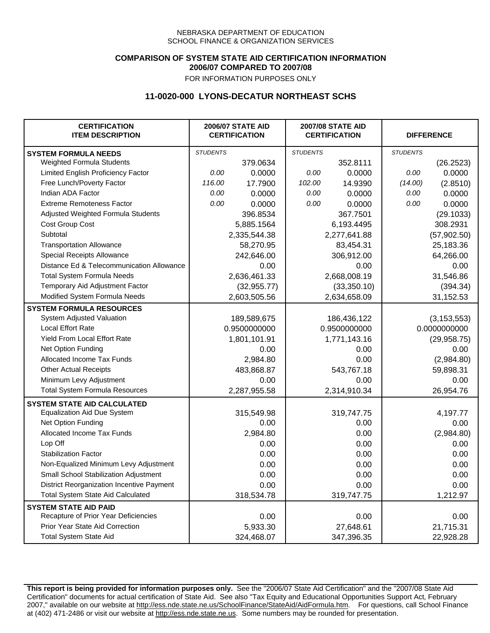### **COMPARISON OF SYSTEM STATE AID CERTIFICATION INFORMATION 2006/07 COMPARED TO 2007/08**

FOR INFORMATION PURPOSES ONLY

## **11-0020-000 LYONS-DECATUR NORTHEAST SCHS**

| <b>CERTIFICATION</b><br><b>ITEM DESCRIPTION</b> |                 | <b>2006/07 STATE AID</b><br><b>CERTIFICATION</b> | <b>2007/08 STATE AID</b><br><b>CERTIFICATION</b> |              | <b>DIFFERENCE</b> |               |
|-------------------------------------------------|-----------------|--------------------------------------------------|--------------------------------------------------|--------------|-------------------|---------------|
| <b>SYSTEM FORMULA NEEDS</b>                     | <b>STUDENTS</b> |                                                  | <b>STUDENTS</b>                                  |              | <b>STUDENTS</b>   |               |
| Weighted Formula Students                       |                 | 379.0634                                         |                                                  | 352.8111     |                   | (26.2523)     |
| Limited English Proficiency Factor              | 0.00            | 0.0000                                           | 0.00                                             | 0.0000       | 0.00              | 0.0000        |
| Free Lunch/Poverty Factor                       | 116.00          | 17.7900                                          | 102.00                                           | 14.9390      | (14.00)           | (2.8510)      |
| Indian ADA Factor                               | 0.00            | 0.0000                                           | 0.00                                             | 0.0000       | 0.00              | 0.0000        |
| <b>Extreme Remoteness Factor</b>                | 0.00            | 0.0000                                           | 0.00                                             | 0.0000       | 0.00              | 0.0000        |
| Adjusted Weighted Formula Students              |                 | 396.8534                                         |                                                  | 367.7501     |                   | (29.1033)     |
| Cost Group Cost                                 |                 | 5,885.1564                                       |                                                  | 6,193.4495   |                   | 308.2931      |
| Subtotal                                        |                 | 2,335,544.38                                     |                                                  | 2,277,641.88 |                   | (57,902.50)   |
| <b>Transportation Allowance</b>                 |                 | 58,270.95                                        |                                                  | 83,454.31    |                   | 25,183.36     |
| Special Receipts Allowance                      |                 | 242,646.00                                       |                                                  | 306,912.00   |                   | 64,266.00     |
| Distance Ed & Telecommunication Allowance       |                 | 0.00                                             |                                                  | 0.00         |                   | 0.00          |
| <b>Total System Formula Needs</b>               |                 | 2,636,461.33                                     | 2,668,008.19                                     |              | 31,546.86         |               |
| Temporary Aid Adjustment Factor                 |                 | (32, 955.77)                                     | (33,350.10)                                      |              | (394.34)          |               |
| Modified System Formula Needs                   |                 | 2,603,505.56                                     |                                                  | 2,634,658.09 |                   | 31,152.53     |
| <b>SYSTEM FORMULA RESOURCES</b>                 |                 |                                                  |                                                  |              |                   |               |
| System Adjusted Valuation                       |                 | 189,589,675                                      |                                                  | 186,436,122  |                   | (3, 153, 553) |
| <b>Local Effort Rate</b>                        |                 | 0.9500000000                                     |                                                  | 0.9500000000 |                   | 0.0000000000  |
| Yield From Local Effort Rate                    |                 | 1,801,101.91                                     | 1,771,143.16                                     |              | (29, 958.75)      |               |
| Net Option Funding                              |                 | 0.00                                             | 0.00                                             |              | 0.00              |               |
| Allocated Income Tax Funds                      |                 | 2,984.80                                         | 0.00                                             |              | (2,984.80)        |               |
| <b>Other Actual Receipts</b>                    |                 | 483,868.87                                       | 543,767.18                                       |              | 59,898.31         |               |
| Minimum Levy Adjustment                         |                 | 0.00                                             | 0.00                                             |              |                   | 0.00          |
| <b>Total System Formula Resources</b>           |                 | 2,287,955.58                                     |                                                  | 2,314,910.34 |                   | 26,954.76     |
| <b>SYSTEM STATE AID CALCULATED</b>              |                 |                                                  |                                                  |              |                   |               |
| <b>Equalization Aid Due System</b>              |                 | 315,549.98                                       |                                                  | 319,747.75   |                   | 4,197.77      |
| Net Option Funding                              |                 | 0.00                                             |                                                  | 0.00         |                   | 0.00          |
| Allocated Income Tax Funds                      |                 | 2,984.80                                         |                                                  | 0.00         |                   | (2,984.80)    |
| Lop Off                                         |                 | 0.00                                             |                                                  | 0.00         |                   | 0.00          |
| <b>Stabilization Factor</b>                     |                 | 0.00                                             |                                                  | 0.00         |                   | 0.00          |
| Non-Equalized Minimum Levy Adjustment           |                 | 0.00                                             |                                                  | 0.00         |                   | 0.00          |
| Small School Stabilization Adjustment           |                 | 0.00                                             |                                                  | 0.00         |                   | 0.00          |
| District Reorganization Incentive Payment       |                 | 0.00                                             |                                                  | 0.00         |                   | 0.00          |
| <b>Total System State Aid Calculated</b>        |                 | 318,534.78                                       |                                                  | 319,747.75   |                   | 1,212.97      |
| <b>SYSTEM STATE AID PAID</b>                    |                 |                                                  |                                                  |              |                   |               |
| Recapture of Prior Year Deficiencies            |                 | 0.00                                             |                                                  | 0.00         |                   | 0.00          |
| Prior Year State Aid Correction                 |                 | 5,933.30                                         |                                                  | 27,648.61    |                   | 21,715.31     |
| <b>Total System State Aid</b>                   |                 | 324,468.07                                       |                                                  | 347,396.35   |                   | 22,928.28     |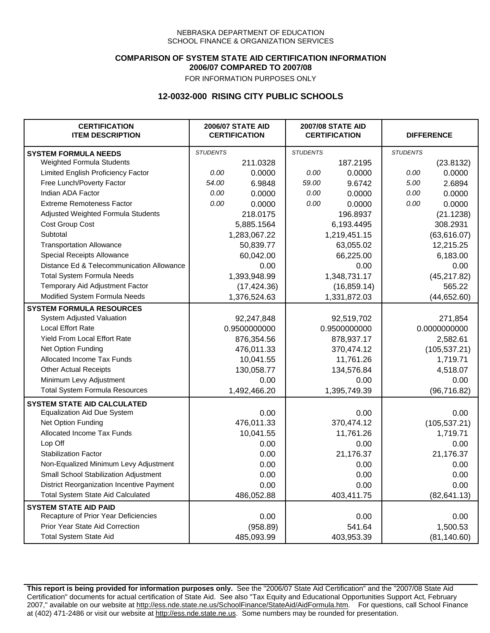### **COMPARISON OF SYSTEM STATE AID CERTIFICATION INFORMATION 2006/07 COMPARED TO 2007/08**

FOR INFORMATION PURPOSES ONLY

## **12-0032-000 RISING CITY PUBLIC SCHOOLS**

| <b>CERTIFICATION</b><br><b>ITEM DESCRIPTION</b>  |                 | <b>2006/07 STATE AID</b><br><b>CERTIFICATION</b> | <b>2007/08 STATE AID</b><br><b>CERTIFICATION</b> |              | <b>DIFFERENCE</b> |               |
|--------------------------------------------------|-----------------|--------------------------------------------------|--------------------------------------------------|--------------|-------------------|---------------|
| <b>SYSTEM FORMULA NEEDS</b>                      | <b>STUDENTS</b> |                                                  | <b>STUDENTS</b>                                  |              | <b>STUDENTS</b>   |               |
| Weighted Formula Students                        |                 | 211.0328                                         |                                                  | 187.2195     |                   | (23.8132)     |
| Limited English Proficiency Factor               | 0.00            | 0.0000                                           | 0.00                                             | 0.0000       | 0.00              | 0.0000        |
| Free Lunch/Poverty Factor                        | 54.00           | 6.9848                                           | 59.00                                            | 9.6742       | 5.00              | 2.6894        |
| Indian ADA Factor                                | 0.00            | 0.0000                                           | 0.00                                             | 0.0000       | 0.00              | 0.0000        |
| <b>Extreme Remoteness Factor</b>                 | 0.00            | 0.0000                                           | 0.00                                             | 0.0000       | 0.00              | 0.0000        |
| Adjusted Weighted Formula Students               |                 | 218.0175                                         |                                                  | 196.8937     |                   | (21.1238)     |
| Cost Group Cost                                  |                 | 5,885.1564                                       |                                                  | 6,193.4495   |                   | 308.2931      |
| Subtotal                                         |                 | 1,283,067.22                                     |                                                  | 1,219,451.15 |                   | (63, 616.07)  |
| <b>Transportation Allowance</b>                  |                 | 50,839.77                                        |                                                  | 63,055.02    |                   | 12,215.25     |
| Special Receipts Allowance                       |                 | 60,042.00                                        |                                                  | 66,225.00    |                   | 6,183.00      |
| Distance Ed & Telecommunication Allowance        |                 | 0.00                                             |                                                  | 0.00         |                   | 0.00          |
| <b>Total System Formula Needs</b>                |                 | 1,393,948.99                                     |                                                  | 1,348,731.17 |                   | (45, 217.82)  |
| Temporary Aid Adjustment Factor                  |                 | (17, 424.36)                                     | (16, 859.14)                                     |              | 565.22            |               |
| Modified System Formula Needs                    |                 | 1,376,524.63                                     |                                                  | 1,331,872.03 |                   | (44, 652.60)  |
| <b>SYSTEM FORMULA RESOURCES</b>                  |                 |                                                  |                                                  |              |                   |               |
| System Adjusted Valuation                        |                 | 92,247,848                                       |                                                  | 92,519,702   |                   | 271,854       |
| <b>Local Effort Rate</b>                         |                 | 0.9500000000                                     |                                                  | 0.9500000000 |                   | 0.0000000000  |
| Yield From Local Effort Rate                     |                 | 876,354.56                                       |                                                  | 878,937.17   |                   | 2,582.61      |
| Net Option Funding                               |                 | 476,011.33                                       |                                                  | 370,474.12   |                   | (105, 537.21) |
| Allocated Income Tax Funds                       |                 | 10,041.55                                        |                                                  | 11,761.26    |                   | 1,719.71      |
| <b>Other Actual Receipts</b>                     |                 | 130,058.77                                       |                                                  | 134,576.84   |                   | 4,518.07      |
| Minimum Levy Adjustment                          |                 | 0.00                                             |                                                  | 0.00         |                   | 0.00          |
| <b>Total System Formula Resources</b>            |                 | 1,492,466.20                                     |                                                  | 1,395,749.39 |                   | (96, 716.82)  |
| <b>SYSTEM STATE AID CALCULATED</b>               |                 |                                                  |                                                  |              |                   |               |
| <b>Equalization Aid Due System</b>               |                 | 0.00                                             |                                                  | 0.00         |                   | 0.00          |
| Net Option Funding                               |                 | 476,011.33                                       |                                                  | 370,474.12   |                   | (105, 537.21) |
| Allocated Income Tax Funds                       |                 | 10,041.55                                        |                                                  | 11,761.26    |                   | 1,719.71      |
| Lop Off                                          |                 | 0.00                                             |                                                  | 0.00         |                   | 0.00          |
| <b>Stabilization Factor</b>                      |                 | 0.00                                             |                                                  | 21,176.37    |                   | 21,176.37     |
| Non-Equalized Minimum Levy Adjustment            |                 | 0.00                                             |                                                  | 0.00         |                   | 0.00          |
| Small School Stabilization Adjustment            |                 | 0.00                                             |                                                  | 0.00         |                   | 0.00          |
| <b>District Reorganization Incentive Payment</b> |                 | 0.00                                             |                                                  | 0.00         |                   | 0.00          |
| <b>Total System State Aid Calculated</b>         |                 | 486,052.88                                       |                                                  | 403,411.75   |                   | (82, 641.13)  |
| <b>SYSTEM STATE AID PAID</b>                     |                 |                                                  |                                                  |              |                   |               |
| Recapture of Prior Year Deficiencies             |                 | 0.00                                             |                                                  | 0.00         |                   | 0.00          |
| Prior Year State Aid Correction                  |                 | (958.89)                                         |                                                  | 541.64       |                   | 1,500.53      |
| <b>Total System State Aid</b>                    |                 | 485,093.99                                       |                                                  | 403,953.39   |                   | (81, 140.60)  |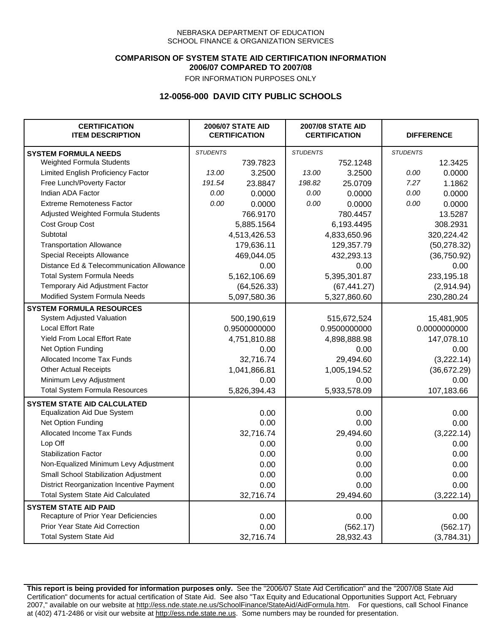### **COMPARISON OF SYSTEM STATE AID CERTIFICATION INFORMATION 2006/07 COMPARED TO 2007/08**

FOR INFORMATION PURPOSES ONLY

# **12-0056-000 DAVID CITY PUBLIC SCHOOLS**

| <b>CERTIFICATION</b><br><b>ITEM DESCRIPTION</b> |                 | <b>2006/07 STATE AID</b><br><b>CERTIFICATION</b> | <b>2007/08 STATE AID</b><br><b>CERTIFICATION</b> |              | <b>DIFFERENCE</b> |              |  |
|-------------------------------------------------|-----------------|--------------------------------------------------|--------------------------------------------------|--------------|-------------------|--------------|--|
| <b>SYSTEM FORMULA NEEDS</b>                     | <b>STUDENTS</b> |                                                  | <b>STUDENTS</b>                                  |              | <b>STUDENTS</b>   |              |  |
| Weighted Formula Students                       |                 | 739.7823                                         |                                                  | 752.1248     |                   | 12.3425      |  |
| Limited English Proficiency Factor              | 13.00           | 3.2500                                           | 13.00                                            | 3.2500       | 0.00              | 0.0000       |  |
| Free Lunch/Poverty Factor                       | 191.54          | 23.8847                                          | 198.82                                           | 25.0709      | 7.27              | 1.1862       |  |
| Indian ADA Factor                               | 0.00            | 0.0000                                           | 0.00                                             | 0.0000       | 0.00              | 0.0000       |  |
| <b>Extreme Remoteness Factor</b>                | 0.00            | 0.0000                                           | 0.00                                             | 0.0000       | 0.00              | 0.0000       |  |
| Adjusted Weighted Formula Students              |                 | 766.9170                                         |                                                  | 780.4457     |                   | 13.5287      |  |
| Cost Group Cost                                 |                 | 5,885.1564                                       |                                                  | 6,193.4495   |                   | 308.2931     |  |
| Subtotal                                        |                 | 4,513,426.53                                     |                                                  | 4,833,650.96 |                   | 320,224.42   |  |
| <b>Transportation Allowance</b>                 |                 | 179,636.11                                       |                                                  | 129,357.79   |                   | (50, 278.32) |  |
| Special Receipts Allowance                      |                 | 469,044.05                                       |                                                  | 432,293.13   |                   | (36,750.92)  |  |
| Distance Ed & Telecommunication Allowance       |                 | 0.00                                             |                                                  | 0.00         |                   | 0.00         |  |
| <b>Total System Formula Needs</b>               |                 | 5,162,106.69                                     |                                                  | 5,395,301.87 | 233,195.18        |              |  |
| Temporary Aid Adjustment Factor                 |                 | (64, 526.33)                                     |                                                  | (67, 441.27) |                   | (2,914.94)   |  |
| Modified System Formula Needs                   |                 | 5,097,580.36                                     |                                                  | 5,327,860.60 |                   | 230,280.24   |  |
| <b>SYSTEM FORMULA RESOURCES</b>                 |                 |                                                  |                                                  |              |                   |              |  |
| System Adjusted Valuation                       |                 | 500,190,619                                      |                                                  | 515,672,524  |                   | 15,481,905   |  |
| <b>Local Effort Rate</b>                        |                 | 0.9500000000                                     |                                                  | 0.9500000000 |                   | 0.0000000000 |  |
| Yield From Local Effort Rate                    |                 | 4,751,810.88                                     |                                                  | 4,898,888.98 |                   | 147,078.10   |  |
| Net Option Funding                              |                 | 0.00                                             |                                                  | 0.00         |                   | 0.00         |  |
| Allocated Income Tax Funds                      |                 | 32,716.74                                        |                                                  | 29,494.60    |                   | (3,222.14)   |  |
| <b>Other Actual Receipts</b>                    |                 | 1,041,866.81                                     | 1,005,194.52                                     |              | (36,672.29)       |              |  |
| Minimum Levy Adjustment                         |                 | 0.00                                             | 0.00                                             |              |                   | 0.00         |  |
| <b>Total System Formula Resources</b>           |                 | 5,826,394.43                                     |                                                  | 5,933,578.09 |                   | 107,183.66   |  |
| <b>SYSTEM STATE AID CALCULATED</b>              |                 |                                                  |                                                  |              |                   |              |  |
| <b>Equalization Aid Due System</b>              |                 | 0.00                                             |                                                  | 0.00         |                   | 0.00         |  |
| Net Option Funding                              |                 | 0.00                                             |                                                  | 0.00         |                   | 0.00         |  |
| Allocated Income Tax Funds                      |                 | 32,716.74                                        |                                                  | 29,494.60    |                   | (3,222.14)   |  |
| Lop Off                                         |                 | 0.00                                             |                                                  | 0.00         |                   | 0.00         |  |
| <b>Stabilization Factor</b>                     |                 | 0.00                                             |                                                  | 0.00         |                   | 0.00         |  |
| Non-Equalized Minimum Levy Adjustment           |                 | 0.00                                             |                                                  | 0.00         |                   | 0.00         |  |
| Small School Stabilization Adjustment           |                 | 0.00                                             |                                                  | 0.00         |                   | 0.00         |  |
| District Reorganization Incentive Payment       |                 | 0.00                                             |                                                  | 0.00         |                   | 0.00         |  |
| <b>Total System State Aid Calculated</b>        |                 | 32,716.74                                        |                                                  | 29,494.60    |                   | (3,222.14)   |  |
| <b>SYSTEM STATE AID PAID</b>                    |                 |                                                  |                                                  |              |                   |              |  |
| Recapture of Prior Year Deficiencies            |                 | 0.00                                             |                                                  | 0.00         |                   | 0.00         |  |
| Prior Year State Aid Correction                 |                 | 0.00                                             |                                                  | (562.17)     |                   | (562.17)     |  |
| <b>Total System State Aid</b>                   |                 | 32,716.74                                        |                                                  | 28,932.43    |                   | (3,784.31)   |  |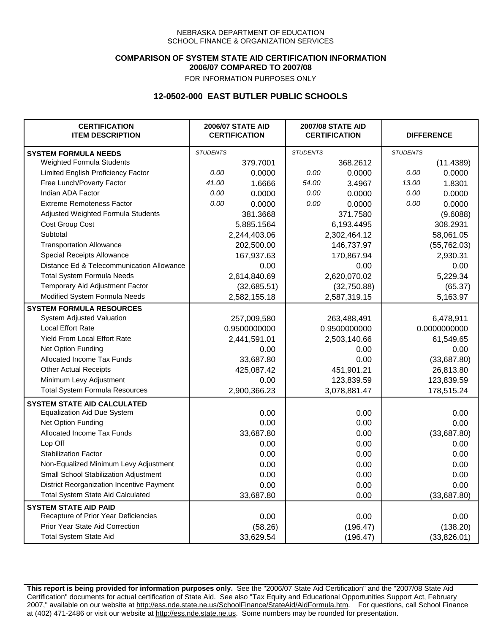### **COMPARISON OF SYSTEM STATE AID CERTIFICATION INFORMATION 2006/07 COMPARED TO 2007/08**

FOR INFORMATION PURPOSES ONLY

## **12-0502-000 EAST BUTLER PUBLIC SCHOOLS**

| <b>CERTIFICATION</b><br><b>ITEM DESCRIPTION</b> | <b>2006/07 STATE AID</b><br><b>CERTIFICATION</b> |              | <b>2007/08 STATE AID</b><br><b>CERTIFICATION</b> |              | <b>DIFFERENCE</b> |              |
|-------------------------------------------------|--------------------------------------------------|--------------|--------------------------------------------------|--------------|-------------------|--------------|
| <b>SYSTEM FORMULA NEEDS</b>                     | <b>STUDENTS</b>                                  |              | <b>STUDENTS</b>                                  |              | <b>STUDENTS</b>   |              |
| Weighted Formula Students                       |                                                  | 379.7001     |                                                  | 368.2612     |                   | (11.4389)    |
| Limited English Proficiency Factor              | 0.00                                             | 0.0000       | 0.00                                             | 0.0000       | 0.00              | 0.0000       |
| Free Lunch/Poverty Factor                       | 41.00                                            | 1.6666       | 54.00                                            | 3.4967       | 13.00             | 1.8301       |
| Indian ADA Factor                               | 0.00                                             | 0.0000       | 0.00                                             | 0.0000       | 0.00              | 0.0000       |
| <b>Extreme Remoteness Factor</b>                | 0.00                                             | 0.0000       | 0.00                                             | 0.0000       | 0.00              | 0.0000       |
| Adjusted Weighted Formula Students              |                                                  | 381.3668     |                                                  | 371.7580     |                   | (9.6088)     |
| Cost Group Cost                                 |                                                  | 5,885.1564   |                                                  | 6,193.4495   |                   | 308.2931     |
| Subtotal                                        |                                                  | 2,244,403.06 |                                                  | 2,302,464.12 |                   | 58,061.05    |
| <b>Transportation Allowance</b>                 |                                                  | 202,500.00   |                                                  | 146,737.97   |                   | (55, 762.03) |
| Special Receipts Allowance                      |                                                  | 167,937.63   |                                                  | 170,867.94   |                   | 2,930.31     |
| Distance Ed & Telecommunication Allowance       |                                                  | 0.00         |                                                  | 0.00         |                   | 0.00         |
| <b>Total System Formula Needs</b>               |                                                  | 2,614,840.69 |                                                  | 2,620,070.02 |                   | 5,229.34     |
| Temporary Aid Adjustment Factor                 |                                                  | (32,685.51)  | (32,750.88)                                      |              | (65.37)           |              |
| Modified System Formula Needs                   |                                                  | 2,582,155.18 |                                                  | 2,587,319.15 |                   | 5,163.97     |
| <b>SYSTEM FORMULA RESOURCES</b>                 |                                                  |              |                                                  |              |                   |              |
| System Adjusted Valuation                       |                                                  | 257,009,580  |                                                  | 263,488,491  |                   | 6,478,911    |
| <b>Local Effort Rate</b>                        |                                                  | 0.9500000000 |                                                  | 0.9500000000 |                   | 0.0000000000 |
| <b>Yield From Local Effort Rate</b>             |                                                  | 2,441,591.01 |                                                  | 2,503,140.66 |                   | 61,549.65    |
| Net Option Funding                              |                                                  | 0.00         |                                                  | 0.00         |                   | 0.00         |
| Allocated Income Tax Funds                      |                                                  | 33,687.80    |                                                  | 0.00         |                   | (33,687.80)  |
| <b>Other Actual Receipts</b>                    |                                                  | 425,087.42   | 451,901.21                                       |              | 26,813.80         |              |
| Minimum Levy Adjustment                         |                                                  | 0.00         |                                                  | 123,839.59   |                   | 123,839.59   |
| <b>Total System Formula Resources</b>           |                                                  | 2,900,366.23 |                                                  | 3,078,881.47 |                   | 178,515.24   |
| <b>SYSTEM STATE AID CALCULATED</b>              |                                                  |              |                                                  |              |                   |              |
| <b>Equalization Aid Due System</b>              |                                                  | 0.00         |                                                  | 0.00         |                   | 0.00         |
| Net Option Funding                              |                                                  | 0.00         |                                                  | 0.00         |                   | 0.00         |
| Allocated Income Tax Funds                      |                                                  | 33,687.80    |                                                  | 0.00         |                   | (33,687.80)  |
| Lop Off                                         |                                                  | 0.00         |                                                  | 0.00         |                   | 0.00         |
| <b>Stabilization Factor</b>                     |                                                  | 0.00         |                                                  | 0.00         |                   | 0.00         |
| Non-Equalized Minimum Levy Adjustment           |                                                  | 0.00         |                                                  | 0.00         |                   | 0.00         |
| Small School Stabilization Adjustment           |                                                  | 0.00         |                                                  | 0.00         |                   | 0.00         |
| District Reorganization Incentive Payment       |                                                  | 0.00         |                                                  | 0.00         |                   | 0.00         |
| <b>Total System State Aid Calculated</b>        |                                                  | 33,687.80    |                                                  | 0.00         |                   | (33,687.80)  |
| <b>SYSTEM STATE AID PAID</b>                    |                                                  |              |                                                  |              |                   |              |
| Recapture of Prior Year Deficiencies            |                                                  | 0.00         |                                                  | 0.00         |                   | 0.00         |
| Prior Year State Aid Correction                 |                                                  | (58.26)      |                                                  | (196.47)     |                   | (138.20)     |
| <b>Total System State Aid</b>                   |                                                  | 33,629.54    |                                                  | (196.47)     |                   | (33,826.01)  |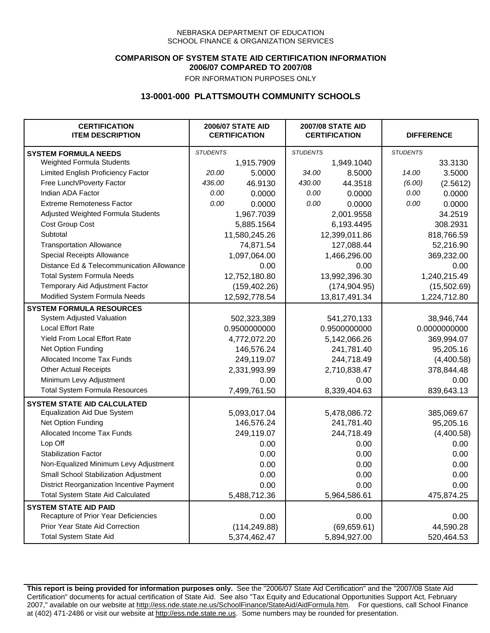### **COMPARISON OF SYSTEM STATE AID CERTIFICATION INFORMATION 2006/07 COMPARED TO 2007/08**

FOR INFORMATION PURPOSES ONLY

## **13-0001-000 PLATTSMOUTH COMMUNITY SCHOOLS**

| <b>CERTIFICATION</b><br><b>ITEM DESCRIPTION</b> |                 | <b>2006/07 STATE AID</b><br><b>CERTIFICATION</b> | <b>2007/08 STATE AID</b><br><b>CERTIFICATION</b> |               | <b>DIFFERENCE</b> |            |
|-------------------------------------------------|-----------------|--------------------------------------------------|--------------------------------------------------|---------------|-------------------|------------|
| <b>SYSTEM FORMULA NEEDS</b>                     | <b>STUDENTS</b> |                                                  | <b>STUDENTS</b>                                  |               | <b>STUDENTS</b>   |            |
| Weighted Formula Students                       |                 | 1,915.7909                                       |                                                  | 1,949.1040    |                   | 33.3130    |
| Limited English Proficiency Factor              | 20.00           | 5.0000                                           | 34.00                                            | 8.5000        | 14.00             | 3.5000     |
| Free Lunch/Poverty Factor                       | 436.00          | 46.9130                                          | 430.00                                           | 44.3518       | (6.00)            | (2.5612)   |
| Indian ADA Factor                               | 0.00            | 0.0000                                           | 0.00                                             | 0.0000        | 0.00              | 0.0000     |
| <b>Extreme Remoteness Factor</b>                | 0.00            | 0.0000                                           | 0.00                                             | 0.0000        | 0.00              | 0.0000     |
| Adjusted Weighted Formula Students              |                 | 1,967.7039                                       |                                                  | 2,001.9558    |                   | 34.2519    |
| Cost Group Cost                                 |                 | 5,885.1564                                       |                                                  | 6,193.4495    |                   | 308.2931   |
| Subtotal                                        |                 | 11,580,245.26                                    |                                                  | 12,399,011.86 |                   | 818,766.59 |
| <b>Transportation Allowance</b>                 |                 | 74,871.54                                        |                                                  | 127,088.44    |                   | 52,216.90  |
| Special Receipts Allowance                      |                 | 1,097,064.00                                     |                                                  | 1,466,296.00  |                   | 369,232.00 |
| Distance Ed & Telecommunication Allowance       |                 | 0.00                                             |                                                  | 0.00          |                   | 0.00       |
| <b>Total System Formula Needs</b>               |                 | 12,752,180.80                                    |                                                  | 13,992,396.30 | 1,240,215.49      |            |
| Temporary Aid Adjustment Factor                 |                 | (159, 402.26)                                    | (174, 904.95)                                    |               | (15,502.69)       |            |
| Modified System Formula Needs                   |                 | 12,592,778.54                                    | 13,817,491.34                                    |               | 1,224,712.80      |            |
| <b>SYSTEM FORMULA RESOURCES</b>                 |                 |                                                  |                                                  |               |                   |            |
| System Adjusted Valuation                       |                 | 502,323,389                                      |                                                  | 541,270,133   |                   | 38,946,744 |
| <b>Local Effort Rate</b>                        |                 | 0.9500000000                                     |                                                  | 0.9500000000  | 0.0000000000      |            |
| Yield From Local Effort Rate                    |                 | 4,772,072.20                                     | 5,142,066.26                                     |               | 369,994.07        |            |
| Net Option Funding                              |                 | 146,576.24                                       | 241,781.40                                       |               | 95,205.16         |            |
| Allocated Income Tax Funds                      |                 | 249,119.07                                       | 244,718.49                                       |               | (4,400.58)        |            |
| <b>Other Actual Receipts</b>                    |                 | 2,331,993.99                                     | 2,710,838.47                                     |               | 378,844.48        |            |
| Minimum Levy Adjustment                         |                 | 0.00                                             |                                                  | 0.00          |                   | 0.00       |
| <b>Total System Formula Resources</b>           |                 | 7,499,761.50                                     |                                                  | 8,339,404.63  |                   | 839,643.13 |
| <b>SYSTEM STATE AID CALCULATED</b>              |                 |                                                  |                                                  |               |                   |            |
| <b>Equalization Aid Due System</b>              |                 | 5,093,017.04                                     |                                                  | 5,478,086.72  |                   | 385,069.67 |
| Net Option Funding                              |                 | 146,576.24                                       |                                                  | 241,781.40    |                   | 95,205.16  |
| Allocated Income Tax Funds                      |                 | 249,119.07                                       |                                                  | 244,718.49    |                   | (4,400.58) |
| Lop Off                                         |                 | 0.00                                             |                                                  | 0.00          |                   | 0.00       |
| <b>Stabilization Factor</b>                     |                 | 0.00                                             |                                                  | 0.00          |                   | 0.00       |
| Non-Equalized Minimum Levy Adjustment           |                 | 0.00                                             |                                                  | 0.00          |                   | 0.00       |
| Small School Stabilization Adjustment           |                 | 0.00                                             |                                                  | 0.00          |                   | 0.00       |
| District Reorganization Incentive Payment       |                 | 0.00                                             |                                                  | 0.00          |                   | 0.00       |
| <b>Total System State Aid Calculated</b>        |                 | 5,488,712.36                                     |                                                  | 5,964,586.61  |                   | 475,874.25 |
| <b>SYSTEM STATE AID PAID</b>                    |                 |                                                  |                                                  |               |                   |            |
| Recapture of Prior Year Deficiencies            |                 | 0.00                                             |                                                  | 0.00          |                   | 0.00       |
| Prior Year State Aid Correction                 |                 | (114, 249.88)                                    |                                                  | (69, 659.61)  |                   | 44,590.28  |
| <b>Total System State Aid</b>                   |                 | 5,374,462.47                                     |                                                  | 5,894,927.00  | 520,464.53        |            |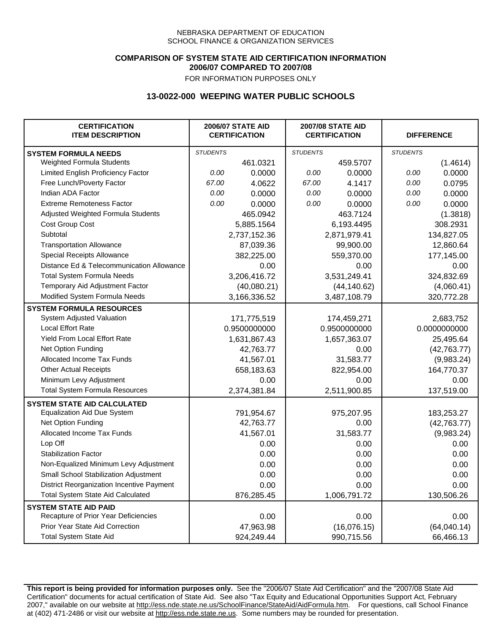### **COMPARISON OF SYSTEM STATE AID CERTIFICATION INFORMATION 2006/07 COMPARED TO 2007/08**

FOR INFORMATION PURPOSES ONLY

# **13-0022-000 WEEPING WATER PUBLIC SCHOOLS**

| <b>CERTIFICATION</b><br><b>ITEM DESCRIPTION</b> |                 | <b>2006/07 STATE AID</b><br><b>CERTIFICATION</b> | <b>2007/08 STATE AID</b><br><b>CERTIFICATION</b> |              | <b>DIFFERENCE</b> |              |
|-------------------------------------------------|-----------------|--------------------------------------------------|--------------------------------------------------|--------------|-------------------|--------------|
| <b>SYSTEM FORMULA NEEDS</b>                     | <b>STUDENTS</b> |                                                  | <b>STUDENTS</b>                                  |              | <b>STUDENTS</b>   |              |
| Weighted Formula Students                       |                 | 461.0321                                         |                                                  | 459.5707     |                   | (1.4614)     |
| Limited English Proficiency Factor              | 0.00            | 0.0000                                           | 0.00                                             | 0.0000       | 0.00              | 0.0000       |
| Free Lunch/Poverty Factor                       | 67.00           | 4.0622                                           | 67.00                                            | 4.1417       | 0.00              | 0.0795       |
| Indian ADA Factor                               | 0.00            | 0.0000                                           | 0.00                                             | 0.0000       | 0.00              | 0.0000       |
| <b>Extreme Remoteness Factor</b>                | 0.00            | 0.0000                                           | 0.00                                             | 0.0000       | 0.00              | 0.0000       |
| Adjusted Weighted Formula Students              |                 | 465.0942                                         |                                                  | 463.7124     |                   | (1.3818)     |
| Cost Group Cost                                 |                 | 5,885.1564                                       |                                                  | 6,193.4495   |                   | 308.2931     |
| Subtotal                                        |                 | 2,737,152.36                                     |                                                  | 2,871,979.41 |                   | 134,827.05   |
| <b>Transportation Allowance</b>                 |                 | 87,039.36                                        |                                                  | 99,900.00    |                   | 12,860.64    |
| Special Receipts Allowance                      |                 | 382,225.00                                       |                                                  | 559,370.00   |                   | 177,145.00   |
| Distance Ed & Telecommunication Allowance       |                 | 0.00                                             |                                                  | 0.00         |                   | 0.00         |
| <b>Total System Formula Needs</b>               |                 | 3,206,416.72                                     |                                                  | 3,531,249.41 |                   | 324,832.69   |
| Temporary Aid Adjustment Factor                 |                 | (40,080.21)                                      |                                                  | (44, 140.62) |                   | (4,060.41)   |
| Modified System Formula Needs                   |                 | 3,166,336.52                                     |                                                  | 3,487,108.79 |                   | 320,772.28   |
| <b>SYSTEM FORMULA RESOURCES</b>                 |                 |                                                  |                                                  |              |                   |              |
| System Adjusted Valuation                       |                 | 171,775,519                                      |                                                  | 174,459,271  |                   | 2,683,752    |
| <b>Local Effort Rate</b>                        |                 | 0.9500000000                                     |                                                  | 0.9500000000 |                   | 0.0000000000 |
| Yield From Local Effort Rate                    |                 | 1,631,867.43                                     |                                                  | 1,657,363.07 |                   | 25,495.64    |
| Net Option Funding                              |                 | 42,763.77                                        |                                                  | 0.00         |                   | (42, 763.77) |
| Allocated Income Tax Funds                      |                 | 41,567.01                                        |                                                  | 31,583.77    |                   | (9,983.24)   |
| <b>Other Actual Receipts</b>                    |                 | 658,183.63                                       | 822,954.00                                       |              | 164,770.37        |              |
| Minimum Levy Adjustment                         |                 | 0.00                                             |                                                  | 0.00         |                   | 0.00         |
| <b>Total System Formula Resources</b>           |                 | 2,374,381.84                                     |                                                  | 2,511,900.85 |                   | 137,519.00   |
| <b>SYSTEM STATE AID CALCULATED</b>              |                 |                                                  |                                                  |              |                   |              |
| <b>Equalization Aid Due System</b>              |                 | 791,954.67                                       |                                                  | 975,207.95   |                   | 183,253.27   |
| Net Option Funding                              |                 | 42,763.77                                        |                                                  | 0.00         |                   | (42,763.77)  |
| Allocated Income Tax Funds                      |                 | 41,567.01                                        |                                                  | 31,583.77    |                   | (9,983.24)   |
| Lop Off                                         |                 | 0.00                                             |                                                  | 0.00         |                   | 0.00         |
| <b>Stabilization Factor</b>                     |                 | 0.00                                             |                                                  | 0.00         |                   | 0.00         |
| Non-Equalized Minimum Levy Adjustment           |                 | 0.00                                             |                                                  | 0.00         |                   | 0.00         |
| Small School Stabilization Adjustment           |                 | 0.00                                             |                                                  | 0.00         |                   | 0.00         |
| District Reorganization Incentive Payment       |                 | 0.00                                             |                                                  | 0.00         |                   | 0.00         |
| <b>Total System State Aid Calculated</b>        |                 | 876,285.45                                       |                                                  | 1,006,791.72 |                   | 130,506.26   |
| <b>SYSTEM STATE AID PAID</b>                    |                 |                                                  |                                                  |              |                   |              |
| Recapture of Prior Year Deficiencies            |                 | 0.00                                             |                                                  | 0.00         |                   | 0.00         |
| Prior Year State Aid Correction                 |                 | 47,963.98                                        |                                                  | (16,076.15)  |                   | (64,040.14)  |
| <b>Total System State Aid</b>                   |                 | 924,249.44                                       |                                                  | 990,715.56   |                   | 66,466.13    |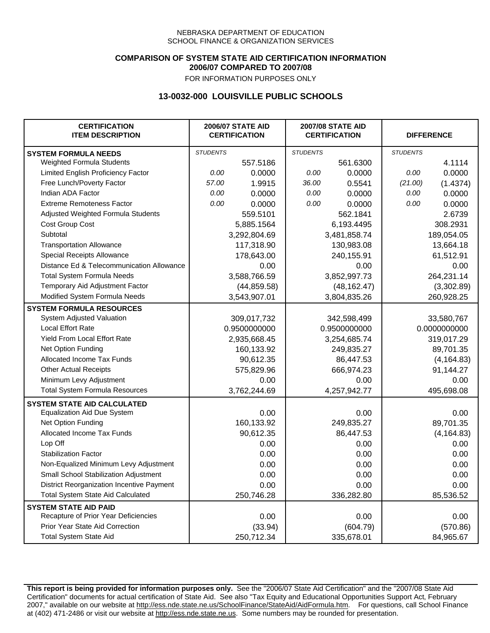### **COMPARISON OF SYSTEM STATE AID CERTIFICATION INFORMATION 2006/07 COMPARED TO 2007/08**

FOR INFORMATION PURPOSES ONLY

## **13-0032-000 LOUISVILLE PUBLIC SCHOOLS**

| <b>CERTIFICATION</b><br><b>ITEM DESCRIPTION</b> |                 | <b>2006/07 STATE AID</b><br><b>CERTIFICATION</b> | <b>2007/08 STATE AID</b><br><b>CERTIFICATION</b> |              | <b>DIFFERENCE</b> |              |
|-------------------------------------------------|-----------------|--------------------------------------------------|--------------------------------------------------|--------------|-------------------|--------------|
| <b>SYSTEM FORMULA NEEDS</b>                     | <b>STUDENTS</b> |                                                  | <b>STUDENTS</b>                                  |              | <b>STUDENTS</b>   |              |
| Weighted Formula Students                       |                 | 557.5186                                         |                                                  | 561.6300     |                   | 4.1114       |
| Limited English Proficiency Factor              | 0.00            | 0.0000                                           | 0.00                                             | 0.0000       | 0.00              | 0.0000       |
| Free Lunch/Poverty Factor                       | 57.00           | 1.9915                                           | 36.00                                            | 0.5541       | (21.00)           | (1.4374)     |
| Indian ADA Factor                               | 0.00            | 0.0000                                           | 0.00                                             | 0.0000       | 0.00              | 0.0000       |
| <b>Extreme Remoteness Factor</b>                | 0.00            | 0.0000                                           | 0.00                                             | 0.0000       | 0.00              | 0.0000       |
| Adjusted Weighted Formula Students              |                 | 559.5101                                         |                                                  | 562.1841     |                   | 2.6739       |
| Cost Group Cost                                 |                 | 5,885.1564                                       |                                                  | 6,193.4495   |                   | 308.2931     |
| Subtotal                                        |                 | 3,292,804.69                                     |                                                  | 3,481,858.74 |                   | 189,054.05   |
| <b>Transportation Allowance</b>                 |                 | 117,318.90                                       |                                                  | 130,983.08   |                   | 13,664.18    |
| Special Receipts Allowance                      |                 | 178,643.00                                       |                                                  | 240,155.91   |                   | 61,512.91    |
| Distance Ed & Telecommunication Allowance       |                 | 0.00                                             |                                                  | 0.00         |                   | 0.00         |
| <b>Total System Formula Needs</b>               |                 | 3,588,766.59                                     |                                                  | 3,852,997.73 |                   | 264,231.14   |
| Temporary Aid Adjustment Factor                 |                 | (44, 859.58)                                     |                                                  | (48, 162.47) |                   | (3,302.89)   |
| Modified System Formula Needs                   |                 | 3,543,907.01                                     |                                                  | 3,804,835.26 |                   | 260,928.25   |
| <b>SYSTEM FORMULA RESOURCES</b>                 |                 |                                                  |                                                  |              |                   |              |
| System Adjusted Valuation                       |                 | 309,017,732                                      |                                                  | 342,598,499  |                   | 33,580,767   |
| <b>Local Effort Rate</b>                        |                 | 0.9500000000                                     |                                                  | 0.9500000000 |                   | 0.0000000000 |
| Yield From Local Effort Rate                    |                 | 2,935,668.45                                     |                                                  | 3,254,685.74 |                   | 319,017.29   |
| Net Option Funding                              |                 | 160,133.92                                       |                                                  | 249,835.27   |                   | 89,701.35    |
| Allocated Income Tax Funds                      |                 | 90,612.35                                        |                                                  | 86,447.53    |                   | (4, 164.83)  |
| <b>Other Actual Receipts</b>                    |                 | 575,829.96                                       |                                                  | 666,974.23   |                   | 91,144.27    |
| Minimum Levy Adjustment                         |                 | 0.00                                             |                                                  | 0.00         |                   | 0.00         |
| <b>Total System Formula Resources</b>           |                 | 3,762,244.69                                     |                                                  | 4,257,942.77 |                   | 495,698.08   |
| <b>SYSTEM STATE AID CALCULATED</b>              |                 |                                                  |                                                  |              |                   |              |
| <b>Equalization Aid Due System</b>              |                 | 0.00                                             |                                                  | 0.00         |                   | 0.00         |
| Net Option Funding                              |                 | 160,133.92                                       |                                                  | 249,835.27   |                   | 89,701.35    |
| Allocated Income Tax Funds                      |                 | 90,612.35                                        |                                                  | 86,447.53    |                   | (4, 164.83)  |
| Lop Off                                         |                 | 0.00                                             |                                                  | 0.00         |                   | 0.00         |
| <b>Stabilization Factor</b>                     |                 | 0.00                                             |                                                  | 0.00         |                   | 0.00         |
| Non-Equalized Minimum Levy Adjustment           |                 | 0.00                                             |                                                  | 0.00         |                   | 0.00         |
| Small School Stabilization Adjustment           |                 | 0.00                                             |                                                  | 0.00         |                   | 0.00         |
| District Reorganization Incentive Payment       |                 | 0.00                                             |                                                  | 0.00         |                   | 0.00         |
| <b>Total System State Aid Calculated</b>        |                 | 250,746.28                                       |                                                  | 336,282.80   |                   | 85,536.52    |
| <b>SYSTEM STATE AID PAID</b>                    |                 |                                                  |                                                  |              |                   |              |
| Recapture of Prior Year Deficiencies            |                 | 0.00                                             |                                                  | 0.00         |                   | 0.00         |
| Prior Year State Aid Correction                 |                 | (33.94)                                          |                                                  | (604.79)     |                   | (570.86)     |
| <b>Total System State Aid</b>                   |                 | 250,712.34                                       |                                                  | 335,678.01   |                   | 84,965.67    |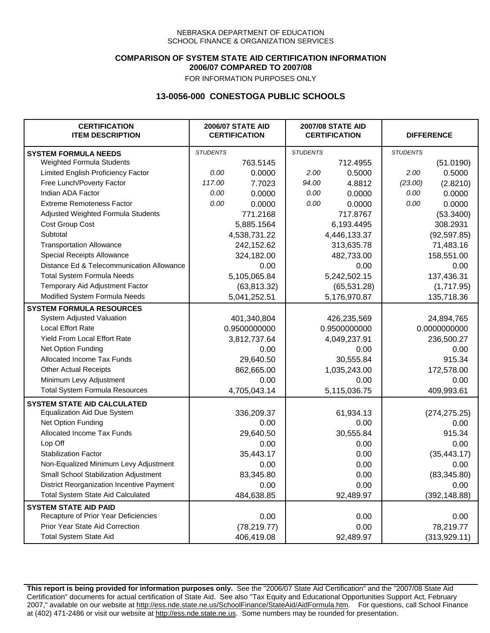### **COMPARISON OF SYSTEM STATE AID CERTIFICATION INFORMATION 2006/07 COMPARED TO 2007/08**

FOR INFORMATION PURPOSES ONLY

## **13-0056-000 CONESTOGA PUBLIC SCHOOLS**

| <b>CERTIFICATION</b><br><b>ITEM DESCRIPTION</b> |                 | <b>2006/07 STATE AID</b><br><b>CERTIFICATION</b> | <b>2007/08 STATE AID</b><br><b>CERTIFICATION</b> |              |                 | <b>DIFFERENCE</b> |
|-------------------------------------------------|-----------------|--------------------------------------------------|--------------------------------------------------|--------------|-----------------|-------------------|
| <b>SYSTEM FORMULA NEEDS</b>                     | <b>STUDENTS</b> |                                                  | <b>STUDENTS</b>                                  |              | <b>STUDENTS</b> |                   |
| Weighted Formula Students                       |                 | 763.5145                                         |                                                  | 712.4955     |                 | (51.0190)         |
| Limited English Proficiency Factor              | 0.00            | 0.0000                                           | 2.00                                             | 0.5000       | 2.00            | 0.5000            |
| Free Lunch/Poverty Factor                       | 117.00          | 7.7023                                           | 94.00                                            | 4.8812       | (23.00)         | (2.8210)          |
| Indian ADA Factor                               | 0.00            | 0.0000                                           | 0.00                                             | 0.0000       | 0.00            | 0.0000            |
| <b>Extreme Remoteness Factor</b>                | 0.00            | 0.0000                                           | 0.00                                             | 0.0000       | 0.00            | 0.0000            |
| Adjusted Weighted Formula Students              |                 | 771.2168                                         |                                                  | 717.8767     |                 | (53.3400)         |
| Cost Group Cost                                 |                 | 5,885.1564                                       |                                                  | 6,193.4495   |                 | 308.2931          |
| Subtotal                                        |                 | 4,538,731.22                                     |                                                  | 4,446,133.37 |                 | (92, 597.85)      |
| <b>Transportation Allowance</b>                 |                 | 242,152.62                                       |                                                  | 313,635.78   |                 | 71,483.16         |
| Special Receipts Allowance                      |                 | 324,182.00                                       |                                                  | 482,733.00   |                 | 158,551.00        |
| Distance Ed & Telecommunication Allowance       |                 | 0.00                                             |                                                  | 0.00         |                 | 0.00              |
| <b>Total System Formula Needs</b>               |                 | 5,105,065.84                                     | 5,242,502.15                                     |              | 137,436.31      |                   |
| Temporary Aid Adjustment Factor                 |                 | (63, 813.32)                                     | (65, 531.28)                                     |              | (1,717.95)      |                   |
| Modified System Formula Needs                   |                 | 5,041,252.51                                     |                                                  | 5,176,970.87 |                 | 135,718.36        |
| <b>SYSTEM FORMULA RESOURCES</b>                 |                 |                                                  |                                                  |              |                 |                   |
| System Adjusted Valuation                       |                 | 401,340,804                                      |                                                  | 426,235,569  |                 | 24,894,765        |
| <b>Local Effort Rate</b>                        |                 | 0.9500000000                                     |                                                  | 0.9500000000 | 0.0000000000    |                   |
| Yield From Local Effort Rate                    |                 | 3,812,737.64                                     | 4,049,237.91                                     |              | 236,500.27      |                   |
| Net Option Funding                              |                 | 0.00                                             | 0.00                                             |              | 0.00            |                   |
| Allocated Income Tax Funds                      |                 | 29,640.50                                        | 30,555.84                                        |              | 915.34          |                   |
| <b>Other Actual Receipts</b>                    |                 | 862,665.00                                       |                                                  | 1,035,243.00 | 172,578.00      |                   |
| Minimum Levy Adjustment                         |                 | 0.00                                             |                                                  | 0.00         |                 | 0.00              |
| <b>Total System Formula Resources</b>           |                 | 4,705,043.14                                     |                                                  | 5,115,036.75 |                 | 409,993.61        |
| <b>SYSTEM STATE AID CALCULATED</b>              |                 |                                                  |                                                  |              |                 |                   |
| <b>Equalization Aid Due System</b>              |                 | 336,209.37                                       |                                                  | 61,934.13    |                 | (274, 275.25)     |
| Net Option Funding                              |                 | 0.00                                             |                                                  | 0.00         |                 | 0.00              |
| Allocated Income Tax Funds                      |                 | 29,640.50                                        |                                                  | 30,555.84    |                 | 915.34            |
| Lop Off                                         |                 | 0.00                                             |                                                  | 0.00         |                 | 0.00              |
| <b>Stabilization Factor</b>                     |                 | 35,443.17                                        |                                                  | 0.00         |                 | (35, 443.17)      |
| Non-Equalized Minimum Levy Adjustment           |                 | 0.00                                             |                                                  | 0.00         |                 | 0.00              |
| <b>Small School Stabilization Adjustment</b>    |                 | 83,345.80                                        |                                                  | 0.00         |                 | (83, 345.80)      |
| District Reorganization Incentive Payment       |                 | 0.00                                             |                                                  | 0.00         |                 | 0.00              |
| <b>Total System State Aid Calculated</b>        |                 | 484,638.85                                       |                                                  | 92,489.97    |                 | (392, 148.88)     |
| <b>SYSTEM STATE AID PAID</b>                    |                 |                                                  |                                                  |              |                 |                   |
| Recapture of Prior Year Deficiencies            |                 | 0.00                                             |                                                  | 0.00         |                 | 0.00              |
| Prior Year State Aid Correction                 |                 | (78, 219.77)                                     |                                                  | 0.00         |                 | 78,219.77         |
| <b>Total System State Aid</b>                   |                 | 406,419.08                                       |                                                  | 92,489.97    |                 | (313, 929.11)     |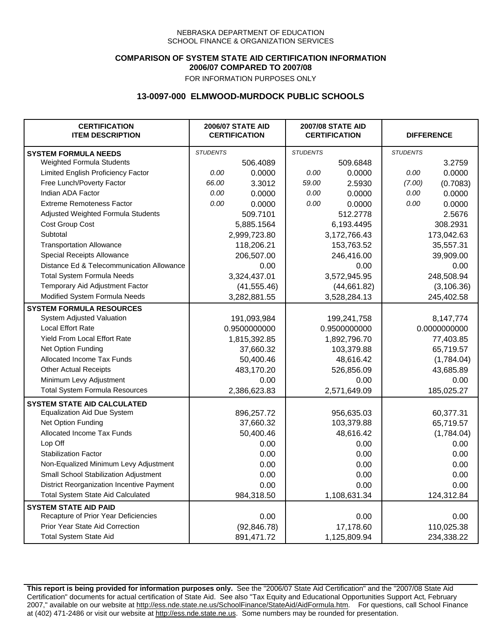### **COMPARISON OF SYSTEM STATE AID CERTIFICATION INFORMATION 2006/07 COMPARED TO 2007/08**

FOR INFORMATION PURPOSES ONLY

## **13-0097-000 ELMWOOD-MURDOCK PUBLIC SCHOOLS**

| <b>CERTIFICATION</b><br><b>ITEM DESCRIPTION</b>  |                 | <b>2006/07 STATE AID</b><br><b>CERTIFICATION</b> | <b>2007/08 STATE AID</b><br><b>CERTIFICATION</b> |              | <b>DIFFERENCE</b> |              |
|--------------------------------------------------|-----------------|--------------------------------------------------|--------------------------------------------------|--------------|-------------------|--------------|
| <b>SYSTEM FORMULA NEEDS</b>                      | <b>STUDENTS</b> |                                                  | <b>STUDENTS</b>                                  |              | <b>STUDENTS</b>   |              |
| Weighted Formula Students                        |                 | 506.4089                                         |                                                  | 509.6848     |                   | 3.2759       |
| Limited English Proficiency Factor               | 0.00            | 0.0000                                           | 0.00                                             | 0.0000       | 0.00              | 0.0000       |
| Free Lunch/Poverty Factor                        | 66.00           | 3.3012                                           | 59.00                                            | 2.5930       | (7.00)            | (0.7083)     |
| Indian ADA Factor                                | 0.00            | 0.0000                                           | 0.00                                             | 0.0000       | 0.00              | 0.0000       |
| <b>Extreme Remoteness Factor</b>                 | 0.00            | 0.0000                                           | 0.00                                             | 0.0000       | 0.00              | 0.0000       |
| Adjusted Weighted Formula Students               |                 | 509.7101                                         |                                                  | 512.2778     |                   | 2.5676       |
| Cost Group Cost                                  |                 | 5,885.1564                                       |                                                  | 6,193.4495   |                   | 308.2931     |
| Subtotal                                         |                 | 2,999,723.80                                     |                                                  | 3,172,766.43 |                   | 173,042.63   |
| <b>Transportation Allowance</b>                  |                 | 118,206.21                                       |                                                  | 153,763.52   |                   | 35,557.31    |
| Special Receipts Allowance                       |                 | 206,507.00                                       |                                                  | 246,416.00   |                   | 39,909.00    |
| Distance Ed & Telecommunication Allowance        |                 | 0.00                                             |                                                  | 0.00         |                   | 0.00         |
| <b>Total System Formula Needs</b>                |                 | 3,324,437.01                                     |                                                  | 3,572,945.95 |                   | 248,508.94   |
| Temporary Aid Adjustment Factor                  |                 | (41, 555.46)                                     | (44, 661.82)                                     |              | (3, 106.36)       |              |
| Modified System Formula Needs                    |                 | 3,282,881.55                                     |                                                  | 3,528,284.13 |                   | 245,402.58   |
| <b>SYSTEM FORMULA RESOURCES</b>                  |                 |                                                  |                                                  |              |                   |              |
| System Adjusted Valuation                        |                 | 191,093,984                                      |                                                  | 199,241,758  |                   | 8,147,774    |
| <b>Local Effort Rate</b>                         |                 | 0.9500000000                                     |                                                  | 0.9500000000 |                   | 0.0000000000 |
| Yield From Local Effort Rate                     |                 | 1,815,392.85                                     | 1,892,796.70                                     |              | 77,403.85         |              |
| Net Option Funding                               |                 | 37,660.32                                        | 103,379.88                                       |              | 65,719.57         |              |
| Allocated Income Tax Funds                       |                 | 50,400.46                                        | 48,616.42                                        |              | (1,784.04)        |              |
| <b>Other Actual Receipts</b>                     |                 | 483,170.20                                       | 526,856.09                                       |              | 43,685.89         |              |
| Minimum Levy Adjustment                          |                 | 0.00                                             |                                                  | 0.00         |                   | 0.00         |
| <b>Total System Formula Resources</b>            |                 | 2,386,623.83                                     |                                                  | 2,571,649.09 |                   | 185,025.27   |
| <b>SYSTEM STATE AID CALCULATED</b>               |                 |                                                  |                                                  |              |                   |              |
| <b>Equalization Aid Due System</b>               |                 | 896,257.72                                       |                                                  | 956,635.03   |                   | 60,377.31    |
| Net Option Funding                               |                 | 37,660.32                                        |                                                  | 103,379.88   |                   | 65,719.57    |
| Allocated Income Tax Funds                       |                 | 50,400.46                                        |                                                  | 48,616.42    |                   | (1,784.04)   |
| Lop Off                                          |                 | 0.00                                             |                                                  | 0.00         |                   | 0.00         |
| <b>Stabilization Factor</b>                      |                 | 0.00                                             |                                                  | 0.00         |                   | 0.00         |
| Non-Equalized Minimum Levy Adjustment            |                 | 0.00                                             |                                                  | 0.00         |                   | 0.00         |
| Small School Stabilization Adjustment            |                 | 0.00                                             |                                                  | 0.00         |                   | 0.00         |
| <b>District Reorganization Incentive Payment</b> |                 | 0.00                                             |                                                  | 0.00         |                   | 0.00         |
| <b>Total System State Aid Calculated</b>         |                 | 984,318.50                                       |                                                  | 1,108,631.34 |                   | 124,312.84   |
| <b>SYSTEM STATE AID PAID</b>                     |                 |                                                  |                                                  |              |                   |              |
| Recapture of Prior Year Deficiencies             |                 | 0.00                                             |                                                  | 0.00         |                   | 0.00         |
| Prior Year State Aid Correction                  |                 | (92, 846.78)                                     |                                                  | 17,178.60    |                   | 110,025.38   |
| <b>Total System State Aid</b>                    |                 | 891,471.72                                       |                                                  | 1,125,809.94 |                   | 234,338.22   |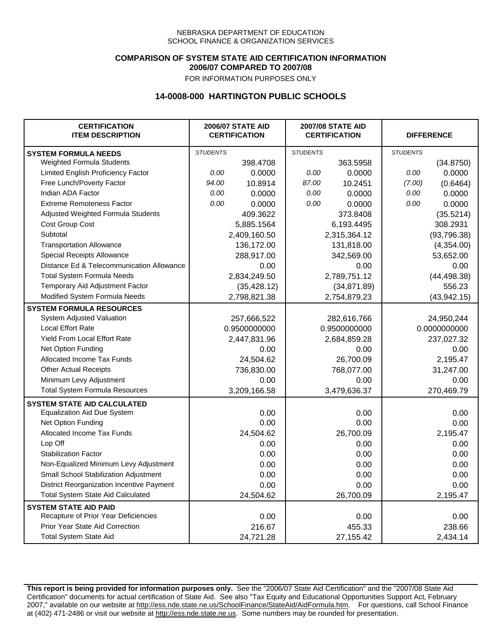### **COMPARISON OF SYSTEM STATE AID CERTIFICATION INFORMATION 2006/07 COMPARED TO 2007/08**

FOR INFORMATION PURPOSES ONLY

## **14-0008-000 HARTINGTON PUBLIC SCHOOLS**

| <b>CERTIFICATION</b><br><b>ITEM DESCRIPTION</b> |                 | <b>2006/07 STATE AID</b><br><b>CERTIFICATION</b> | <b>2007/08 STATE AID</b><br><b>CERTIFICATION</b> |              | <b>DIFFERENCE</b> |              |
|-------------------------------------------------|-----------------|--------------------------------------------------|--------------------------------------------------|--------------|-------------------|--------------|
| <b>SYSTEM FORMULA NEEDS</b>                     | <b>STUDENTS</b> |                                                  | <b>STUDENTS</b>                                  |              | <b>STUDENTS</b>   |              |
| Weighted Formula Students                       |                 | 398.4708                                         |                                                  | 363.5958     |                   | (34.8750)    |
| Limited English Proficiency Factor              | 0.00            | 0.0000                                           | 0.00                                             | 0.0000       | 0.00              | 0.0000       |
| Free Lunch/Poverty Factor                       | 94.00           | 10.8914                                          | 87.00                                            | 10.2451      | (7.00)            | (0.6464)     |
| Indian ADA Factor                               | 0.00            | 0.0000                                           | 0.00                                             | 0.0000       | 0.00              | 0.0000       |
| <b>Extreme Remoteness Factor</b>                | 0.00            | 0.0000                                           | 0.00                                             | 0.0000       | 0.00              | 0.0000       |
| Adjusted Weighted Formula Students              |                 | 409.3622                                         |                                                  | 373.8408     |                   | (35.5214)    |
| Cost Group Cost                                 |                 | 5,885.1564                                       |                                                  | 6,193.4495   |                   | 308.2931     |
| Subtotal                                        |                 | 2,409,160.50                                     |                                                  | 2,315,364.12 |                   | (93, 796.38) |
| <b>Transportation Allowance</b>                 |                 | 136,172.00                                       |                                                  | 131,818.00   |                   | (4,354.00)   |
| Special Receipts Allowance                      |                 | 288,917.00                                       |                                                  | 342,569.00   |                   | 53,652.00    |
| Distance Ed & Telecommunication Allowance       |                 | 0.00                                             |                                                  | 0.00         |                   | 0.00         |
| <b>Total System Formula Needs</b>               |                 | 2,834,249.50                                     |                                                  | 2,789,751.12 |                   | (44, 498.38) |
| Temporary Aid Adjustment Factor                 |                 | (35, 428.12)                                     | (34, 871.89)                                     |              | 556.23            |              |
| Modified System Formula Needs                   |                 | 2,798,821.38                                     |                                                  | 2,754,879.23 |                   | (43, 942.15) |
| <b>SYSTEM FORMULA RESOURCES</b>                 |                 |                                                  |                                                  |              |                   |              |
| System Adjusted Valuation                       |                 | 257,666,522                                      |                                                  | 282,616,766  |                   | 24,950,244   |
| <b>Local Effort Rate</b>                        |                 | 0.9500000000                                     |                                                  | 0.9500000000 |                   | 0.0000000000 |
| Yield From Local Effort Rate                    |                 | 2,447,831.96                                     | 2,684,859.28                                     |              | 237,027.32        |              |
| Net Option Funding                              |                 | 0.00                                             | 0.00                                             |              | 0.00              |              |
| Allocated Income Tax Funds                      |                 | 24,504.62                                        | 26,700.09                                        |              | 2,195.47          |              |
| <b>Other Actual Receipts</b>                    |                 | 736,830.00                                       | 768,077.00                                       |              | 31,247.00         |              |
| Minimum Levy Adjustment                         |                 | 0.00                                             |                                                  | 0.00         |                   | 0.00         |
| <b>Total System Formula Resources</b>           |                 | 3,209,166.58                                     |                                                  | 3,479,636.37 |                   | 270,469.79   |
| <b>SYSTEM STATE AID CALCULATED</b>              |                 |                                                  |                                                  |              |                   |              |
| <b>Equalization Aid Due System</b>              |                 | 0.00                                             |                                                  | 0.00         |                   | 0.00         |
| Net Option Funding                              |                 | 0.00                                             |                                                  | 0.00         |                   | 0.00         |
| Allocated Income Tax Funds                      |                 | 24,504.62                                        |                                                  | 26,700.09    |                   | 2,195.47     |
| Lop Off                                         |                 | 0.00                                             |                                                  | 0.00         |                   | 0.00         |
| <b>Stabilization Factor</b>                     |                 | 0.00                                             |                                                  | 0.00         |                   | 0.00         |
| Non-Equalized Minimum Levy Adjustment           |                 | 0.00                                             |                                                  | 0.00         |                   | 0.00         |
| Small School Stabilization Adjustment           |                 | 0.00                                             |                                                  | 0.00         |                   | 0.00         |
| District Reorganization Incentive Payment       |                 | 0.00                                             |                                                  | 0.00         |                   | 0.00         |
| <b>Total System State Aid Calculated</b>        |                 | 24,504.62                                        |                                                  | 26,700.09    |                   | 2,195.47     |
| <b>SYSTEM STATE AID PAID</b>                    |                 |                                                  |                                                  |              |                   |              |
| Recapture of Prior Year Deficiencies            |                 | 0.00                                             |                                                  | 0.00         |                   | 0.00         |
| Prior Year State Aid Correction                 |                 | 216.67                                           |                                                  | 455.33       |                   | 238.66       |
| <b>Total System State Aid</b>                   |                 | 24,721.28                                        |                                                  | 27, 155.42   |                   | 2,434.14     |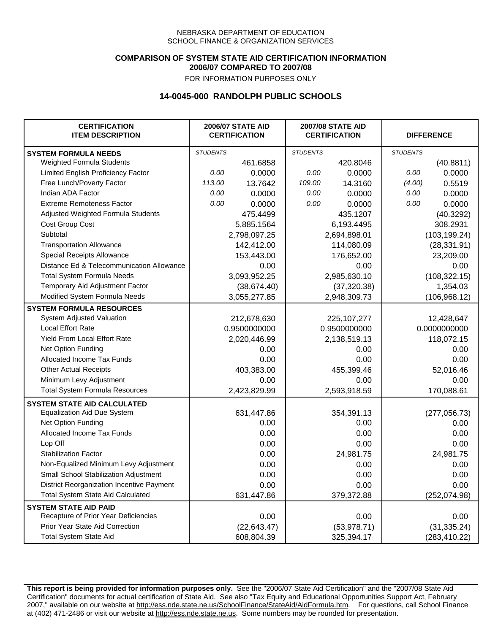### **COMPARISON OF SYSTEM STATE AID CERTIFICATION INFORMATION 2006/07 COMPARED TO 2007/08**

FOR INFORMATION PURPOSES ONLY

## **14-0045-000 RANDOLPH PUBLIC SCHOOLS**

| <b>CERTIFICATION</b><br><b>ITEM DESCRIPTION</b> |                 | <b>2006/07 STATE AID</b><br><b>CERTIFICATION</b> | <b>2007/08 STATE AID</b><br><b>CERTIFICATION</b> |               | <b>DIFFERENCE</b> |               |
|-------------------------------------------------|-----------------|--------------------------------------------------|--------------------------------------------------|---------------|-------------------|---------------|
| <b>SYSTEM FORMULA NEEDS</b>                     | <b>STUDENTS</b> |                                                  | <b>STUDENTS</b>                                  |               | <b>STUDENTS</b>   |               |
| Weighted Formula Students                       |                 | 461.6858                                         |                                                  | 420.8046      |                   | (40.8811)     |
| Limited English Proficiency Factor              | 0.00            | 0.0000                                           | 0.00                                             | 0.0000        | 0.00              | 0.0000        |
| Free Lunch/Poverty Factor                       | 113.00          | 13.7642                                          | 109.00                                           | 14.3160       | (4.00)            | 0.5519        |
| Indian ADA Factor                               | 0.00            | 0.0000                                           | 0.00                                             | 0.0000        | 0.00              | 0.0000        |
| <b>Extreme Remoteness Factor</b>                | 0.00            | 0.0000                                           | 0.00                                             | 0.0000        | 0.00              | 0.0000        |
| Adjusted Weighted Formula Students              |                 | 475.4499                                         |                                                  | 435.1207      |                   | (40.3292)     |
| Cost Group Cost                                 |                 | 5,885.1564                                       |                                                  | 6,193.4495    |                   | 308.2931      |
| Subtotal                                        |                 | 2,798,097.25                                     |                                                  | 2,694,898.01  |                   | (103, 199.24) |
| <b>Transportation Allowance</b>                 |                 | 142,412.00                                       |                                                  | 114,080.09    |                   | (28, 331.91)  |
| Special Receipts Allowance                      |                 | 153,443.00                                       |                                                  | 176,652.00    |                   | 23,209.00     |
| Distance Ed & Telecommunication Allowance       |                 | 0.00                                             |                                                  | 0.00          |                   | 0.00          |
| <b>Total System Formula Needs</b>               |                 | 3,093,952.25                                     |                                                  | 2,985,630.10  |                   | (108, 322.15) |
| Temporary Aid Adjustment Factor                 |                 | (38, 674.40)                                     | (37, 320.38)                                     |               | 1,354.03          |               |
| Modified System Formula Needs                   |                 | 3,055,277.85                                     |                                                  | 2,948,309.73  |                   | (106, 968.12) |
| <b>SYSTEM FORMULA RESOURCES</b>                 |                 |                                                  |                                                  |               |                   |               |
| System Adjusted Valuation                       |                 | 212,678,630                                      |                                                  | 225, 107, 277 |                   | 12,428,647    |
| <b>Local Effort Rate</b>                        |                 | 0.9500000000                                     |                                                  | 0.9500000000  | 0.0000000000      |               |
| Yield From Local Effort Rate                    |                 | 2,020,446.99                                     | 2,138,519.13                                     |               |                   | 118,072.15    |
| Net Option Funding                              |                 | 0.00                                             | 0.00                                             |               | 0.00              |               |
| Allocated Income Tax Funds                      |                 | 0.00                                             | 0.00                                             |               | 0.00              |               |
| <b>Other Actual Receipts</b>                    |                 | 403,383.00                                       | 455,399.46                                       |               | 52,016.46         |               |
| Minimum Levy Adjustment                         |                 | 0.00                                             |                                                  | 0.00          |                   | 0.00          |
| <b>Total System Formula Resources</b>           |                 | 2,423,829.99                                     |                                                  | 2,593,918.59  |                   | 170,088.61    |
| <b>SYSTEM STATE AID CALCULATED</b>              |                 |                                                  |                                                  |               |                   |               |
| <b>Equalization Aid Due System</b>              |                 | 631,447.86                                       |                                                  | 354,391.13    |                   | (277,056.73)  |
| Net Option Funding                              |                 | 0.00                                             |                                                  | 0.00          |                   | 0.00          |
| Allocated Income Tax Funds                      |                 | 0.00                                             |                                                  | 0.00          |                   | 0.00          |
| Lop Off                                         |                 | 0.00                                             |                                                  | 0.00          |                   | 0.00          |
| <b>Stabilization Factor</b>                     |                 | 0.00                                             |                                                  | 24,981.75     |                   | 24,981.75     |
| Non-Equalized Minimum Levy Adjustment           |                 | 0.00                                             |                                                  | 0.00          |                   | 0.00          |
| Small School Stabilization Adjustment           |                 | 0.00                                             |                                                  | 0.00          |                   | 0.00          |
| District Reorganization Incentive Payment       |                 | 0.00                                             |                                                  | 0.00          |                   | 0.00          |
| <b>Total System State Aid Calculated</b>        |                 | 631,447.86                                       |                                                  | 379,372.88    |                   | (252, 074.98) |
| <b>SYSTEM STATE AID PAID</b>                    |                 |                                                  |                                                  |               |                   |               |
| Recapture of Prior Year Deficiencies            |                 | 0.00                                             |                                                  | 0.00          |                   | 0.00          |
| Prior Year State Aid Correction                 |                 | (22, 643.47)                                     |                                                  | (53, 978.71)  |                   | (31, 335.24)  |
| <b>Total System State Aid</b>                   |                 | 608,804.39                                       |                                                  | 325,394.17    |                   | (283, 410.22) |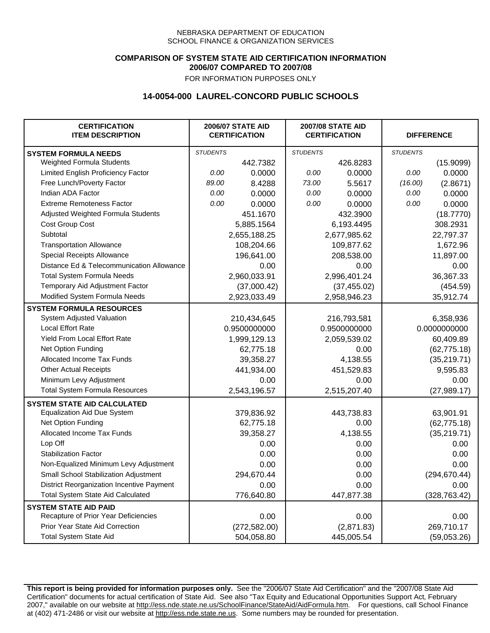### **COMPARISON OF SYSTEM STATE AID CERTIFICATION INFORMATION 2006/07 COMPARED TO 2007/08**

FOR INFORMATION PURPOSES ONLY

## **14-0054-000 LAUREL-CONCORD PUBLIC SCHOOLS**

| <b>CERTIFICATION</b><br><b>ITEM DESCRIPTION</b> |                 | <b>2006/07 STATE AID</b><br><b>CERTIFICATION</b> | <b>2007/08 STATE AID</b><br><b>CERTIFICATION</b> |              | <b>DIFFERENCE</b> |               |
|-------------------------------------------------|-----------------|--------------------------------------------------|--------------------------------------------------|--------------|-------------------|---------------|
| <b>SYSTEM FORMULA NEEDS</b>                     | <b>STUDENTS</b> |                                                  | <b>STUDENTS</b>                                  |              | <b>STUDENTS</b>   |               |
| Weighted Formula Students                       |                 | 442.7382                                         |                                                  | 426.8283     |                   | (15.9099)     |
| Limited English Proficiency Factor              | 0.00            | 0.0000                                           | 0.00                                             | 0.0000       | 0.00              | 0.0000        |
| Free Lunch/Poverty Factor                       | 89.00           | 8.4288                                           | 73.00                                            | 5.5617       | (16.00)           | (2.8671)      |
| Indian ADA Factor                               | 0.00            | 0.0000                                           | 0.00                                             | 0.0000       | 0.00              | 0.0000        |
| <b>Extreme Remoteness Factor</b>                | 0.00            | 0.0000                                           | 0.00                                             | 0.0000       | 0.00              | 0.0000        |
| Adjusted Weighted Formula Students              |                 | 451.1670                                         |                                                  | 432.3900     |                   | (18.7770)     |
| Cost Group Cost                                 |                 | 5,885.1564                                       |                                                  | 6,193.4495   |                   | 308.2931      |
| Subtotal                                        |                 | 2,655,188.25                                     |                                                  | 2,677,985.62 |                   | 22,797.37     |
| <b>Transportation Allowance</b>                 |                 | 108,204.66                                       |                                                  | 109,877.62   |                   | 1,672.96      |
| Special Receipts Allowance                      |                 | 196,641.00                                       |                                                  | 208,538.00   |                   | 11,897.00     |
| Distance Ed & Telecommunication Allowance       |                 | 0.00                                             |                                                  | 0.00         |                   | 0.00          |
| <b>Total System Formula Needs</b>               |                 | 2,960,033.91                                     |                                                  | 2,996,401.24 |                   | 36,367.33     |
| Temporary Aid Adjustment Factor                 |                 | (37,000.42)                                      |                                                  | (37, 455.02) |                   | (454.59)      |
| Modified System Formula Needs                   |                 | 2,923,033.49                                     |                                                  | 2,958,946.23 |                   | 35,912.74     |
| <b>SYSTEM FORMULA RESOURCES</b>                 |                 |                                                  |                                                  |              |                   |               |
| System Adjusted Valuation                       |                 | 210,434,645                                      |                                                  | 216,793,581  |                   | 6,358,936     |
| <b>Local Effort Rate</b>                        |                 | 0.9500000000                                     |                                                  | 0.9500000000 |                   | 0.0000000000  |
| <b>Yield From Local Effort Rate</b>             |                 | 1,999,129.13                                     |                                                  | 2,059,539.02 |                   | 60,409.89     |
| Net Option Funding                              |                 | 62,775.18                                        |                                                  | 0.00         |                   | (62, 775.18)  |
| Allocated Income Tax Funds                      |                 | 39,358.27                                        |                                                  | 4,138.55     |                   | (35, 219.71)  |
| <b>Other Actual Receipts</b>                    |                 | 441,934.00                                       | 451,529.83                                       |              | 9,595.83          |               |
| Minimum Levy Adjustment                         |                 | 0.00                                             |                                                  | 0.00         |                   | 0.00          |
| <b>Total System Formula Resources</b>           |                 | 2,543,196.57                                     |                                                  | 2,515,207.40 |                   | (27, 989.17)  |
| <b>SYSTEM STATE AID CALCULATED</b>              |                 |                                                  |                                                  |              |                   |               |
| <b>Equalization Aid Due System</b>              |                 | 379,836.92                                       |                                                  | 443,738.83   |                   | 63,901.91     |
| Net Option Funding                              |                 | 62,775.18                                        |                                                  | 0.00         |                   | (62, 775.18)  |
| Allocated Income Tax Funds                      |                 | 39,358.27                                        |                                                  | 4,138.55     |                   | (35, 219.71)  |
| Lop Off                                         |                 | 0.00                                             |                                                  | 0.00         |                   | 0.00          |
| <b>Stabilization Factor</b>                     |                 | 0.00                                             |                                                  | 0.00         |                   | 0.00          |
| Non-Equalized Minimum Levy Adjustment           |                 | 0.00                                             |                                                  | 0.00         |                   | 0.00          |
| Small School Stabilization Adjustment           |                 | 294,670.44                                       |                                                  | 0.00         |                   | (294, 670.44) |
| District Reorganization Incentive Payment       |                 | 0.00                                             |                                                  | 0.00         |                   | 0.00          |
| Total System State Aid Calculated               |                 | 776,640.80                                       |                                                  | 447,877.38   |                   | (328, 763.42) |
| <b>SYSTEM STATE AID PAID</b>                    |                 |                                                  |                                                  |              |                   |               |
| Recapture of Prior Year Deficiencies            |                 | 0.00                                             |                                                  | 0.00         |                   | 0.00          |
| Prior Year State Aid Correction                 |                 | (272, 582.00)                                    |                                                  | (2,871.83)   |                   | 269,710.17    |
| <b>Total System State Aid</b>                   |                 | 504,058.80                                       |                                                  | 445,005.54   |                   | (59,053.26)   |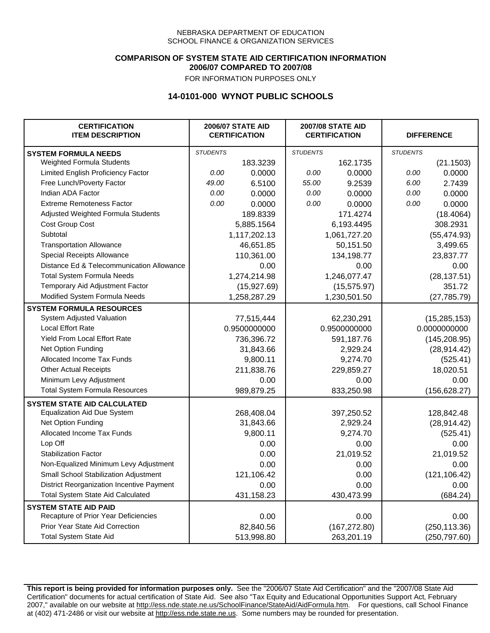### **COMPARISON OF SYSTEM STATE AID CERTIFICATION INFORMATION 2006/07 COMPARED TO 2007/08**

FOR INFORMATION PURPOSES ONLY

## **14-0101-000 WYNOT PUBLIC SCHOOLS**

| <b>CERTIFICATION</b><br><b>ITEM DESCRIPTION</b> |                 | <b>2006/07 STATE AID</b><br><b>CERTIFICATION</b> |                 | <b>2007/08 STATE AID</b><br><b>CERTIFICATION</b> |                 | <b>DIFFERENCE</b> |
|-------------------------------------------------|-----------------|--------------------------------------------------|-----------------|--------------------------------------------------|-----------------|-------------------|
| <b>SYSTEM FORMULA NEEDS</b>                     | <b>STUDENTS</b> |                                                  | <b>STUDENTS</b> |                                                  | <b>STUDENTS</b> |                   |
| Weighted Formula Students                       |                 | 183.3239                                         |                 | 162.1735                                         |                 | (21.1503)         |
| Limited English Proficiency Factor              | 0.00            | 0.0000                                           | 0.00            | 0.0000                                           | 0.00            | 0.0000            |
| Free Lunch/Poverty Factor                       | 49.00           | 6.5100                                           | 55.00           | 9.2539                                           | 6.00            | 2.7439            |
| Indian ADA Factor                               | 0.00            | 0.0000                                           | 0.00            | 0.0000                                           | 0.00            | 0.0000            |
| <b>Extreme Remoteness Factor</b>                | 0.00            | 0.0000                                           | 0.00            | 0.0000                                           | 0.00            | 0.0000            |
| Adjusted Weighted Formula Students              |                 | 189.8339                                         |                 | 171.4274                                         |                 | (18.4064)         |
| Cost Group Cost                                 |                 | 5,885.1564                                       |                 | 6,193.4495                                       |                 | 308.2931          |
| Subtotal                                        |                 | 1,117,202.13                                     |                 | 1,061,727.20                                     |                 | (55, 474.93)      |
| <b>Transportation Allowance</b>                 |                 | 46,651.85                                        |                 | 50,151.50                                        |                 | 3,499.65          |
| Special Receipts Allowance                      |                 | 110,361.00                                       |                 | 134,198.77                                       |                 | 23,837.77         |
| Distance Ed & Telecommunication Allowance       |                 | 0.00                                             |                 | 0.00                                             |                 | 0.00              |
| <b>Total System Formula Needs</b>               |                 | 1,274,214.98                                     |                 | 1,246,077.47                                     |                 | (28, 137.51)      |
| Temporary Aid Adjustment Factor                 |                 | (15, 927.69)                                     | (15, 575.97)    |                                                  | 351.72          |                   |
| Modified System Formula Needs                   |                 | 1,258,287.29                                     |                 | 1,230,501.50                                     |                 | (27, 785.79)      |
| <b>SYSTEM FORMULA RESOURCES</b>                 |                 |                                                  |                 |                                                  |                 |                   |
| System Adjusted Valuation                       |                 | 77,515,444                                       |                 | 62,230,291                                       |                 | (15, 285, 153)    |
| <b>Local Effort Rate</b>                        |                 | 0.9500000000                                     |                 | 0.9500000000                                     | 0.0000000000    |                   |
| <b>Yield From Local Effort Rate</b>             |                 | 736,396.72                                       | 591,187.76      |                                                  | (145, 208.95)   |                   |
| Net Option Funding                              |                 | 31,843.66                                        | 2,929.24        |                                                  | (28, 914.42)    |                   |
| Allocated Income Tax Funds                      |                 | 9,800.11                                         | 9,274.70        |                                                  | (525.41)        |                   |
| <b>Other Actual Receipts</b>                    |                 | 211,838.76                                       | 229,859.27      |                                                  | 18,020.51       |                   |
| Minimum Levy Adjustment                         |                 | 0.00                                             |                 | 0.00                                             |                 | 0.00              |
| <b>Total System Formula Resources</b>           |                 | 989,879.25                                       |                 | 833,250.98                                       |                 | (156, 628.27)     |
| <b>SYSTEM STATE AID CALCULATED</b>              |                 |                                                  |                 |                                                  |                 |                   |
| <b>Equalization Aid Due System</b>              |                 | 268,408.04                                       |                 | 397,250.52                                       |                 | 128,842.48        |
| Net Option Funding                              |                 | 31,843.66                                        |                 | 2,929.24                                         |                 | (28, 914.42)      |
| Allocated Income Tax Funds                      |                 | 9,800.11                                         |                 | 9,274.70                                         |                 | (525.41)          |
| Lop Off                                         |                 | 0.00                                             |                 | 0.00                                             |                 | 0.00              |
| <b>Stabilization Factor</b>                     |                 | 0.00                                             |                 | 21,019.52                                        |                 | 21,019.52         |
| Non-Equalized Minimum Levy Adjustment           |                 | 0.00                                             |                 | 0.00                                             |                 | 0.00              |
| Small School Stabilization Adjustment           |                 | 121,106.42                                       |                 | 0.00                                             |                 | (121, 106.42)     |
| District Reorganization Incentive Payment       |                 | 0.00                                             |                 | 0.00                                             |                 | 0.00              |
| <b>Total System State Aid Calculated</b>        |                 | 431,158.23                                       |                 | 430,473.99                                       |                 | (684.24)          |
| <b>SYSTEM STATE AID PAID</b>                    |                 |                                                  |                 |                                                  |                 |                   |
| Recapture of Prior Year Deficiencies            |                 | 0.00                                             |                 | 0.00                                             |                 | 0.00              |
| Prior Year State Aid Correction                 |                 | 82,840.56                                        |                 | (167, 272.80)                                    |                 | (250, 113.36)     |
| <b>Total System State Aid</b>                   |                 | 513,998.80                                       |                 | 263,201.19                                       |                 | (250, 797.60)     |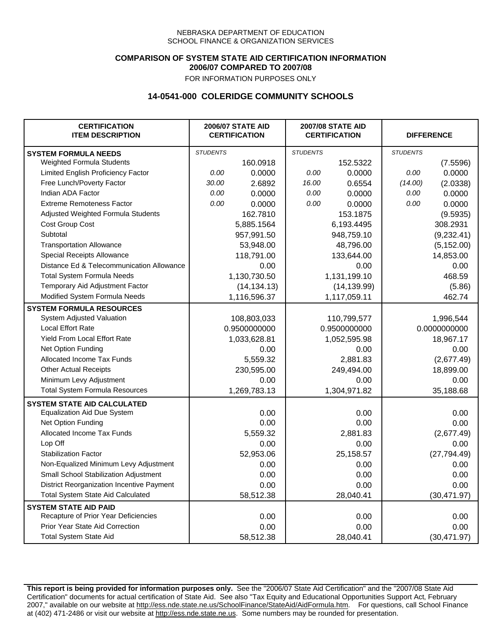### **COMPARISON OF SYSTEM STATE AID CERTIFICATION INFORMATION 2006/07 COMPARED TO 2007/08**

FOR INFORMATION PURPOSES ONLY

## **14-0541-000 COLERIDGE COMMUNITY SCHOOLS**

| <b>CERTIFICATION</b><br><b>ITEM DESCRIPTION</b> |                 | <b>2006/07 STATE AID</b><br><b>CERTIFICATION</b> | <b>2007/08 STATE AID</b><br><b>CERTIFICATION</b> |              |                 | <b>DIFFERENCE</b> |  |
|-------------------------------------------------|-----------------|--------------------------------------------------|--------------------------------------------------|--------------|-----------------|-------------------|--|
| <b>SYSTEM FORMULA NEEDS</b>                     | <b>STUDENTS</b> |                                                  | <b>STUDENTS</b>                                  |              | <b>STUDENTS</b> |                   |  |
| Weighted Formula Students                       |                 | 160.0918                                         |                                                  | 152.5322     |                 | (7.5596)          |  |
| Limited English Proficiency Factor              | 0.00            | 0.0000                                           | 0.00                                             | 0.0000       | 0.00            | 0.0000            |  |
| Free Lunch/Poverty Factor                       | 30.00           | 2.6892                                           | 16.00                                            | 0.6554       | (14.00)         | (2.0338)          |  |
| Indian ADA Factor                               | 0.00            | 0.0000                                           | 0.00                                             | 0.0000       | 0.00            | 0.0000            |  |
| <b>Extreme Remoteness Factor</b>                | 0.00            | 0.0000                                           | 0.00                                             | 0.0000       | 0.00            | 0.0000            |  |
| Adjusted Weighted Formula Students              |                 | 162.7810                                         |                                                  | 153.1875     |                 | (9.5935)          |  |
| Cost Group Cost                                 |                 | 5,885.1564                                       |                                                  | 6,193.4495   |                 | 308.2931          |  |
| Subtotal                                        |                 | 957,991.50                                       |                                                  | 948,759.10   |                 | (9,232.41)        |  |
| <b>Transportation Allowance</b>                 |                 | 53,948.00                                        |                                                  | 48,796.00    |                 | (5, 152.00)       |  |
| Special Receipts Allowance                      |                 | 118,791.00                                       |                                                  | 133,644.00   |                 | 14,853.00         |  |
| Distance Ed & Telecommunication Allowance       |                 | 0.00                                             |                                                  | 0.00         |                 | 0.00              |  |
| <b>Total System Formula Needs</b>               |                 | 1,130,730.50                                     |                                                  | 1,131,199.10 |                 | 468.59            |  |
| Temporary Aid Adjustment Factor                 |                 | (14, 134.13)                                     |                                                  | (14, 139.99) |                 | (5.86)            |  |
| Modified System Formula Needs                   |                 | 1,116,596.37                                     |                                                  | 1,117,059.11 |                 | 462.74            |  |
| <b>SYSTEM FORMULA RESOURCES</b>                 |                 |                                                  |                                                  |              |                 |                   |  |
| System Adjusted Valuation                       |                 | 108,803,033                                      |                                                  | 110,799,577  |                 | 1,996,544         |  |
| <b>Local Effort Rate</b>                        |                 | 0.9500000000                                     |                                                  | 0.9500000000 |                 | 0.0000000000      |  |
| Yield From Local Effort Rate                    |                 | 1,033,628.81                                     |                                                  | 1,052,595.98 |                 | 18,967.17         |  |
| Net Option Funding                              |                 | 0.00                                             |                                                  | 0.00         |                 | 0.00              |  |
| Allocated Income Tax Funds                      |                 | 5,559.32                                         |                                                  | 2,881.83     |                 | (2,677.49)        |  |
| <b>Other Actual Receipts</b>                    |                 | 230,595.00                                       |                                                  | 249,494.00   |                 | 18,899.00         |  |
| Minimum Levy Adjustment                         |                 | 0.00                                             |                                                  | 0.00         |                 | 0.00              |  |
| <b>Total System Formula Resources</b>           |                 | 1,269,783.13                                     |                                                  | 1,304,971.82 |                 | 35,188.68         |  |
| <b>SYSTEM STATE AID CALCULATED</b>              |                 |                                                  |                                                  |              |                 |                   |  |
| <b>Equalization Aid Due System</b>              |                 | 0.00                                             |                                                  | 0.00         |                 | 0.00              |  |
| Net Option Funding                              |                 | 0.00                                             |                                                  | 0.00         |                 | 0.00              |  |
| Allocated Income Tax Funds                      |                 | 5,559.32                                         |                                                  | 2,881.83     |                 | (2,677.49)        |  |
| Lop Off                                         |                 | 0.00                                             |                                                  | 0.00         |                 | 0.00              |  |
| <b>Stabilization Factor</b>                     |                 | 52,953.06                                        |                                                  | 25,158.57    |                 | (27, 794.49)      |  |
| Non-Equalized Minimum Levy Adjustment           |                 | 0.00                                             |                                                  | 0.00         |                 | 0.00              |  |
| Small School Stabilization Adjustment           |                 | 0.00                                             |                                                  | 0.00         |                 | 0.00              |  |
| District Reorganization Incentive Payment       |                 | 0.00                                             |                                                  | 0.00         |                 | 0.00              |  |
| <b>Total System State Aid Calculated</b>        |                 | 58,512.38                                        |                                                  | 28,040.41    |                 | (30, 471.97)      |  |
| <b>SYSTEM STATE AID PAID</b>                    |                 |                                                  |                                                  |              |                 |                   |  |
| Recapture of Prior Year Deficiencies            |                 | 0.00                                             |                                                  | 0.00         |                 | 0.00              |  |
| Prior Year State Aid Correction                 |                 | 0.00                                             |                                                  | 0.00         |                 | 0.00              |  |
| <b>Total System State Aid</b>                   |                 | 58,512.38                                        |                                                  | 28,040.41    |                 | (30, 471.97)      |  |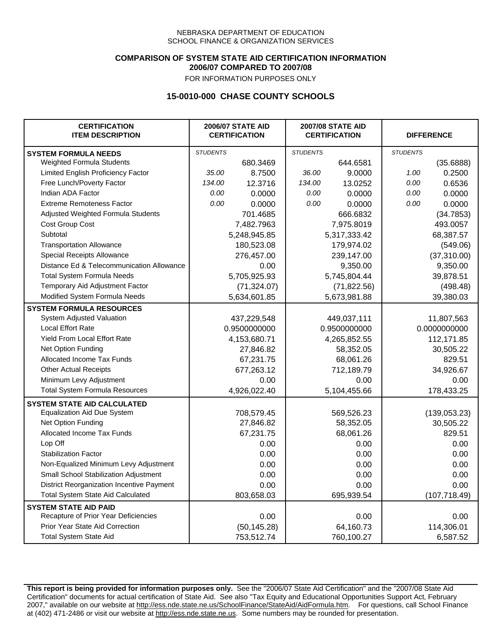### **COMPARISON OF SYSTEM STATE AID CERTIFICATION INFORMATION 2006/07 COMPARED TO 2007/08**

FOR INFORMATION PURPOSES ONLY

## **15-0010-000 CHASE COUNTY SCHOOLS**

| <b>CERTIFICATION</b><br><b>ITEM DESCRIPTION</b> |                 | <b>2006/07 STATE AID</b><br><b>CERTIFICATION</b> | <b>2007/08 STATE AID</b><br><b>CERTIFICATION</b> |              | <b>DIFFERENCE</b> |               |
|-------------------------------------------------|-----------------|--------------------------------------------------|--------------------------------------------------|--------------|-------------------|---------------|
| <b>SYSTEM FORMULA NEEDS</b>                     | <b>STUDENTS</b> |                                                  | <b>STUDENTS</b>                                  |              | <b>STUDENTS</b>   |               |
| Weighted Formula Students                       |                 | 680.3469                                         |                                                  | 644.6581     |                   | (35.6888)     |
| Limited English Proficiency Factor              | 35.00           | 8.7500                                           | 36.00                                            | 9.0000       | 1.00              | 0.2500        |
| Free Lunch/Poverty Factor                       | 134.00          | 12.3716                                          | 134.00                                           | 13.0252      | 0.00              | 0.6536        |
| Indian ADA Factor                               | 0.00            | 0.0000                                           | 0.00                                             | 0.0000       | 0.00              | 0.0000        |
| <b>Extreme Remoteness Factor</b>                | 0.00            | 0.0000                                           | 0.00                                             | 0.0000       | 0.00              | 0.0000        |
| Adjusted Weighted Formula Students              |                 | 701.4685                                         |                                                  | 666.6832     |                   | (34.7853)     |
| Cost Group Cost                                 |                 | 7,482.7963                                       |                                                  | 7,975.8019   |                   | 493.0057      |
| Subtotal                                        |                 | 5,248,945.85                                     |                                                  | 5,317,333.42 |                   | 68,387.57     |
| <b>Transportation Allowance</b>                 |                 | 180,523.08                                       |                                                  | 179,974.02   |                   | (549.06)      |
| Special Receipts Allowance                      |                 | 276,457.00                                       |                                                  | 239,147.00   |                   | (37, 310.00)  |
| Distance Ed & Telecommunication Allowance       |                 | 0.00                                             |                                                  | 9,350.00     |                   | 9,350.00      |
| <b>Total System Formula Needs</b>               |                 | 5,705,925.93                                     |                                                  | 5,745,804.44 |                   | 39,878.51     |
| Temporary Aid Adjustment Factor                 |                 | (71, 324.07)                                     | (71, 822.56)                                     |              | (498.48)          |               |
| Modified System Formula Needs                   |                 | 5,634,601.85                                     |                                                  | 5,673,981.88 |                   | 39,380.03     |
| <b>SYSTEM FORMULA RESOURCES</b>                 |                 |                                                  |                                                  |              |                   |               |
| System Adjusted Valuation                       |                 | 437,229,548                                      |                                                  | 449,037,111  |                   | 11,807,563    |
| <b>Local Effort Rate</b>                        |                 | 0.9500000000                                     |                                                  | 0.9500000000 | 0.0000000000      |               |
| <b>Yield From Local Effort Rate</b>             |                 | 4,153,680.71                                     | 4,265,852.55                                     |              |                   | 112,171.85    |
| Net Option Funding                              |                 | 27,846.82                                        | 58,352.05                                        |              | 30,505.22         |               |
| Allocated Income Tax Funds                      |                 | 67,231.75                                        | 68,061.26                                        |              | 829.51            |               |
| <b>Other Actual Receipts</b>                    |                 | 677,263.12                                       | 712,189.79                                       |              | 34,926.67         |               |
| Minimum Levy Adjustment                         |                 | 0.00                                             |                                                  | 0.00         |                   | 0.00          |
| <b>Total System Formula Resources</b>           |                 | 4,926,022.40                                     |                                                  | 5,104,455.66 |                   | 178,433.25    |
| <b>SYSTEM STATE AID CALCULATED</b>              |                 |                                                  |                                                  |              |                   |               |
| <b>Equalization Aid Due System</b>              |                 | 708,579.45                                       |                                                  | 569,526.23   |                   | (139,053.23)  |
| Net Option Funding                              |                 | 27,846.82                                        |                                                  | 58,352.05    |                   | 30,505.22     |
| Allocated Income Tax Funds                      |                 | 67,231.75                                        |                                                  | 68,061.26    |                   | 829.51        |
| Lop Off                                         |                 | 0.00                                             |                                                  | 0.00         |                   | 0.00          |
| <b>Stabilization Factor</b>                     |                 | 0.00                                             |                                                  | 0.00         |                   | 0.00          |
| Non-Equalized Minimum Levy Adjustment           |                 | 0.00                                             |                                                  | 0.00         |                   | 0.00          |
| Small School Stabilization Adjustment           |                 | 0.00                                             |                                                  | 0.00         |                   | 0.00          |
| District Reorganization Incentive Payment       |                 | 0.00                                             |                                                  | 0.00         |                   | 0.00          |
| Total System State Aid Calculated               |                 | 803,658.03                                       |                                                  | 695,939.54   |                   | (107, 718.49) |
| <b>SYSTEM STATE AID PAID</b>                    |                 |                                                  |                                                  |              |                   |               |
| Recapture of Prior Year Deficiencies            |                 | 0.00                                             |                                                  | 0.00         |                   | 0.00          |
| Prior Year State Aid Correction                 |                 | (50, 145.28)                                     |                                                  | 64,160.73    |                   | 114,306.01    |
| <b>Total System State Aid</b>                   |                 | 753,512.74                                       |                                                  | 760,100.27   |                   | 6,587.52      |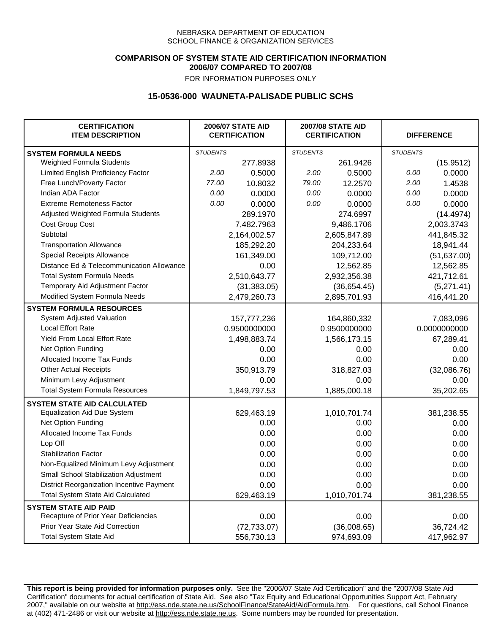### **COMPARISON OF SYSTEM STATE AID CERTIFICATION INFORMATION 2006/07 COMPARED TO 2007/08**

FOR INFORMATION PURPOSES ONLY

## **15-0536-000 WAUNETA-PALISADE PUBLIC SCHS**

| <b>CERTIFICATION</b><br><b>ITEM DESCRIPTION</b> |                 | <b>2006/07 STATE AID</b><br><b>CERTIFICATION</b> | <b>2007/08 STATE AID</b><br><b>CERTIFICATION</b> |              | <b>DIFFERENCE</b> |              |
|-------------------------------------------------|-----------------|--------------------------------------------------|--------------------------------------------------|--------------|-------------------|--------------|
| <b>SYSTEM FORMULA NEEDS</b>                     | <b>STUDENTS</b> |                                                  | <b>STUDENTS</b>                                  |              | <b>STUDENTS</b>   |              |
| Weighted Formula Students                       |                 | 277.8938                                         |                                                  | 261.9426     |                   | (15.9512)    |
| Limited English Proficiency Factor              | 2.00            | 0.5000                                           | 2.00                                             | 0.5000       | 0.00              | 0.0000       |
| Free Lunch/Poverty Factor                       | 77.00           | 10.8032                                          | 79.00                                            | 12.2570      | 2.00              | 1.4538       |
| Indian ADA Factor                               | 0.00            | 0.0000                                           | 0.00                                             | 0.0000       | 0.00              | 0.0000       |
| <b>Extreme Remoteness Factor</b>                | 0.00            | 0.0000                                           | 0.00                                             | 0.0000       | 0.00              | 0.0000       |
| Adjusted Weighted Formula Students              |                 | 289.1970                                         |                                                  | 274.6997     |                   | (14.4974)    |
| <b>Cost Group Cost</b>                          |                 | 7,482.7963                                       |                                                  | 9,486.1706   |                   | 2,003.3743   |
| Subtotal                                        |                 | 2,164,002.57                                     |                                                  | 2,605,847.89 |                   | 441,845.32   |
| <b>Transportation Allowance</b>                 |                 | 185,292.20                                       |                                                  | 204,233.64   |                   | 18,941.44    |
| Special Receipts Allowance                      |                 | 161,349.00                                       |                                                  | 109,712.00   |                   | (51, 637.00) |
| Distance Ed & Telecommunication Allowance       |                 | 0.00                                             |                                                  | 12,562.85    |                   | 12,562.85    |
| <b>Total System Formula Needs</b>               |                 | 2,510,643.77                                     |                                                  | 2,932,356.38 |                   | 421,712.61   |
| Temporary Aid Adjustment Factor                 |                 | (31, 383.05)                                     | (36,654.45)                                      |              | (5,271.41)        |              |
| Modified System Formula Needs                   |                 | 2,479,260.73                                     |                                                  | 2,895,701.93 |                   | 416,441.20   |
| <b>SYSTEM FORMULA RESOURCES</b>                 |                 |                                                  |                                                  |              |                   |              |
| System Adjusted Valuation                       |                 | 157,777,236                                      |                                                  | 164,860,332  |                   | 7,083,096    |
| <b>Local Effort Rate</b>                        |                 | 0.9500000000                                     |                                                  | 0.9500000000 |                   | 0.0000000000 |
| Yield From Local Effort Rate                    |                 | 1,498,883.74                                     |                                                  | 1,566,173.15 |                   | 67,289.41    |
| Net Option Funding                              |                 | 0.00                                             |                                                  | 0.00         |                   | 0.00         |
| Allocated Income Tax Funds                      |                 | 0.00                                             |                                                  | 0.00         |                   | 0.00         |
| <b>Other Actual Receipts</b>                    |                 | 350,913.79                                       | 318,827.03                                       |              | (32,086.76)       |              |
| Minimum Levy Adjustment                         |                 | 0.00                                             |                                                  | 0.00         |                   | 0.00         |
| <b>Total System Formula Resources</b>           |                 | 1,849,797.53                                     |                                                  | 1,885,000.18 |                   | 35,202.65    |
| <b>SYSTEM STATE AID CALCULATED</b>              |                 |                                                  |                                                  |              |                   |              |
| <b>Equalization Aid Due System</b>              |                 | 629,463.19                                       |                                                  | 1,010,701.74 |                   | 381,238.55   |
| Net Option Funding                              |                 | 0.00                                             |                                                  | 0.00         |                   | 0.00         |
| Allocated Income Tax Funds                      |                 | 0.00                                             |                                                  | 0.00         |                   | 0.00         |
| Lop Off                                         |                 | 0.00                                             |                                                  | 0.00         |                   | 0.00         |
| <b>Stabilization Factor</b>                     |                 | 0.00                                             |                                                  | 0.00         |                   | 0.00         |
| Non-Equalized Minimum Levy Adjustment           |                 | 0.00                                             |                                                  | 0.00         |                   | 0.00         |
| Small School Stabilization Adjustment           |                 | 0.00                                             |                                                  | 0.00         |                   | 0.00         |
| District Reorganization Incentive Payment       |                 | 0.00                                             |                                                  | 0.00         |                   | 0.00         |
| Total System State Aid Calculated               |                 | 629,463.19                                       |                                                  | 1,010,701.74 |                   | 381,238.55   |
| <b>SYSTEM STATE AID PAID</b>                    |                 |                                                  |                                                  |              |                   |              |
| Recapture of Prior Year Deficiencies            |                 | 0.00                                             |                                                  | 0.00         |                   | 0.00         |
| Prior Year State Aid Correction                 |                 | (72, 733.07)                                     |                                                  | (36,008.65)  |                   | 36,724.42    |
| <b>Total System State Aid</b>                   |                 | 556,730.13                                       |                                                  | 974,693.09   |                   | 417,962.97   |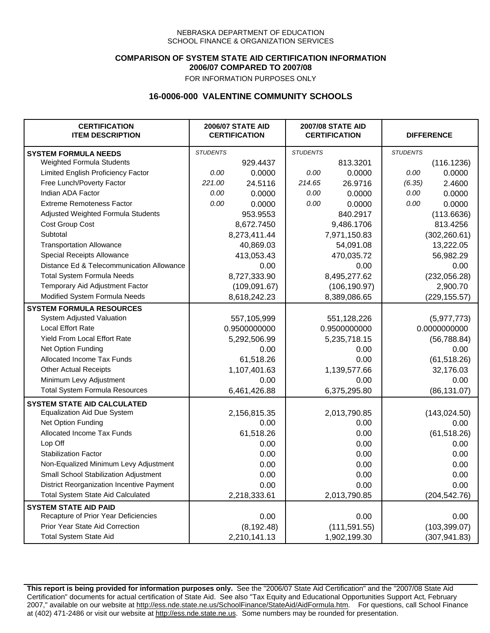### **COMPARISON OF SYSTEM STATE AID CERTIFICATION INFORMATION 2006/07 COMPARED TO 2007/08**

FOR INFORMATION PURPOSES ONLY

## **16-0006-000 VALENTINE COMMUNITY SCHOOLS**

| <b>CERTIFICATION</b><br><b>ITEM DESCRIPTION</b> |                 | <b>2006/07 STATE AID</b><br><b>CERTIFICATION</b> | <b>2007/08 STATE AID</b><br><b>CERTIFICATION</b> |               |                 | <b>DIFFERENCE</b> |
|-------------------------------------------------|-----------------|--------------------------------------------------|--------------------------------------------------|---------------|-----------------|-------------------|
| <b>SYSTEM FORMULA NEEDS</b>                     | <b>STUDENTS</b> |                                                  | <b>STUDENTS</b>                                  |               | <b>STUDENTS</b> |                   |
| Weighted Formula Students                       |                 | 929.4437                                         |                                                  | 813.3201      |                 | (116.1236)        |
| Limited English Proficiency Factor              | 0.00            | 0.0000                                           | 0.00                                             | 0.0000        | 0.00            | 0.0000            |
| Free Lunch/Poverty Factor                       | 221.00          | 24.5116                                          | 214.65                                           | 26.9716       | (6.35)          | 2.4600            |
| Indian ADA Factor                               | 0.00            | 0.0000                                           | 0.00                                             | 0.0000        | 0.00            | 0.0000            |
| <b>Extreme Remoteness Factor</b>                | 0.00            | 0.0000                                           | 0.00                                             | 0.0000        | 0.00            | 0.0000            |
| Adjusted Weighted Formula Students              |                 | 953.9553                                         |                                                  | 840.2917      |                 | (113.6636)        |
| Cost Group Cost                                 |                 | 8,672.7450                                       |                                                  | 9,486.1706    |                 | 813.4256          |
| Subtotal                                        |                 | 8,273,411.44                                     |                                                  | 7,971,150.83  |                 | (302, 260.61)     |
| <b>Transportation Allowance</b>                 |                 | 40,869.03                                        |                                                  | 54,091.08     |                 | 13,222.05         |
| Special Receipts Allowance                      |                 | 413,053.43                                       |                                                  | 470,035.72    |                 | 56,982.29         |
| Distance Ed & Telecommunication Allowance       |                 | 0.00                                             |                                                  | 0.00          |                 | 0.00              |
| <b>Total System Formula Needs</b>               |                 | 8,727,333.90                                     |                                                  | 8,495,277.62  |                 | (232,056.28)      |
| Temporary Aid Adjustment Factor                 |                 | (109, 091.67)                                    | (106, 190.97)                                    |               | 2,900.70        |                   |
| Modified System Formula Needs                   |                 | 8,618,242.23                                     |                                                  | 8,389,086.65  |                 | (229, 155.57)     |
| <b>SYSTEM FORMULA RESOURCES</b>                 |                 |                                                  |                                                  |               |                 |                   |
| System Adjusted Valuation                       |                 | 557,105,999                                      |                                                  | 551,128,226   |                 | (5,977,773)       |
| <b>Local Effort Rate</b>                        |                 | 0.9500000000                                     |                                                  | 0.9500000000  |                 | 0.0000000000      |
| Yield From Local Effort Rate                    |                 | 5,292,506.99                                     |                                                  | 5,235,718.15  |                 | (56, 788.84)      |
| Net Option Funding                              |                 | 0.00                                             | 0.00                                             |               | 0.00            |                   |
| Allocated Income Tax Funds                      |                 | 61,518.26                                        | 0.00                                             |               | (61, 518.26)    |                   |
| <b>Other Actual Receipts</b>                    |                 | 1,107,401.63                                     | 1,139,577.66                                     |               | 32,176.03       |                   |
| Minimum Levy Adjustment                         |                 | 0.00                                             |                                                  | 0.00          |                 | 0.00              |
| <b>Total System Formula Resources</b>           |                 | 6,461,426.88                                     |                                                  | 6,375,295.80  |                 | (86, 131.07)      |
| <b>SYSTEM STATE AID CALCULATED</b>              |                 |                                                  |                                                  |               |                 |                   |
| <b>Equalization Aid Due System</b>              |                 | 2,156,815.35                                     |                                                  | 2,013,790.85  |                 | (143, 024.50)     |
| Net Option Funding                              |                 | 0.00                                             |                                                  | 0.00          |                 | 0.00              |
| Allocated Income Tax Funds                      |                 | 61,518.26                                        |                                                  | 0.00          |                 | (61, 518.26)      |
| Lop Off                                         |                 | 0.00                                             |                                                  | 0.00          |                 | 0.00              |
| <b>Stabilization Factor</b>                     |                 | 0.00                                             |                                                  | 0.00          |                 | 0.00              |
| Non-Equalized Minimum Levy Adjustment           |                 | 0.00                                             |                                                  | 0.00          |                 | 0.00              |
| Small School Stabilization Adjustment           |                 | 0.00                                             |                                                  | 0.00          |                 | 0.00              |
| District Reorganization Incentive Payment       |                 | 0.00                                             |                                                  | 0.00          |                 | 0.00              |
| <b>Total System State Aid Calculated</b>        |                 | 2,218,333.61                                     |                                                  | 2,013,790.85  |                 | (204, 542.76)     |
| <b>SYSTEM STATE AID PAID</b>                    |                 |                                                  |                                                  |               |                 |                   |
| Recapture of Prior Year Deficiencies            |                 | 0.00                                             |                                                  | 0.00          |                 | 0.00              |
| Prior Year State Aid Correction                 |                 | (8, 192.48)                                      |                                                  | (111, 591.55) |                 | (103, 399.07)     |
| <b>Total System State Aid</b>                   |                 | 2,210,141.13                                     |                                                  | 1,902,199.30  |                 | (307, 941.83)     |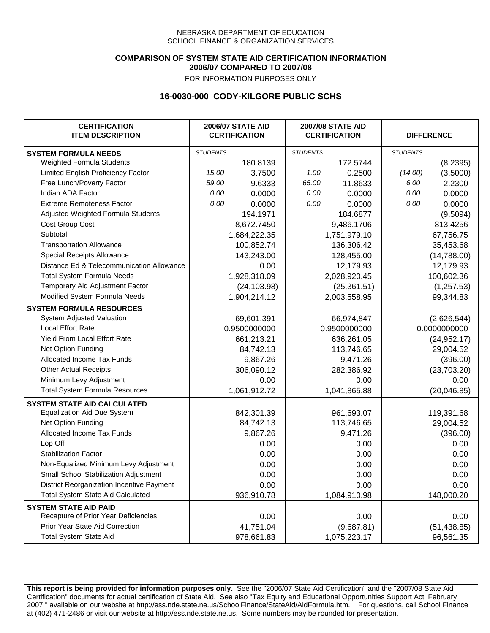### **COMPARISON OF SYSTEM STATE AID CERTIFICATION INFORMATION 2006/07 COMPARED TO 2007/08**

FOR INFORMATION PURPOSES ONLY

## **16-0030-000 CODY-KILGORE PUBLIC SCHS**

| <b>CERTIFICATION</b><br><b>ITEM DESCRIPTION</b> |                 | <b>2006/07 STATE AID</b><br><b>CERTIFICATION</b> | <b>2007/08 STATE AID</b><br><b>CERTIFICATION</b> |              | <b>DIFFERENCE</b> |              |
|-------------------------------------------------|-----------------|--------------------------------------------------|--------------------------------------------------|--------------|-------------------|--------------|
| <b>SYSTEM FORMULA NEEDS</b>                     | <b>STUDENTS</b> |                                                  | <b>STUDENTS</b>                                  |              | <b>STUDENTS</b>   |              |
| Weighted Formula Students                       |                 | 180.8139                                         |                                                  | 172.5744     |                   | (8.2395)     |
| Limited English Proficiency Factor              | 15.00           | 3.7500                                           | 1.00                                             | 0.2500       | (14.00)           | (3.5000)     |
| Free Lunch/Poverty Factor                       | 59.00           | 9.6333                                           | 65.00                                            | 11.8633      | 6.00              | 2.2300       |
| Indian ADA Factor                               | 0.00            | 0.0000                                           | 0.00                                             | 0.0000       | 0.00              | 0.0000       |
| <b>Extreme Remoteness Factor</b>                | 0.00            | 0.0000                                           | 0.00                                             | 0.0000       | 0.00              | 0.0000       |
| Adjusted Weighted Formula Students              |                 | 194.1971                                         |                                                  | 184.6877     |                   | (9.5094)     |
| Cost Group Cost                                 |                 | 8,672.7450                                       |                                                  | 9,486.1706   |                   | 813.4256     |
| Subtotal                                        |                 | 1,684,222.35                                     |                                                  | 1,751,979.10 |                   | 67,756.75    |
| <b>Transportation Allowance</b>                 |                 | 100,852.74                                       |                                                  | 136,306.42   |                   | 35,453.68    |
| Special Receipts Allowance                      |                 | 143,243.00                                       |                                                  | 128,455.00   |                   | (14,788.00)  |
| Distance Ed & Telecommunication Allowance       |                 | 0.00                                             |                                                  | 12,179.93    |                   | 12,179.93    |
| <b>Total System Formula Needs</b>               |                 | 1,928,318.09                                     |                                                  | 2,028,920.45 |                   | 100,602.36   |
| Temporary Aid Adjustment Factor                 |                 | (24, 103.98)                                     | (25, 361.51)                                     |              | (1, 257.53)       |              |
| Modified System Formula Needs                   |                 | 1,904,214.12                                     |                                                  | 2,003,558.95 |                   | 99,344.83    |
| <b>SYSTEM FORMULA RESOURCES</b>                 |                 |                                                  |                                                  |              |                   |              |
| System Adjusted Valuation                       |                 | 69,601,391                                       |                                                  | 66,974,847   |                   | (2,626,544)  |
| <b>Local Effort Rate</b>                        |                 | 0.9500000000                                     |                                                  | 0.9500000000 |                   | 0.0000000000 |
| <b>Yield From Local Effort Rate</b>             |                 | 661,213.21                                       | 636,261.05                                       |              | (24, 952.17)      |              |
| Net Option Funding                              |                 | 84,742.13                                        | 113,746.65                                       |              | 29,004.52         |              |
| Allocated Income Tax Funds                      |                 | 9,867.26                                         | 9,471.26                                         |              | (396.00)          |              |
| <b>Other Actual Receipts</b>                    |                 | 306,090.12                                       | 282,386.92                                       |              | (23,703.20)       |              |
| Minimum Levy Adjustment                         |                 | 0.00                                             |                                                  | 0.00         | 0.00              |              |
| <b>Total System Formula Resources</b>           |                 | 1,061,912.72                                     |                                                  | 1,041,865.88 |                   | (20,046.85)  |
| <b>SYSTEM STATE AID CALCULATED</b>              |                 |                                                  |                                                  |              |                   |              |
| <b>Equalization Aid Due System</b>              |                 | 842,301.39                                       |                                                  | 961,693.07   |                   | 119,391.68   |
| Net Option Funding                              |                 | 84,742.13                                        |                                                  | 113,746.65   |                   | 29,004.52    |
| Allocated Income Tax Funds                      |                 | 9,867.26                                         |                                                  | 9,471.26     |                   | (396.00)     |
| Lop Off                                         |                 | 0.00                                             |                                                  | 0.00         |                   | 0.00         |
| <b>Stabilization Factor</b>                     |                 | 0.00                                             |                                                  | 0.00         |                   | 0.00         |
| Non-Equalized Minimum Levy Adjustment           |                 | 0.00                                             |                                                  | 0.00         |                   | 0.00         |
| Small School Stabilization Adjustment           |                 | 0.00                                             |                                                  | 0.00         |                   | 0.00         |
| District Reorganization Incentive Payment       |                 | 0.00                                             |                                                  | 0.00         |                   | 0.00         |
| <b>Total System State Aid Calculated</b>        |                 | 936,910.78                                       |                                                  | 1,084,910.98 |                   | 148,000.20   |
| <b>SYSTEM STATE AID PAID</b>                    |                 |                                                  |                                                  |              |                   |              |
| Recapture of Prior Year Deficiencies            |                 | 0.00                                             |                                                  | 0.00         |                   | 0.00         |
| Prior Year State Aid Correction                 |                 | 41,751.04                                        |                                                  | (9,687.81)   |                   | (51, 438.85) |
| <b>Total System State Aid</b>                   |                 | 978,661.83                                       |                                                  | 1,075,223.17 |                   | 96,561.35    |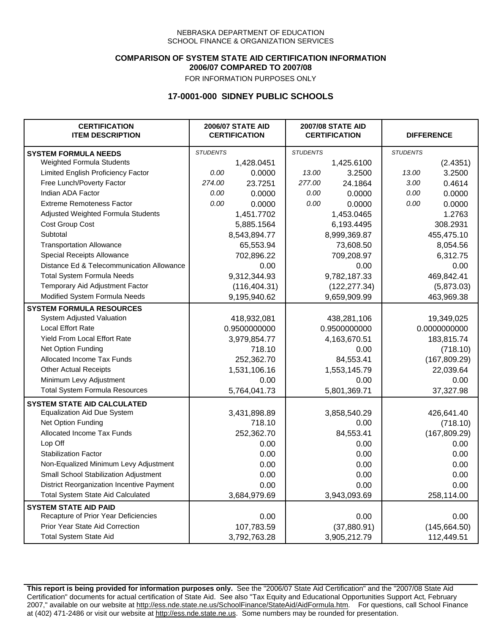### **COMPARISON OF SYSTEM STATE AID CERTIFICATION INFORMATION 2006/07 COMPARED TO 2007/08**

FOR INFORMATION PURPOSES ONLY

# **17-0001-000 SIDNEY PUBLIC SCHOOLS**

| <b>CERTIFICATION</b><br><b>ITEM DESCRIPTION</b> | <b>2006/07 STATE AID</b><br><b>CERTIFICATION</b> |               | <b>2007/08 STATE AID</b><br><b>CERTIFICATION</b> |              |                 | <b>DIFFERENCE</b> |  |
|-------------------------------------------------|--------------------------------------------------|---------------|--------------------------------------------------|--------------|-----------------|-------------------|--|
| <b>SYSTEM FORMULA NEEDS</b>                     | <b>STUDENTS</b>                                  |               | <b>STUDENTS</b>                                  |              | <b>STUDENTS</b> |                   |  |
| Weighted Formula Students                       |                                                  | 1,428.0451    |                                                  | 1,425.6100   |                 | (2.4351)          |  |
| Limited English Proficiency Factor              | 0.00                                             | 0.0000        | 13.00                                            | 3.2500       | 13.00           | 3.2500            |  |
| Free Lunch/Poverty Factor                       | 274.00                                           | 23.7251       | 277.00                                           | 24.1864      | 3.00            | 0.4614            |  |
| Indian ADA Factor                               | 0.00                                             | 0.0000        | 0.00                                             | 0.0000       | 0.00            | 0.0000            |  |
| <b>Extreme Remoteness Factor</b>                | 0.00                                             | 0.0000        | 0.00                                             | 0.0000       | 0.00            | 0.0000            |  |
| Adjusted Weighted Formula Students              |                                                  | 1,451.7702    |                                                  | 1,453.0465   |                 | 1.2763            |  |
| Cost Group Cost                                 |                                                  | 5,885.1564    |                                                  | 6,193.4495   |                 | 308.2931          |  |
| Subtotal                                        |                                                  | 8,543,894.77  |                                                  | 8,999,369.87 |                 | 455,475.10        |  |
| <b>Transportation Allowance</b>                 |                                                  | 65,553.94     |                                                  | 73,608.50    |                 | 8,054.56          |  |
| Special Receipts Allowance                      |                                                  | 702,896.22    |                                                  | 709,208.97   |                 | 6,312.75          |  |
| Distance Ed & Telecommunication Allowance       |                                                  | 0.00          |                                                  | 0.00         |                 | 0.00              |  |
| <b>Total System Formula Needs</b>               |                                                  | 9,312,344.93  |                                                  | 9,782,187.33 |                 | 469,842.41        |  |
| Temporary Aid Adjustment Factor                 |                                                  | (116, 404.31) | (122, 277.34)                                    |              | (5,873.03)      |                   |  |
| Modified System Formula Needs                   |                                                  | 9,195,940.62  |                                                  | 9,659,909.99 |                 | 463,969.38        |  |
| <b>SYSTEM FORMULA RESOURCES</b>                 |                                                  |               |                                                  |              |                 |                   |  |
| System Adjusted Valuation                       |                                                  | 418,932,081   |                                                  | 438,281,106  |                 | 19,349,025        |  |
| <b>Local Effort Rate</b>                        |                                                  | 0.9500000000  |                                                  | 0.9500000000 |                 | 0.0000000000      |  |
| Yield From Local Effort Rate                    |                                                  | 3,979,854.77  |                                                  | 4,163,670.51 |                 | 183,815.74        |  |
| Net Option Funding                              |                                                  | 718.10        |                                                  | 0.00         |                 | (718.10)          |  |
| Allocated Income Tax Funds                      |                                                  | 252,362.70    |                                                  | 84,553.41    |                 | (167, 809.29)     |  |
| <b>Other Actual Receipts</b>                    |                                                  | 1,531,106.16  | 1,553,145.79                                     |              | 22,039.64       |                   |  |
| Minimum Levy Adjustment                         |                                                  | 0.00          | 0.00                                             |              | 0.00            |                   |  |
| <b>Total System Formula Resources</b>           |                                                  | 5,764,041.73  |                                                  | 5,801,369.71 |                 | 37,327.98         |  |
| <b>SYSTEM STATE AID CALCULATED</b>              |                                                  |               |                                                  |              |                 |                   |  |
| <b>Equalization Aid Due System</b>              |                                                  | 3,431,898.89  |                                                  | 3,858,540.29 |                 | 426,641.40        |  |
| Net Option Funding                              |                                                  | 718.10        |                                                  | 0.00         |                 | (718.10)          |  |
| Allocated Income Tax Funds                      |                                                  | 252,362.70    |                                                  | 84,553.41    |                 | (167, 809.29)     |  |
| Lop Off                                         |                                                  | 0.00          |                                                  | 0.00         |                 | 0.00              |  |
| <b>Stabilization Factor</b>                     |                                                  | 0.00          |                                                  | 0.00         |                 | 0.00              |  |
| Non-Equalized Minimum Levy Adjustment           |                                                  | 0.00          |                                                  | 0.00         |                 | 0.00              |  |
| Small School Stabilization Adjustment           |                                                  | 0.00          |                                                  | 0.00         |                 | 0.00              |  |
| District Reorganization Incentive Payment       |                                                  | 0.00          |                                                  | 0.00         |                 | 0.00              |  |
| <b>Total System State Aid Calculated</b>        |                                                  | 3,684,979.69  |                                                  | 3,943,093.69 |                 | 258,114.00        |  |
| <b>SYSTEM STATE AID PAID</b>                    |                                                  |               |                                                  |              |                 |                   |  |
| Recapture of Prior Year Deficiencies            |                                                  | 0.00          |                                                  | 0.00         |                 | 0.00              |  |
| Prior Year State Aid Correction                 |                                                  | 107,783.59    |                                                  | (37,880.91)  |                 | (145, 664.50)     |  |
| <b>Total System State Aid</b>                   |                                                  | 3,792,763.28  |                                                  | 3,905,212.79 |                 | 112,449.51        |  |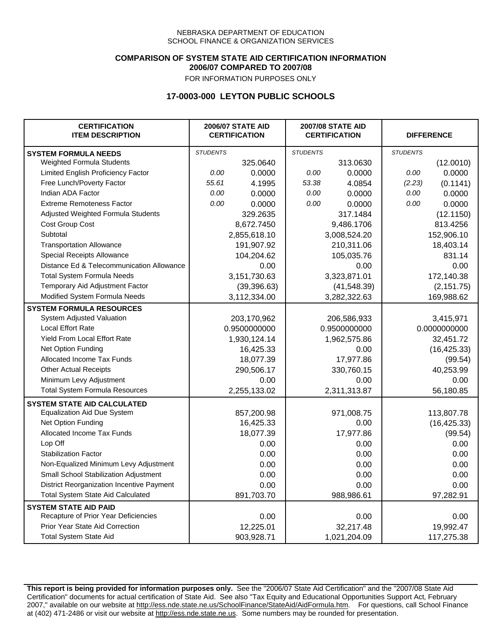### **COMPARISON OF SYSTEM STATE AID CERTIFICATION INFORMATION 2006/07 COMPARED TO 2007/08**

FOR INFORMATION PURPOSES ONLY

## **17-0003-000 LEYTON PUBLIC SCHOOLS**

| <b>CERTIFICATION</b><br><b>ITEM DESCRIPTION</b> |                 | <b>2006/07 STATE AID</b><br><b>CERTIFICATION</b> |                 | <b>2007/08 STATE AID</b><br><b>CERTIFICATION</b> |                 | <b>DIFFERENCE</b> |
|-------------------------------------------------|-----------------|--------------------------------------------------|-----------------|--------------------------------------------------|-----------------|-------------------|
| <b>SYSTEM FORMULA NEEDS</b>                     | <b>STUDENTS</b> |                                                  | <b>STUDENTS</b> |                                                  | <b>STUDENTS</b> |                   |
| Weighted Formula Students                       |                 | 325.0640                                         |                 | 313.0630                                         |                 | (12.0010)         |
| Limited English Proficiency Factor              | 0.00            | 0.0000                                           | 0.00            | 0.0000                                           | 0.00            | 0.0000            |
| Free Lunch/Poverty Factor                       | 55.61           | 4.1995                                           | 53.38           | 4.0854                                           | (2.23)          | (0.1141)          |
| Indian ADA Factor                               | 0.00            | 0.0000                                           | 0.00            | 0.0000                                           | 0.00            | 0.0000            |
| <b>Extreme Remoteness Factor</b>                | 0.00            | 0.0000                                           | 0.00            | 0.0000                                           | 0.00            | 0.0000            |
| Adjusted Weighted Formula Students              |                 | 329.2635                                         |                 | 317.1484                                         |                 | (12.1150)         |
| Cost Group Cost                                 |                 | 8,672.7450                                       |                 | 9,486.1706                                       |                 | 813.4256          |
| Subtotal                                        |                 | 2,855,618.10                                     |                 | 3,008,524.20                                     |                 | 152,906.10        |
| <b>Transportation Allowance</b>                 |                 | 191,907.92                                       |                 | 210,311.06                                       |                 | 18,403.14         |
| Special Receipts Allowance                      |                 | 104,204.62                                       |                 | 105,035.76                                       |                 | 831.14            |
| Distance Ed & Telecommunication Allowance       |                 | 0.00                                             |                 | 0.00                                             |                 | 0.00              |
| <b>Total System Formula Needs</b>               |                 | 3,151,730.63                                     |                 | 3,323,871.01                                     |                 | 172,140.38        |
| Temporary Aid Adjustment Factor                 |                 | (39, 396.63)                                     | (41, 548.39)    |                                                  | (2, 151.75)     |                   |
| Modified System Formula Needs                   |                 | 3,112,334.00                                     |                 | 3,282,322.63                                     |                 | 169,988.62        |
| <b>SYSTEM FORMULA RESOURCES</b>                 |                 |                                                  |                 |                                                  |                 |                   |
| System Adjusted Valuation                       |                 | 203,170,962                                      |                 | 206,586,933                                      |                 | 3,415,971         |
| <b>Local Effort Rate</b>                        |                 | 0.9500000000                                     |                 | 0.9500000000                                     |                 | 0.0000000000      |
| <b>Yield From Local Effort Rate</b>             |                 | 1,930,124.14                                     | 1,962,575.86    |                                                  | 32,451.72       |                   |
| Net Option Funding                              |                 | 16,425.33                                        | 0.00            |                                                  | (16, 425.33)    |                   |
| Allocated Income Tax Funds                      |                 | 18,077.39                                        | 17,977.86       |                                                  | (99.54)         |                   |
| <b>Other Actual Receipts</b>                    |                 | 290,506.17                                       | 330,760.15      |                                                  | 40,253.99       |                   |
| Minimum Levy Adjustment                         |                 | 0.00                                             |                 | 0.00                                             |                 | 0.00              |
| <b>Total System Formula Resources</b>           |                 | 2,255,133.02                                     |                 | 2,311,313.87                                     |                 | 56,180.85         |
| <b>SYSTEM STATE AID CALCULATED</b>              |                 |                                                  |                 |                                                  |                 |                   |
| <b>Equalization Aid Due System</b>              |                 | 857,200.98                                       |                 | 971,008.75                                       |                 | 113,807.78        |
| Net Option Funding                              |                 | 16,425.33                                        |                 | 0.00                                             |                 | (16, 425.33)      |
| Allocated Income Tax Funds                      |                 | 18,077.39                                        |                 | 17,977.86                                        |                 | (99.54)           |
| Lop Off                                         |                 | 0.00                                             |                 | 0.00                                             |                 | 0.00              |
| <b>Stabilization Factor</b>                     |                 | 0.00                                             |                 | 0.00                                             |                 | 0.00              |
| Non-Equalized Minimum Levy Adjustment           |                 | 0.00                                             |                 | 0.00                                             |                 | 0.00              |
| Small School Stabilization Adjustment           |                 | 0.00                                             |                 | 0.00                                             |                 | 0.00              |
| District Reorganization Incentive Payment       |                 | 0.00                                             |                 | 0.00                                             |                 | 0.00              |
| <b>Total System State Aid Calculated</b>        |                 | 891,703.70                                       |                 | 988,986.61                                       |                 | 97,282.91         |
| <b>SYSTEM STATE AID PAID</b>                    |                 |                                                  |                 |                                                  |                 |                   |
| Recapture of Prior Year Deficiencies            |                 | 0.00                                             |                 | 0.00                                             |                 | 0.00              |
| Prior Year State Aid Correction                 |                 | 12,225.01                                        |                 | 32,217.48                                        |                 | 19,992.47         |
| <b>Total System State Aid</b>                   |                 | 903,928.71                                       |                 | 1,021,204.09                                     |                 | 117,275.38        |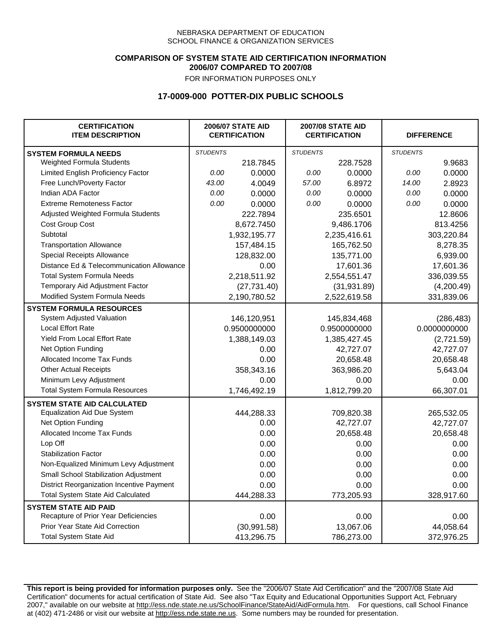### **COMPARISON OF SYSTEM STATE AID CERTIFICATION INFORMATION 2006/07 COMPARED TO 2007/08**

FOR INFORMATION PURPOSES ONLY

## **17-0009-000 POTTER-DIX PUBLIC SCHOOLS**

| <b>CERTIFICATION</b><br><b>ITEM DESCRIPTION</b> |                 | <b>2006/07 STATE AID</b><br><b>CERTIFICATION</b> | <b>2007/08 STATE AID</b><br><b>CERTIFICATION</b> |              |                 | <b>DIFFERENCE</b> |
|-------------------------------------------------|-----------------|--------------------------------------------------|--------------------------------------------------|--------------|-----------------|-------------------|
| <b>SYSTEM FORMULA NEEDS</b>                     | <b>STUDENTS</b> |                                                  | <b>STUDENTS</b>                                  |              | <b>STUDENTS</b> |                   |
| Weighted Formula Students                       |                 | 218.7845                                         |                                                  | 228.7528     |                 | 9.9683            |
| Limited English Proficiency Factor              | 0.00            | 0.0000                                           | 0.00                                             | 0.0000       | 0.00            | 0.0000            |
| Free Lunch/Poverty Factor                       | 43.00           | 4.0049                                           | 57.00                                            | 6.8972       | 14.00           | 2.8923            |
| Indian ADA Factor                               | 0.00            | 0.0000                                           | 0.00                                             | 0.0000       | 0.00            | 0.0000            |
| <b>Extreme Remoteness Factor</b>                | 0.00            | 0.0000                                           | 0.00                                             | 0.0000       | 0.00            | 0.0000            |
| Adjusted Weighted Formula Students              |                 | 222.7894                                         |                                                  | 235.6501     |                 | 12.8606           |
| Cost Group Cost                                 |                 | 8,672.7450                                       |                                                  | 9,486.1706   |                 | 813.4256          |
| Subtotal                                        |                 | 1,932,195.77                                     |                                                  | 2,235,416.61 |                 | 303,220.84        |
| <b>Transportation Allowance</b>                 |                 | 157,484.15                                       |                                                  | 165,762.50   |                 | 8,278.35          |
| Special Receipts Allowance                      |                 | 128,832.00                                       |                                                  | 135,771.00   |                 | 6,939.00          |
| Distance Ed & Telecommunication Allowance       |                 | 0.00                                             |                                                  | 17,601.36    |                 | 17,601.36         |
| <b>Total System Formula Needs</b>               |                 | 2,218,511.92                                     |                                                  | 2,554,551.47 | 336,039.55      |                   |
| Temporary Aid Adjustment Factor                 |                 | (27, 731.40)                                     | (31, 931.89)                                     |              | (4,200.49)      |                   |
| Modified System Formula Needs                   |                 | 2,190,780.52                                     |                                                  | 2,522,619.58 |                 | 331,839.06        |
| <b>SYSTEM FORMULA RESOURCES</b>                 |                 |                                                  |                                                  |              |                 |                   |
| System Adjusted Valuation                       |                 | 146,120,951                                      |                                                  | 145,834,468  |                 | (286, 483)        |
| <b>Local Effort Rate</b>                        |                 | 0.9500000000                                     |                                                  | 0.9500000000 |                 | 0.0000000000      |
| <b>Yield From Local Effort Rate</b>             |                 | 1,388,149.03                                     | 1,385,427.45                                     |              | (2,721.59)      |                   |
| Net Option Funding                              |                 | 0.00                                             | 42,727.07                                        |              | 42,727.07       |                   |
| Allocated Income Tax Funds                      |                 | 0.00                                             | 20,658.48                                        |              | 20,658.48       |                   |
| <b>Other Actual Receipts</b>                    |                 | 358,343.16                                       | 363,986.20                                       |              | 5,643.04        |                   |
| Minimum Levy Adjustment                         |                 | 0.00                                             |                                                  | 0.00         |                 | 0.00              |
| <b>Total System Formula Resources</b>           |                 | 1,746,492.19                                     |                                                  | 1,812,799.20 |                 | 66,307.01         |
| <b>SYSTEM STATE AID CALCULATED</b>              |                 |                                                  |                                                  |              |                 |                   |
| <b>Equalization Aid Due System</b>              |                 | 444,288.33                                       |                                                  | 709,820.38   |                 | 265,532.05        |
| Net Option Funding                              |                 | 0.00                                             |                                                  | 42,727.07    |                 | 42,727.07         |
| Allocated Income Tax Funds                      |                 | 0.00                                             |                                                  | 20,658.48    |                 | 20,658.48         |
| Lop Off                                         |                 | 0.00                                             |                                                  | 0.00         |                 | 0.00              |
| <b>Stabilization Factor</b>                     |                 | 0.00                                             |                                                  | 0.00         |                 | 0.00              |
| Non-Equalized Minimum Levy Adjustment           |                 | 0.00                                             |                                                  | 0.00         |                 | 0.00              |
| Small School Stabilization Adjustment           |                 | 0.00                                             |                                                  | 0.00         |                 | 0.00              |
| District Reorganization Incentive Payment       |                 | 0.00                                             |                                                  | 0.00         |                 | 0.00              |
| <b>Total System State Aid Calculated</b>        |                 | 444,288.33                                       |                                                  | 773,205.93   |                 | 328,917.60        |
| <b>SYSTEM STATE AID PAID</b>                    |                 |                                                  |                                                  |              |                 |                   |
| Recapture of Prior Year Deficiencies            |                 | 0.00                                             |                                                  | 0.00         |                 | 0.00              |
| Prior Year State Aid Correction                 |                 | (30, 991.58)                                     |                                                  | 13,067.06    |                 | 44,058.64         |
| <b>Total System State Aid</b>                   |                 | 413,296.75                                       |                                                  | 786,273.00   |                 | 372,976.25        |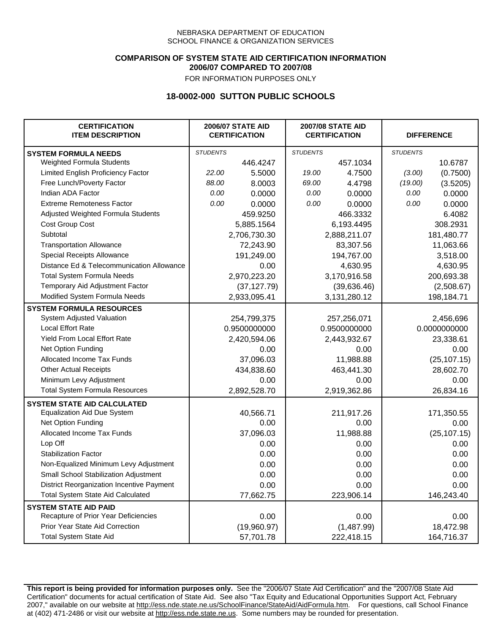### **COMPARISON OF SYSTEM STATE AID CERTIFICATION INFORMATION 2006/07 COMPARED TO 2007/08**

FOR INFORMATION PURPOSES ONLY

## **18-0002-000 SUTTON PUBLIC SCHOOLS**

| <b>CERTIFICATION</b><br><b>ITEM DESCRIPTION</b> |                 | <b>2006/07 STATE AID</b><br><b>CERTIFICATION</b> | <b>2007/08 STATE AID</b><br><b>CERTIFICATION</b> |              | <b>DIFFERENCE</b> |              |
|-------------------------------------------------|-----------------|--------------------------------------------------|--------------------------------------------------|--------------|-------------------|--------------|
| <b>SYSTEM FORMULA NEEDS</b>                     | <b>STUDENTS</b> |                                                  | <b>STUDENTS</b>                                  |              | <b>STUDENTS</b>   |              |
| <b>Weighted Formula Students</b>                |                 | 446.4247                                         |                                                  | 457.1034     |                   | 10.6787      |
| Limited English Proficiency Factor              | 22.00           | 5.5000                                           | 19.00                                            | 4.7500       | (3.00)            | (0.7500)     |
| Free Lunch/Poverty Factor                       | 88.00           | 8.0003                                           | 69.00                                            | 4.4798       | (19.00)           | (3.5205)     |
| Indian ADA Factor                               | 0.00            | 0.0000                                           | 0.00                                             | 0.0000       | 0.00              | 0.0000       |
| <b>Extreme Remoteness Factor</b>                | 0.00            | 0.0000                                           | 0.00                                             | 0.0000       | 0.00              | 0.0000       |
| Adjusted Weighted Formula Students              |                 | 459.9250                                         |                                                  | 466.3332     |                   | 6.4082       |
| Cost Group Cost                                 |                 | 5,885.1564                                       |                                                  | 6,193.4495   |                   | 308.2931     |
| Subtotal                                        |                 | 2,706,730.30                                     |                                                  | 2,888,211.07 |                   | 181,480.77   |
| <b>Transportation Allowance</b>                 |                 | 72,243.90                                        |                                                  | 83,307.56    |                   | 11,063.66    |
| Special Receipts Allowance                      |                 | 191,249.00                                       |                                                  | 194,767.00   |                   | 3,518.00     |
| Distance Ed & Telecommunication Allowance       |                 | 0.00                                             |                                                  | 4,630.95     |                   | 4,630.95     |
| <b>Total System Formula Needs</b>               |                 | 2,970,223.20                                     |                                                  | 3,170,916.58 | 200,693.38        |              |
| Temporary Aid Adjustment Factor                 |                 | (37, 127.79)                                     | (39, 636.46)                                     |              | (2,508.67)        |              |
| Modified System Formula Needs                   |                 | 2,933,095.41                                     |                                                  | 3,131,280.12 |                   | 198,184.71   |
| <b>SYSTEM FORMULA RESOURCES</b>                 |                 |                                                  |                                                  |              |                   |              |
| System Adjusted Valuation                       |                 | 254,799,375                                      |                                                  | 257,256,071  |                   | 2,456,696    |
| <b>Local Effort Rate</b>                        |                 | 0.9500000000                                     |                                                  | 0.9500000000 |                   | 0.0000000000 |
| Yield From Local Effort Rate                    |                 | 2,420,594.06                                     | 2,443,932.67                                     |              | 23,338.61         |              |
| Net Option Funding                              |                 | 0.00                                             | 0.00                                             |              | 0.00              |              |
| Allocated Income Tax Funds                      |                 | 37,096.03                                        | 11,988.88                                        |              | (25, 107.15)      |              |
| <b>Other Actual Receipts</b>                    |                 | 434,838.60                                       | 463,441.30                                       |              | 28,602.70         |              |
| Minimum Levy Adjustment                         |                 | 0.00                                             |                                                  | 0.00         |                   | 0.00         |
| <b>Total System Formula Resources</b>           |                 | 2,892,528.70                                     |                                                  | 2,919,362.86 |                   | 26,834.16    |
| <b>SYSTEM STATE AID CALCULATED</b>              |                 |                                                  |                                                  |              |                   |              |
| <b>Equalization Aid Due System</b>              |                 | 40,566.71                                        |                                                  | 211,917.26   |                   | 171,350.55   |
| Net Option Funding                              |                 | 0.00                                             |                                                  | 0.00         |                   | 0.00         |
| Allocated Income Tax Funds                      |                 | 37,096.03                                        |                                                  | 11,988.88    |                   | (25, 107.15) |
| Lop Off                                         |                 | 0.00                                             |                                                  | 0.00         |                   | 0.00         |
| <b>Stabilization Factor</b>                     |                 | 0.00                                             |                                                  | 0.00         |                   | 0.00         |
| Non-Equalized Minimum Levy Adjustment           |                 | 0.00                                             |                                                  | 0.00         |                   | 0.00         |
| Small School Stabilization Adjustment           |                 | 0.00                                             |                                                  | 0.00         |                   | 0.00         |
| District Reorganization Incentive Payment       |                 | 0.00                                             |                                                  | 0.00         |                   | 0.00         |
| <b>Total System State Aid Calculated</b>        |                 | 77,662.75                                        |                                                  | 223,906.14   |                   | 146,243.40   |
| <b>SYSTEM STATE AID PAID</b>                    |                 |                                                  |                                                  |              |                   |              |
| Recapture of Prior Year Deficiencies            |                 | 0.00                                             |                                                  | 0.00         |                   | 0.00         |
| Prior Year State Aid Correction                 |                 | (19,960.97)                                      |                                                  | (1,487.99)   |                   | 18,472.98    |
| <b>Total System State Aid</b>                   |                 | 57,701.78                                        |                                                  | 222,418.15   |                   | 164,716.37   |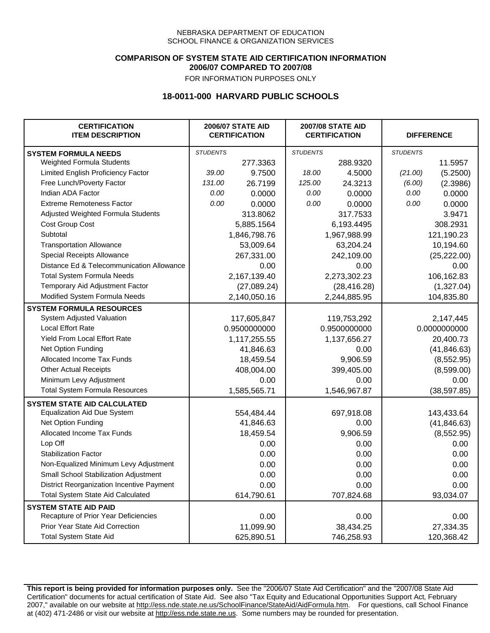### **COMPARISON OF SYSTEM STATE AID CERTIFICATION INFORMATION 2006/07 COMPARED TO 2007/08**

FOR INFORMATION PURPOSES ONLY

## **18-0011-000 HARVARD PUBLIC SCHOOLS**

| <b>CERTIFICATION</b><br><b>ITEM DESCRIPTION</b> | <b>2006/07 STATE AID</b><br><b>CERTIFICATION</b> |              | <b>2007/08 STATE AID</b><br><b>CERTIFICATION</b> |              |                 | <b>DIFFERENCE</b> |  |
|-------------------------------------------------|--------------------------------------------------|--------------|--------------------------------------------------|--------------|-----------------|-------------------|--|
| <b>SYSTEM FORMULA NEEDS</b>                     | <b>STUDENTS</b>                                  |              | <b>STUDENTS</b>                                  |              | <b>STUDENTS</b> |                   |  |
| Weighted Formula Students                       |                                                  | 277.3363     |                                                  | 288.9320     |                 | 11.5957           |  |
| Limited English Proficiency Factor              | 39.00                                            | 9.7500       | 18.00                                            | 4.5000       | (21.00)         | (5.2500)          |  |
| Free Lunch/Poverty Factor                       | 131.00                                           | 26.7199      | 125.00                                           | 24.3213      | (6.00)          | (2.3986)          |  |
| Indian ADA Factor                               | 0.00                                             | 0.0000       | 0.00                                             | 0.0000       | 0.00            | 0.0000            |  |
| <b>Extreme Remoteness Factor</b>                | 0.00                                             | 0.0000       | 0.00                                             | 0.0000       | 0.00            | 0.0000            |  |
| Adjusted Weighted Formula Students              |                                                  | 313.8062     |                                                  | 317.7533     |                 | 3.9471            |  |
| Cost Group Cost                                 |                                                  | 5,885.1564   |                                                  | 6,193.4495   |                 | 308.2931          |  |
| Subtotal                                        |                                                  | 1,846,798.76 |                                                  | 1,967,988.99 |                 | 121,190.23        |  |
| <b>Transportation Allowance</b>                 |                                                  | 53,009.64    |                                                  | 63,204.24    |                 | 10,194.60         |  |
| Special Receipts Allowance                      |                                                  | 267,331.00   |                                                  | 242,109.00   |                 | (25, 222.00)      |  |
| Distance Ed & Telecommunication Allowance       |                                                  | 0.00         |                                                  | 0.00         |                 | 0.00              |  |
| <b>Total System Formula Needs</b>               |                                                  | 2,167,139.40 |                                                  | 2,273,302.23 | 106,162.83      |                   |  |
| Temporary Aid Adjustment Factor                 |                                                  | (27,089.24)  | (28, 416.28)                                     |              | (1,327.04)      |                   |  |
| Modified System Formula Needs                   |                                                  | 2,140,050.16 |                                                  | 2,244,885.95 |                 | 104,835.80        |  |
| <b>SYSTEM FORMULA RESOURCES</b>                 |                                                  |              |                                                  |              |                 |                   |  |
| System Adjusted Valuation                       |                                                  | 117,605,847  |                                                  | 119,753,292  |                 | 2,147,445         |  |
| <b>Local Effort Rate</b>                        |                                                  | 0.9500000000 |                                                  | 0.9500000000 |                 | 0.0000000000      |  |
| Yield From Local Effort Rate                    |                                                  | 1,117,255.55 |                                                  | 1,137,656.27 |                 | 20,400.73         |  |
| Net Option Funding                              |                                                  | 41,846.63    |                                                  | 0.00         |                 | (41, 846.63)      |  |
| Allocated Income Tax Funds                      |                                                  | 18,459.54    | 9,906.59                                         |              | (8, 552.95)     |                   |  |
| <b>Other Actual Receipts</b>                    |                                                  | 408,004.00   | 399,405.00                                       |              | (8,599.00)      |                   |  |
| Minimum Levy Adjustment                         |                                                  | 0.00         |                                                  | 0.00         |                 | 0.00              |  |
| <b>Total System Formula Resources</b>           |                                                  | 1,585,565.71 |                                                  | 1,546,967.87 |                 | (38, 597.85)      |  |
| <b>SYSTEM STATE AID CALCULATED</b>              |                                                  |              |                                                  |              |                 |                   |  |
| <b>Equalization Aid Due System</b>              |                                                  | 554,484.44   |                                                  | 697,918.08   |                 | 143,433.64        |  |
| Net Option Funding                              |                                                  | 41,846.63    |                                                  | 0.00         |                 | (41, 846.63)      |  |
| <b>Allocated Income Tax Funds</b>               |                                                  | 18,459.54    |                                                  | 9,906.59     |                 | (8,552.95)        |  |
| Lop Off                                         |                                                  | 0.00         |                                                  | 0.00         |                 | 0.00              |  |
| <b>Stabilization Factor</b>                     |                                                  | 0.00         |                                                  | 0.00         |                 | 0.00              |  |
| Non-Equalized Minimum Levy Adjustment           |                                                  | 0.00         |                                                  | 0.00         |                 | 0.00              |  |
| Small School Stabilization Adjustment           |                                                  | 0.00         |                                                  | 0.00         |                 | 0.00              |  |
| District Reorganization Incentive Payment       |                                                  | 0.00         |                                                  | 0.00         |                 | 0.00              |  |
| <b>Total System State Aid Calculated</b>        |                                                  | 614,790.61   |                                                  | 707,824.68   |                 | 93,034.07         |  |
| <b>SYSTEM STATE AID PAID</b>                    |                                                  |              |                                                  |              |                 |                   |  |
| Recapture of Prior Year Deficiencies            |                                                  | 0.00         |                                                  | 0.00         |                 | 0.00              |  |
| Prior Year State Aid Correction                 |                                                  | 11,099.90    |                                                  | 38,434.25    |                 | 27,334.35         |  |
| <b>Total System State Aid</b>                   |                                                  | 625,890.51   |                                                  | 746,258.93   |                 | 120,368.42        |  |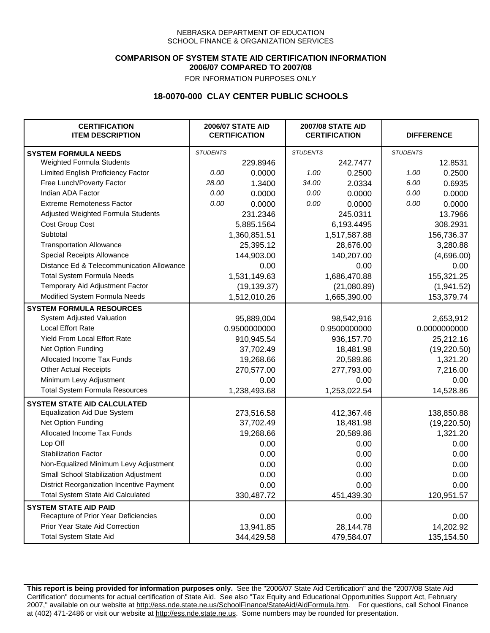### **COMPARISON OF SYSTEM STATE AID CERTIFICATION INFORMATION 2006/07 COMPARED TO 2007/08**

FOR INFORMATION PURPOSES ONLY

# **18-0070-000 CLAY CENTER PUBLIC SCHOOLS**

| <b>CERTIFICATION</b><br><b>ITEM DESCRIPTION</b> |                 | <b>2006/07 STATE AID</b><br><b>CERTIFICATION</b> | <b>2007/08 STATE AID</b><br><b>CERTIFICATION</b> |              | <b>DIFFERENCE</b> |              |
|-------------------------------------------------|-----------------|--------------------------------------------------|--------------------------------------------------|--------------|-------------------|--------------|
| <b>SYSTEM FORMULA NEEDS</b>                     | <b>STUDENTS</b> |                                                  | <b>STUDENTS</b>                                  |              | <b>STUDENTS</b>   |              |
| Weighted Formula Students                       |                 | 229.8946                                         |                                                  | 242.7477     |                   | 12.8531      |
| Limited English Proficiency Factor              | 0.00            | 0.0000                                           | 1.00                                             | 0.2500       | 1.00              | 0.2500       |
| Free Lunch/Poverty Factor                       | 28.00           | 1.3400                                           | 34.00                                            | 2.0334       | 6.00              | 0.6935       |
| Indian ADA Factor                               | 0.00            | 0.0000                                           | 0.00                                             | 0.0000       | 0.00              | 0.0000       |
| <b>Extreme Remoteness Factor</b>                | 0.00            | 0.0000                                           | 0.00                                             | 0.0000       | 0.00              | 0.0000       |
| Adjusted Weighted Formula Students              |                 | 231.2346                                         |                                                  | 245.0311     |                   | 13.7966      |
| Cost Group Cost                                 |                 | 5,885.1564                                       |                                                  | 6,193.4495   |                   | 308.2931     |
| Subtotal                                        |                 | 1,360,851.51                                     |                                                  | 1,517,587.88 |                   | 156,736.37   |
| <b>Transportation Allowance</b>                 |                 | 25,395.12                                        |                                                  | 28,676.00    |                   | 3,280.88     |
| Special Receipts Allowance                      |                 | 144,903.00                                       |                                                  | 140,207.00   |                   | (4,696.00)   |
| Distance Ed & Telecommunication Allowance       |                 | 0.00                                             |                                                  | 0.00         |                   | 0.00         |
| <b>Total System Formula Needs</b>               |                 | 1,531,149.63                                     |                                                  | 1,686,470.88 |                   | 155,321.25   |
| Temporary Aid Adjustment Factor                 |                 | (19, 139.37)                                     |                                                  | (21,080.89)  |                   | (1,941.52)   |
| Modified System Formula Needs                   |                 | 1,512,010.26                                     |                                                  | 1,665,390.00 |                   | 153,379.74   |
| <b>SYSTEM FORMULA RESOURCES</b>                 |                 |                                                  |                                                  |              |                   |              |
| System Adjusted Valuation                       |                 | 95,889,004                                       |                                                  | 98,542,916   |                   | 2,653,912    |
| <b>Local Effort Rate</b>                        |                 | 0.9500000000                                     |                                                  | 0.9500000000 |                   | 0.0000000000 |
| Yield From Local Effort Rate                    |                 | 910,945.54                                       |                                                  | 936,157.70   |                   | 25,212.16    |
| Net Option Funding                              |                 | 37,702.49                                        |                                                  | 18,481.98    |                   | (19, 220.50) |
| Allocated Income Tax Funds                      |                 | 19,268.66                                        |                                                  | 20,589.86    |                   | 1,321.20     |
| <b>Other Actual Receipts</b>                    |                 | 270,577.00                                       | 277,793.00                                       |              | 7,216.00          |              |
| Minimum Levy Adjustment                         |                 | 0.00                                             |                                                  | 0.00         |                   | 0.00         |
| <b>Total System Formula Resources</b>           |                 | 1,238,493.68                                     |                                                  | 1,253,022.54 |                   | 14,528.86    |
| <b>SYSTEM STATE AID CALCULATED</b>              |                 |                                                  |                                                  |              |                   |              |
| <b>Equalization Aid Due System</b>              |                 | 273,516.58                                       |                                                  | 412,367.46   |                   | 138,850.88   |
| Net Option Funding                              |                 | 37,702.49                                        |                                                  | 18,481.98    |                   | (19, 220.50) |
| Allocated Income Tax Funds                      |                 | 19,268.66                                        |                                                  | 20,589.86    |                   | 1,321.20     |
| Lop Off                                         |                 | 0.00                                             |                                                  | 0.00         |                   | 0.00         |
| <b>Stabilization Factor</b>                     |                 | 0.00                                             |                                                  | 0.00         |                   | 0.00         |
| Non-Equalized Minimum Levy Adjustment           |                 | 0.00                                             |                                                  | 0.00         |                   | 0.00         |
| Small School Stabilization Adjustment           |                 | 0.00                                             |                                                  | 0.00         |                   | 0.00         |
| District Reorganization Incentive Payment       |                 | 0.00                                             |                                                  | 0.00         |                   | 0.00         |
| <b>Total System State Aid Calculated</b>        |                 | 330,487.72                                       |                                                  | 451,439.30   |                   | 120,951.57   |
| <b>SYSTEM STATE AID PAID</b>                    |                 |                                                  |                                                  |              |                   |              |
| Recapture of Prior Year Deficiencies            |                 | 0.00                                             |                                                  | 0.00         |                   | 0.00         |
| Prior Year State Aid Correction                 |                 | 13,941.85                                        |                                                  | 28,144.78    |                   | 14,202.92    |
| <b>Total System State Aid</b>                   |                 | 344,429.58                                       |                                                  | 479,584.07   |                   | 135,154.50   |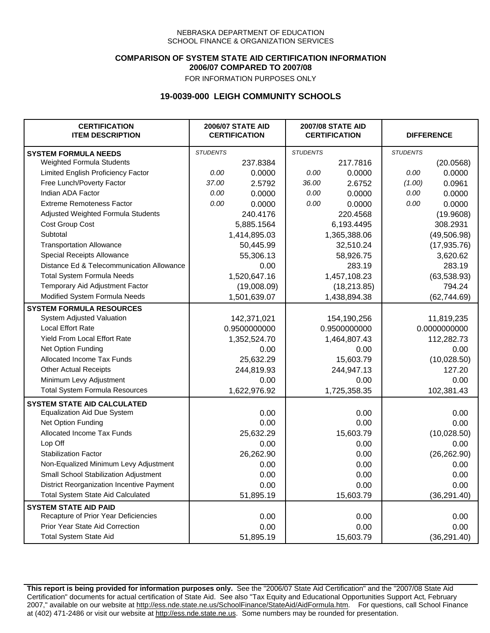### **COMPARISON OF SYSTEM STATE AID CERTIFICATION INFORMATION 2006/07 COMPARED TO 2007/08**

FOR INFORMATION PURPOSES ONLY

## **19-0039-000 LEIGH COMMUNITY SCHOOLS**

| <b>CERTIFICATION</b><br><b>ITEM DESCRIPTION</b> |                 | <b>2006/07 STATE AID</b><br><b>CERTIFICATION</b> | <b>2007/08 STATE AID</b><br><b>CERTIFICATION</b> |              | <b>DIFFERENCE</b> |              |
|-------------------------------------------------|-----------------|--------------------------------------------------|--------------------------------------------------|--------------|-------------------|--------------|
| <b>SYSTEM FORMULA NEEDS</b>                     | <b>STUDENTS</b> |                                                  | <b>STUDENTS</b>                                  |              | <b>STUDENTS</b>   |              |
| Weighted Formula Students                       |                 | 237.8384                                         |                                                  | 217.7816     |                   | (20.0568)    |
| Limited English Proficiency Factor              | 0.00            | 0.0000                                           | 0.00                                             | 0.0000       | 0.00              | 0.0000       |
| Free Lunch/Poverty Factor                       | 37.00           | 2.5792                                           | 36.00                                            | 2.6752       | (1.00)            | 0.0961       |
| Indian ADA Factor                               | 0.00            | 0.0000                                           | 0.00                                             | 0.0000       | 0.00              | 0.0000       |
| <b>Extreme Remoteness Factor</b>                | 0.00            | 0.0000                                           | 0.00                                             | 0.0000       | 0.00              | 0.0000       |
| Adjusted Weighted Formula Students              |                 | 240.4176                                         |                                                  | 220.4568     |                   | (19.9608)    |
| Cost Group Cost                                 |                 | 5,885.1564                                       |                                                  | 6,193.4495   |                   | 308.2931     |
| Subtotal                                        |                 | 1,414,895.03                                     |                                                  | 1,365,388.06 |                   | (49, 506.98) |
| <b>Transportation Allowance</b>                 |                 | 50,445.99                                        |                                                  | 32,510.24    |                   | (17, 935.76) |
| Special Receipts Allowance                      |                 | 55,306.13                                        |                                                  | 58,926.75    |                   | 3,620.62     |
| Distance Ed & Telecommunication Allowance       |                 | 0.00                                             |                                                  | 283.19       |                   | 283.19       |
| <b>Total System Formula Needs</b>               |                 | 1,520,647.16                                     |                                                  | 1,457,108.23 | (63, 538.93)      |              |
| Temporary Aid Adjustment Factor                 |                 | (19,008.09)                                      | (18, 213.85)                                     |              | 794.24            |              |
| Modified System Formula Needs                   |                 | 1,501,639.07                                     |                                                  | 1,438,894.38 |                   | (62, 744.69) |
| <b>SYSTEM FORMULA RESOURCES</b>                 |                 |                                                  |                                                  |              |                   |              |
| System Adjusted Valuation                       |                 | 142,371,021                                      |                                                  | 154,190,256  |                   | 11,819,235   |
| <b>Local Effort Rate</b>                        |                 | 0.9500000000                                     |                                                  | 0.9500000000 |                   | 0.0000000000 |
| Yield From Local Effort Rate                    |                 | 1,352,524.70                                     |                                                  | 1,464,807.43 |                   | 112,282.73   |
| Net Option Funding                              |                 | 0.00                                             |                                                  | 0.00         |                   | 0.00         |
| Allocated Income Tax Funds                      |                 | 25,632.29                                        | 15,603.79                                        |              | (10,028.50)       |              |
| <b>Other Actual Receipts</b>                    |                 | 244,819.93                                       |                                                  | 244,947.13   |                   | 127.20       |
| Minimum Levy Adjustment                         |                 | 0.00                                             |                                                  | 0.00         |                   | 0.00         |
| <b>Total System Formula Resources</b>           |                 | 1,622,976.92                                     |                                                  | 1,725,358.35 |                   | 102,381.43   |
| <b>SYSTEM STATE AID CALCULATED</b>              |                 |                                                  |                                                  |              |                   |              |
| <b>Equalization Aid Due System</b>              |                 | 0.00                                             |                                                  | 0.00         |                   | 0.00         |
| Net Option Funding                              |                 | 0.00                                             |                                                  | 0.00         |                   | 0.00         |
| Allocated Income Tax Funds                      |                 | 25,632.29                                        |                                                  | 15,603.79    |                   | (10,028.50)  |
| Lop Off                                         |                 | 0.00                                             |                                                  | 0.00         |                   | 0.00         |
| <b>Stabilization Factor</b>                     |                 | 26,262.90                                        |                                                  | 0.00         |                   | (26, 262.90) |
| Non-Equalized Minimum Levy Adjustment           |                 | 0.00                                             |                                                  | 0.00         |                   | 0.00         |
| Small School Stabilization Adjustment           |                 | 0.00                                             |                                                  | 0.00         |                   | 0.00         |
| District Reorganization Incentive Payment       |                 | 0.00                                             |                                                  | 0.00         |                   | 0.00         |
| <b>Total System State Aid Calculated</b>        |                 | 51,895.19                                        |                                                  | 15,603.79    |                   | (36, 291.40) |
| <b>SYSTEM STATE AID PAID</b>                    |                 |                                                  |                                                  |              |                   |              |
| Recapture of Prior Year Deficiencies            |                 | 0.00                                             |                                                  | 0.00         |                   | 0.00         |
| Prior Year State Aid Correction                 |                 | 0.00                                             |                                                  | 0.00         |                   | 0.00         |
| <b>Total System State Aid</b>                   |                 | 51,895.19                                        |                                                  | 15,603.79    |                   | (36, 291.40) |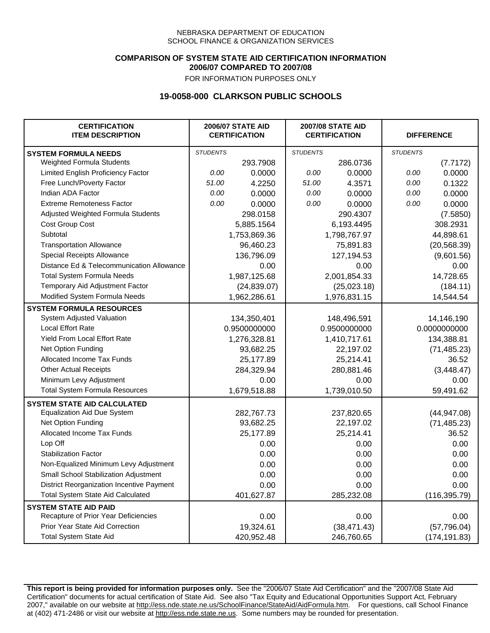### **COMPARISON OF SYSTEM STATE AID CERTIFICATION INFORMATION 2006/07 COMPARED TO 2007/08**

FOR INFORMATION PURPOSES ONLY

## **19-0058-000 CLARKSON PUBLIC SCHOOLS**

| <b>CERTIFICATION</b><br><b>ITEM DESCRIPTION</b> |                 | <b>2006/07 STATE AID</b><br><b>CERTIFICATION</b> | <b>2007/08 STATE AID</b><br><b>CERTIFICATION</b> |              | <b>DIFFERENCE</b> |               |
|-------------------------------------------------|-----------------|--------------------------------------------------|--------------------------------------------------|--------------|-------------------|---------------|
| <b>SYSTEM FORMULA NEEDS</b>                     | <b>STUDENTS</b> |                                                  | <b>STUDENTS</b>                                  |              | <b>STUDENTS</b>   |               |
| Weighted Formula Students                       |                 | 293.7908                                         |                                                  | 286.0736     |                   | (7.7172)      |
| Limited English Proficiency Factor              | 0.00            | 0.0000                                           | 0.00                                             | 0.0000       | 0.00              | 0.0000        |
| Free Lunch/Poverty Factor                       | 51.00           | 4.2250                                           | 51.00                                            | 4.3571       | 0.00              | 0.1322        |
| Indian ADA Factor                               | 0.00            | 0.0000                                           | 0.00                                             | 0.0000       | 0.00              | 0.0000        |
| <b>Extreme Remoteness Factor</b>                | 0.00            | 0.0000                                           | 0.00                                             | 0.0000       | 0.00              | 0.0000        |
| Adjusted Weighted Formula Students              |                 | 298.0158                                         |                                                  | 290.4307     |                   | (7.5850)      |
| Cost Group Cost                                 |                 | 5,885.1564                                       |                                                  | 6,193.4495   |                   | 308.2931      |
| Subtotal                                        |                 | 1,753,869.36                                     |                                                  | 1,798,767.97 |                   | 44,898.61     |
| <b>Transportation Allowance</b>                 |                 | 96,460.23                                        |                                                  | 75,891.83    |                   | (20, 568.39)  |
| Special Receipts Allowance                      |                 | 136,796.09                                       |                                                  | 127,194.53   |                   | (9,601.56)    |
| Distance Ed & Telecommunication Allowance       |                 | 0.00                                             |                                                  | 0.00         |                   | 0.00          |
| <b>Total System Formula Needs</b>               |                 | 1,987,125.68                                     |                                                  | 2,001,854.33 |                   | 14,728.65     |
| Temporary Aid Adjustment Factor                 |                 | (24, 839.07)                                     | (25,023.18)                                      |              | (184.11)          |               |
| Modified System Formula Needs                   |                 | 1,962,286.61                                     |                                                  | 1,976,831.15 |                   | 14,544.54     |
| <b>SYSTEM FORMULA RESOURCES</b>                 |                 |                                                  |                                                  |              |                   |               |
| System Adjusted Valuation                       |                 | 134,350,401                                      |                                                  | 148,496,591  |                   | 14,146,190    |
| <b>Local Effort Rate</b>                        |                 | 0.9500000000                                     |                                                  | 0.9500000000 |                   | 0.0000000000  |
| Yield From Local Effort Rate                    |                 | 1,276,328.81                                     |                                                  | 1,410,717.61 |                   | 134,388.81    |
| Net Option Funding                              |                 | 93,682.25                                        |                                                  | 22,197.02    |                   | (71, 485.23)  |
| Allocated Income Tax Funds                      |                 | 25,177.89                                        |                                                  | 25,214.41    |                   | 36.52         |
| <b>Other Actual Receipts</b>                    |                 | 284,329.94                                       | 280,881.46                                       |              | (3,448.47)        |               |
| Minimum Levy Adjustment                         |                 | 0.00                                             |                                                  | 0.00         |                   | 0.00          |
| <b>Total System Formula Resources</b>           |                 | 1,679,518.88                                     |                                                  | 1,739,010.50 |                   | 59,491.62     |
| <b>SYSTEM STATE AID CALCULATED</b>              |                 |                                                  |                                                  |              |                   |               |
| <b>Equalization Aid Due System</b>              |                 | 282,767.73                                       |                                                  | 237,820.65   |                   | (44, 947.08)  |
| Net Option Funding                              |                 | 93,682.25                                        |                                                  | 22,197.02    |                   | (71, 485.23)  |
| Allocated Income Tax Funds                      |                 | 25,177.89                                        |                                                  | 25,214.41    |                   | 36.52         |
| Lop Off                                         |                 | 0.00                                             |                                                  | 0.00         |                   | 0.00          |
| <b>Stabilization Factor</b>                     |                 | 0.00                                             |                                                  | 0.00         |                   | 0.00          |
| Non-Equalized Minimum Levy Adjustment           |                 | 0.00                                             |                                                  | 0.00         |                   | 0.00          |
| Small School Stabilization Adjustment           |                 | 0.00                                             |                                                  | 0.00         |                   | 0.00          |
| District Reorganization Incentive Payment       |                 | 0.00                                             |                                                  | 0.00         |                   | 0.00          |
| <b>Total System State Aid Calculated</b>        |                 | 401,627.87                                       |                                                  | 285,232.08   |                   | (116, 395.79) |
| <b>SYSTEM STATE AID PAID</b>                    |                 |                                                  |                                                  |              |                   |               |
| Recapture of Prior Year Deficiencies            |                 | 0.00                                             |                                                  | 0.00         |                   | 0.00          |
| Prior Year State Aid Correction                 |                 | 19,324.61                                        |                                                  | (38, 471.43) |                   | (57, 796.04)  |
| <b>Total System State Aid</b>                   |                 | 420,952.48                                       |                                                  | 246,760.65   |                   | (174, 191.83) |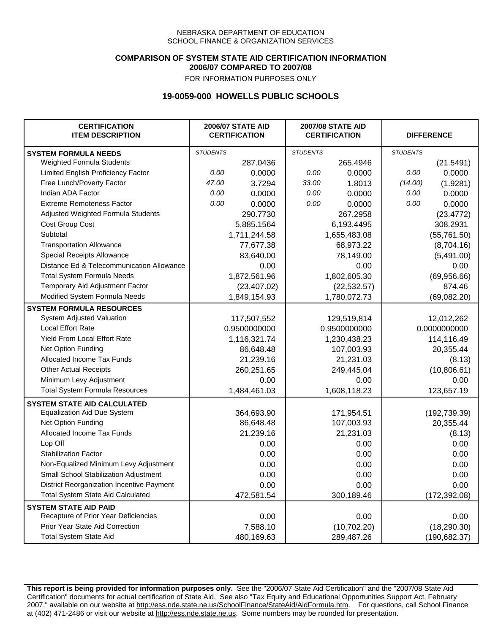### **COMPARISON OF SYSTEM STATE AID CERTIFICATION INFORMATION 2006/07 COMPARED TO 2007/08**

FOR INFORMATION PURPOSES ONLY

## **19-0059-000 HOWELLS PUBLIC SCHOOLS**

| <b>CERTIFICATION</b><br><b>ITEM DESCRIPTION</b> |                 | <b>2006/07 STATE AID</b><br><b>CERTIFICATION</b> | <b>2007/08 STATE AID</b><br><b>CERTIFICATION</b> |              | <b>DIFFERENCE</b> |               |
|-------------------------------------------------|-----------------|--------------------------------------------------|--------------------------------------------------|--------------|-------------------|---------------|
| <b>SYSTEM FORMULA NEEDS</b>                     | <b>STUDENTS</b> |                                                  | <b>STUDENTS</b>                                  |              | <b>STUDENTS</b>   |               |
| Weighted Formula Students                       |                 | 287.0436                                         |                                                  | 265.4946     |                   | (21.5491)     |
| Limited English Proficiency Factor              | 0.00            | 0.0000                                           | 0.00                                             | 0.0000       | 0.00              | 0.0000        |
| Free Lunch/Poverty Factor                       | 47.00           | 3.7294                                           | 33.00                                            | 1.8013       | (14.00)           | (1.9281)      |
| Indian ADA Factor                               | 0.00            | 0.0000                                           | 0.00                                             | 0.0000       | 0.00              | 0.0000        |
| <b>Extreme Remoteness Factor</b>                | 0.00            | 0.0000                                           | 0.00                                             | 0.0000       | 0.00              | 0.0000        |
| Adjusted Weighted Formula Students              |                 | 290.7730                                         |                                                  | 267.2958     |                   | (23.4772)     |
| Cost Group Cost                                 |                 | 5,885.1564                                       |                                                  | 6,193.4495   |                   | 308.2931      |
| Subtotal                                        |                 | 1,711,244.58                                     |                                                  | 1,655,483.08 |                   | (55, 761.50)  |
| <b>Transportation Allowance</b>                 |                 | 77,677.38                                        |                                                  | 68,973.22    |                   | (8,704.16)    |
| Special Receipts Allowance                      |                 | 83,640.00                                        |                                                  | 78,149.00    |                   | (5,491.00)    |
| Distance Ed & Telecommunication Allowance       |                 | 0.00                                             |                                                  | 0.00         |                   | 0.00          |
| <b>Total System Formula Needs</b>               |                 | 1,872,561.96                                     |                                                  | 1,802,605.30 |                   | (69,956.66)   |
| Temporary Aid Adjustment Factor                 |                 | (23, 407.02)                                     | (22, 532.57)                                     |              | 874.46            |               |
| Modified System Formula Needs                   |                 | 1,849,154.93                                     |                                                  | 1,780,072.73 |                   | (69,082.20)   |
| <b>SYSTEM FORMULA RESOURCES</b>                 |                 |                                                  |                                                  |              |                   |               |
| System Adjusted Valuation                       |                 | 117,507,552                                      |                                                  | 129,519,814  |                   | 12,012,262    |
| <b>Local Effort Rate</b>                        |                 | 0.9500000000                                     |                                                  | 0.9500000000 | 0.0000000000      |               |
| Yield From Local Effort Rate                    |                 | 1,116,321.74                                     | 1,230,438.23                                     |              | 114,116.49        |               |
| Net Option Funding                              |                 | 86,648.48                                        | 107,003.93                                       |              | 20,355.44         |               |
| Allocated Income Tax Funds                      |                 | 21,239.16                                        | 21,231.03                                        |              | (8.13)            |               |
| <b>Other Actual Receipts</b>                    |                 | 260,251.65                                       | 249,445.04                                       |              | (10,806.61)       |               |
| Minimum Levy Adjustment                         |                 | 0.00                                             |                                                  | 0.00         |                   | 0.00          |
| <b>Total System Formula Resources</b>           |                 | 1,484,461.03                                     |                                                  | 1,608,118.23 |                   | 123,657.19    |
| <b>SYSTEM STATE AID CALCULATED</b>              |                 |                                                  |                                                  |              |                   |               |
| <b>Equalization Aid Due System</b>              |                 | 364,693.90                                       |                                                  | 171,954.51   |                   | (192, 739.39) |
| Net Option Funding                              |                 | 86,648.48                                        |                                                  | 107,003.93   |                   | 20,355.44     |
| Allocated Income Tax Funds                      |                 | 21,239.16                                        |                                                  | 21,231.03    |                   | (8.13)        |
| Lop Off                                         |                 | 0.00                                             |                                                  | 0.00         |                   | 0.00          |
| <b>Stabilization Factor</b>                     |                 | 0.00                                             |                                                  | 0.00         |                   | 0.00          |
| Non-Equalized Minimum Levy Adjustment           |                 | 0.00                                             |                                                  | 0.00         |                   | 0.00          |
| Small School Stabilization Adjustment           |                 | 0.00                                             |                                                  | 0.00         |                   | 0.00          |
| District Reorganization Incentive Payment       |                 | 0.00                                             |                                                  | 0.00         |                   | 0.00          |
| Total System State Aid Calculated               |                 | 472,581.54                                       |                                                  | 300,189.46   |                   | (172, 392.08) |
| <b>SYSTEM STATE AID PAID</b>                    |                 |                                                  |                                                  |              |                   |               |
| Recapture of Prior Year Deficiencies            |                 | 0.00                                             |                                                  | 0.00         |                   | 0.00          |
| Prior Year State Aid Correction                 |                 | 7,588.10                                         |                                                  | (10,702.20)  |                   | (18, 290.30)  |
| <b>Total System State Aid</b>                   |                 | 480,169.63                                       |                                                  | 289,487.26   | (190, 682.37)     |               |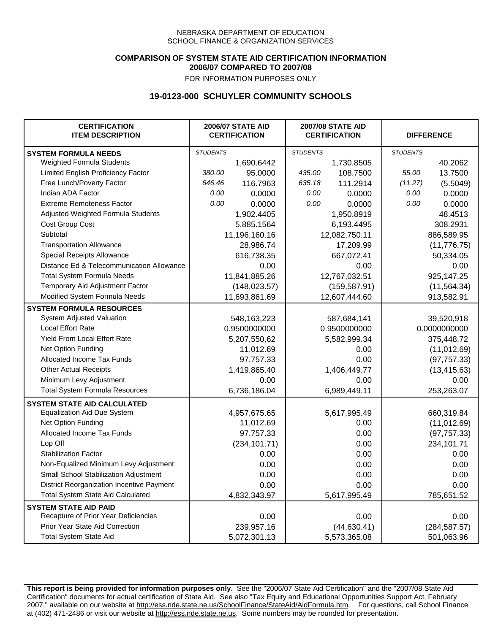### **COMPARISON OF SYSTEM STATE AID CERTIFICATION INFORMATION 2006/07 COMPARED TO 2007/08**

FOR INFORMATION PURPOSES ONLY

## **19-0123-000 SCHUYLER COMMUNITY SCHOOLS**

| <b>CERTIFICATION</b><br><b>ITEM DESCRIPTION</b> |                 | <b>2006/07 STATE AID</b><br><b>CERTIFICATION</b> | <b>2007/08 STATE AID</b><br><b>CERTIFICATION</b> |               | <b>DIFFERENCE</b> |               |
|-------------------------------------------------|-----------------|--------------------------------------------------|--------------------------------------------------|---------------|-------------------|---------------|
| <b>SYSTEM FORMULA NEEDS</b>                     | <b>STUDENTS</b> |                                                  | <b>STUDENTS</b>                                  |               | <b>STUDENTS</b>   |               |
| Weighted Formula Students                       |                 | 1,690.6442                                       |                                                  | 1,730.8505    |                   | 40.2062       |
| Limited English Proficiency Factor              | 380.00          | 95.0000                                          | 435.00                                           | 108.7500      | 55.00             | 13.7500       |
| Free Lunch/Poverty Factor                       | 646.46          | 116.7963                                         | 635.18                                           | 111.2914      | (11.27)           | (5.5049)      |
| Indian ADA Factor                               | 0.00            | 0.0000                                           | 0.00                                             | 0.0000        | 0.00              | 0.0000        |
| <b>Extreme Remoteness Factor</b>                | 0.00            | 0.0000                                           | 0.00                                             | 0.0000        | 0.00              | 0.0000        |
| Adjusted Weighted Formula Students              |                 | 1,902.4405                                       |                                                  | 1,950.8919    |                   | 48.4513       |
| Cost Group Cost                                 |                 | 5,885.1564                                       |                                                  | 6,193.4495    |                   | 308.2931      |
| Subtotal                                        |                 | 11,196,160.16                                    |                                                  | 12,082,750.11 |                   | 886,589.95    |
| <b>Transportation Allowance</b>                 |                 | 28,986.74                                        |                                                  | 17,209.99     |                   | (11, 776.75)  |
| Special Receipts Allowance                      |                 | 616,738.35                                       |                                                  | 667,072.41    |                   | 50,334.05     |
| Distance Ed & Telecommunication Allowance       |                 | 0.00                                             |                                                  | 0.00          |                   | 0.00          |
| <b>Total System Formula Needs</b>               |                 | 11,841,885.26                                    |                                                  | 12,767,032.51 | 925,147.25        |               |
| Temporary Aid Adjustment Factor                 |                 | (148, 023.57)                                    | (159, 587.91)                                    |               | (11, 564.34)      |               |
| Modified System Formula Needs                   | 11,693,861.69   |                                                  | 12,607,444.60                                    |               | 913,582.91        |               |
| <b>SYSTEM FORMULA RESOURCES</b>                 |                 |                                                  |                                                  |               |                   |               |
| System Adjusted Valuation                       |                 | 548,163,223                                      |                                                  | 587,684,141   |                   | 39,520,918    |
| <b>Local Effort Rate</b>                        |                 | 0.9500000000                                     |                                                  | 0.9500000000  | 0.0000000000      |               |
| Yield From Local Effort Rate                    |                 | 5,207,550.62                                     |                                                  | 5,582,999.34  | 375,448.72        |               |
| Net Option Funding                              |                 | 11,012.69                                        | 0.00                                             |               | (11, 012.69)      |               |
| Allocated Income Tax Funds                      |                 | 97,757.33                                        | 0.00                                             |               | (97, 757.33)      |               |
| <b>Other Actual Receipts</b>                    |                 | 1,419,865.40                                     | 1,406,449.77                                     |               | (13, 415.63)      |               |
| Minimum Levy Adjustment                         |                 | 0.00                                             |                                                  | 0.00          |                   | 0.00          |
| <b>Total System Formula Resources</b>           |                 | 6,736,186.04                                     |                                                  | 6,989,449.11  |                   | 253,263.07    |
| <b>SYSTEM STATE AID CALCULATED</b>              |                 |                                                  |                                                  |               |                   |               |
| <b>Equalization Aid Due System</b>              |                 | 4,957,675.65                                     |                                                  | 5,617,995.49  |                   | 660,319.84    |
| Net Option Funding                              |                 | 11,012.69                                        |                                                  | 0.00          |                   | (11, 012.69)  |
| Allocated Income Tax Funds                      |                 | 97,757.33                                        |                                                  | 0.00          |                   | (97, 757.33)  |
| Lop Off                                         |                 | (234, 101.71)                                    |                                                  | 0.00          |                   | 234,101.71    |
| <b>Stabilization Factor</b>                     |                 | 0.00                                             |                                                  | 0.00          |                   | 0.00          |
| Non-Equalized Minimum Levy Adjustment           |                 | 0.00                                             |                                                  | 0.00          |                   | 0.00          |
| Small School Stabilization Adjustment           |                 | 0.00                                             |                                                  | 0.00          |                   | 0.00          |
| District Reorganization Incentive Payment       |                 | 0.00                                             |                                                  | 0.00          |                   | 0.00          |
| <b>Total System State Aid Calculated</b>        |                 | 4,832,343.97                                     |                                                  | 5,617,995.49  |                   | 785,651.52    |
| <b>SYSTEM STATE AID PAID</b>                    |                 |                                                  |                                                  |               |                   |               |
| Recapture of Prior Year Deficiencies            |                 | 0.00                                             |                                                  | 0.00          | 0.00              |               |
| Prior Year State Aid Correction                 |                 | 239,957.16                                       |                                                  | (44, 630.41)  |                   | (284, 587.57) |
| <b>Total System State Aid</b>                   |                 | 5,072,301.13                                     |                                                  | 5,573,365.08  | 501,063.96        |               |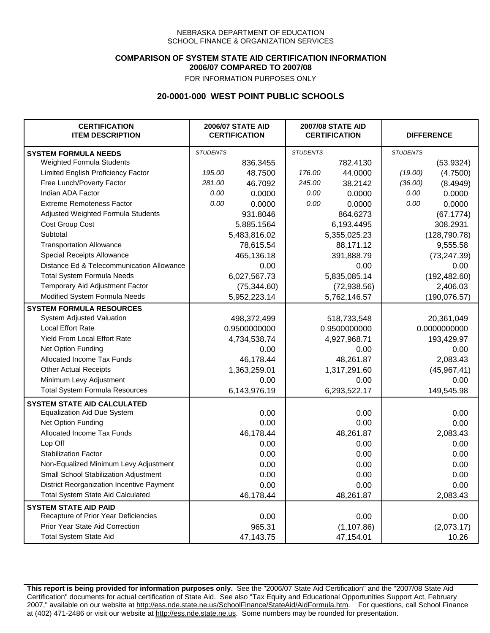### **COMPARISON OF SYSTEM STATE AID CERTIFICATION INFORMATION 2006/07 COMPARED TO 2007/08**

FOR INFORMATION PURPOSES ONLY

## **20-0001-000 WEST POINT PUBLIC SCHOOLS**

| <b>CERTIFICATION</b><br><b>ITEM DESCRIPTION</b> |                 | <b>2006/07 STATE AID</b><br><b>CERTIFICATION</b> |                 | <b>2007/08 STATE AID</b><br><b>CERTIFICATION</b> |                 | <b>DIFFERENCE</b> |  |
|-------------------------------------------------|-----------------|--------------------------------------------------|-----------------|--------------------------------------------------|-----------------|-------------------|--|
| <b>SYSTEM FORMULA NEEDS</b>                     | <b>STUDENTS</b> |                                                  | <b>STUDENTS</b> |                                                  | <b>STUDENTS</b> |                   |  |
| Weighted Formula Students                       |                 | 836.3455                                         |                 | 782.4130                                         |                 | (53.9324)         |  |
| Limited English Proficiency Factor              | 195.00          | 48.7500                                          | 176.00          | 44.0000                                          | (19.00)         | (4.7500)          |  |
| Free Lunch/Poverty Factor                       | 281.00          | 46.7092                                          | 245.00          | 38.2142                                          | (36.00)         | (8.4949)          |  |
| Indian ADA Factor                               | 0.00            | 0.0000                                           | 0.00            | 0.0000                                           | 0.00            | 0.0000            |  |
| <b>Extreme Remoteness Factor</b>                | 0.00            | 0.0000                                           | 0.00            | 0.0000                                           | 0.00            | 0.0000            |  |
| Adjusted Weighted Formula Students              |                 | 931.8046                                         |                 | 864.6273                                         |                 | (67.1774)         |  |
| Cost Group Cost                                 |                 | 5,885.1564                                       |                 | 6,193.4495                                       |                 | 308.2931          |  |
| Subtotal                                        |                 | 5,483,816.02                                     |                 | 5,355,025.23                                     |                 | (128, 790.78)     |  |
| <b>Transportation Allowance</b>                 |                 | 78,615.54                                        |                 | 88,171.12                                        |                 | 9,555.58          |  |
| Special Receipts Allowance                      |                 | 465,136.18                                       |                 | 391,888.79                                       |                 | (73, 247.39)      |  |
| Distance Ed & Telecommunication Allowance       |                 | 0.00                                             |                 | 0.00                                             |                 | 0.00              |  |
| <b>Total System Formula Needs</b>               |                 | 6,027,567.73                                     |                 | 5,835,085.14                                     | (192, 482.60)   |                   |  |
| Temporary Aid Adjustment Factor                 |                 | (75, 344.60)                                     | (72, 938.56)    |                                                  | 2,406.03        |                   |  |
| Modified System Formula Needs                   |                 | 5,952,223.14                                     |                 | 5,762,146.57                                     |                 | (190, 076.57)     |  |
| <b>SYSTEM FORMULA RESOURCES</b>                 |                 |                                                  |                 |                                                  |                 |                   |  |
| System Adjusted Valuation                       |                 | 498,372,499                                      |                 | 518,733,548                                      |                 | 20,361,049        |  |
| <b>Local Effort Rate</b>                        |                 | 0.9500000000                                     |                 | 0.9500000000                                     | 0.0000000000    |                   |  |
| <b>Yield From Local Effort Rate</b>             |                 | 4,734,538.74                                     | 4,927,968.71    |                                                  |                 | 193,429.97        |  |
| Net Option Funding                              |                 | 0.00                                             | 0.00            |                                                  | 0.00            |                   |  |
| Allocated Income Tax Funds                      |                 | 46,178.44                                        | 48,261.87       |                                                  | 2,083.43        |                   |  |
| <b>Other Actual Receipts</b>                    |                 | 1,363,259.01                                     | 1,317,291.60    |                                                  | (45,967.41)     |                   |  |
| Minimum Levy Adjustment                         |                 | 0.00                                             |                 | 0.00                                             |                 | 0.00              |  |
| <b>Total System Formula Resources</b>           |                 | 6,143,976.19                                     |                 | 6,293,522.17                                     |                 | 149,545.98        |  |
| <b>SYSTEM STATE AID CALCULATED</b>              |                 |                                                  |                 |                                                  |                 |                   |  |
| <b>Equalization Aid Due System</b>              |                 | 0.00                                             |                 | 0.00                                             |                 | 0.00              |  |
| Net Option Funding                              |                 | 0.00                                             |                 | 0.00                                             |                 | 0.00              |  |
| Allocated Income Tax Funds                      |                 | 46,178.44                                        |                 | 48,261.87                                        |                 | 2,083.43          |  |
| Lop Off                                         |                 | 0.00                                             |                 | 0.00                                             |                 | 0.00              |  |
| <b>Stabilization Factor</b>                     |                 | 0.00                                             |                 | 0.00                                             |                 | 0.00              |  |
| Non-Equalized Minimum Levy Adjustment           |                 | 0.00                                             |                 | 0.00                                             |                 | 0.00              |  |
| Small School Stabilization Adjustment           |                 | 0.00                                             |                 | 0.00                                             |                 | 0.00              |  |
| District Reorganization Incentive Payment       |                 | 0.00                                             |                 | 0.00                                             |                 | 0.00              |  |
| Total System State Aid Calculated               |                 | 46,178.44                                        |                 | 48,261.87                                        |                 | 2,083.43          |  |
| <b>SYSTEM STATE AID PAID</b>                    |                 |                                                  |                 |                                                  |                 |                   |  |
| Recapture of Prior Year Deficiencies            |                 | 0.00                                             |                 | 0.00                                             |                 | 0.00              |  |
| Prior Year State Aid Correction                 |                 | 965.31                                           |                 | (1, 107.86)                                      | (2,073.17)      |                   |  |
| <b>Total System State Aid</b>                   |                 | 47, 143. 75                                      |                 | 47,154.01                                        |                 | 10.26             |  |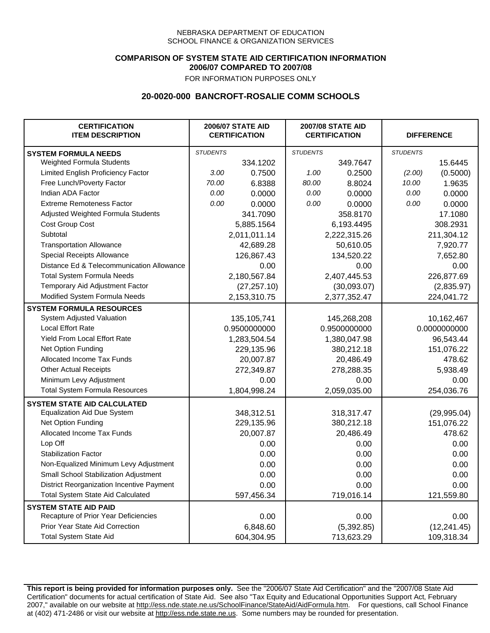### **COMPARISON OF SYSTEM STATE AID CERTIFICATION INFORMATION 2006/07 COMPARED TO 2007/08**

FOR INFORMATION PURPOSES ONLY

## **20-0020-000 BANCROFT-ROSALIE COMM SCHOOLS**

| <b>CERTIFICATION</b><br><b>ITEM DESCRIPTION</b> | <b>2006/07 STATE AID</b><br><b>CERTIFICATION</b> |              | <b>2007/08 STATE AID</b><br><b>CERTIFICATION</b> |              | <b>DIFFERENCE</b> |              |
|-------------------------------------------------|--------------------------------------------------|--------------|--------------------------------------------------|--------------|-------------------|--------------|
| <b>SYSTEM FORMULA NEEDS</b>                     | <b>STUDENTS</b>                                  |              | <b>STUDENTS</b>                                  |              | <b>STUDENTS</b>   |              |
| Weighted Formula Students                       |                                                  | 334.1202     |                                                  | 349.7647     |                   | 15.6445      |
| Limited English Proficiency Factor              | 3.00                                             | 0.7500       | 1.00                                             | 0.2500       | (2.00)            | (0.5000)     |
| Free Lunch/Poverty Factor                       | 70.00                                            | 6.8388       | 80.00                                            | 8.8024       | 10.00             | 1.9635       |
| Indian ADA Factor                               | 0.00                                             | 0.0000       | 0.00                                             | 0.0000       | 0.00              | 0.0000       |
| <b>Extreme Remoteness Factor</b>                | 0.00                                             | 0.0000       | 0.00                                             | 0.0000       | 0.00              | 0.0000       |
| Adjusted Weighted Formula Students              |                                                  | 341.7090     |                                                  | 358.8170     |                   | 17.1080      |
| Cost Group Cost                                 |                                                  | 5,885.1564   |                                                  | 6,193.4495   |                   | 308.2931     |
| Subtotal                                        |                                                  | 2,011,011.14 |                                                  | 2,222,315.26 |                   | 211,304.12   |
| <b>Transportation Allowance</b>                 |                                                  | 42,689.28    |                                                  | 50,610.05    |                   | 7,920.77     |
| Special Receipts Allowance                      |                                                  | 126,867.43   |                                                  | 134,520.22   |                   | 7,652.80     |
| Distance Ed & Telecommunication Allowance       |                                                  | 0.00         |                                                  | 0.00         |                   | 0.00         |
| <b>Total System Formula Needs</b>               |                                                  | 2,180,567.84 | 2,407,445.53                                     |              | 226,877.69        |              |
| Temporary Aid Adjustment Factor                 |                                                  | (27, 257.10) | (30,093.07)                                      |              | (2,835.97)        |              |
| Modified System Formula Needs                   |                                                  | 2,153,310.75 |                                                  | 2,377,352.47 |                   | 224,041.72   |
| <b>SYSTEM FORMULA RESOURCES</b>                 |                                                  |              |                                                  |              |                   |              |
| System Adjusted Valuation                       |                                                  | 135,105,741  |                                                  | 145,268,208  |                   | 10,162,467   |
| <b>Local Effort Rate</b>                        |                                                  | 0.9500000000 | 0.9500000000                                     |              |                   | 0.0000000000 |
| <b>Yield From Local Effort Rate</b>             |                                                  | 1,283,504.54 | 1,380,047.98                                     |              | 96,543.44         |              |
| Net Option Funding                              |                                                  | 229,135.96   | 380,212.18                                       |              | 151,076.22        |              |
| Allocated Income Tax Funds                      |                                                  | 20,007.87    | 20,486.49                                        |              | 478.62            |              |
| <b>Other Actual Receipts</b>                    |                                                  | 272,349.87   | 278,288.35                                       |              | 5,938.49          |              |
| Minimum Levy Adjustment                         |                                                  | 0.00         |                                                  | 0.00         |                   | 0.00         |
| <b>Total System Formula Resources</b>           |                                                  | 1,804,998.24 |                                                  | 2,059,035.00 |                   | 254,036.76   |
| <b>SYSTEM STATE AID CALCULATED</b>              |                                                  |              |                                                  |              |                   |              |
| <b>Equalization Aid Due System</b>              |                                                  | 348,312.51   |                                                  | 318,317.47   |                   | (29, 995.04) |
| Net Option Funding                              |                                                  | 229,135.96   |                                                  | 380,212.18   |                   | 151,076.22   |
| Allocated Income Tax Funds                      |                                                  | 20,007.87    |                                                  | 20,486.49    |                   | 478.62       |
| Lop Off                                         |                                                  | 0.00         |                                                  | 0.00         |                   | 0.00         |
| <b>Stabilization Factor</b>                     |                                                  | 0.00         |                                                  | 0.00         |                   | 0.00         |
| Non-Equalized Minimum Levy Adjustment           |                                                  | 0.00         |                                                  | 0.00         |                   | 0.00         |
| Small School Stabilization Adjustment           |                                                  | 0.00         |                                                  | 0.00         |                   | 0.00         |
| District Reorganization Incentive Payment       |                                                  | 0.00         |                                                  | 0.00         |                   | 0.00         |
| <b>Total System State Aid Calculated</b>        |                                                  | 597,456.34   |                                                  | 719,016.14   |                   | 121,559.80   |
| <b>SYSTEM STATE AID PAID</b>                    |                                                  |              |                                                  |              |                   |              |
| Recapture of Prior Year Deficiencies            |                                                  | 0.00         |                                                  | 0.00         |                   | 0.00         |
| Prior Year State Aid Correction                 |                                                  | 6,848.60     |                                                  | (5,392.85)   |                   | (12, 241.45) |
| <b>Total System State Aid</b>                   |                                                  | 604,304.95   |                                                  | 713,623.29   |                   | 109,318.34   |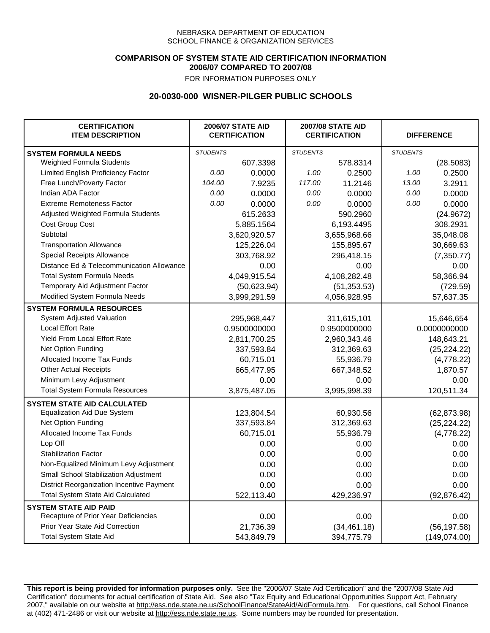### **COMPARISON OF SYSTEM STATE AID CERTIFICATION INFORMATION 2006/07 COMPARED TO 2007/08**

FOR INFORMATION PURPOSES ONLY

## **20-0030-000 WISNER-PILGER PUBLIC SCHOOLS**

| <b>CERTIFICATION</b><br><b>ITEM DESCRIPTION</b> | <b>2006/07 STATE AID</b><br><b>CERTIFICATION</b> |              | <b>2007/08 STATE AID</b><br><b>CERTIFICATION</b> |              | <b>DIFFERENCE</b> |               |  |
|-------------------------------------------------|--------------------------------------------------|--------------|--------------------------------------------------|--------------|-------------------|---------------|--|
| <b>SYSTEM FORMULA NEEDS</b>                     | <b>STUDENTS</b>                                  |              | <b>STUDENTS</b>                                  |              | <b>STUDENTS</b>   |               |  |
| Weighted Formula Students                       |                                                  | 607.3398     |                                                  | 578.8314     |                   | (28.5083)     |  |
| Limited English Proficiency Factor              | 0.00                                             | 0.0000       | 1.00                                             | 0.2500       | 1.00              | 0.2500        |  |
| Free Lunch/Poverty Factor                       | 104.00                                           | 7.9235       | 117.00                                           | 11.2146      | 13.00             | 3.2911        |  |
| Indian ADA Factor                               | 0.00                                             | 0.0000       | 0.00                                             | 0.0000       | 0.00              | 0.0000        |  |
| <b>Extreme Remoteness Factor</b>                | 0.00                                             | 0.0000       | 0.00                                             | 0.0000       | 0.00              | 0.0000        |  |
| Adjusted Weighted Formula Students              |                                                  | 615.2633     |                                                  | 590.2960     |                   | (24.9672)     |  |
| Cost Group Cost                                 |                                                  | 5,885.1564   |                                                  | 6,193.4495   |                   | 308.2931      |  |
| Subtotal                                        |                                                  | 3,620,920.57 |                                                  | 3,655,968.66 |                   | 35,048.08     |  |
| <b>Transportation Allowance</b>                 |                                                  | 125,226.04   |                                                  | 155,895.67   |                   | 30,669.63     |  |
| Special Receipts Allowance                      |                                                  | 303,768.92   |                                                  | 296,418.15   |                   | (7,350.77)    |  |
| Distance Ed & Telecommunication Allowance       |                                                  | 0.00         |                                                  | 0.00         |                   | 0.00          |  |
| <b>Total System Formula Needs</b>               |                                                  | 4,049,915.54 |                                                  | 4,108,282.48 | 58,366.94         |               |  |
| Temporary Aid Adjustment Factor                 |                                                  | (50,623.94)  | (51, 353.53)                                     |              | (729.59)          |               |  |
| Modified System Formula Needs                   |                                                  | 3,999,291.59 |                                                  | 4,056,928.95 |                   | 57,637.35     |  |
| <b>SYSTEM FORMULA RESOURCES</b>                 |                                                  |              |                                                  |              |                   |               |  |
| System Adjusted Valuation                       |                                                  | 295,968,447  |                                                  | 311,615,101  |                   | 15,646,654    |  |
| <b>Local Effort Rate</b>                        |                                                  | 0.9500000000 |                                                  | 0.9500000000 |                   | 0.0000000000  |  |
| Yield From Local Effort Rate                    |                                                  | 2,811,700.25 |                                                  | 2,960,343.46 |                   | 148,643.21    |  |
| Net Option Funding                              |                                                  | 337,593.84   |                                                  | 312,369.63   |                   | (25, 224.22)  |  |
| Allocated Income Tax Funds                      |                                                  | 60,715.01    | 55,936.79                                        |              | (4,778.22)        |               |  |
| <b>Other Actual Receipts</b>                    |                                                  | 665,477.95   | 667,348.52                                       |              | 1,870.57          |               |  |
| Minimum Levy Adjustment                         |                                                  | 0.00         |                                                  | 0.00         |                   | 0.00          |  |
| <b>Total System Formula Resources</b>           |                                                  | 3,875,487.05 |                                                  | 3,995,998.39 |                   | 120,511.34    |  |
| <b>SYSTEM STATE AID CALCULATED</b>              |                                                  |              |                                                  |              |                   |               |  |
| <b>Equalization Aid Due System</b>              |                                                  | 123,804.54   |                                                  | 60,930.56    |                   | (62, 873.98)  |  |
| Net Option Funding                              |                                                  | 337,593.84   |                                                  | 312,369.63   |                   | (25, 224.22)  |  |
| Allocated Income Tax Funds                      |                                                  | 60,715.01    |                                                  | 55,936.79    |                   | (4,778.22)    |  |
| Lop Off                                         |                                                  | 0.00         |                                                  | 0.00         |                   | 0.00          |  |
| <b>Stabilization Factor</b>                     |                                                  | 0.00         |                                                  | 0.00         |                   | 0.00          |  |
| Non-Equalized Minimum Levy Adjustment           |                                                  | 0.00         |                                                  | 0.00         |                   | 0.00          |  |
| Small School Stabilization Adjustment           |                                                  | 0.00         |                                                  | 0.00         |                   | 0.00          |  |
| District Reorganization Incentive Payment       |                                                  | 0.00         |                                                  | 0.00         |                   | 0.00          |  |
| <b>Total System State Aid Calculated</b>        |                                                  | 522,113.40   |                                                  | 429,236.97   |                   | (92, 876.42)  |  |
| <b>SYSTEM STATE AID PAID</b>                    |                                                  |              |                                                  |              |                   |               |  |
| Recapture of Prior Year Deficiencies            |                                                  | 0.00         |                                                  | 0.00         |                   | 0.00          |  |
| Prior Year State Aid Correction                 |                                                  | 21,736.39    |                                                  | (34, 461.18) |                   | (56, 197.58)  |  |
| <b>Total System State Aid</b>                   |                                                  | 543,849.79   |                                                  | 394,775.79   |                   | (149, 074.00) |  |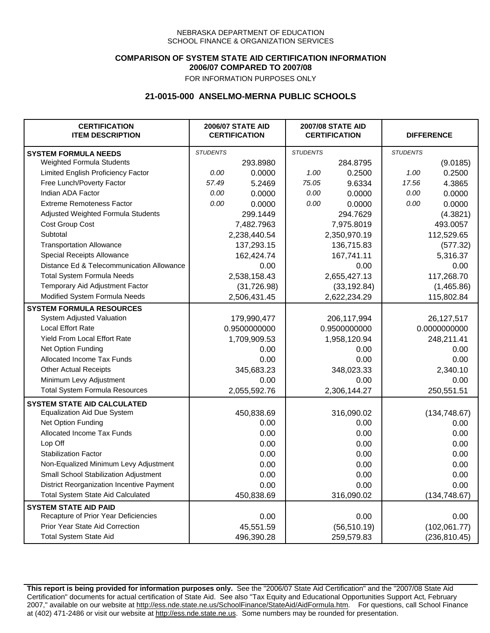### **COMPARISON OF SYSTEM STATE AID CERTIFICATION INFORMATION 2006/07 COMPARED TO 2007/08**

FOR INFORMATION PURPOSES ONLY

## **21-0015-000 ANSELMO-MERNA PUBLIC SCHOOLS**

| <b>CERTIFICATION</b><br><b>ITEM DESCRIPTION</b> |                 | <b>2006/07 STATE AID</b><br><b>CERTIFICATION</b> | <b>2007/08 STATE AID</b><br><b>CERTIFICATION</b> |              | <b>DIFFERENCE</b> |               |
|-------------------------------------------------|-----------------|--------------------------------------------------|--------------------------------------------------|--------------|-------------------|---------------|
| <b>SYSTEM FORMULA NEEDS</b>                     | <b>STUDENTS</b> |                                                  | <b>STUDENTS</b>                                  |              | <b>STUDENTS</b>   |               |
| <b>Weighted Formula Students</b>                |                 | 293.8980                                         |                                                  | 284.8795     |                   | (9.0185)      |
| Limited English Proficiency Factor              | 0.00            | 0.0000                                           | 1.00                                             | 0.2500       | 1.00              | 0.2500        |
| Free Lunch/Poverty Factor                       | 57.49           | 5.2469                                           | 75.05                                            | 9.6334       | 17.56             | 4.3865        |
| Indian ADA Factor                               | 0.00            | 0.0000                                           | 0.00                                             | 0.0000       | 0.00              | 0.0000        |
| <b>Extreme Remoteness Factor</b>                | 0.00            | 0.0000                                           | 0.00                                             | 0.0000       | 0.00              | 0.0000        |
| Adjusted Weighted Formula Students              |                 | 299.1449                                         |                                                  | 294.7629     |                   | (4.3821)      |
| Cost Group Cost                                 |                 | 7,482.7963                                       |                                                  | 7,975.8019   |                   | 493.0057      |
| Subtotal                                        |                 | 2,238,440.54                                     |                                                  | 2,350,970.19 |                   | 112,529.65    |
| <b>Transportation Allowance</b>                 |                 | 137,293.15                                       |                                                  | 136,715.83   |                   | (577.32)      |
| Special Receipts Allowance                      |                 | 162,424.74                                       |                                                  | 167,741.11   |                   | 5,316.37      |
| Distance Ed & Telecommunication Allowance       |                 | 0.00                                             |                                                  | 0.00         |                   | 0.00          |
| <b>Total System Formula Needs</b>               |                 | 2,538,158.43                                     |                                                  | 2,655,427.13 | 117,268.70        |               |
| Temporary Aid Adjustment Factor                 |                 | (31, 726.98)                                     | (33, 192.84)                                     |              | (1,465.86)        |               |
| Modified System Formula Needs                   |                 | 2,506,431.45                                     |                                                  | 2,622,234.29 |                   | 115,802.84    |
| <b>SYSTEM FORMULA RESOURCES</b>                 |                 |                                                  |                                                  |              |                   |               |
| System Adjusted Valuation                       |                 | 179,990,477                                      |                                                  | 206,117,994  |                   | 26,127,517    |
| <b>Local Effort Rate</b>                        |                 | 0.9500000000                                     |                                                  | 0.9500000000 |                   | 0.0000000000  |
| <b>Yield From Local Effort Rate</b>             |                 | 1,709,909.53                                     | 1,958,120.94                                     |              | 248,211.41        |               |
| Net Option Funding                              |                 | 0.00                                             | 0.00                                             |              | 0.00              |               |
| Allocated Income Tax Funds                      |                 | 0.00                                             | 0.00                                             |              | 0.00              |               |
| <b>Other Actual Receipts</b>                    |                 | 345,683.23                                       |                                                  | 348,023.33   | 2,340.10          |               |
| Minimum Levy Adjustment                         |                 | 0.00                                             |                                                  | 0.00         |                   | 0.00          |
| <b>Total System Formula Resources</b>           |                 | 2,055,592.76                                     |                                                  | 2,306,144.27 |                   | 250,551.51    |
| <b>SYSTEM STATE AID CALCULATED</b>              |                 |                                                  |                                                  |              |                   |               |
| <b>Equalization Aid Due System</b>              |                 | 450,838.69                                       |                                                  | 316,090.02   |                   | (134, 748.67) |
| Net Option Funding                              |                 | 0.00                                             |                                                  | 0.00         |                   | 0.00          |
| Allocated Income Tax Funds                      |                 | 0.00                                             |                                                  | 0.00         |                   | 0.00          |
| Lop Off                                         |                 | 0.00                                             |                                                  | 0.00         |                   | 0.00          |
| <b>Stabilization Factor</b>                     |                 | 0.00                                             |                                                  | 0.00         |                   | 0.00          |
| Non-Equalized Minimum Levy Adjustment           |                 | 0.00                                             |                                                  | 0.00         |                   | 0.00          |
| Small School Stabilization Adjustment           |                 | 0.00                                             |                                                  | 0.00         |                   | 0.00          |
| District Reorganization Incentive Payment       |                 | 0.00                                             |                                                  | 0.00         |                   | 0.00          |
| <b>Total System State Aid Calculated</b>        |                 | 450,838.69                                       |                                                  | 316,090.02   |                   | (134, 748.67) |
| <b>SYSTEM STATE AID PAID</b>                    |                 |                                                  |                                                  |              |                   |               |
| Recapture of Prior Year Deficiencies            |                 | 0.00                                             |                                                  | 0.00         |                   | 0.00          |
| Prior Year State Aid Correction                 |                 | 45,551.59                                        |                                                  | (56, 510.19) |                   | (102,061.77)  |
| <b>Total System State Aid</b>                   |                 | 496,390.28                                       |                                                  | 259,579.83   |                   | (236, 810.45) |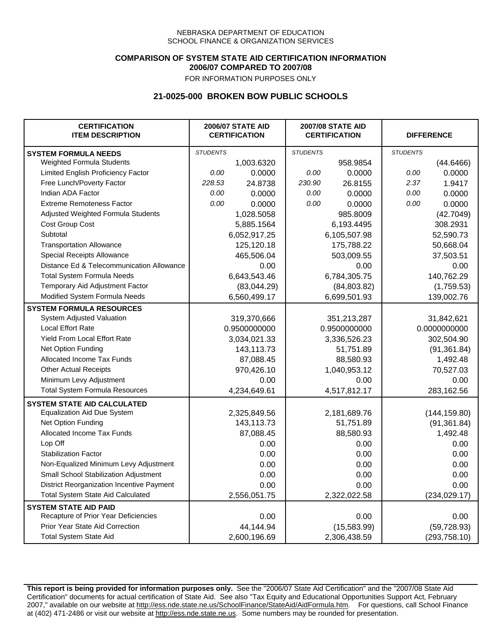### **COMPARISON OF SYSTEM STATE AID CERTIFICATION INFORMATION 2006/07 COMPARED TO 2007/08**

FOR INFORMATION PURPOSES ONLY

## **21-0025-000 BROKEN BOW PUBLIC SCHOOLS**

| <b>CERTIFICATION</b><br><b>ITEM DESCRIPTION</b> | <b>2006/07 STATE AID</b><br><b>CERTIFICATION</b> |              | <b>2007/08 STATE AID</b><br><b>CERTIFICATION</b> |              | <b>DIFFERENCE</b> |               |  |
|-------------------------------------------------|--------------------------------------------------|--------------|--------------------------------------------------|--------------|-------------------|---------------|--|
| <b>SYSTEM FORMULA NEEDS</b>                     | <b>STUDENTS</b>                                  |              | <b>STUDENTS</b>                                  |              | <b>STUDENTS</b>   |               |  |
| Weighted Formula Students                       |                                                  | 1,003.6320   |                                                  | 958.9854     |                   | (44.6466)     |  |
| Limited English Proficiency Factor              | 0.00                                             | 0.0000       | 0.00                                             | 0.0000       | 0.00              | 0.0000        |  |
| Free Lunch/Poverty Factor                       | 228.53                                           | 24.8738      | 230.90                                           | 26.8155      | 2.37              | 1.9417        |  |
| Indian ADA Factor                               | 0.00                                             | 0.0000       | 0.00                                             | 0.0000       | 0.00              | 0.0000        |  |
| <b>Extreme Remoteness Factor</b>                | 0.00                                             | 0.0000       | 0.00                                             | 0.0000       | 0.00              | 0.0000        |  |
| Adjusted Weighted Formula Students              |                                                  | 1,028.5058   |                                                  | 985.8009     |                   | (42.7049)     |  |
| Cost Group Cost                                 |                                                  | 5,885.1564   |                                                  | 6,193.4495   |                   | 308.2931      |  |
| Subtotal                                        |                                                  | 6,052,917.25 |                                                  | 6,105,507.98 |                   | 52,590.73     |  |
| <b>Transportation Allowance</b>                 |                                                  | 125,120.18   |                                                  | 175,788.22   |                   | 50,668.04     |  |
| Special Receipts Allowance                      |                                                  | 465,506.04   |                                                  | 503,009.55   |                   | 37,503.51     |  |
| Distance Ed & Telecommunication Allowance       |                                                  | 0.00         |                                                  | 0.00         |                   | 0.00          |  |
| <b>Total System Formula Needs</b>               |                                                  | 6,643,543.46 |                                                  | 6,784,305.75 | 140,762.29        |               |  |
| Temporary Aid Adjustment Factor                 |                                                  | (83,044.29)  | (84,803.82)                                      |              | (1,759.53)        |               |  |
| Modified System Formula Needs                   |                                                  | 6,560,499.17 |                                                  | 6,699,501.93 |                   | 139,002.76    |  |
| <b>SYSTEM FORMULA RESOURCES</b>                 |                                                  |              |                                                  |              |                   |               |  |
| System Adjusted Valuation                       |                                                  | 319,370,666  |                                                  | 351,213,287  |                   | 31,842,621    |  |
| <b>Local Effort Rate</b>                        |                                                  | 0.9500000000 |                                                  | 0.9500000000 | 0.0000000000      |               |  |
| Yield From Local Effort Rate                    |                                                  | 3,034,021.33 | 3,336,526.23                                     |              | 302,504.90        |               |  |
| Net Option Funding                              |                                                  | 143,113.73   | 51,751.89                                        |              | (91, 361.84)      |               |  |
| Allocated Income Tax Funds                      |                                                  | 87,088.45    | 88,580.93                                        |              | 1,492.48          |               |  |
| <b>Other Actual Receipts</b>                    |                                                  | 970,426.10   | 1,040,953.12                                     |              | 70,527.03         |               |  |
| Minimum Levy Adjustment                         |                                                  | 0.00         |                                                  | 0.00         |                   | 0.00          |  |
| <b>Total System Formula Resources</b>           |                                                  | 4,234,649.61 |                                                  | 4,517,812.17 |                   | 283,162.56    |  |
| <b>SYSTEM STATE AID CALCULATED</b>              |                                                  |              |                                                  |              |                   |               |  |
| <b>Equalization Aid Due System</b>              |                                                  | 2,325,849.56 |                                                  | 2,181,689.76 |                   | (144, 159.80) |  |
| Net Option Funding                              |                                                  | 143,113.73   |                                                  | 51,751.89    |                   | (91, 361.84)  |  |
| Allocated Income Tax Funds                      |                                                  | 87,088.45    |                                                  | 88,580.93    |                   | 1,492.48      |  |
| Lop Off                                         |                                                  | 0.00         |                                                  | 0.00         |                   | 0.00          |  |
| <b>Stabilization Factor</b>                     |                                                  | 0.00         |                                                  | 0.00         |                   | 0.00          |  |
| Non-Equalized Minimum Levy Adjustment           |                                                  | 0.00         |                                                  | 0.00         |                   | 0.00          |  |
| Small School Stabilization Adjustment           |                                                  | 0.00         |                                                  | 0.00         |                   | 0.00          |  |
| District Reorganization Incentive Payment       |                                                  | 0.00         |                                                  | 0.00         |                   | 0.00          |  |
| <b>Total System State Aid Calculated</b>        |                                                  | 2,556,051.75 |                                                  | 2,322,022.58 |                   | (234, 029.17) |  |
| <b>SYSTEM STATE AID PAID</b>                    |                                                  |              |                                                  |              |                   |               |  |
| Recapture of Prior Year Deficiencies            |                                                  | 0.00         |                                                  | 0.00         |                   | 0.00          |  |
| Prior Year State Aid Correction                 |                                                  | 44,144.94    |                                                  | (15,583.99)  | (59, 728.93)      |               |  |
| <b>Total System State Aid</b>                   |                                                  | 2,600,196.69 |                                                  | 2,306,438.59 |                   | (293, 758.10) |  |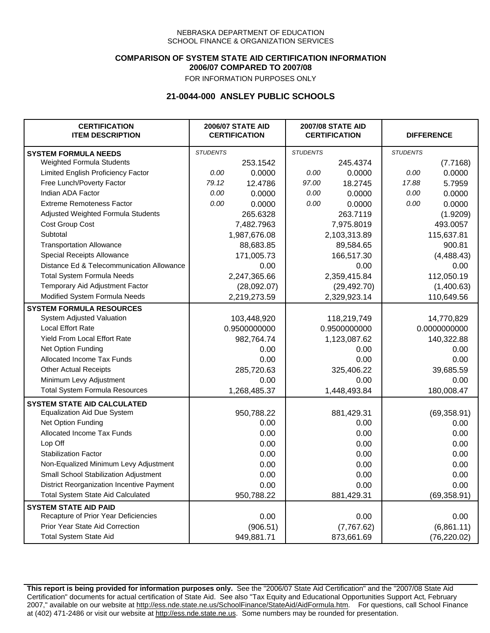### **COMPARISON OF SYSTEM STATE AID CERTIFICATION INFORMATION 2006/07 COMPARED TO 2007/08**

FOR INFORMATION PURPOSES ONLY

## **21-0044-000 ANSLEY PUBLIC SCHOOLS**

| <b>CERTIFICATION</b><br><b>ITEM DESCRIPTION</b> | <b>2006/07 STATE AID</b><br><b>CERTIFICATION</b> |              | <b>2007/08 STATE AID</b><br><b>CERTIFICATION</b> |              | <b>DIFFERENCE</b> |              |
|-------------------------------------------------|--------------------------------------------------|--------------|--------------------------------------------------|--------------|-------------------|--------------|
| <b>SYSTEM FORMULA NEEDS</b>                     | <b>STUDENTS</b>                                  |              | <b>STUDENTS</b>                                  |              | <b>STUDENTS</b>   |              |
| Weighted Formula Students                       |                                                  | 253.1542     |                                                  | 245.4374     |                   | (7.7168)     |
| Limited English Proficiency Factor              | 0.00                                             | 0.0000       | 0.00                                             | 0.0000       | 0.00              | 0.0000       |
| Free Lunch/Poverty Factor                       | 79.12                                            | 12.4786      | 97.00                                            | 18.2745      | 17.88             | 5.7959       |
| Indian ADA Factor                               | 0.00                                             | 0.0000       | 0.00                                             | 0.0000       | 0.00              | 0.0000       |
| <b>Extreme Remoteness Factor</b>                | 0.00                                             | 0.0000       | 0.00                                             | 0.0000       | 0.00              | 0.0000       |
| Adjusted Weighted Formula Students              |                                                  | 265.6328     |                                                  | 263.7119     |                   | (1.9209)     |
| Cost Group Cost                                 |                                                  | 7,482.7963   |                                                  | 7,975.8019   |                   | 493.0057     |
| Subtotal                                        |                                                  | 1,987,676.08 | 2,103,313.89                                     |              | 115,637.81        |              |
| <b>Transportation Allowance</b>                 |                                                  | 88,683.85    | 89,584.65                                        |              | 900.81            |              |
| Special Receipts Allowance                      |                                                  | 171,005.73   | 166,517.30                                       |              | (4,488.43)        |              |
| Distance Ed & Telecommunication Allowance       |                                                  | 0.00         | 0.00                                             |              | 0.00              |              |
| <b>Total System Formula Needs</b>               |                                                  | 2,247,365.66 | 2,359,415.84                                     |              | 112,050.19        |              |
| Temporary Aid Adjustment Factor                 |                                                  | (28,092.07)  | (29, 492.70)                                     |              | (1,400.63)        |              |
| Modified System Formula Needs                   |                                                  | 2,219,273.59 |                                                  | 2,329,923.14 |                   | 110,649.56   |
| <b>SYSTEM FORMULA RESOURCES</b>                 |                                                  |              |                                                  |              |                   |              |
| System Adjusted Valuation                       |                                                  | 103,448,920  |                                                  | 118,219,749  |                   | 14,770,829   |
| <b>Local Effort Rate</b>                        |                                                  | 0.9500000000 |                                                  | 0.9500000000 |                   | 0.0000000000 |
| Yield From Local Effort Rate                    |                                                  | 982,764.74   | 1,123,087.62                                     |              | 140,322.88        |              |
| Net Option Funding                              |                                                  | 0.00         |                                                  | 0.00         |                   | 0.00         |
| Allocated Income Tax Funds                      |                                                  | 0.00         |                                                  | 0.00         |                   | 0.00         |
| <b>Other Actual Receipts</b>                    |                                                  | 285,720.63   | 325,406.22                                       |              | 39,685.59         |              |
| Minimum Levy Adjustment                         | 0.00                                             |              | 0.00                                             |              | 0.00              |              |
| <b>Total System Formula Resources</b>           |                                                  | 1,268,485.37 |                                                  | 1,448,493.84 |                   | 180,008.47   |
| <b>SYSTEM STATE AID CALCULATED</b>              |                                                  |              |                                                  |              |                   |              |
| <b>Equalization Aid Due System</b>              |                                                  | 950,788.22   |                                                  | 881,429.31   |                   | (69, 358.91) |
| Net Option Funding                              |                                                  | 0.00         |                                                  | 0.00         |                   | 0.00         |
| Allocated Income Tax Funds                      |                                                  | 0.00         |                                                  | 0.00         |                   | 0.00         |
| Lop Off                                         |                                                  | 0.00         |                                                  | 0.00         |                   | 0.00         |
| <b>Stabilization Factor</b>                     |                                                  | 0.00         |                                                  | 0.00         |                   | 0.00         |
| Non-Equalized Minimum Levy Adjustment           | 0.00                                             |              | 0.00                                             |              | 0.00              |              |
| <b>Small School Stabilization Adjustment</b>    | 0.00                                             |              | 0.00                                             |              | 0.00              |              |
| District Reorganization Incentive Payment       | 0.00                                             |              | 0.00                                             |              | 0.00              |              |
| Total System State Aid Calculated               |                                                  | 950,788.22   |                                                  | 881,429.31   |                   | (69, 358.91) |
| <b>SYSTEM STATE AID PAID</b>                    |                                                  |              |                                                  |              |                   |              |
| Recapture of Prior Year Deficiencies            |                                                  | 0.00         |                                                  | 0.00         |                   | 0.00         |
| Prior Year State Aid Correction                 |                                                  | (906.51)     |                                                  | (7,767.62)   |                   | (6,861.11)   |
| <b>Total System State Aid</b>                   |                                                  | 949,881.71   |                                                  | 873,661.69   |                   | (76, 220.02) |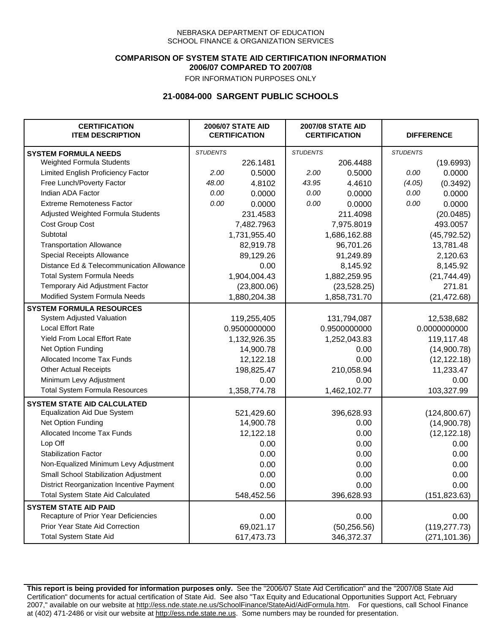### **COMPARISON OF SYSTEM STATE AID CERTIFICATION INFORMATION 2006/07 COMPARED TO 2007/08**

FOR INFORMATION PURPOSES ONLY

## **21-0084-000 SARGENT PUBLIC SCHOOLS**

| <b>CERTIFICATION</b><br><b>ITEM DESCRIPTION</b> | <b>2006/07 STATE AID</b><br><b>CERTIFICATION</b> |              | <b>2007/08 STATE AID</b><br><b>CERTIFICATION</b> |              | <b>DIFFERENCE</b> |               |
|-------------------------------------------------|--------------------------------------------------|--------------|--------------------------------------------------|--------------|-------------------|---------------|
| <b>SYSTEM FORMULA NEEDS</b>                     | <b>STUDENTS</b>                                  |              | <b>STUDENTS</b>                                  |              | <b>STUDENTS</b>   |               |
| Weighted Formula Students                       |                                                  | 226.1481     |                                                  | 206.4488     |                   | (19.6993)     |
| Limited English Proficiency Factor              | 2.00                                             | 0.5000       | 2.00                                             | 0.5000       | 0.00              | 0.0000        |
| Free Lunch/Poverty Factor                       | 48.00                                            | 4.8102       | 43.95                                            | 4.4610       | (4.05)            | (0.3492)      |
| Indian ADA Factor                               | 0.00                                             | 0.0000       | 0.00                                             | 0.0000       | 0.00              | 0.0000        |
| <b>Extreme Remoteness Factor</b>                | 0.00                                             | 0.0000       | 0.00                                             | 0.0000       | 0.00              | 0.0000        |
| Adjusted Weighted Formula Students              |                                                  | 231.4583     |                                                  | 211.4098     |                   | (20.0485)     |
| Cost Group Cost                                 |                                                  | 7,482.7963   |                                                  | 7,975.8019   |                   | 493.0057      |
| Subtotal                                        |                                                  | 1,731,955.40 | 1,686,162.88                                     |              | (45, 792.52)      |               |
| <b>Transportation Allowance</b>                 |                                                  | 82,919.78    | 96,701.26                                        |              | 13,781.48         |               |
| Special Receipts Allowance                      |                                                  | 89,129.26    | 91,249.89                                        |              | 2,120.63          |               |
| Distance Ed & Telecommunication Allowance       |                                                  | 0.00         | 8,145.92                                         |              | 8,145.92          |               |
| <b>Total System Formula Needs</b>               |                                                  | 1,904,004.43 | 1,882,259.95                                     |              | (21, 744.49)      |               |
| Temporary Aid Adjustment Factor                 |                                                  | (23,800.06)  | (23, 528.25)                                     |              | 271.81            |               |
| Modified System Formula Needs                   |                                                  | 1,880,204.38 |                                                  | 1,858,731.70 |                   | (21, 472.68)  |
| <b>SYSTEM FORMULA RESOURCES</b>                 |                                                  |              |                                                  |              |                   |               |
| System Adjusted Valuation                       |                                                  | 119,255,405  |                                                  | 131,794,087  |                   | 12,538,682    |
| <b>Local Effort Rate</b>                        |                                                  | 0.9500000000 |                                                  | 0.9500000000 |                   | 0.0000000000  |
| Yield From Local Effort Rate                    |                                                  | 1,132,926.35 |                                                  | 1,252,043.83 |                   | 119,117.48    |
| Net Option Funding                              |                                                  | 14,900.78    |                                                  | 0.00         |                   | (14,900.78)   |
| Allocated Income Tax Funds                      |                                                  | 12,122.18    |                                                  | 0.00         |                   | (12, 122.18)  |
| <b>Other Actual Receipts</b>                    |                                                  | 198,825.47   |                                                  | 210,058.94   |                   | 11,233.47     |
| Minimum Levy Adjustment                         |                                                  | 0.00         |                                                  | 0.00         |                   | 0.00          |
| <b>Total System Formula Resources</b>           |                                                  | 1,358,774.78 |                                                  | 1,462,102.77 |                   | 103,327.99    |
| <b>SYSTEM STATE AID CALCULATED</b>              |                                                  |              |                                                  |              |                   |               |
| <b>Equalization Aid Due System</b>              |                                                  | 521,429.60   |                                                  | 396,628.93   |                   | (124,800.67)  |
| Net Option Funding                              |                                                  | 14,900.78    |                                                  | 0.00         |                   | (14,900.78)   |
| Allocated Income Tax Funds                      |                                                  | 12,122.18    |                                                  | 0.00         |                   | (12, 122.18)  |
| Lop Off                                         |                                                  | 0.00         |                                                  | 0.00         |                   | 0.00          |
| <b>Stabilization Factor</b>                     |                                                  | 0.00         |                                                  | 0.00         |                   | 0.00          |
| Non-Equalized Minimum Levy Adjustment           |                                                  | 0.00         |                                                  | 0.00         |                   | 0.00          |
| Small School Stabilization Adjustment           |                                                  | 0.00         |                                                  | 0.00         |                   | 0.00          |
| District Reorganization Incentive Payment       |                                                  | 0.00         |                                                  | 0.00         |                   | 0.00          |
| <b>Total System State Aid Calculated</b>        |                                                  | 548,452.56   |                                                  | 396,628.93   |                   | (151, 823.63) |
| <b>SYSTEM STATE AID PAID</b>                    |                                                  |              |                                                  |              |                   |               |
| Recapture of Prior Year Deficiencies            |                                                  | 0.00         |                                                  | 0.00         |                   | 0.00          |
| Prior Year State Aid Correction                 |                                                  | 69,021.17    |                                                  | (50, 256.56) |                   | (119, 277.73) |
| <b>Total System State Aid</b>                   |                                                  | 617,473.73   |                                                  | 346,372.37   |                   | (271, 101.36) |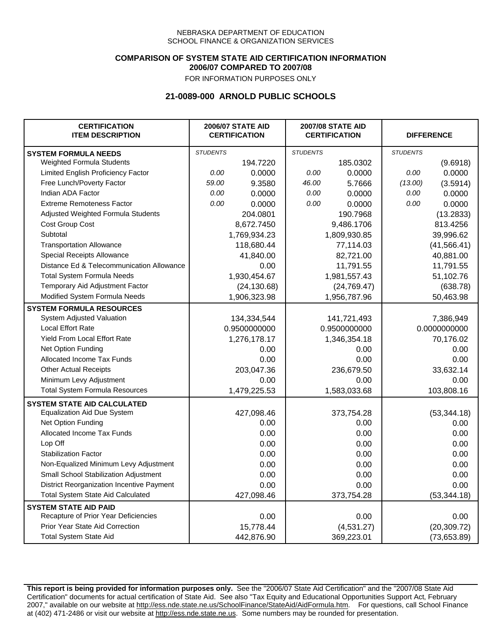### **COMPARISON OF SYSTEM STATE AID CERTIFICATION INFORMATION 2006/07 COMPARED TO 2007/08**

FOR INFORMATION PURPOSES ONLY

## **21-0089-000 ARNOLD PUBLIC SCHOOLS**

| <b>CERTIFICATION</b><br><b>ITEM DESCRIPTION</b> | <b>2006/07 STATE AID</b><br><b>CERTIFICATION</b> |              | <b>2007/08 STATE AID</b><br><b>CERTIFICATION</b> |              | <b>DIFFERENCE</b> |              |
|-------------------------------------------------|--------------------------------------------------|--------------|--------------------------------------------------|--------------|-------------------|--------------|
| <b>SYSTEM FORMULA NEEDS</b>                     | <b>STUDENTS</b>                                  |              | <b>STUDENTS</b>                                  |              | <b>STUDENTS</b>   |              |
| Weighted Formula Students                       |                                                  | 194.7220     |                                                  | 185.0302     |                   | (9.6918)     |
| Limited English Proficiency Factor              | 0.00                                             | 0.0000       | 0.00                                             | 0.0000       | 0.00              | 0.0000       |
| Free Lunch/Poverty Factor                       | 59.00                                            | 9.3580       | 46.00                                            | 5.7666       | (13.00)           | (3.5914)     |
| Indian ADA Factor                               | 0.00                                             | 0.0000       | 0.00                                             | 0.0000       | 0.00              | 0.0000       |
| <b>Extreme Remoteness Factor</b>                | 0.00                                             | 0.0000       | 0.00                                             | 0.0000       | 0.00              | 0.0000       |
| Adjusted Weighted Formula Students              |                                                  | 204.0801     |                                                  | 190.7968     |                   | (13.2833)    |
| Cost Group Cost                                 |                                                  | 8,672.7450   |                                                  | 9,486.1706   |                   | 813.4256     |
| Subtotal                                        |                                                  | 1,769,934.23 | 1,809,930.85                                     |              | 39,996.62         |              |
| <b>Transportation Allowance</b>                 |                                                  | 118,680.44   | 77,114.03                                        |              | (41, 566.41)      |              |
| Special Receipts Allowance                      |                                                  | 41,840.00    | 82,721.00                                        |              | 40,881.00         |              |
| Distance Ed & Telecommunication Allowance       |                                                  | 0.00         | 11,791.55                                        |              | 11,791.55         |              |
| <b>Total System Formula Needs</b>               |                                                  | 1,930,454.67 | 1,981,557.43                                     |              | 51,102.76         |              |
| Temporary Aid Adjustment Factor                 |                                                  | (24, 130.68) | (24, 769.47)                                     |              | (638.78)          |              |
| Modified System Formula Needs                   |                                                  | 1,906,323.98 |                                                  | 1,956,787.96 |                   | 50,463.98    |
| <b>SYSTEM FORMULA RESOURCES</b>                 |                                                  |              |                                                  |              |                   |              |
| <b>System Adjusted Valuation</b>                |                                                  | 134,334,544  |                                                  | 141,721,493  |                   | 7,386,949    |
| <b>Local Effort Rate</b>                        |                                                  | 0.9500000000 |                                                  | 0.9500000000 |                   | 0.0000000000 |
| Yield From Local Effort Rate                    |                                                  | 1,276,178.17 |                                                  | 1,346,354.18 |                   | 70,176.02    |
| Net Option Funding                              |                                                  | 0.00         |                                                  | 0.00         |                   | 0.00         |
| Allocated Income Tax Funds                      |                                                  | 0.00         |                                                  | 0.00         |                   | 0.00         |
| <b>Other Actual Receipts</b>                    |                                                  | 203,047.36   |                                                  | 236,679.50   |                   | 33,632.14    |
| Minimum Levy Adjustment                         | 0.00                                             |              | 0.00                                             |              | 0.00              |              |
| <b>Total System Formula Resources</b>           |                                                  | 1,479,225.53 |                                                  | 1,583,033.68 |                   | 103,808.16   |
| <b>SYSTEM STATE AID CALCULATED</b>              |                                                  |              |                                                  |              |                   |              |
| <b>Equalization Aid Due System</b>              |                                                  | 427,098.46   |                                                  | 373,754.28   |                   | (53, 344.18) |
| Net Option Funding                              |                                                  | 0.00         |                                                  | 0.00         |                   | 0.00         |
| Allocated Income Tax Funds                      |                                                  | 0.00         |                                                  | 0.00         |                   | 0.00         |
| Lop Off                                         |                                                  | 0.00         |                                                  | 0.00         |                   | 0.00         |
| <b>Stabilization Factor</b>                     |                                                  | 0.00         |                                                  | 0.00         |                   | 0.00         |
| Non-Equalized Minimum Levy Adjustment           |                                                  | 0.00         |                                                  | 0.00         |                   | 0.00         |
| Small School Stabilization Adjustment           |                                                  | 0.00         |                                                  | 0.00         |                   | 0.00         |
| District Reorganization Incentive Payment       |                                                  | 0.00         |                                                  | 0.00         |                   | 0.00         |
| <b>Total System State Aid Calculated</b>        |                                                  | 427,098.46   |                                                  | 373,754.28   |                   | (53, 344.18) |
| <b>SYSTEM STATE AID PAID</b>                    |                                                  |              |                                                  |              |                   |              |
| Recapture of Prior Year Deficiencies            |                                                  | 0.00         |                                                  | 0.00         |                   | 0.00         |
| Prior Year State Aid Correction                 |                                                  | 15,778.44    |                                                  | (4,531.27)   |                   | (20, 309.72) |
| <b>Total System State Aid</b>                   |                                                  | 442,876.90   |                                                  | 369,223.01   |                   | (73,653.89)  |